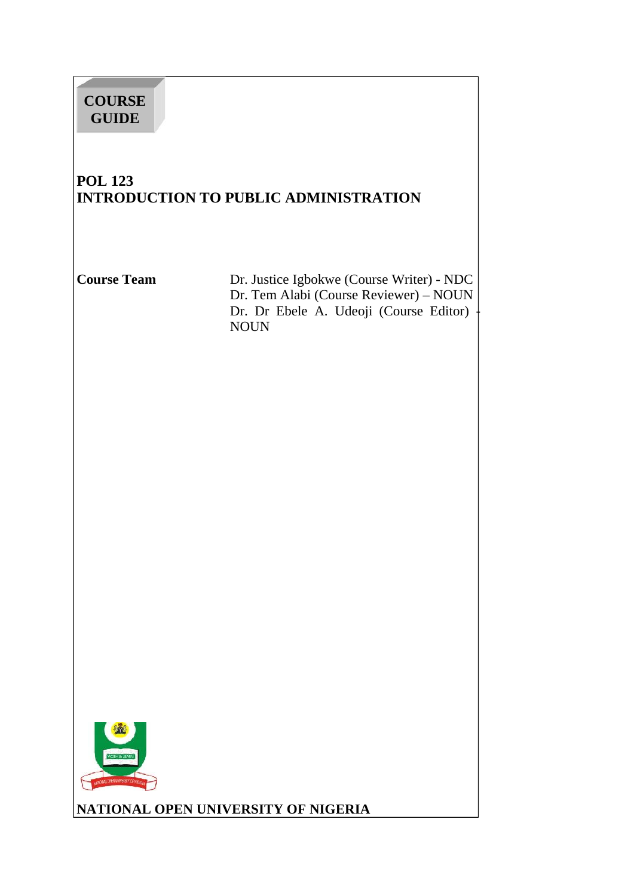# **COURSE GUIDE**

# **POL 123 INTRODUCTION TO PUBLIC ADMINISTRATION**

**Course Team** Dr. Justice Igbokwe (Course Writer) - NDC Dr. Tem Alabi (Course Reviewer) – NOUN Dr. Dr Ebele A. Udeoji (Course Editor) - NOUN



**NATIONAL OPEN UNIVERSITY OF NIGERIA**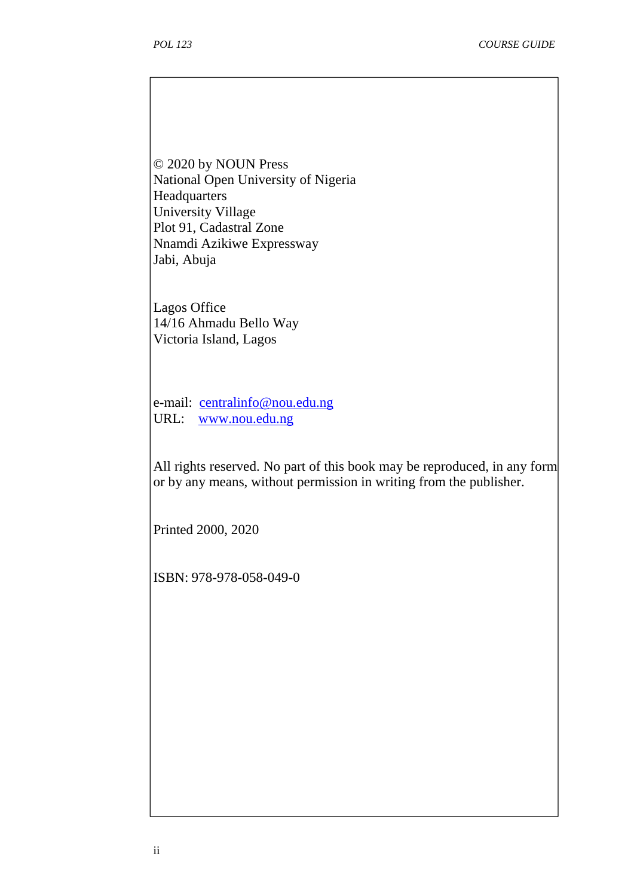© 2020 by NOUN Press National Open University of Nigeria **Headquarters** University Village Plot 91, Cadastral Zone Nnamdi Azikiwe Expressway Jabi, Abuja

Lagos Office 14/16 Ahmadu Bello Way Victoria Island, Lagos

e-mail: centralinfo@nou.edu.ng URL: www.nou.edu.ng

All rights reserved. No part of this book may be reproduced, in any form or by any means, without permission in writing from the publisher.

Printed 2000, 2020

ISBN: 978-978-058-049-0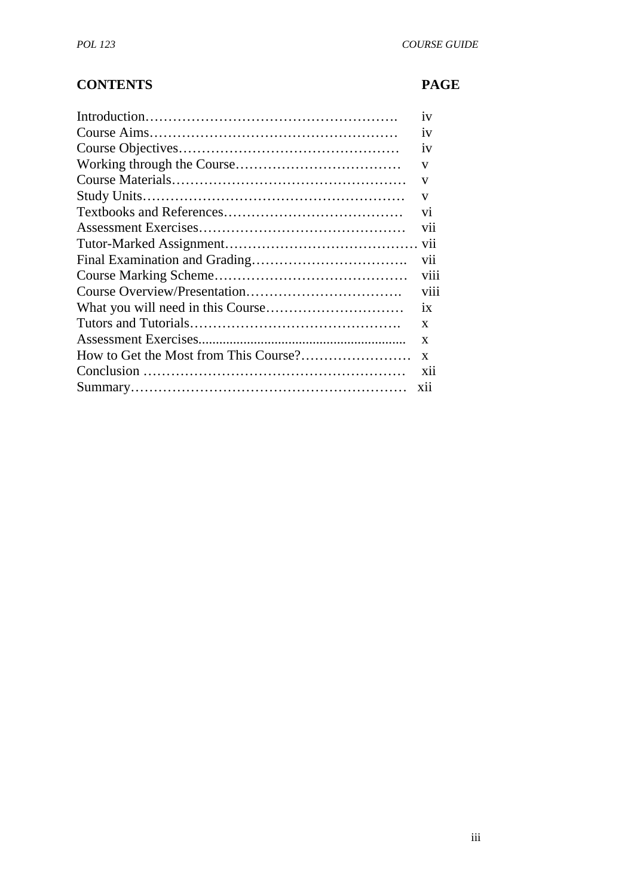# **CONTENTS PAGE**

| 1V           |
|--------------|
| 1V           |
| 1V           |
| V            |
| V            |
| V            |
|              |
|              |
|              |
|              |
|              |
|              |
|              |
| $\mathbf{x}$ |
| $\mathbf{x}$ |
| $\mathbf{X}$ |
| <b>X11</b>   |
|              |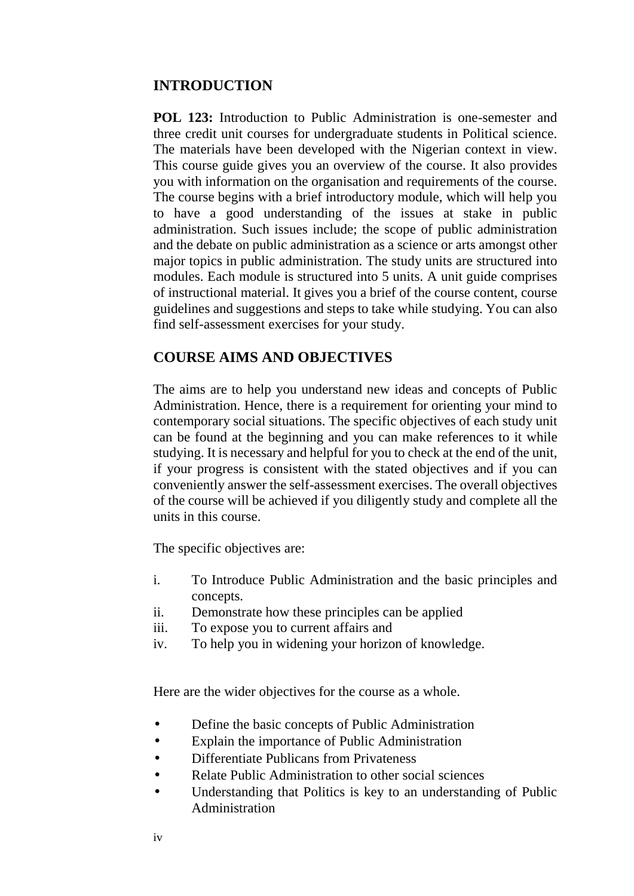## **INTRODUCTION**

**POL 123:** Introduction to Public Administration is one-semester and three credit unit courses for undergraduate students in Political science. The materials have been developed with the Nigerian context in view. This course guide gives you an overview of the course. It also provides you with information on the organisation and requirements of the course. The course begins with a brief introductory module, which will help you to have a good understanding of the issues at stake in public administration. Such issues include; the scope of public administration and the debate on public administration as a science or arts amongst other major topics in public administration. The study units are structured into modules. Each module is structured into 5 units. A unit guide comprises of instructional material. It gives you a brief of the course content, course guidelines and suggestions and steps to take while studying. You can also find self-assessment exercises for your study.

## **COURSE AIMS AND OBJECTIVES**

The aims are to help you understand new ideas and concepts of Public Administration. Hence, there is a requirement for orienting your mind to contemporary social situations. The specific objectives of each study unit can be found at the beginning and you can make references to it while studying. It is necessary and helpful for you to check at the end of the unit, if your progress is consistent with the stated objectives and if you can conveniently answer the self-assessment exercises. The overall objectives of the course will be achieved if you diligently study and complete all the units in this course.

The specific objectives are:

- i. To Introduce Public Administration and the basic principles and concepts.
- ii. Demonstrate how these principles can be applied
- iii. To expose you to current affairs and
- iv. To help you in widening your horizon of knowledge.

Here are the wider objectives for the course as a whole.

- Define the basic concepts of Public Administration
- Explain the importance of Public Administration
- Differentiate Publicans from Privateness
- Relate Public Administration to other social sciences
- Understanding that Politics is key to an understanding of Public Administration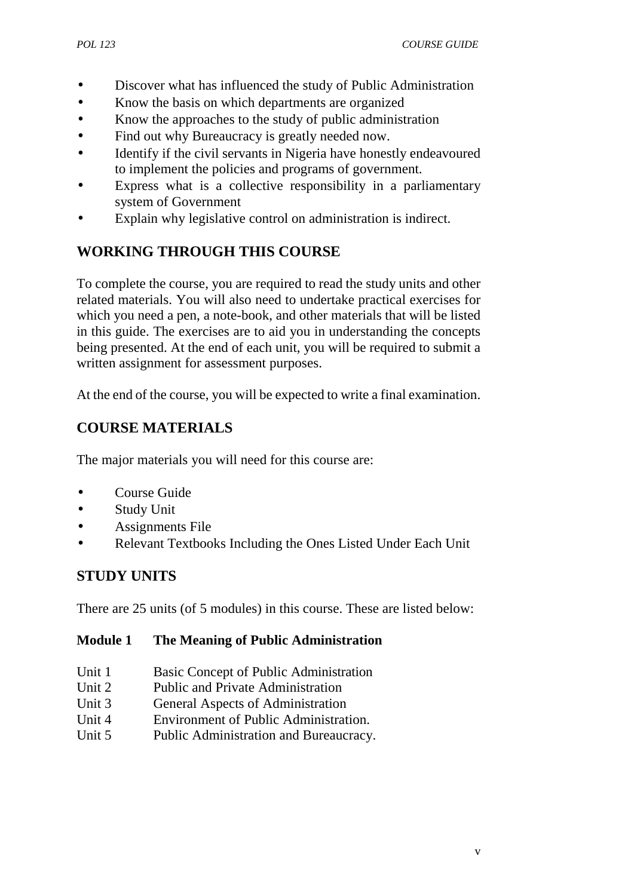- Discover what has influenced the study of Public Administration
- Know the basis on which departments are organized
- Know the approaches to the study of public administration
- Find out why Bureaucracy is greatly needed now.
- Identify if the civil servants in Nigeria have honestly endeavoured to implement the policies and programs of government.
- Express what is a collective responsibility in a parliamentary system of Government
- Explain why legislative control on administration is indirect.

# **WORKING THROUGH THIS COURSE**

To complete the course, you are required to read the study units and other related materials. You will also need to undertake practical exercises for which you need a pen, a note-book, and other materials that will be listed in this guide. The exercises are to aid you in understanding the concepts being presented. At the end of each unit, you will be required to submit a written assignment for assessment purposes.

At the end of the course, you will be expected to write a final examination.

# **COURSE MATERIALS**

The major materials you will need for this course are:

- Course Guide
- Study Unit
- Assignments File
- Relevant Textbooks Including the Ones Listed Under Each Unit

# **STUDY UNITS**

There are 25 units (of 5 modules) in this course. These are listed below:

#### **Module 1 The Meaning of Public Administration**

- Unit 1 Basic Concept of Public Administration
- Unit 2 Public and Private Administration
- Unit 3 General Aspects of Administration
- Unit 4 Environment of Public Administration.
- Unit 5 Public Administration and Bureaucracy.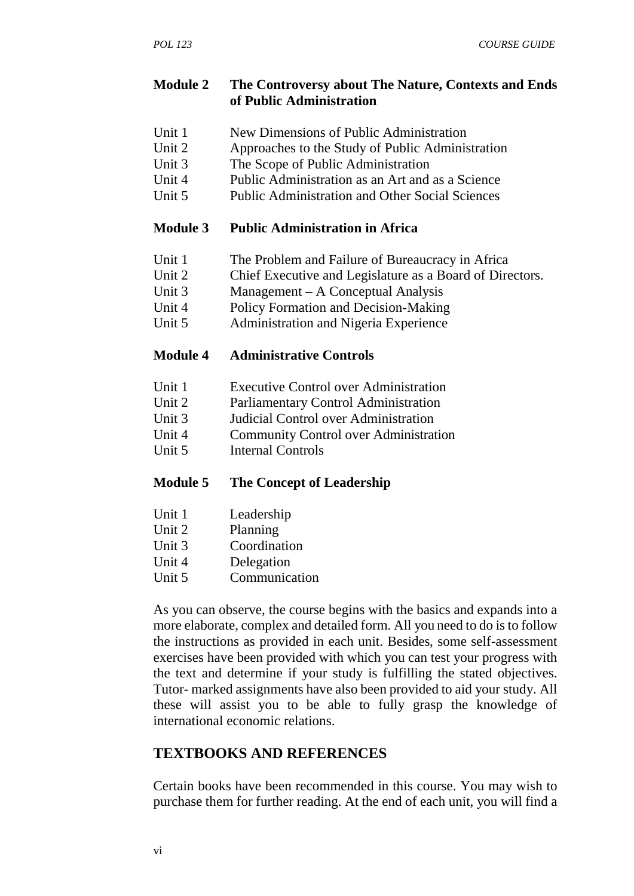#### **Module 2 The Controversy about The Nature, Contexts and Ends of Public Administration**

- Unit 1 New Dimensions of Public Administration
- Unit 2 Approaches to the Study of Public Administration
- Unit 3 The Scope of Public Administration
- Unit 4 Public Administration as an Art and as a Science
- Unit 5 Public Administration and Other Social Sciences

## **Module 3 Public Administration in Africa**

- Unit 1 The Problem and Failure of Bureaucracy in Africa
- Unit 2 Chief Executive and Legislature as a Board of Directors.
- Unit 3 Management A Conceptual Analysis
- Unit 4 Policy Formation and Decision-Making
- Unit 5 Administration and Nigeria Experience

## **Module 4 Administrative Controls**

- Unit 1 Executive Control over Administration
- Unit 2 Parliamentary Control Administration
- Unit 3 Judicial Control over Administration
- Unit 4 Community Control over Administration<br>
Unit 5 Internal Controls
- Internal Controls

## **Module 5 The Concept of Leadership**

- Unit 1 Leadership
- Unit 2 Planning
- Unit 3 Coordination
- Unit 4 Delegation
- Unit 5 Communication

As you can observe, the course begins with the basics and expands into a more elaborate, complex and detailed form. All you need to do is to follow the instructions as provided in each unit. Besides, some self-assessment exercises have been provided with which you can test your progress with the text and determine if your study is fulfilling the stated objectives. Tutor- marked assignments have also been provided to aid your study. All these will assist you to be able to fully grasp the knowledge of international economic relations.

# **TEXTBOOKS AND REFERENCES**

Certain books have been recommended in this course. You may wish to purchase them for further reading. At the end of each unit, you will find a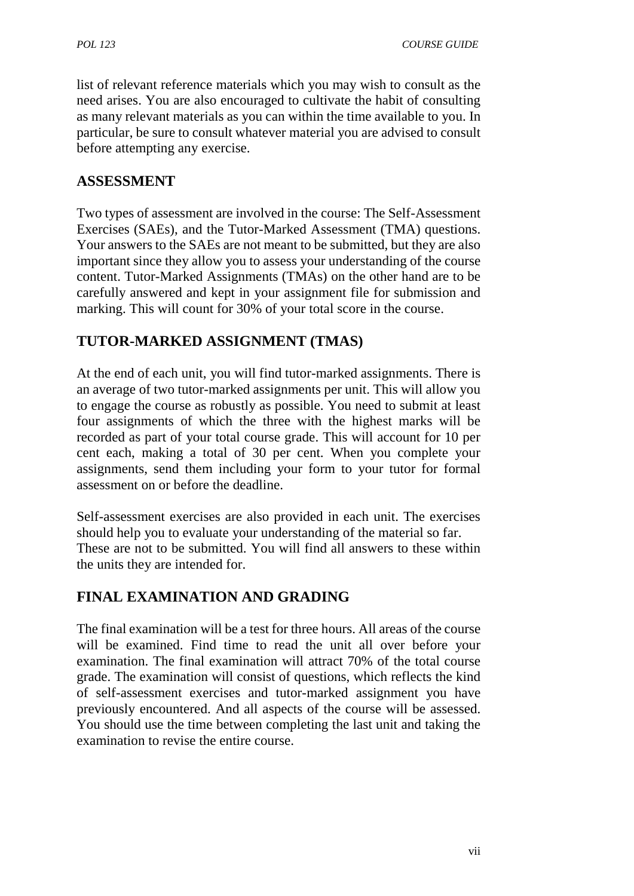list of relevant reference materials which you may wish to consult as the need arises. You are also encouraged to cultivate the habit of consulting as many relevant materials as you can within the time available to you. In particular, be sure to consult whatever material you are advised to consult before attempting any exercise.

## **ASSESSMENT**

Two types of assessment are involved in the course: The Self-Assessment Exercises (SAEs), and the Tutor-Marked Assessment (TMA) questions. Your answers to the SAEs are not meant to be submitted, but they are also important since they allow you to assess your understanding of the course content. Tutor-Marked Assignments (TMAs) on the other hand are to be carefully answered and kept in your assignment file for submission and marking. This will count for 30% of your total score in the course.

# **TUTOR-MARKED ASSIGNMENT (TMAS)**

At the end of each unit, you will find tutor-marked assignments. There is an average of two tutor-marked assignments per unit. This will allow you to engage the course as robustly as possible. You need to submit at least four assignments of which the three with the highest marks will be recorded as part of your total course grade. This will account for 10 per cent each, making a total of 30 per cent. When you complete your assignments, send them including your form to your tutor for formal assessment on or before the deadline.

Self-assessment exercises are also provided in each unit. The exercises should help you to evaluate your understanding of the material so far. These are not to be submitted. You will find all answers to these within the units they are intended for.

# **FINAL EXAMINATION AND GRADING**

The final examination will be a test for three hours. All areas of the course will be examined. Find time to read the unit all over before your examination. The final examination will attract 70% of the total course grade. The examination will consist of questions, which reflects the kind of self-assessment exercises and tutor-marked assignment you have previously encountered. And all aspects of the course will be assessed. You should use the time between completing the last unit and taking the examination to revise the entire course.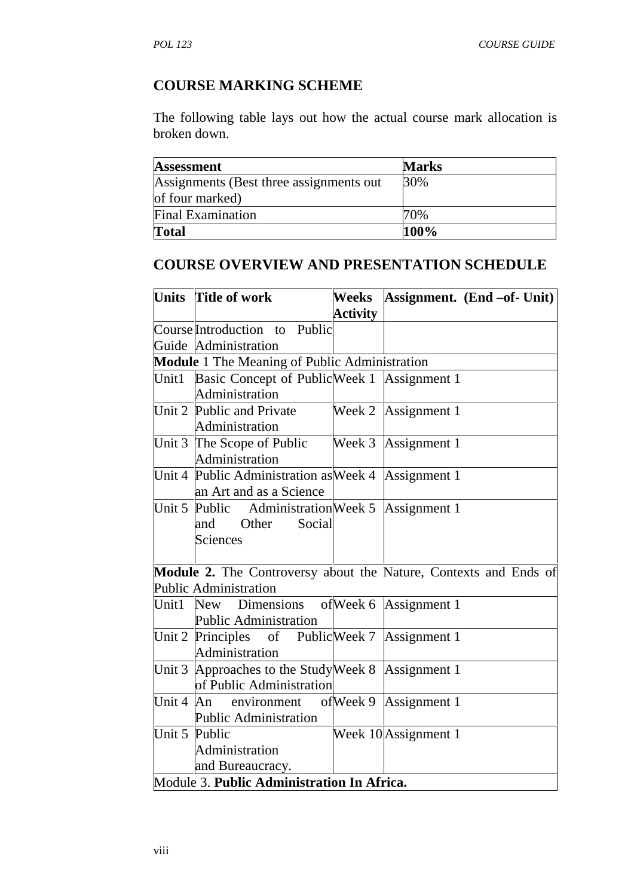# **COURSE MARKING SCHEME**

The following table lays out how the actual course mark allocation is broken down.

| Assessment                               | <b>Marks</b> |
|------------------------------------------|--------------|
| Assignments (Best three assignments out) | 30%          |
| of four marked)                          |              |
| <b>Final Examination</b>                 | 70%          |
| <b>Total</b>                             | 100%         |

## **COURSE OVERVIEW AND PRESENTATION SCHEDULE**

|                     | Units Title of work                                | Weeks           | Assignment. $(End - of - Unit)$                                         |
|---------------------|----------------------------------------------------|-----------------|-------------------------------------------------------------------------|
|                     |                                                    | <b>Activity</b> |                                                                         |
|                     | Course Introduction to Public                      |                 |                                                                         |
|                     | Guide Administration                               |                 |                                                                         |
|                     | Module 1 The Meaning of Public Administration      |                 |                                                                         |
| Unit1               | Basic Concept of Public Week 1 Assignment 1        |                 |                                                                         |
|                     | Administration                                     |                 |                                                                         |
|                     | Unit 2 Public and Private                          |                 | Week 2 Assignment 1                                                     |
|                     | Administration                                     |                 |                                                                         |
|                     | Unit 3 The Scope of Public<br>Administration       |                 | Week 3 Assignment 1                                                     |
|                     | Unit 4 Public Administration as Week 4             |                 | Assignment 1                                                            |
|                     | an Art and as a Science                            |                 |                                                                         |
|                     | Unit 5 Public Administration Week 5 Assignment 1   |                 |                                                                         |
|                     | Other<br>Social<br>and                             |                 |                                                                         |
|                     | <b>Sciences</b>                                    |                 |                                                                         |
|                     |                                                    |                 |                                                                         |
|                     |                                                    |                 | <b>Module 2.</b> The Controversy about the Nature, Contexts and Ends of |
|                     | <b>Public Administration</b>                       |                 |                                                                         |
| Unit1               | New Dimensions of Week 6 Assignment 1              |                 |                                                                         |
|                     | <b>Public Administration</b>                       |                 |                                                                         |
|                     | Unit 2 Principles of Public Week 7 Assignment 1    |                 |                                                                         |
|                     | Administration                                     |                 |                                                                         |
|                     | Unit 3 Approaches to the Study Week 8 Assignment 1 |                 |                                                                         |
|                     | of Public Administration                           |                 |                                                                         |
| Unit $4 \text{ An}$ | environment                                        |                 | ofWeek 9 Assignment 1                                                   |
|                     | <b>Public Administration</b>                       |                 |                                                                         |
|                     | Unit 5 Public                                      |                 | Week 10 Assignment 1                                                    |
|                     |                                                    |                 |                                                                         |
|                     | Administration                                     |                 |                                                                         |
|                     | and Bureaucracy.                                   |                 |                                                                         |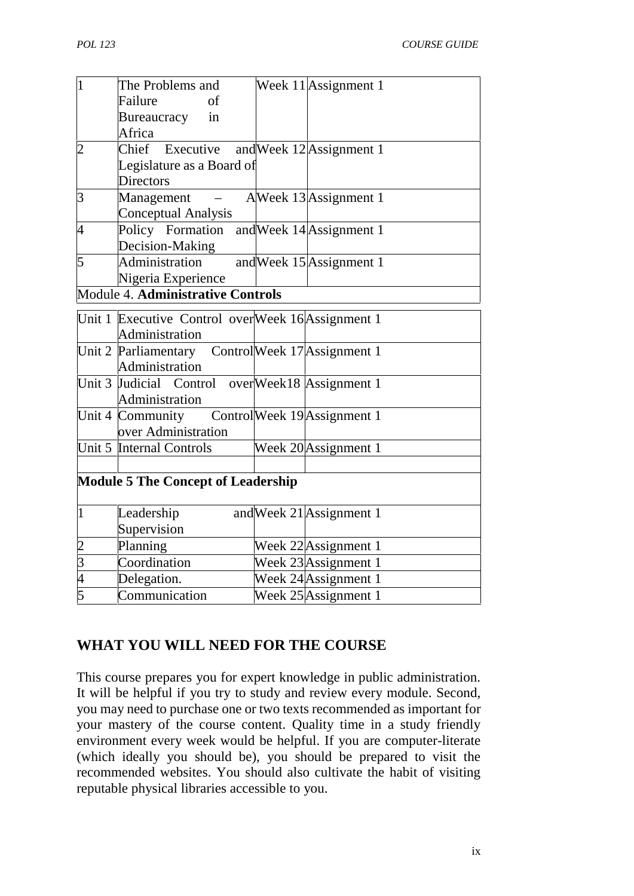| $\overline{1}$              | The Problems and                                  | Week 11 Assignment 1        |
|-----------------------------|---------------------------------------------------|-----------------------------|
|                             | Failure<br>of                                     |                             |
|                             | in<br>Bureaucracy                                 |                             |
|                             | Africa                                            |                             |
| $\overline{c}$              | Chief Executive                                   | and Week $12$ Assignment 1  |
|                             | Legislature as a Board of                         |                             |
|                             | <b>Directors</b>                                  |                             |
| $\overline{3}$              | Management                                        | AWeek 13 Assignment 1       |
|                             | <b>Conceptual Analysis</b>                        |                             |
| $\overline{4}$              | Policy Formation                                  | and Week 14 Assignment 1    |
|                             | Decision-Making                                   |                             |
| $\overline{5}$              | Administration                                    | and Week 15 Assignment 1    |
|                             | Nigeria Experience                                |                             |
|                             | Module 4. Administrative Controls                 |                             |
|                             | Unit 1 Executive Control overWeek 16 Assignment 1 |                             |
|                             | Administration                                    |                             |
|                             | Unit 2 Parliamentary                              | ControlWeek 17 Assignment 1 |
|                             | Administration                                    |                             |
|                             | Unit 3 Judicial Control                           | overWeek18 Assignment 1     |
|                             | Administration                                    |                             |
|                             | Unit 4 Community                                  | ControlWeek 19 Assignment 1 |
|                             | over Administration                               |                             |
|                             | Unit 5 Internal Controls                          | Week 20 Assignment 1        |
|                             |                                                   |                             |
|                             | <b>Module 5 The Concept of Leadership</b>         |                             |
|                             |                                                   |                             |
| $\overline{1}$              | Leadership                                        | and Week 21 Assignment 1    |
|                             | Supervision                                       |                             |
|                             | Planning                                          | Week 22 Assignment 1        |
| $\frac{2}{3}$ $\frac{4}{5}$ | Coordination                                      | Week 23 Assignment 1        |
|                             | Delegation.                                       | Week 24 Assignment 1        |
|                             | Communication                                     | Week $25$ Assignment 1      |

## **WHAT YOU WILL NEED FOR THE COURSE**

This course prepares you for expert knowledge in public administration. It will be helpful if you try to study and review every module. Second, you may need to purchase one or two texts recommended as important for your mastery of the course content. Quality time in a study friendly environment every week would be helpful. If you are computer-literate (which ideally you should be), you should be prepared to visit the recommended websites. You should also cultivate the habit of visiting reputable physical libraries accessible to you.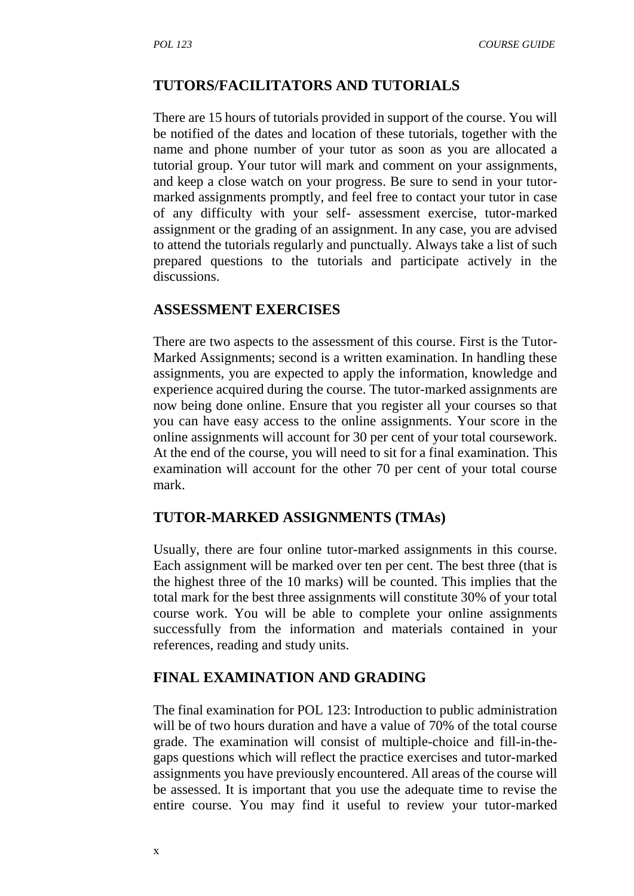#### **TUTORS/FACILITATORS AND TUTORIALS**

There are 15 hours of tutorials provided in support of the course. You will be notified of the dates and location of these tutorials, together with the name and phone number of your tutor as soon as you are allocated a tutorial group. Your tutor will mark and comment on your assignments, and keep a close watch on your progress. Be sure to send in your tutor marked assignments promptly, and feel free to contact your tutor in case of any difficulty with your self- assessment exercise, tutor-marked assignment or the grading of an assignment. In any case, you are advised to attend the tutorials regularly and punctually. Always take a list of such prepared questions to the tutorials and participate actively in the discussions.

#### **ASSESSMENT EXERCISES**

There are two aspects to the assessment of this course. First is the Tutor- Marked Assignments; second is a written examination. In handling these assignments, you are expected to apply the information, knowledge and experience acquired during the course. The tutor-marked assignments are now being done online. Ensure that you register all your courses so that you can have easy access to the online assignments. Your score in the online assignments will account for 30 per cent of your total coursework. At the end of the course, you will need to sit for a final examination. This examination will account for the other 70 per cent of your total course mark.

#### **TUTOR-MARKED ASSIGNMENTS (TMAs)**

Usually, there are four online tutor-marked assignments in this course. Each assignment will be marked over ten per cent. The best three (that is the highest three of the 10 marks) will be counted. This implies that the total mark for the best three assignments will constitute 30% of your total course work. You will be able to complete your online assignments successfully from the information and materials contained in your references, reading and study units.

#### **FINAL EXAMINATION AND GRADING**

The final examination for POL 123: Introduction to public administration will be of two hours duration and have a value of 70% of the total course grade. The examination will consist of multiple-choice and fill-in-the gaps questions which will reflect the practice exercises and tutor-marked assignments you have previously encountered. All areas of the course will be assessed. It is important that you use the adequate time to revise the entire course. You may find it useful to review your tutor-marked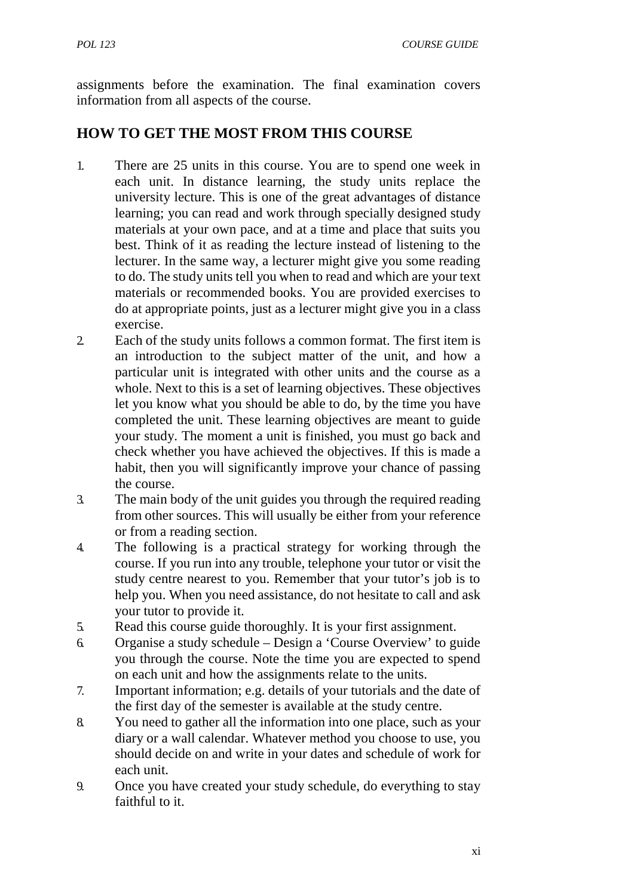assignments before the examination. The final examination covers information from all aspects of the course.

# **HOW TO GET THE MOST FROM THIS COURSE**

- 1. There are 25 units in this course. You are to spend one week in each unit. In distance learning, the study units replace the university lecture. This is one of the great advantages of distance learning; you can read and work through specially designed study materials at your own pace, and at a time and place that suits you best. Think of it as reading the lecture instead of listening to the lecturer. In the same way, a lecturer might give you some reading to do. The study units tell you when to read and which are your text materials or recommended books. You are provided exercises to do at appropriate points, just as a lecturer might give you in a class exercise.
- 2. Each of the study units follows a common format. The first item is an introduction to the subject matter of the unit, and how a particular unit is integrated with other units and the course as a whole. Next to this is a set of learning objectives. These objectives let you know what you should be able to do, by the time you have completed the unit. These learning objectives are meant to guide your study. The moment a unit is finished, you must go back and check whether you have achieved the objectives. If this is made a habit, then you will significantly improve your chance of passing the course.
- 3. The main body of the unit guides you through the required reading from other sources. This will usually be either from your reference or from a reading section.
- 4. The following is a practical strategy for working through the course. If you run into any trouble, telephone your tutor or visit the study centre nearest to you. Remember that your tutor's job is to help you. When you need assistance, do not hesitate to call and ask your tutor to provide it.
- 5. Read this course guide thoroughly. It is your first assignment.
- 6. Organise a study schedule Design a 'Course Overview' to guide you through the course. Note the time you are expected to spend on each unit and how the assignments relate to the units.
- 7. Important information; e.g. details of your tutorials and the date of the first day of the semester is available at the study centre.
- 8. You need to gather all the information into one place, such as your diary or a wall calendar. Whatever method you choose to use, you should decide on and write in your dates and schedule of work for each unit.
- 9. Once you have created your study schedule, do everything to stay faithful to it.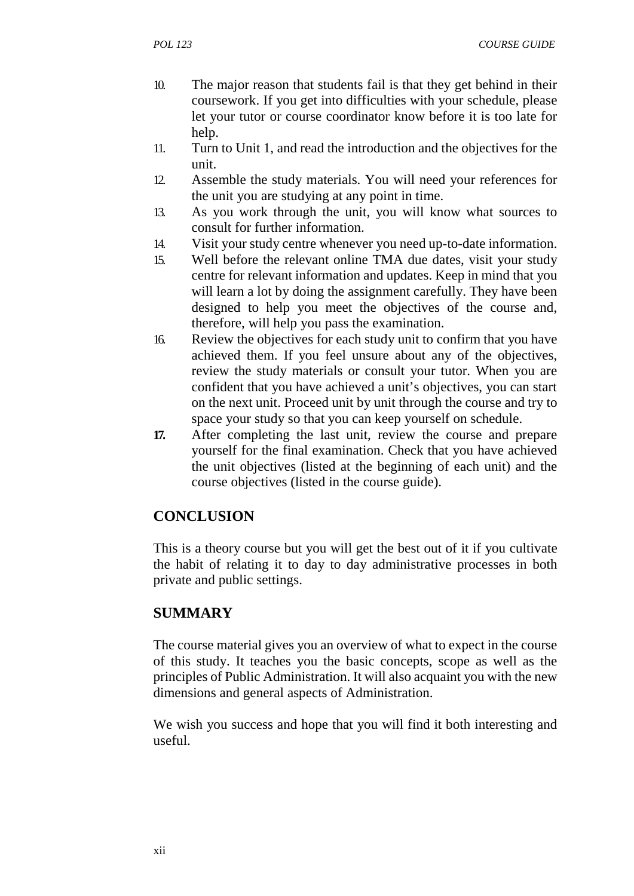- 10. The major reason that students fail is that they get behind in their coursework. If you get into difficulties with your schedule, please let your tutor or course coordinator know before it is too late for help.
- 11. Turn to Unit 1, and read the introduction and the objectives for the unit.
- 12. Assemble the study materials. You will need your references for the unit you are studying at any point in time.
- 13. As you work through the unit, you will know what sources to consult for further information.
- 14. Visit your study centre whenever you need up-to-date information.
- 15. Well before the relevant online TMA due dates, visit your study centre for relevant information and updates. Keep in mind that you will learn a lot by doing the assignment carefully. They have been designed to help you meet the objectives of the course and, therefore, will help you pass the examination.
- 16. Review the objectives for each study unit to confirm that you have achieved them. If you feel unsure about any of the objectives, review the study materials or consult your tutor. When you are confident that you have achieved a unit's objectives, you can start on the next unit. Proceed unit by unit through the course and try to space your study so that you can keep yourself on schedule.
- **17.** After completing the last unit, review the course and prepare yourself for the final examination. Check that you have achieved the unit objectives (listed at the beginning of each unit) and the course objectives (listed in the course guide).

## **CONCLUSION**

This is a theory course but you will get the best out of it if you cultivate the habit of relating it to day to day administrative processes in both private and public settings.

## **SUMMARY**

The course material gives you an overview of what to expect in the course of this study. It teaches you the basic concepts, scope as well as the principles of Public Administration. It will also acquaint you with the new dimensions and general aspects of Administration.

We wish you success and hope that you will find it both interesting and useful.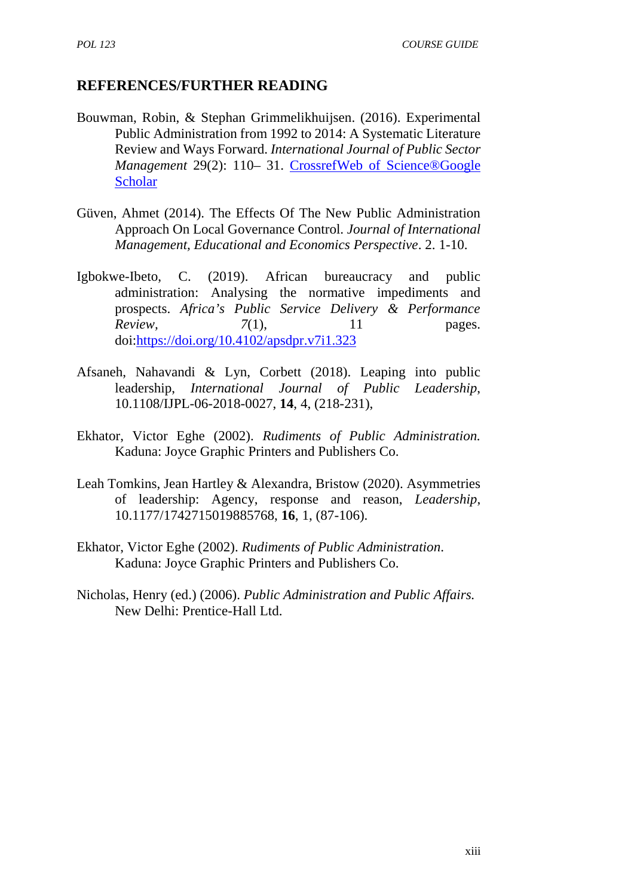## **REFERENCES/FURTHER READING**

- Bouwman, Robin, & Stephan Grimmelikhuijsen. (2016). Experimental Public Administration from 1992 to 2014: A Systematic Literature Review and Ways Forward. *International Journal of Public Sector Management* 29(2): 110– 31. CrossrefWeb of Science®Google **Scholar**
- Güven, Ahmet (2014). The Effects Of The New Public Administration Approach On Local Governance Control. *Journal of International Management, Educational and Economics Perspective*. 2. 1-10.
- Igbokwe-Ibeto, C. (2019). African bureaucracy and public administration: Analysing the normative impediments and prospects. *Africa's Public Service Delivery & Performance Review*, *7*(1), 11 pages. doi:https://doi.org/10.4102/apsdpr.v7i1.323
- Afsaneh, Nahavandi & Lyn, Corbett (2018). Leaping into public leadership, *International Journal of Public Leadership*, 10.1108/IJPL-06-2018-0027, **14**, 4, (218-231),
- Ekhator, Victor Eghe (2002). *Rudiments of Public Administration.* Kaduna: Joyce Graphic Printers and Publishers Co.
- Leah Tomkins, Jean Hartley & Alexandra, Bristow (2020). Asymmetries of leadership: Agency, response and reason, *Leadership*, 10.1177/1742715019885768, **16**, 1, (87-106).
- Ekhator, Victor Eghe (2002). *Rudiments of Public Administration*. Kaduna: Joyce Graphic Printers and Publishers Co.
- Nicholas, Henry (ed.) (2006). *Public Administration and Public Affairs.* New Delhi: Prentice-Hall Ltd.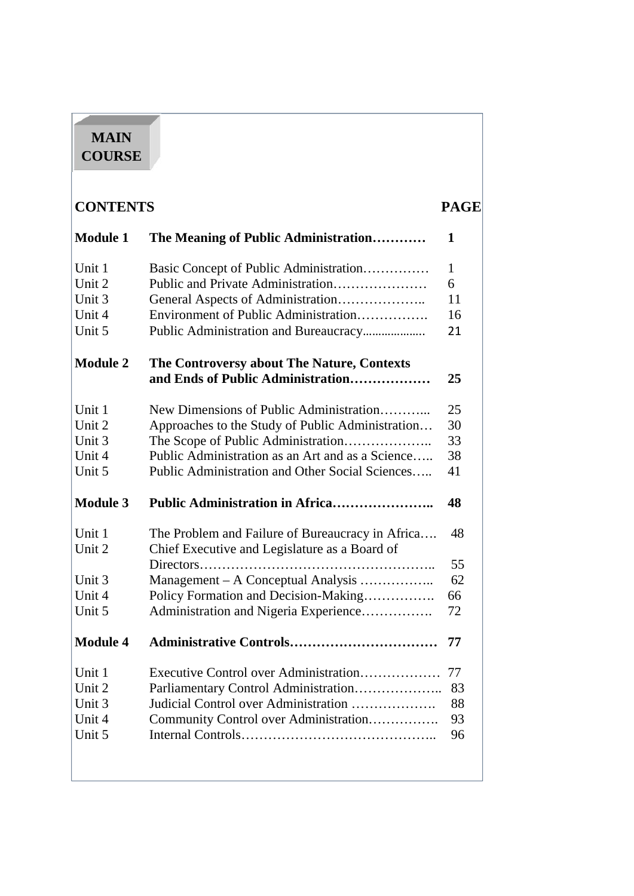# **MAIN COURSE**

| <b>CONTENTS</b><br><b>PAGE</b> |                                                  |    |
|--------------------------------|--------------------------------------------------|----|
| <b>Module 1</b>                | The Meaning of Public Administration             | 1  |
| Unit 1                         | Basic Concept of Public Administration           | 1  |
| Unit 2                         | Public and Private Administration                | 6  |
| Unit 3                         |                                                  | 11 |
| Unit 4                         | Environment of Public Administration             | 16 |
| Unit 5                         |                                                  | 21 |
| <b>Module 2</b>                | The Controversy about The Nature, Contexts       |    |
|                                | and Ends of Public Administration                | 25 |
| Unit 1                         | New Dimensions of Public Administration          | 25 |
| Unit 2                         | Approaches to the Study of Public Administration | 30 |
| Unit 3                         |                                                  | 33 |
| Unit 4                         | Public Administration as an Art and as a Science | 38 |
| Unit 5                         | Public Administration and Other Social Sciences  | 41 |
| <b>Module 3</b>                | <b>Public Administration in Africa</b>           | 48 |
| Unit 1                         | The Problem and Failure of Bureaucracy in Africa | 48 |
| Unit 2                         | Chief Executive and Legislature as a Board of    |    |
|                                |                                                  | 55 |
| Unit 3                         | Management - A Conceptual Analysis               | 62 |
| Unit 4                         | Policy Formation and Decision-Making             | 66 |
| Unit 5                         | Administration and Nigeria Experience            | 72 |
| <b>Module 4</b>                | Administrative Controls                          | 77 |
| Unit 1                         | Executive Control over Administration            | 77 |
| Unit 2                         | Parliamentary Control Administration             | 83 |
| Unit 3                         | Judicial Control over Administration             | 88 |
| Unit 4                         | Community Control over Administration            | 93 |
| Unit 5                         |                                                  | 96 |
|                                |                                                  |    |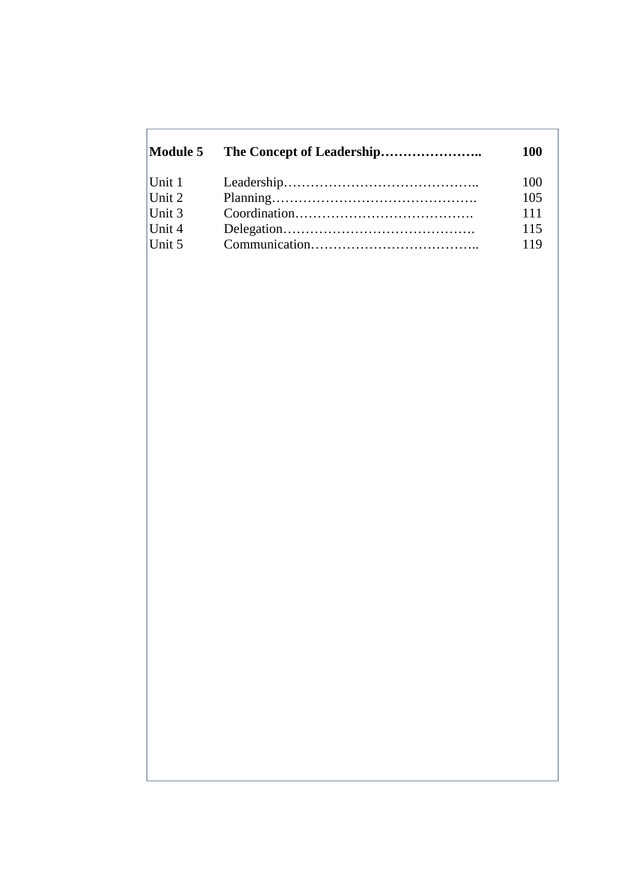| Module 5 | <b>100</b> |
|----------|------------|
|          | 100        |
|          | 105        |
|          | 111        |
|          | 115        |
|          | 119        |
|          |            |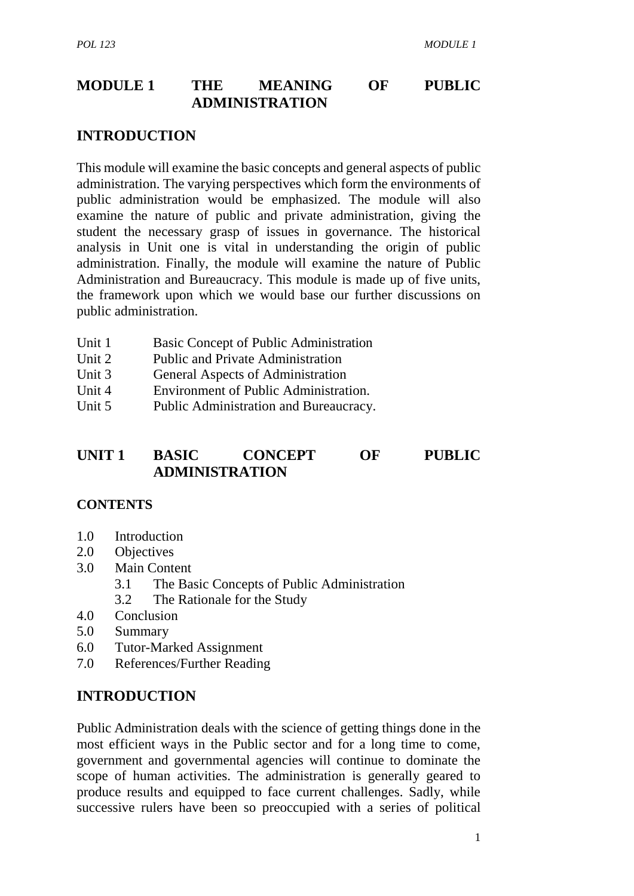## **MODULE 1 THE MEANING OF PUBLIC ADMINISTRATION**

#### **INTRODUCTION**

This module will examine the basic concepts and general aspects of public administration. The varying perspectives which form the environments of public administration would be emphasized. The module will also examine the nature of public and private administration, giving the student the necessary grasp of issues in governance. The historical analysis in Unit one is vital in understanding the origin of public administration. Finally, the module will examine the nature of Public Administration and Bureaucracy. This module is made up of five units, the framework upon which we would base our further discussions on public administration.

- Unit 1 Basic Concept of Public Administration
- Unit 2 Public and Private Administration
- Unit 3 General Aspects of Administration
- Unit 4 Environment of Public Administration.
- Unit 5 Public Administration and Bureaucracy.

## **UNIT 1 BASIC CONCEPT OF PUBLIC ADMINISTRATION**

#### **CONTENTS**

- 1.0 Introduction
- 2.0 Objectives
- 3.0 Main Content
	- 3.1 The Basic Concepts of Public Administration
	- 3.2 The Rationale for the Study
- 4.0 Conclusion
- 5.0 Summary
- 6.0 Tutor-Marked Assignment
- 7.0 References/Further Reading

## **INTRODUCTION**

Public Administration deals with the science of getting things done in the most efficient ways in the Public sector and for a long time to come, government and governmental agencies will continue to dominate the scope of human activities. The administration is generally geared to produce results and equipped to face current challenges. Sadly, while successive rulers have been so preoccupied with a series of political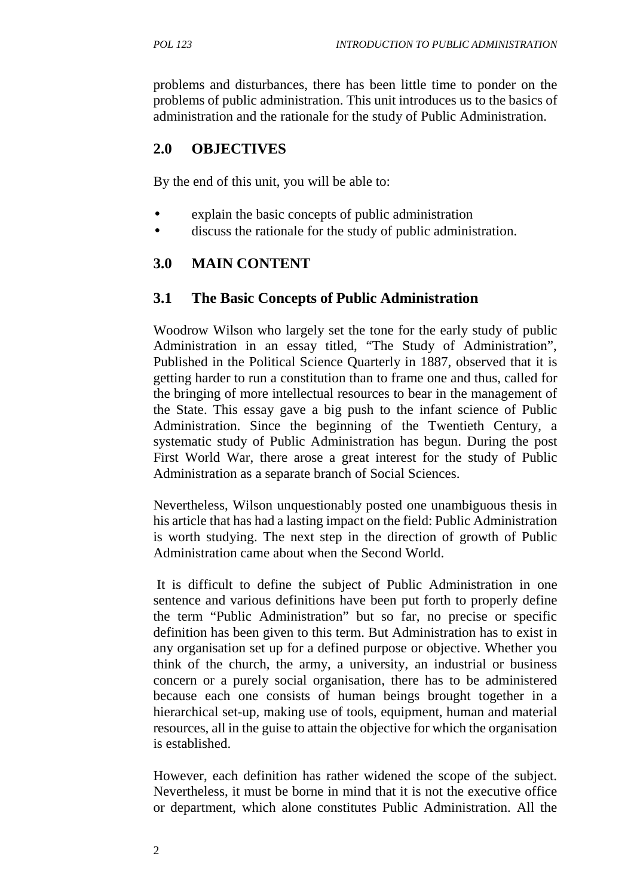problems and disturbances, there has been little time to ponder on the problems of public administration. This unit introduces us to the basics of administration and the rationale for the study of Public Administration.

# **2.0 OBJECTIVES**

By the end of this unit, you will be able to:

- explain the basic concepts of public administration
- discuss the rationale for the study of public administration.

# **3.0 MAIN CONTENT**

## **3.1 The Basic Concepts of Public Administration**

Woodrow Wilson who largely set the tone for the early study of public Administration in an essay titled, "The Study of Administration", Published in the Political Science Quarterly in 1887, observed that it is getting harder to run a constitution than to frame one and thus, called for the bringing of more intellectual resources to bear in the management of the State. This essay gave a big push to the infant science of Public Administration. Since the beginning of the Twentieth Century, a systematic study of Public Administration has begun. During the post First World War, there arose a great interest for the study of Public Administration as a separate branch of Social Sciences.

Nevertheless, Wilson unquestionably posted one unambiguous thesis in his article that has had a lasting impact on the field: Public Administration is worth studying. The next step in the direction of growth of Public Administration came about when the Second World.

It is difficult to define the subject of Public Administration in one sentence and various definitions have been put forth to properly define the term "Public Administration" but so far, no precise or specific definition has been given to this term. But Administration has to exist in any organisation set up for a defined purpose or objective. Whether you think of the church, the army, a university, an industrial or business concern or a purely social organisation, there has to be administered because each one consists of human beings brought together in a hierarchical set-up, making use of tools, equipment, human and material resources, all in the guise to attain the objective for which the organisation is established.

However, each definition has rather widened the scope of the subject. Nevertheless, it must be borne in mind that it is not the executive office or department, which alone constitutes Public Administration. All the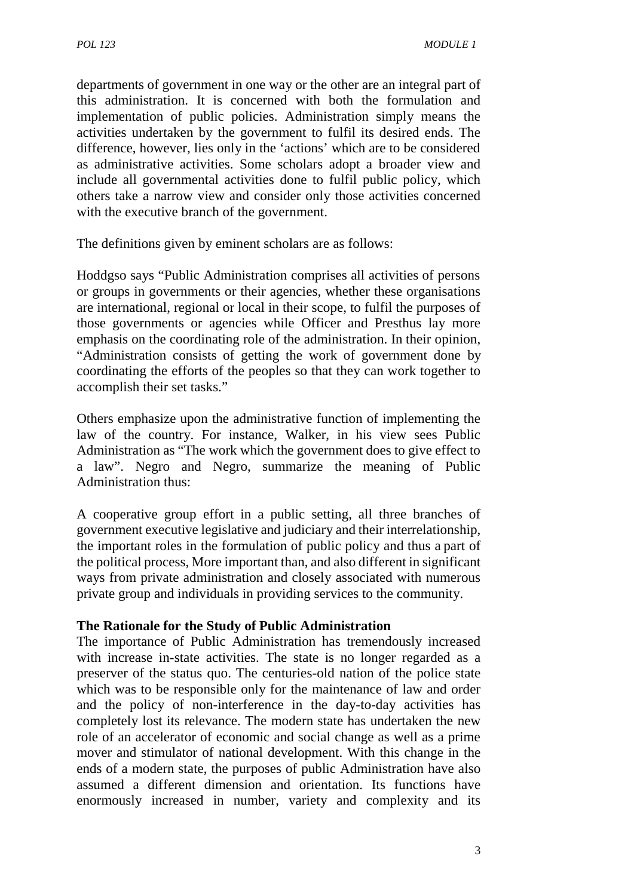departments of government in one way or the other are an integral part of this administration. It is concerned with both the formulation and implementation of public policies. Administration simply means the activities undertaken by the government to fulfil its desired ends. The difference, however, lies only in the 'actions' which are to be considered as administrative activities. Some scholars adopt a broader view and include all governmental activities done to fulfil public policy, which others take a narrow view and consider only those activities concerned with the executive branch of the government.

The definitions given by eminent scholars are as follows:

Hoddgso says "Public Administration comprises all activities of persons or groups in governments or their agencies, whether these organisations are international, regional or local in their scope, to fulfil the purposes of those governments or agencies while Officer and Presthus lay more emphasis on the coordinating role of the administration. In their opinion, "Administration consists of getting the work of government done by coordinating the efforts of the peoples so that they can work together to accomplish their set tasks."

Others emphasize upon the administrative function of implementing the law of the country. For instance, Walker, in his view sees Public Administration as "The work which the government does to give effect to a law". Negro and Negro, summarize the meaning of Public Administration thus:

A cooperative group effort in a public setting, all three branches of government executive legislative and judiciary and their interrelationship, the important roles in the formulation of public policy and thus a part of the political process, More important than, and also different in significant ways from private administration and closely associated with numerous private group and individuals in providing services to the community.

#### **The Rationale for the Study of Public Administration**

The importance of Public Administration has tremendously increased with increase in-state activities. The state is no longer regarded as a preserver of the status quo. The centuries-old nation of the police state which was to be responsible only for the maintenance of law and order and the policy of non-interference in the day-to-day activities has completely lost its relevance. The modern state has undertaken the new role of an accelerator of economic and social change as well as a prime mover and stimulator of national development. With this change in the ends of a modern state, the purposes of public Administration have also assumed a different dimension and orientation. Its functions have enormously increased in number, variety and complexity and its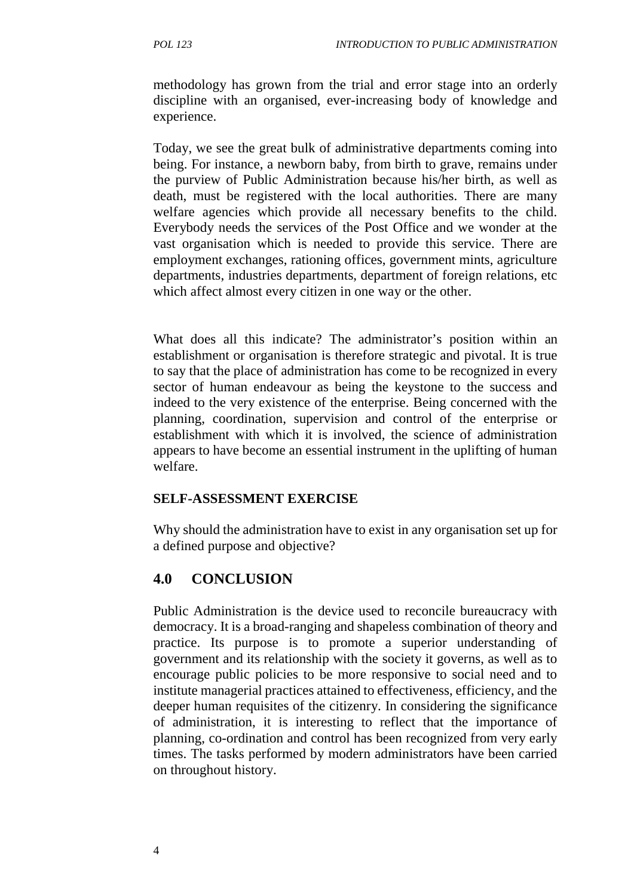methodology has grown from the trial and error stage into an orderly discipline with an organised, ever-increasing body of knowledge and experience.

Today, we see the great bulk of administrative departments coming into being. For instance, a newborn baby, from birth to grave, remains under the purview of Public Administration because his/her birth, as well as death, must be registered with the local authorities. There are many welfare agencies which provide all necessary benefits to the child. Everybody needs the services of the Post Office and we wonder at the vast organisation which is needed to provide this service. There are employment exchanges, rationing offices, government mints, agriculture departments, industries departments, department of foreign relations, etc which affect almost every citizen in one way or the other.

What does all this indicate? The administrator's position within an establishment or organisation is therefore strategic and pivotal. It is true to say that the place of administration has come to be recognized in every sector of human endeavour as being the keystone to the success and indeed to the very existence of the enterprise. Being concerned with the planning, coordination, supervision and control of the enterprise or establishment with which it is involved, the science of administration appears to have become an essential instrument in the uplifting of human welfare.

#### **SELF-ASSESSMENT EXERCISE**

Why should the administration have to exist in any organisation set up for a defined purpose and objective?

# **4.0 CONCLUSION**

Public Administration is the device used to reconcile bureaucracy with democracy. It is a broad-ranging and shapeless combination of theory and practice. Its purpose is to promote a superior understanding of government and its relationship with the society it governs, as well as to encourage public policies to be more responsive to social need and to institute managerial practices attained to effectiveness, efficiency, and the deeper human requisites of the citizenry. In considering the significance of administration, it is interesting to reflect that the importance of planning, co-ordination and control has been recognized from very early times. The tasks performed by modern administrators have been carried on throughout history.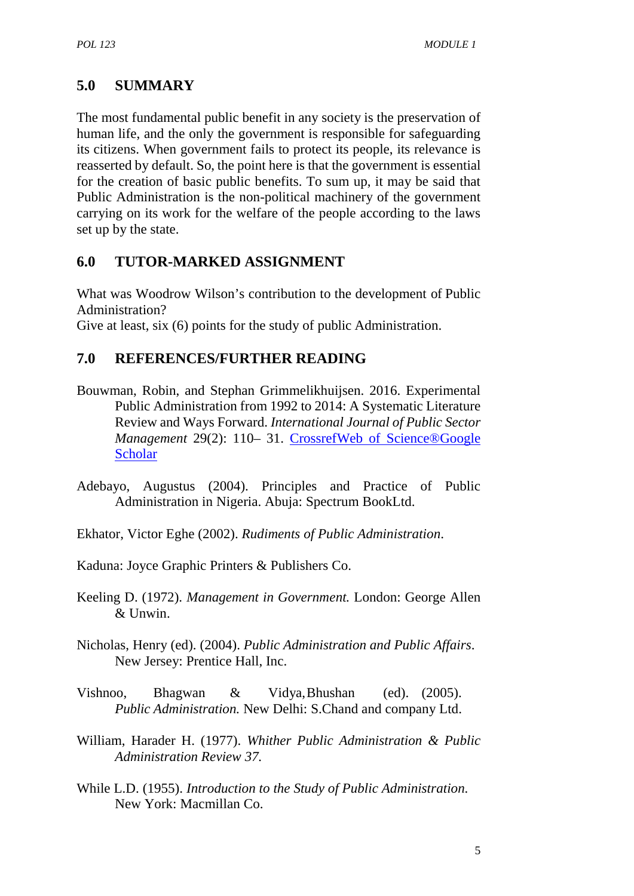# **5.0 SUMMARY**

The most fundamental public benefit in any society is the preservation of human life, and the only the government is responsible for safeguarding its citizens. When government fails to protect its people, its relevance is reasserted by default. So, the point here is that the government is essential for the creation of basic public benefits. To sum up, it may be said that Public Administration is the non-political machinery of the government carrying on its work for the welfare of the people according to the laws set up by the state.

# **6.0 TUTOR-MARKED ASSIGNMENT**

What was Woodrow Wilson's contribution to the development of Public Administration?

Give at least, six (6) points for the study of public Administration.

## **7.0 REFERENCES/FURTHER READING**

- Bouwman, Robin, and Stephan Grimmelikhuijsen. 2016. Experimental Public Administration from 1992 to 2014: A Systematic Literature Review and Ways Forward. *International Journal of Public Sector Management* 29(2): 110– 31. CrossrefWeb of Science®Google Scholar
- Adebayo, Augustus (2004). Principles and Practice of Public Administration in Nigeria. Abuja: Spectrum BookLtd.
- Ekhator, Victor Eghe (2002). *Rudiments of Public Administration*.
- Kaduna: Joyce Graphic Printers & Publishers Co.
- Keeling D. (1972). *Management in Government.* London: George Allen  $&$  Unwin.
- Nicholas, Henry (ed). (2004). *Public Administration and Public Affairs*. New Jersey: Prentice Hall, Inc.
- Vishnoo, Bhagwan & Vidya,Bhushan (ed). (2005). *Public Administration.* New Delhi: S.Chand and company Ltd.
- William, Harader H. (1977). *Whither Public Administration & Public Administration Review 37.*
- While L.D. (1955). *Introduction to the Study of Public Administration.* New York: Macmillan Co.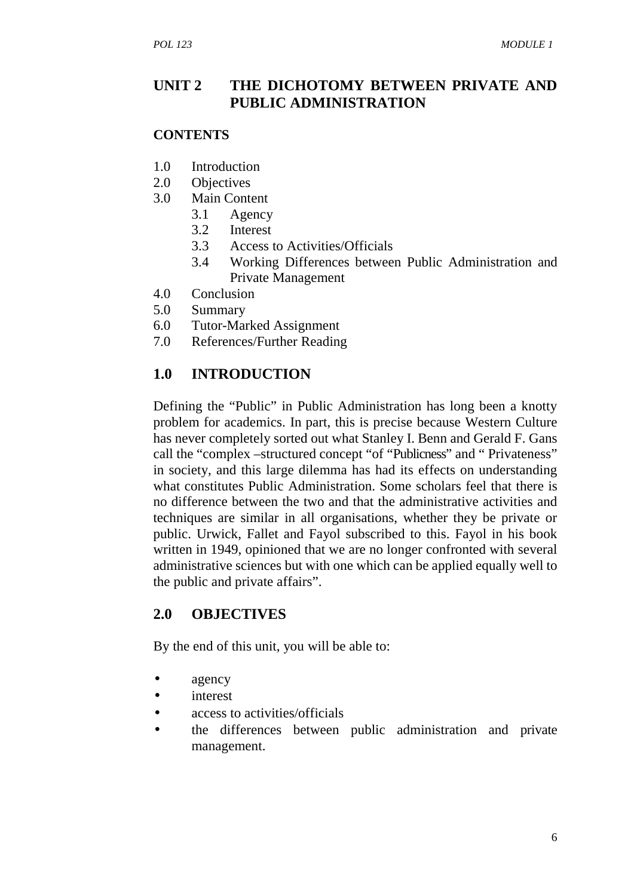#### **UNIT 2 THE DICHOTOMY BETWEEN PRIVATE AND PUBLIC ADMINISTRATION**

#### **CONTENTS**

- 1.0 Introduction
- 2.0 Objectives
- 3.0 Main Content
	- 3.1 Agency
	- 3.2 Interest
	- 3.3 Access to Activities/Officials
	- 3.4 Working Differences between Public Administration and Private Management
- 4.0 Conclusion
- 5.0 Summary
- 6.0 Tutor-Marked Assignment
- 7.0 References/Further Reading

#### **1.0 INTRODUCTION**

Defining the "Public" in Public Administration has long been a knotty problem for academics. In part, this is precise because Western Culture has never completely sorted out what Stanley I. Benn and Gerald F. Gans call the "complex –structured concept "of "Publicness" and " Privateness" in society, and this large dilemma has had its effects on understanding what constitutes Public Administration. Some scholars feel that there is no difference between the two and that the administrative activities and techniques are similar in all organisations, whether they be private or public. Urwick, Fallet and Fayol subscribed to this. Fayol in his book written in 1949, opinioned that we are no longer confronted with several administrative sciences but with one which can be applied equally well to the public and private affairs".

#### **2.0 OBJECTIVES**

By the end of this unit, you will be able to:

- agency
- interest
- access to activities/officials
- the differences between public administration and private management.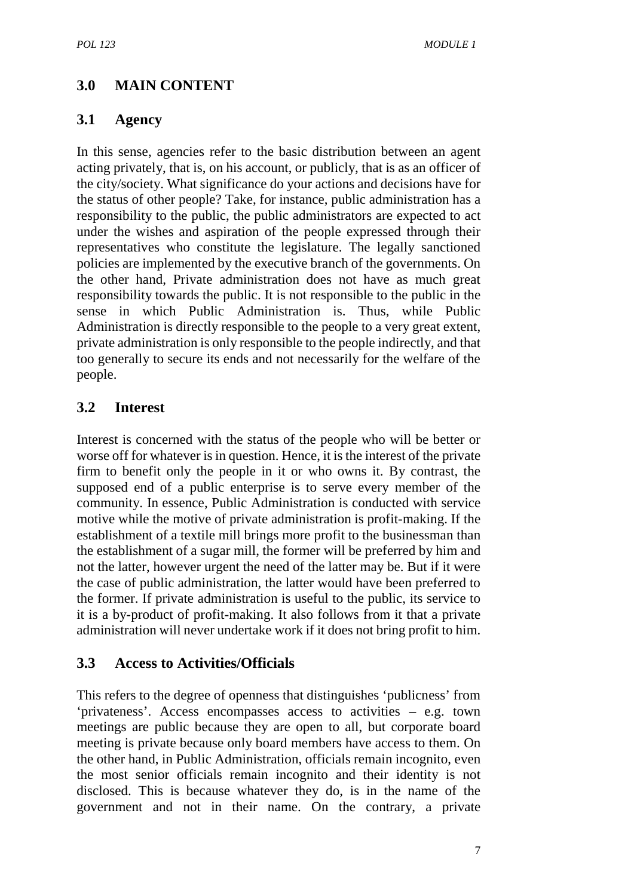# **3.0 MAIN CONTENT**

#### **3.1 Agency**

In this sense, agencies refer to the basic distribution between an agent acting privately, that is, on his account, or publicly, that is as an officer of the city/society. What significance do your actions and decisions have for the status of other people? Take, for instance, public administration has a responsibility to the public, the public administrators are expected to act under the wishes and aspiration of the people expressed through their representatives who constitute the legislature. The legally sanctioned policies are implemented by the executive branch of the governments. On the other hand, Private administration does not have as much great responsibility towards the public. It is not responsible to the public in the sense in which Public Administration is. Thus, while Public Administration is directly responsible to the people to a very great extent, private administration is only responsible to the people indirectly, and that too generally to secure its ends and not necessarily for the welfare of the people.

## **3.2 Interest**

Interest is concerned with the status of the people who will be better or worse off for whatever is in question. Hence, it is the interest of the private firm to benefit only the people in it or who owns it. By contrast, the supposed end of a public enterprise is to serve every member of the community. In essence, Public Administration is conducted with service motive while the motive of private administration is profit-making. If the establishment of a textile mill brings more profit to the businessman than the establishment of a sugar mill, the former will be preferred by him and not the latter, however urgent the need of the latter may be. But if it were the case of public administration, the latter would have been preferred to the former. If private administration is useful to the public, its service to it is a by-product of profit-making. It also follows from it that a private administration will never undertake work if it does not bring profit to him.

## **3.3 Access to Activities/Officials**

This refers to the degree of openness that distinguishes 'publicness' from 'privateness'. Access encompasses access to activities – e.g. town meetings are public because they are open to all, but corporate board meeting is private because only board members have access to them. On the other hand, in Public Administration, officials remain incognito, even the most senior officials remain incognito and their identity is not disclosed. This is because whatever they do, is in the name of the government and not in their name. On the contrary, a private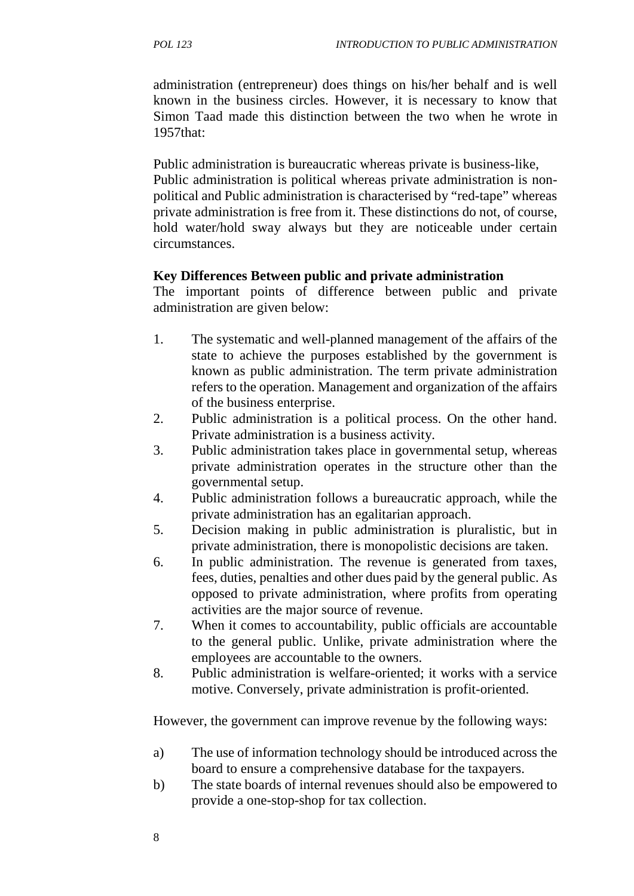administration (entrepreneur) does things on his/her behalf and is well known in the business circles. However, it is necessary to know that Simon Taad made this distinction between the two when he wrote in 1957that:

Public administration is bureaucratic whereas private is business-like, Public administration is political whereas private administration is non political and Public administration is characterised by "red-tape" whereas private administration is free from it. These distinctions do not, of course, hold water/hold sway always but they are noticeable under certain circumstances.

#### **Key Differences Between public and private administration**

The important points of difference between public and private administration are given below:

- 1. The systematic and well-planned management of the affairs of the state to achieve the purposes established by the government is known as public administration. The term private administration refers to the operation. Management and organization of the affairs of the business enterprise.
- 2. Public administration is a political process. On the other hand. Private administration is a business activity.
- 3. Public administration takes place in governmental setup, whereas private administration operates in the structure other than the governmental setup.
- 4. Public administration follows a bureaucratic approach, while the private administration has an egalitarian approach.
- 5. Decision making in public administration is pluralistic, but in private administration, there is monopolistic decisions are taken.
- 6. In public administration. The revenue is generated from taxes, fees, duties, penalties and other dues paid by the general public. As opposed to private administration, where profits from operating activities are the major source of revenue.
- 7. When it comes to accountability, public officials are accountable to the general public. Unlike, private administration where the employees are accountable to the owners.
- 8. Public administration is welfare-oriented; it works with a service motive. Conversely, private administration is profit-oriented.

However, the government can improve revenue by the following ways:

- a) The use of information technology should be introduced across the board to ensure a comprehensive database for the taxpayers.
- b) The state boards of internal revenues should also be empowered to provide a one-stop-shop for tax collection.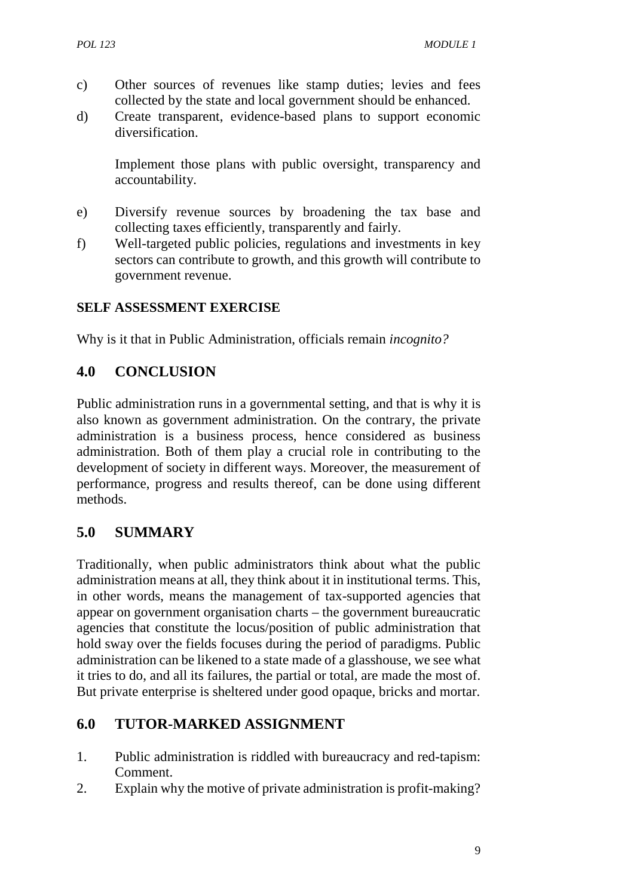- c) Other sources of revenues like stamp duties; levies and fees collected by the state and local government should be enhanced.
- d) Create transparent, evidence-based plans to support economic diversification.

Implement those plans with public oversight, transparency and accountability.

- e) Diversify revenue sources by broadening the tax base and collecting taxes efficiently, transparently and fairly.
- f) Well-targeted public policies, regulations and investments in key sectors can contribute to growth, and this growth will contribute to government revenue.

## **SELF ASSESSMENT EXERCISE**

Why is it that in Public Administration, officials remain *incognito?*

# **4.0 CONCLUSION**

Public administration runs in a governmental setting, and that is why it is also known as government administration. On the contrary, the private administration is a business process, hence considered as business administration. Both of them play a crucial role in contributing to the development of society in different ways. Moreover, the measurement of performance, progress and results thereof, can be done using different methods.

## **5.0 SUMMARY**

Traditionally, when public administrators think about what the public administration means at all, they think about it in institutional terms. This, in other words, means the management of tax-supported agencies that appear on government organisation charts – the government bureaucratic agencies that constitute the locus/position of public administration that hold sway over the fields focuses during the period of paradigms. Public administration can be likened to a state made of a glasshouse, we see what it tries to do, and all its failures, the partial or total, are made the most of. But private enterprise is sheltered under good opaque, bricks and mortar.

# **6.0 TUTOR-MARKED ASSIGNMENT**

- 1. Public administration is riddled with bureaucracy and red-tapism: Comment.
- 2. Explain why the motive of private administration is profit-making?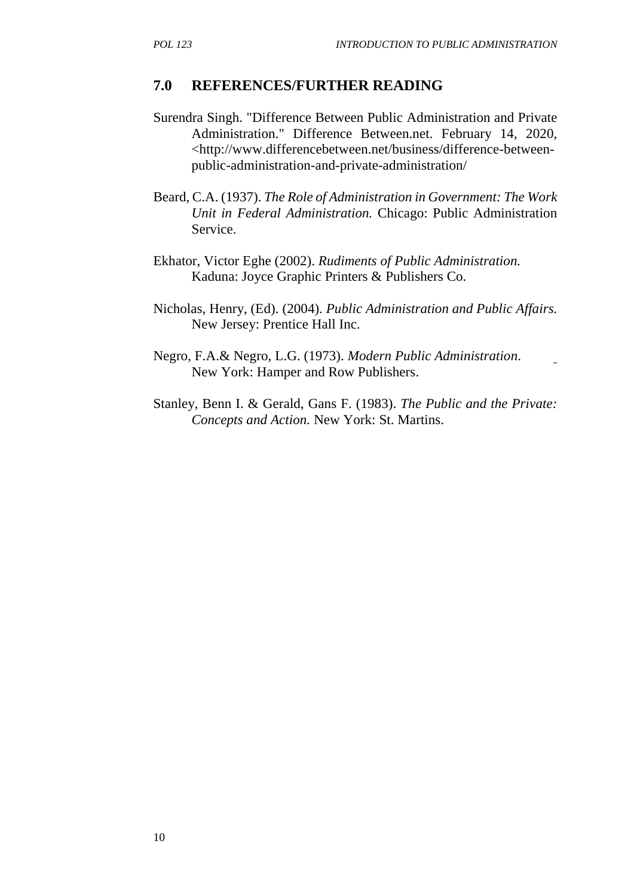#### **7.0 REFERENCES/FURTHER READING**

- Surendra Singh. "Difference Between Public Administration and Private Administration." Difference Between.net. February 14, 2020, <http://www.differencebetween.net/business/difference-between public-administration-and-private-administration/
- Beard, C.A. (1937). *The Role of Administration in Government: The Work Unit in Federal Administration.* Chicago: Public Administration Service.
- Ekhator, Victor Eghe (2002). *Rudiments of Public Administration.* Kaduna: Joyce Graphic Printers & Publishers Co.
- Nicholas, Henry, (Ed). (2004). *Public Administration and Public Affairs.* New Jersey: Prentice Hall Inc.
- Negro, F.A.& Negro, L.G. (1973). *Modern Public Administration*. New York: Hamper and Row Publishers.
- Stanley, Benn I. & Gerald, Gans F. (1983). *The Public and the Private: Concepts and Action.* New York: St. Martins.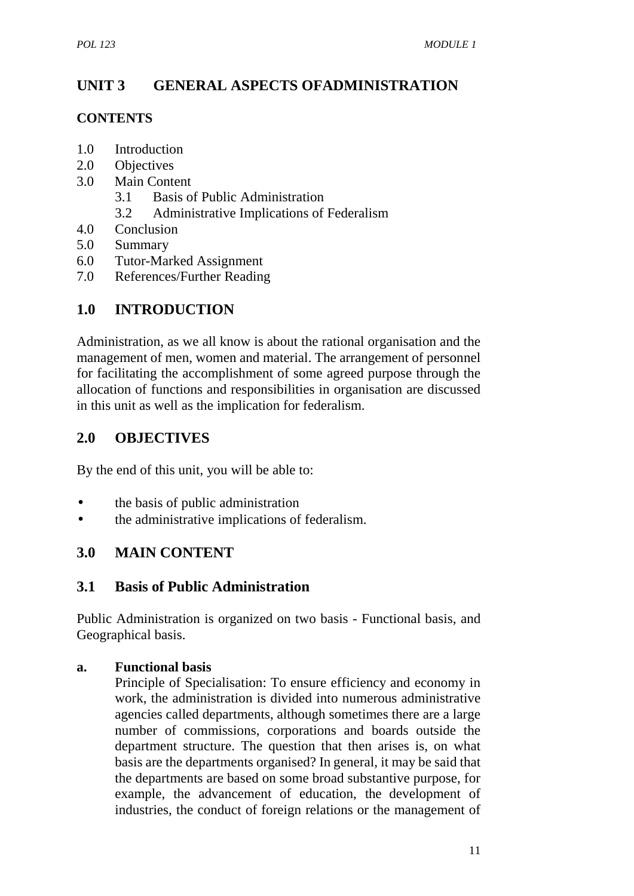# **UNIT 3 GENERAL ASPECTS OFADMINISTRATION**

#### **CONTENTS**

- 1.0 Introduction
- 2.0 Objectives
- 3.0 Main Content
	- 3.1 Basis of Public Administration
	- 3.2 Administrative Implications of Federalism
- 4.0 Conclusion
- 5.0 Summary
- 6.0 Tutor-Marked Assignment
- 7.0 References/Further Reading

# **1.0 INTRODUCTION**

Administration, as we all know is about the rational organisation and the management of men, women and material. The arrangement of personnel for facilitating the accomplishment of some agreed purpose through the allocation of functions and responsibilities in organisation are discussed in this unit as well as the implication for federalism.

## **2.0 OBJECTIVES**

By the end of this unit, you will be able to:

- the basis of public administration
- the administrative implications of federalism.

## **3.0 MAIN CONTENT**

## **3.1 Basis of Public Administration**

Public Administration is organized on two basis - Functional basis, and Geographical basis.

#### **a. Functional basis**

Principle of Specialisation: To ensure efficiency and economy in work, the administration is divided into numerous administrative agencies called departments, although sometimes there are a large number of commissions, corporations and boards outside the department structure. The question that then arises is, on what basis are the departments organised? In general, it may be said that the departments are based on some broad substantive purpose, for example, the advancement of education, the development of industries, the conduct of foreign relations or the management of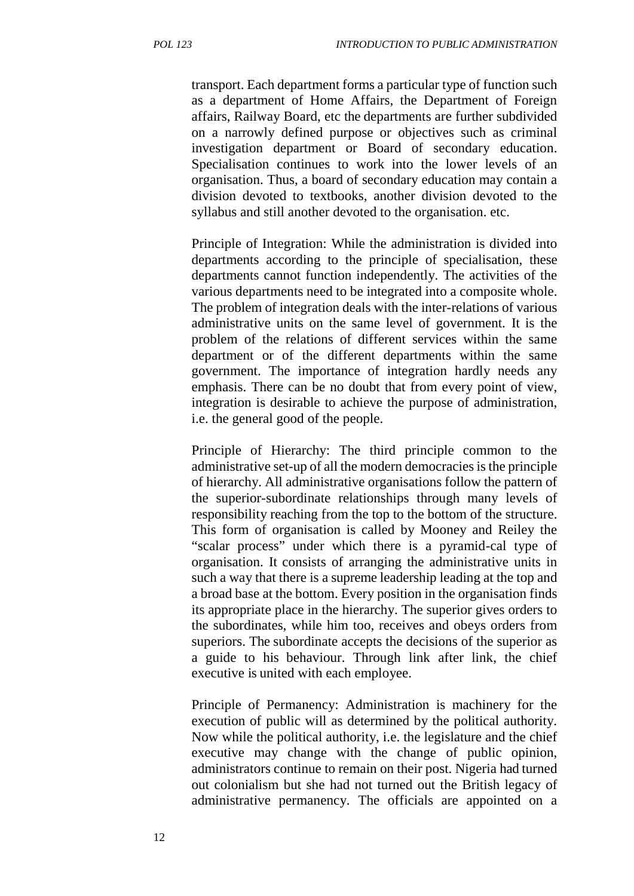transport. Each department forms a particular type of function such as a department of Home Affairs, the Department of Foreign affairs, Railway Board, etc the departments are further subdivided on a narrowly defined purpose or objectives such as criminal investigation department or Board of secondary education. Specialisation continues to work into the lower levels of an organisation. Thus, a board of secondary education may contain a division devoted to textbooks, another division devoted to the syllabus and still another devoted to the organisation. etc.

Principle of Integration: While the administration is divided into departments according to the principle of specialisation, these departments cannot function independently. The activities of the various departments need to be integrated into a composite whole. The problem of integration deals with the inter-relations of various administrative units on the same level of government. It is the problem of the relations of different services within the same department or of the different departments within the same government. The importance of integration hardly needs any emphasis. There can be no doubt that from every point of view, integration is desirable to achieve the purpose of administration, i.e. the general good of the people.

Principle of Hierarchy: The third principle common to the administrative set-up of all the modern democracies is the principle of hierarchy. All administrative organisations follow the pattern of the superior-subordinate relationships through many levels of responsibility reaching from the top to the bottom of the structure. This form of organisation is called by Mooney and Reiley the "scalar process" under which there is a pyramid-cal type of organisation. It consists of arranging the administrative units in such a way that there is a supreme leadership leading at the top and a broad base at the bottom. Every position in the organisation finds its appropriate place in the hierarchy. The superior gives orders to the subordinates, while him too, receives and obeys orders from superiors. The subordinate accepts the decisions of the superior as a guide to his behaviour. Through link after link, the chief executive is united with each employee.

Principle of Permanency: Administration is machinery for the execution of public will as determined by the political authority. Now while the political authority, i.e. the legislature and the chief executive may change with the change of public opinion, administrators continue to remain on their post. Nigeria had turned out colonialism but she had not turned out the British legacy of administrative permanency. The officials are appointed on a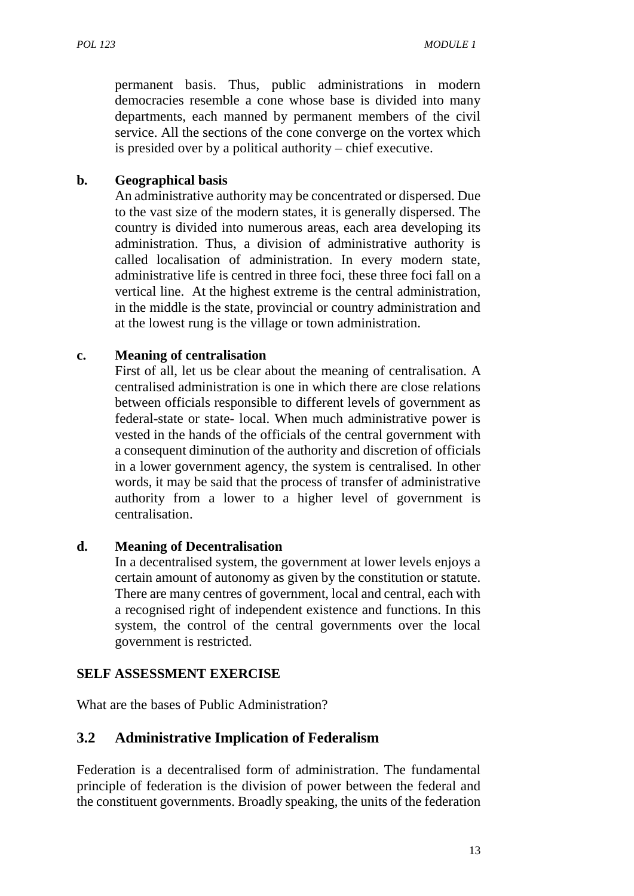permanent basis. Thus, public administrations in modern democracies resemble a cone whose base is divided into many departments, each manned by permanent members of the civil service. All the sections of the cone converge on the vortex which is presided over by a political authority – chief executive.

#### **b. Geographical basis**

An administrative authority may be concentrated or dispersed. Due to the vast size of the modern states, it is generally dispersed. The country is divided into numerous areas, each area developing its administration. Thus, a division of administrative authority is called localisation of administration. In every modern state, administrative life is centred in three foci, these three foci fall on a vertical line. At the highest extreme is the central administration, in the middle is the state, provincial or country administration and at the lowest rung is the village or town administration.

#### **c. Meaning of centralisation**

First of all, let us be clear about the meaning of centralisation. A centralised administration is one in which there are close relations between officials responsible to different levels of government as federal-state or state- local. When much administrative power is vested in the hands of the officials of the central government with a consequent diminution of the authority and discretion of officials in a lower government agency, the system is centralised. In other words, it may be said that the process of transfer of administrative authority from a lower to a higher level of government is centralisation.

#### **d. Meaning of Decentralisation**

In a decentralised system, the government at lower levels enjoys a certain amount of autonomy as given by the constitution or statute. There are many centres of government, local and central, each with a recognised right of independent existence and functions. In this system, the control of the central governments over the local government is restricted.

#### **SELF ASSESSMENT EXERCISE**

What are the bases of Public Administration?

## **3.2 Administrative Implication of Federalism**

Federation is a decentralised form of administration. The fundamental principle of federation is the division of power between the federal and the constituent governments. Broadly speaking, the units of the federation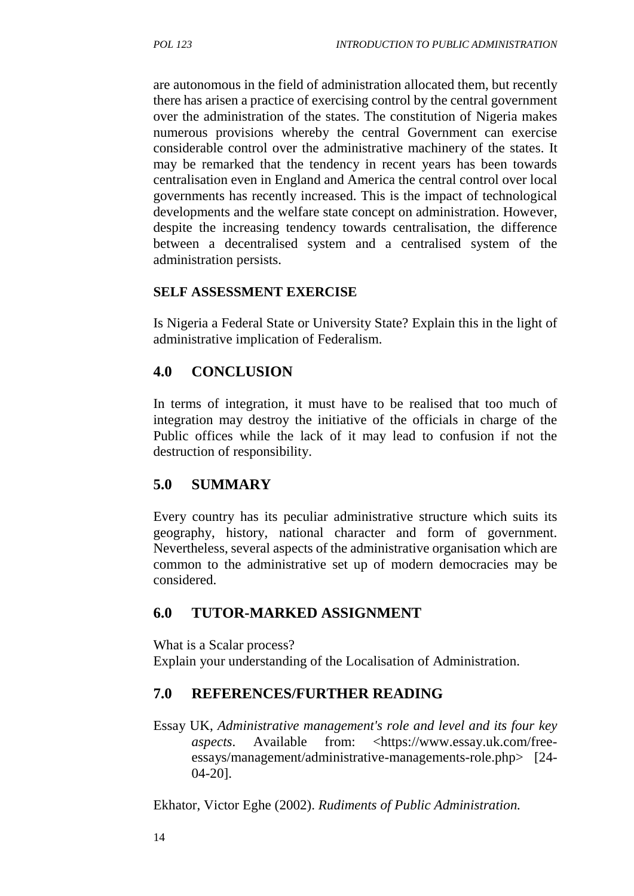are autonomous in the field of administration allocated them, but recently there has arisen a practice of exercising control by the central government over the administration of the states. The constitution of Nigeria makes numerous provisions whereby the central Government can exercise considerable control over the administrative machinery of the states. It may be remarked that the tendency in recent years has been towards centralisation even in England and America the central control over local governments has recently increased. This is the impact of technological developments and the welfare state concept on administration. However, despite the increasing tendency towards centralisation, the difference between a decentralised system and a centralised system of the administration persists.

#### **SELF ASSESSMENT EXERCISE**

Is Nigeria a Federal State or University State? Explain this in the light of administrative implication of Federalism.

## **4.0 CONCLUSION**

In terms of integration, it must have to be realised that too much of integration may destroy the initiative of the officials in charge of the Public offices while the lack of it may lead to confusion if not the destruction of responsibility.

## **5.0 SUMMARY**

Every country has its peculiar administrative structure which suits its geography, history, national character and form of government. Nevertheless, several aspects of the administrative organisation which are common to the administrative set up of modern democracies may be considered.

## **6.0 TUTOR-MARKED ASSIGNMENT**

What is a Scalar process?

Explain your understanding of the Localisation of Administration.

#### **7.0 REFERENCES/FURTHER READING**

Essay UK, *Administrative management's role and level and its four key aspects.* Available from: <https://www.essay.uk.com/freeessays/management/administrative-managements-role.php> [24- 04-20].

Ekhator, Victor Eghe (2002). *Rudiments of Public Administration.*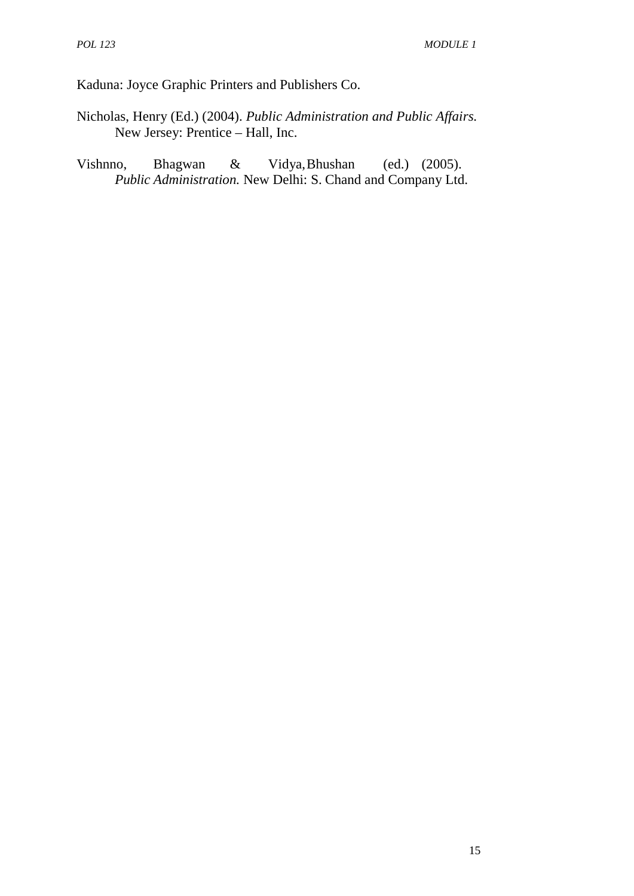Kaduna: Joyce Graphic Printers and Publishers Co.

- Nicholas, Henry (Ed.) (2004). *Public Administration and Public Affairs.* New Jersey: Prentice – Hall, Inc.
- Vishnno, Bhagwan & Vidya,Bhushan (ed.) (2005). *Public Administration.* New Delhi: S. Chand and Company Ltd.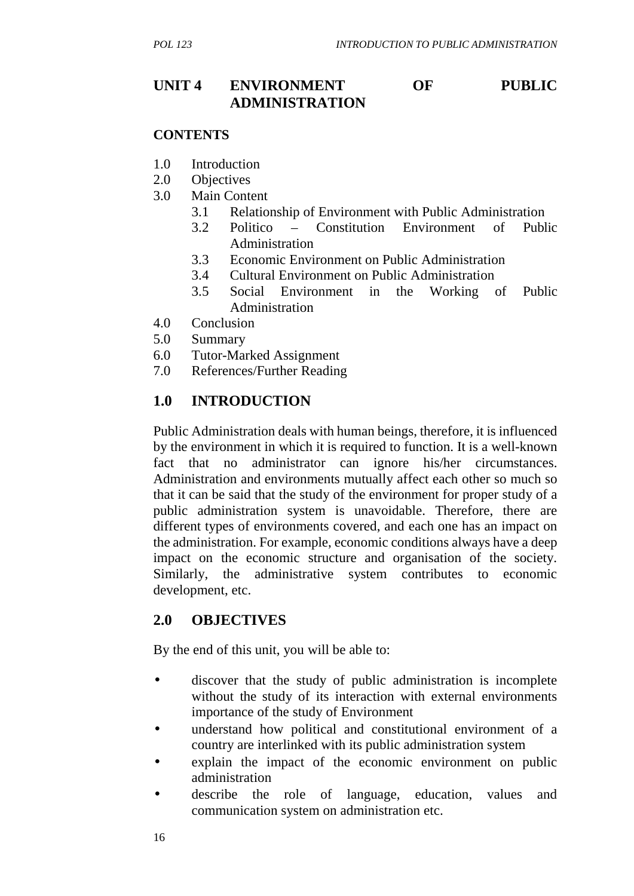# **UNIT 4 ENVIRONMENT OF PUBLIC ADMINISTRATION**

#### **CONTENTS**

- 1.0 Introduction
- 2.0 Objectives
- 3.0 Main Content
	- 3.1 Relationship of Environment with Public Administration
	- 3.2 Politico Constitution Environment of Public Administration
	- 3.3 Economic Environment on Public Administration
	- 3.4 Cultural Environment on Public Administration
	- 3.5 Social Environment in the Working of Public Administration
- 4.0 Conclusion
- 5.0 Summary
- 6.0 Tutor-Marked Assignment
- 7.0 References/Further Reading

## **1.0 INTRODUCTION**

Public Administration deals with human beings, therefore, it is influenced by the environment in which it is required to function. It is a well-known fact that no administrator can ignore his/her circumstances. Administration and environments mutually affect each other so much so that it can be said that the study of the environment for proper study of a public administration system is unavoidable. Therefore, there are different types of environments covered, and each one has an impact on the administration. For example, economic conditions always have a deep impact on the economic structure and organisation of the society. Similarly, the administrative system contributes to economic development, etc.

#### **2.0 OBJECTIVES**

By the end of this unit, you will be able to:

- discover that the study of public administration is incomplete without the study of its interaction with external environments importance of the study of Environment
- understand how political and constitutional environment of a country are interlinked with its public administration system
- explain the impact of the economic environment on public administration
- describe the role of language, education, values and communication system on administration etc.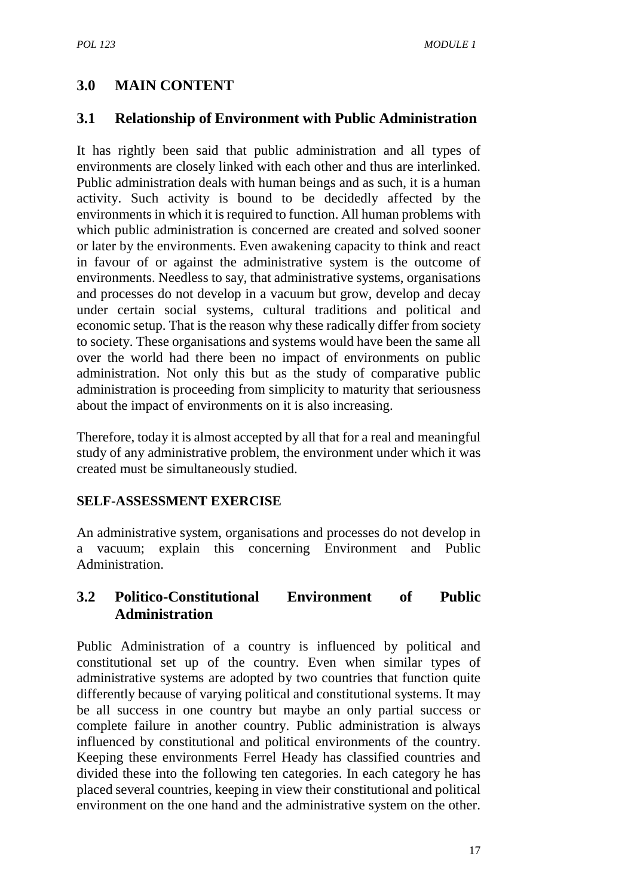# **3.0 MAIN CONTENT**

## **3.1 Relationship of Environment with Public Administration**

It has rightly been said that public administration and all types of environments are closely linked with each other and thus are interlinked. Public administration deals with human beings and as such, it is a human activity. Such activity is bound to be decidedly affected by the environments in which it is required to function. All human problems with which public administration is concerned are created and solved sooner or later by the environments. Even awakening capacity to think and react in favour of or against the administrative system is the outcome of environments. Needless to say, that administrative systems, organisations and processes do not develop in a vacuum but grow, develop and decay under certain social systems, cultural traditions and political and economic setup. That is the reason why these radically differ from society to society. These organisations and systems would have been the same all over the world had there been no impact of environments on public administration. Not only this but as the study of comparative public administration is proceeding from simplicity to maturity that seriousness about the impact of environments on it is also increasing.

Therefore, today it is almost accepted by all that for a real and meaningful study of any administrative problem, the environment under which it was created must be simultaneously studied.

## **SELF-ASSESSMENT EXERCISE**

An administrative system, organisations and processes do not develop in a vacuum; explain this concerning Environment and Public Administration.

## **3.2 Politico-Constitutional Environment of Public Administration**

Public Administration of a country is influenced by political and constitutional set up of the country. Even when similar types of administrative systems are adopted by two countries that function quite differently because of varying political and constitutional systems. It may be all success in one country but maybe an only partial success or complete failure in another country. Public administration is always influenced by constitutional and political environments of the country. Keeping these environments Ferrel Heady has classified countries and divided these into the following ten categories. In each category he has placed several countries, keeping in view their constitutional and political environment on the one hand and the administrative system on the other.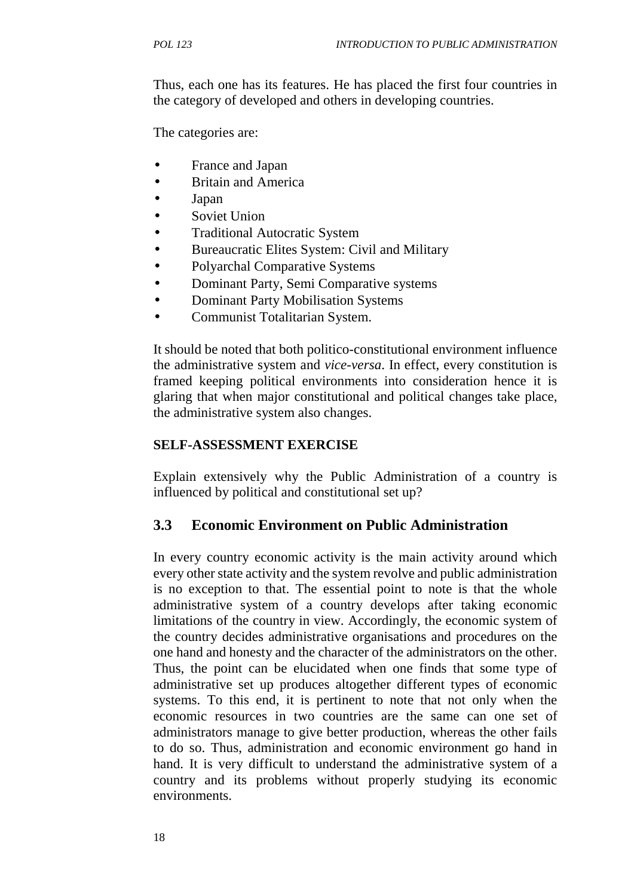Thus, each one has its features. He has placed the first four countries in the category of developed and others in developing countries.

The categories are:

- France and Japan
- Britain and America
- Japan
- Soviet Union
- Traditional Autocratic System
- Bureaucratic Elites System: Civil and Military
- Polyarchal Comparative Systems
- Dominant Party, Semi Comparative systems
- Dominant Party Mobilisation Systems
- Communist Totalitarian System.

It should be noted that both politico-constitutional environment influence the administrative system and *vice-versa*. In effect, every constitution is framed keeping political environments into consideration hence it is glaring that when major constitutional and political changes take place, the administrative system also changes.

#### **SELF-ASSESSMENT EXERCISE**

Explain extensively why the Public Administration of a country is influenced by political and constitutional set up?

## **3.3 Economic Environment on Public Administration**

In every country economic activity is the main activity around which every other state activity and the system revolve and public administration is no exception to that. The essential point to note is that the whole administrative system of a country develops after taking economic limitations of the country in view. Accordingly, the economic system of the country decides administrative organisations and procedures on the one hand and honesty and the character of the administrators on the other. Thus, the point can be elucidated when one finds that some type of administrative set up produces altogether different types of economic systems. To this end, it is pertinent to note that not only when the economic resources in two countries are the same can one set of administrators manage to give better production, whereas the other fails to do so. Thus, administration and economic environment go hand in hand. It is very difficult to understand the administrative system of a country and its problems without properly studying its economic environments.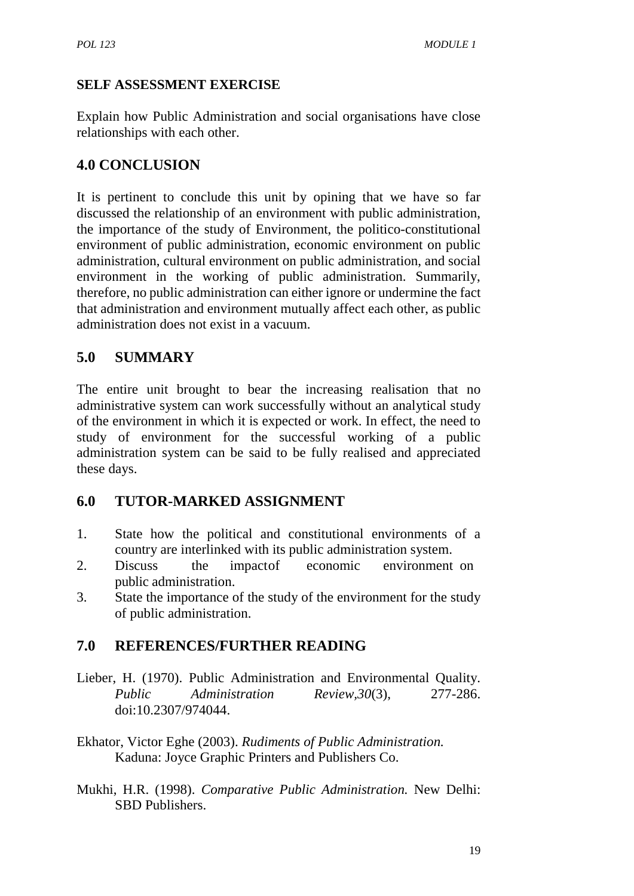## **SELF ASSESSMENT EXERCISE**

Explain how Public Administration and social organisations have close relationships with each other.

## **4.0 CONCLUSION**

It is pertinent to conclude this unit by opining that we have so far discussed the relationship of an environment with public administration, the importance of the study of Environment, the politico-constitutional environment of public administration, economic environment on public administration, cultural environment on public administration, and social environment in the working of public administration. Summarily, therefore, no public administration can either ignore or undermine the fact that administration and environment mutually affect each other, as public administration does not exist in a vacuum.

# **5.0 SUMMARY**

The entire unit brought to bear the increasing realisation that no administrative system can work successfully without an analytical study of the environment in which it is expected or work. In effect, the need to study of environment for the successful working of a public administration system can be said to be fully realised and appreciated these days.

## **6.0 TUTOR-MARKED ASSIGNMENT**

- 1. State how the political and constitutional environments of a country are interlinked with its public administration system.
- 2. Discuss the impactof economic environment on public administration.
- 3. State the importance of the study of the environment for the study of public administration.

# **7.0 REFERENCES/FURTHER READING**

- Lieber, H. (1970). Public Administration and Environmental Quality. *Public Administration Review,30*(3), 277-286. doi:10.2307/974044.
- Ekhator, Victor Eghe (2003). *Rudiments of Public Administration.* Kaduna: Joyce Graphic Printers and Publishers Co.
- Mukhi, H.R. (1998). *Comparative Public Administration.* New Delhi: SBD Publishers.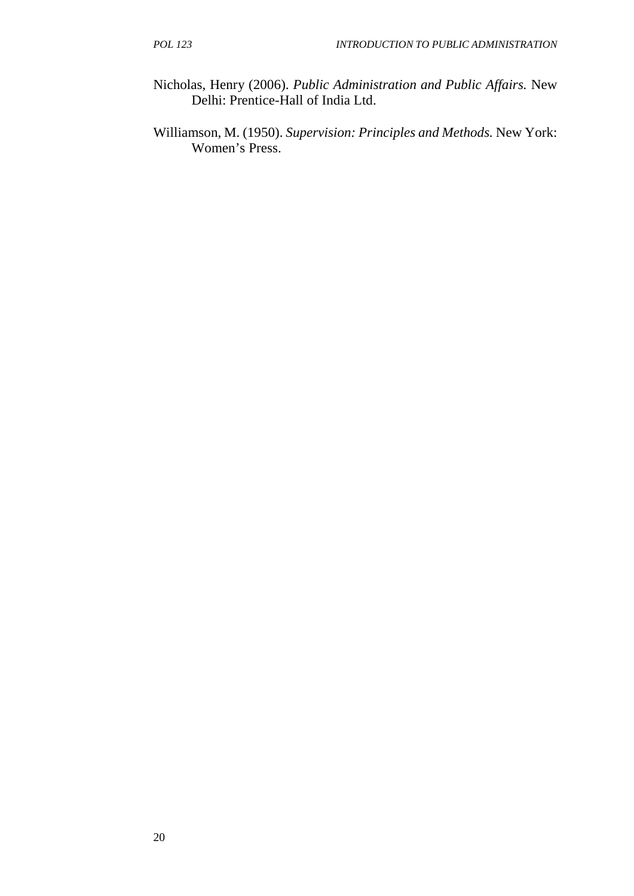- Nicholas, Henry (2006). *Public Administration and Public Affairs.* New Delhi: Prentice-Hall of India Ltd.
- Williamson, M. (1950). *Supervision: Principles and Methods.* New York: Women's Press.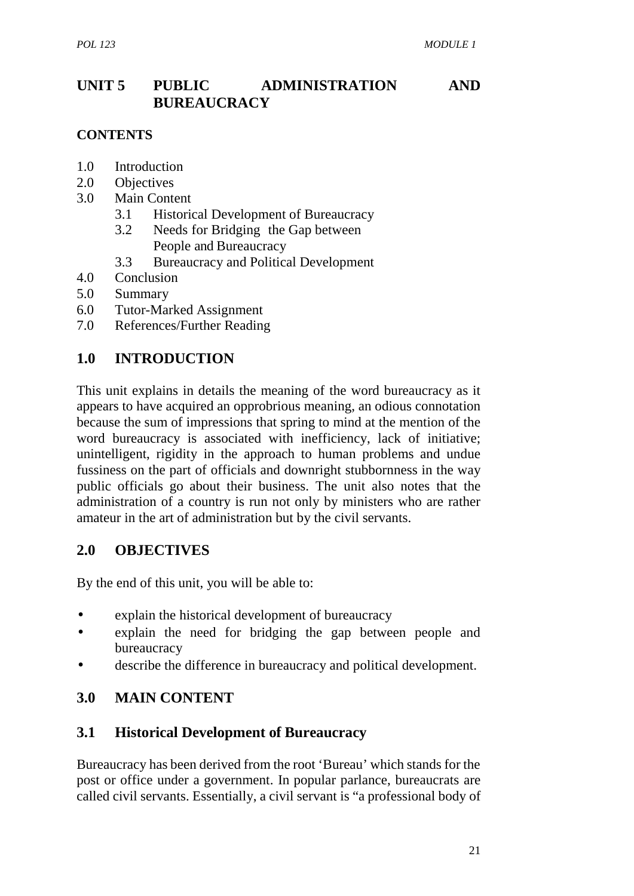## **UNIT 5 PUBLIC ADMINISTRATION AND BUREAUCRACY**

#### **CONTENTS**

- 1.0 Introduction
- 2.0 Objectives
- 3.0 Main Content
	- 3.1 Historical Development of Bureaucracy
	- 3.2 Needs for Bridging the Gap between People and Bureaucracy
	- 3.3 Bureaucracy and Political Development
- 4.0 Conclusion
- 5.0 Summary
- 6.0 Tutor-Marked Assignment
- 7.0 References/Further Reading

#### **1.0 INTRODUCTION**

This unit explains in details the meaning of the word bureaucracy as it appears to have acquired an opprobrious meaning, an odious connotation because the sum of impressions that spring to mind at the mention of the word bureaucracy is associated with inefficiency, lack of initiative; unintelligent, rigidity in the approach to human problems and undue fussiness on the part of officials and downright stubbornness in the way public officials go about their business. The unit also notes that the administration of a country is run not only by ministers who are rather amateur in the art of administration but by the civil servants.

#### **2.0 OBJECTIVES**

By the end of this unit, you will be able to:

- explain the historical development of bureaucracy
- explain the need for bridging the gap between people and bureaucracy
- describe the difference in bureaucracy and political development.

## **3.0 MAIN CONTENT**

#### **3.1 Historical Development of Bureaucracy**

Bureaucracy has been derived from the root 'Bureau' which stands for the post or office under a government. In popular parlance, bureaucrats are called civil servants. Essentially, a civil servant is "a professional body of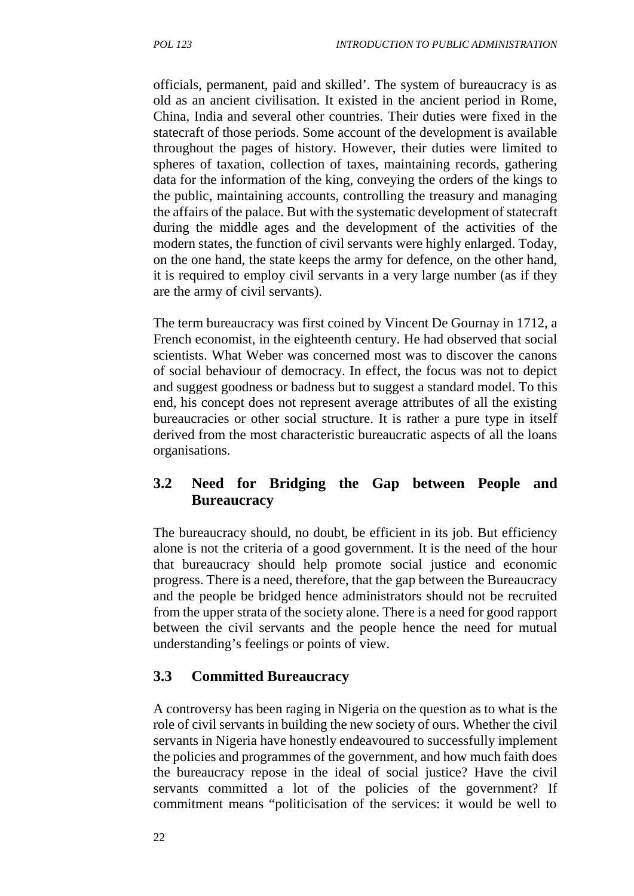officials, permanent, paid and skilled'. The system of bureaucracy is as old as an ancient civilisation. It existed in the ancient period in Rome, China, India and several other countries. Their duties were fixed in the statecraft of those periods. Some account of the development is available throughout the pages of history. However, their duties were limited to spheres of taxation, collection of taxes, maintaining records, gathering data for the information of the king, conveying the orders of the kings to the public, maintaining accounts, controlling the treasury and managing the affairs of the palace. But with the systematic development of statecraft during the middle ages and the development of the activities of the modern states, the function of civil servants were highly enlarged. Today, on the one hand, the state keeps the army for defence, on the other hand, it is required to employ civil servants in a very large number (as if they are the army of civil servants).

The term bureaucracy was first coined by Vincent De Gournay in 1712, a French economist, in the eighteenth century. He had observed that social scientists. What Weber was concerned most was to discover the canons of social behaviour of democracy. In effect, the focus was not to depict and suggest goodness or badness but to suggest a standard model. To this end, his concept does not represent average attributes of all the existing bureaucracies or other social structure. It is rather a pure type in itself derived from the most characteristic bureaucratic aspects of all the loans organisations.

## **3.2 Need for Bridging the Gap between People and Bureaucracy**

The bureaucracy should, no doubt, be efficient in its job. But efficiency alone is not the criteria of a good government. It is the need of the hour that bureaucracy should help promote social justice and economic progress. There is a need, therefore, that the gap between the Bureaucracy and the people be bridged hence administrators should not be recruited from the upper strata of the society alone. There is a need for good rapport between the civil servants and the people hence the need for mutual understanding's feelings or points of view.

# **3.3 Committed Bureaucracy**

A controversy has been raging in Nigeria on the question as to what is the role of civil servants in building the new society of ours. Whether the civil servants in Nigeria have honestly endeavoured to successfully implement the policies and programmes of the government, and how much faith does the bureaucracy repose in the ideal of social justice? Have the civil servants committed a lot of the policies of the government? If commitment means "politicisation of the services: it would be well to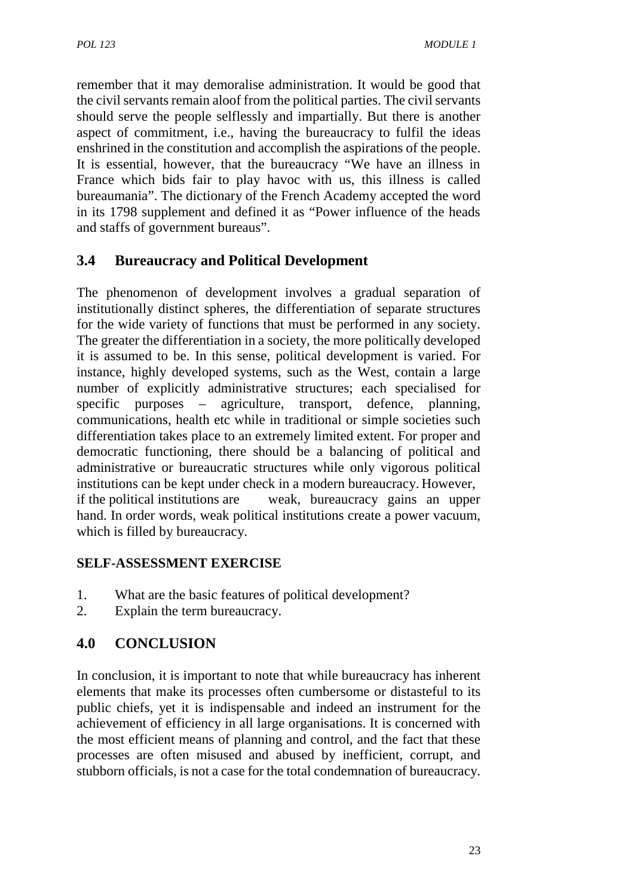remember that it may demoralise administration. It would be good that the civil servants remain aloof from the political parties. The civil servants should serve the people selflessly and impartially. But there is another aspect of commitment, i.e., having the bureaucracy to fulfil the ideas enshrined in the constitution and accomplish the aspirations of the people. It is essential, however, that the bureaucracy "We have an illness in France which bids fair to play havoc with us, this illness is called bureaumania". The dictionary of the French Academy accepted the word in its 1798 supplement and defined it as "Power influence of the heads and staffs of government bureaus".

# **3.4 Bureaucracy and Political Development**

The phenomenon of development involves a gradual separation of institutionally distinct spheres, the differentiation of separate structures for the wide variety of functions that must be performed in any society. The greater the differentiation in a society, the more politically developed it is assumed to be. In this sense, political development is varied. For instance, highly developed systems, such as the West, contain a large number of explicitly administrative structures; each specialised for specific purposes – agriculture, transport, defence, planning, communications, health etc while in traditional or simple societies such differentiation takes place to an extremely limited extent. For proper and democratic functioning, there should be a balancing of political and administrative or bureaucratic structures while only vigorous political institutions can be kept under check in a modern bureaucracy. However, if the political institutions are weak, bureaucracy gains an upper hand. In order words, weak political institutions create a power vacuum, which is filled by bureaucracy.

#### **SELF-ASSESSMENT EXERCISE**

- 1. What are the basic features of political development?
- 2. Explain the term bureaucracy.

# **4.0 CONCLUSION**

In conclusion, it is important to note that while bureaucracy has inherent elements that make its processes often cumbersome or distasteful to its public chiefs, yet it is indispensable and indeed an instrument for the achievement of efficiency in all large organisations. It is concerned with the most efficient means of planning and control, and the fact that these processes are often misused and abused by inefficient, corrupt, and stubborn officials, is not a case for the total condemnation of bureaucracy.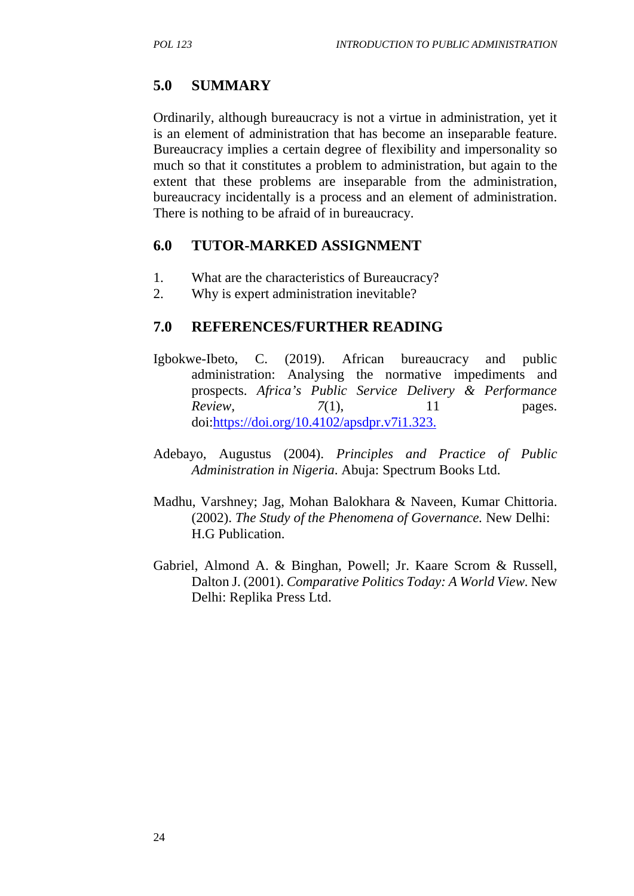### **5.0 SUMMARY**

Ordinarily, although bureaucracy is not a virtue in administration, yet it is an element of administration that has become an inseparable feature. Bureaucracy implies a certain degree of flexibility and impersonality so much so that it constitutes a problem to administration, but again to the extent that these problems are inseparable from the administration, bureaucracy incidentally is a process and an element of administration. There is nothing to be afraid of in bureaucracy.

#### **6.0 TUTOR-MARKED ASSIGNMENT**

- 1. What are the characteristics of Bureaucracy?
- 2. Why is expert administration inevitable?

#### **7.0 REFERENCES/FURTHER READING**

- Igbokwe-Ibeto, C. (2019). African bureaucracy and public administration: Analysing the normative impediments and prospects. *Africa's Public Service Delivery & Performance Review*, *7*(1), 11 pages. doi:https://doi.org/10.4102/apsdpr.v7i1.323.
- Adebayo, Augustus (2004). *Principles and Practice of Public Administration in Nigeria*. Abuja: Spectrum Books Ltd.
- Madhu, Varshney; Jag, Mohan Balokhara & Naveen, Kumar Chittoria. (2002). *The Study of the Phenomena of Governance.* New Delhi: H.G Publication.
- Gabriel, Almond A. & Binghan, Powell; Jr. Kaare Scrom & Russell, Dalton J. (2001). *Comparative Politics Today: A World View.* New Delhi: Replika Press Ltd.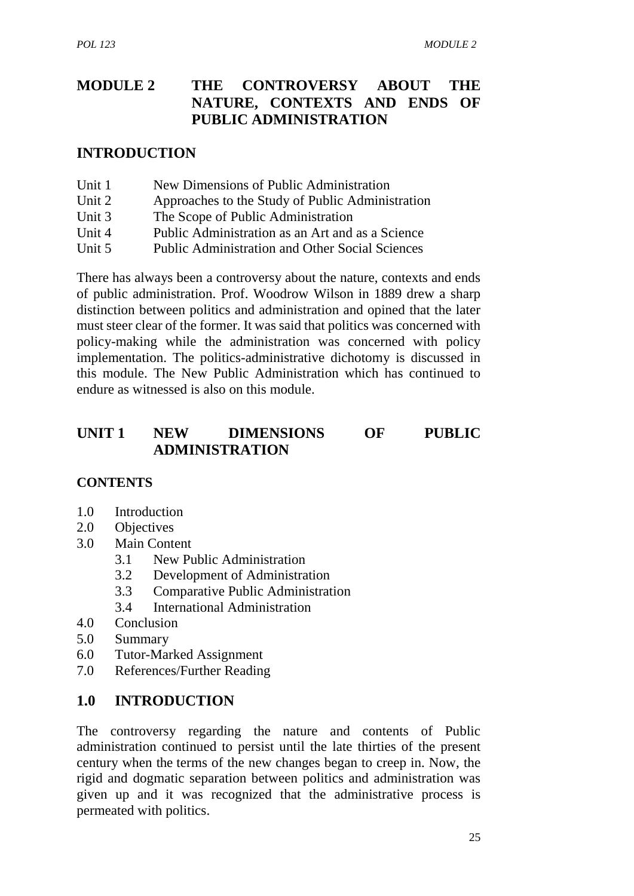## **MODULE 2 THE CONTROVERSY ABOUT THE NATURE, CONTEXTS AND ENDS OF PUBLIC ADMINISTRATION**

#### **INTRODUCTION**

| Unit 1 | New Dimensions of Public Administration                |  |
|--------|--------------------------------------------------------|--|
| Unit 2 | Approaches to the Study of Public Administration       |  |
| Unit 3 | The Scope of Public Administration                     |  |
| Unit 4 | Public Administration as an Art and as a Science       |  |
| Unit 5 | <b>Public Administration and Other Social Sciences</b> |  |

There has always been a controversy about the nature, contexts and ends of public administration. Prof. Woodrow Wilson in 1889 drew a sharp distinction between politics and administration and opined that the later must steer clear of the former. It was said that politics was concerned with policy-making while the administration was concerned with policy implementation. The politics-administrative dichotomy is discussed in this module. The New Public Administration which has continued to endure as witnessed is also on this module.

## **UNIT 1 NEW DIMENSIONS OF PUBLIC ADMINISTRATION**

#### **CONTENTS**

- 1.0 Introduction
- 2.0 Objectives
- 3.0 Main Content
	- 3.1 New Public Administration
	- 3.2 Development of Administration
	- 3.3 Comparative Public Administration
	- 3.4 International Administration
- 4.0 Conclusion
- 5.0 Summary
- 6.0 Tutor-Marked Assignment
- 7.0 References/Further Reading

#### **1.0 INTRODUCTION**

The controversy regarding the nature and contents of Public administration continued to persist until the late thirties of the present century when the terms of the new changes began to creep in. Now, the rigid and dogmatic separation between politics and administration was given up and it was recognized that the administrative process is permeated with politics.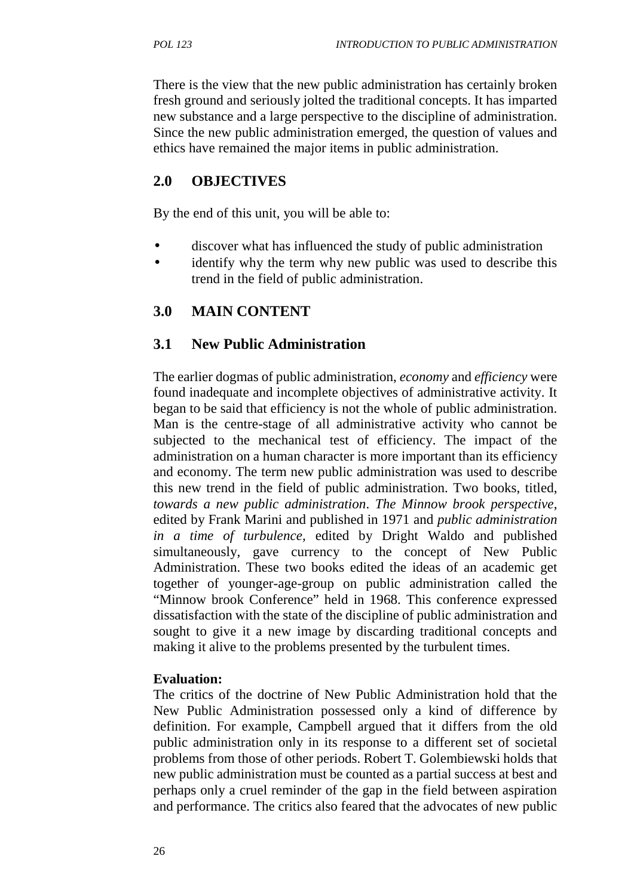There is the view that the new public administration has certainly broken fresh ground and seriously jolted the traditional concepts. It has imparted new substance and a large perspective to the discipline of administration. Since the new public administration emerged, the question of values and ethics have remained the major items in public administration.

## **2.0 OBJECTIVES**

By the end of this unit, you will be able to:

- discover what has influenced the study of public administration
- identify why the term why new public was used to describe this trend in the field of public administration.

## **3.0 MAIN CONTENT**

## **3.1 New Public Administration**

The earlier dogmas of public administration, *economy* and *efficiency* were found inadequate and incomplete objectives of administrative activity. It began to be said that efficiency is not the whole of public administration. Man is the centre-stage of all administrative activity who cannot be subjected to the mechanical test of efficiency. The impact of the administration on a human character is more important than its efficiency and economy. The term new public administration was used to describe this new trend in the field of public administration. Two books, titled, *towards a new public administration*. *The Minnow brook perspective*, edited by Frank Marini and published in 1971 and *public administration in a time of turbulence,* edited by Dright Waldo and published simultaneously, gave currency to the concept of New Public Administration. These two books edited the ideas of an academic get together of younger-age-group on public administration called the "Minnow brook Conference" held in 1968. This conference expressed dissatisfaction with the state of the discipline of public administration and sought to give it a new image by discarding traditional concepts and making it alive to the problems presented by the turbulent times.

#### **Evaluation:**

The critics of the doctrine of New Public Administration hold that the New Public Administration possessed only a kind of difference by definition. For example, Campbell argued that it differs from the old public administration only in its response to a different set of societal problems from those of other periods. Robert T. Golembiewski holds that new public administration must be counted as a partial success at best and perhaps only a cruel reminder of the gap in the field between aspiration and performance. The critics also feared that the advocates of new public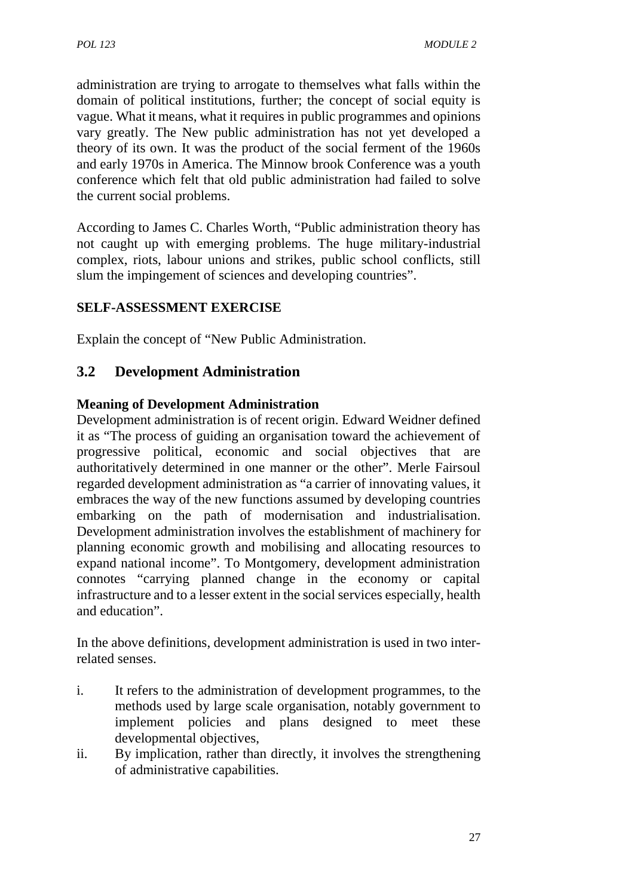administration are trying to arrogate to themselves what falls within the domain of political institutions, further; the concept of social equity is vague. What it means, what it requires in public programmes and opinions vary greatly. The New public administration has not yet developed a theory of its own. It was the product of the social ferment of the 1960s and early 1970s in America. The Minnow brook Conference was a youth conference which felt that old public administration had failed to solve the current social problems.

According to James C. Charles Worth, "Public administration theory has not caught up with emerging problems. The huge military-industrial complex, riots, labour unions and strikes, public school conflicts, still slum the impingement of sciences and developing countries".

#### **SELF-ASSESSMENT EXERCISE**

Explain the concept of "New Public Administration.

## **3.2 Development Administration**

#### **Meaning of Development Administration**

Development administration is of recent origin. Edward Weidner defined it as "The process of guiding an organisation toward the achievement of progressive political, economic and social objectives that are authoritatively determined in one manner or the other". Merle Fairsoul regarded development administration as "a carrier of innovating values, it embraces the way of the new functions assumed by developing countries embarking on the path of modernisation and industrialisation. Development administration involves the establishment of machinery for planning economic growth and mobilising and allocating resources to expand national income". To Montgomery, development administration connotes "carrying planned change in the economy or capital infrastructure and to a lesser extent in the social services especially, health and education".

In the above definitions, development administration is used in two interrelated senses.

- i. It refers to the administration of development programmes, to the methods used by large scale organisation, notably government to implement policies and plans designed to meet these developmental objectives,
- ii. By implication, rather than directly, it involves the strengthening of administrative capabilities.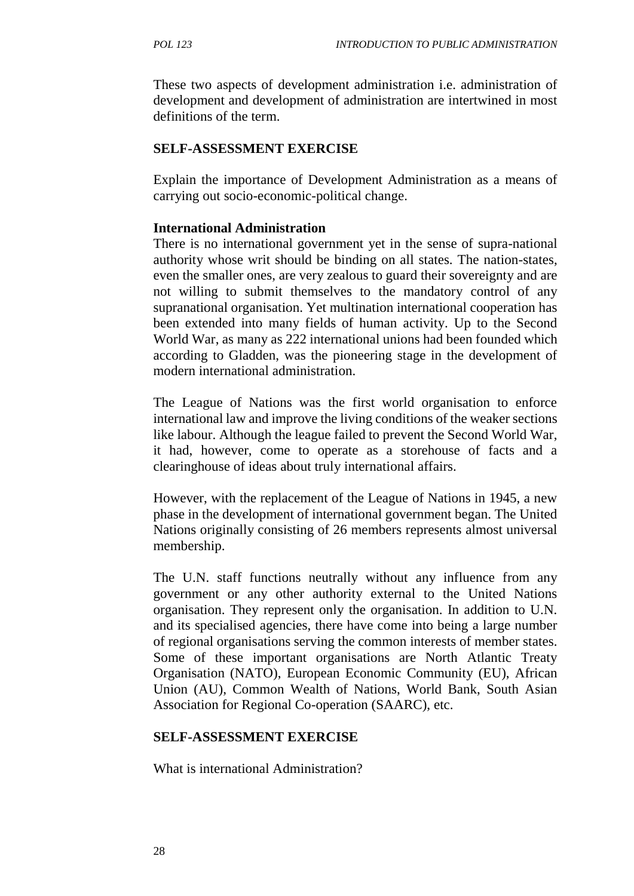These two aspects of development administration i.e. administration of development and development of administration are intertwined in most definitions of the term.

#### **SELF-ASSESSMENT EXERCISE**

Explain the importance of Development Administration as a means of carrying out socio-economic-political change.

#### **International Administration**

There is no international government yet in the sense of supra-national authority whose writ should be binding on all states. The nation-states, even the smaller ones, are very zealous to guard their sovereignty and are not willing to submit themselves to the mandatory control of any supranational organisation. Yet multination international cooperation has been extended into many fields of human activity. Up to the Second World War, as many as 222 international unions had been founded which according to Gladden, was the pioneering stage in the development of modern international administration.

The League of Nations was the first world organisation to enforce international law and improve the living conditions of the weaker sections like labour. Although the league failed to prevent the Second World War, it had, however, come to operate as a storehouse of facts and a clearinghouse of ideas about truly international affairs.

However, with the replacement of the League of Nations in 1945, a new phase in the development of international government began. The United Nations originally consisting of 26 members represents almost universal membership.

The U.N. staff functions neutrally without any influence from any government or any other authority external to the United Nations organisation. They represent only the organisation. In addition to U.N. and its specialised agencies, there have come into being a large number of regional organisations serving the common interests of member states. Some of these important organisations are North Atlantic Treaty Organisation (NATO), European Economic Community (EU), African Union (AU), Common Wealth of Nations, World Bank, South Asian Association for Regional Co-operation (SAARC), etc.

#### **SELF-ASSESSMENT EXERCISE**

What is international Administration?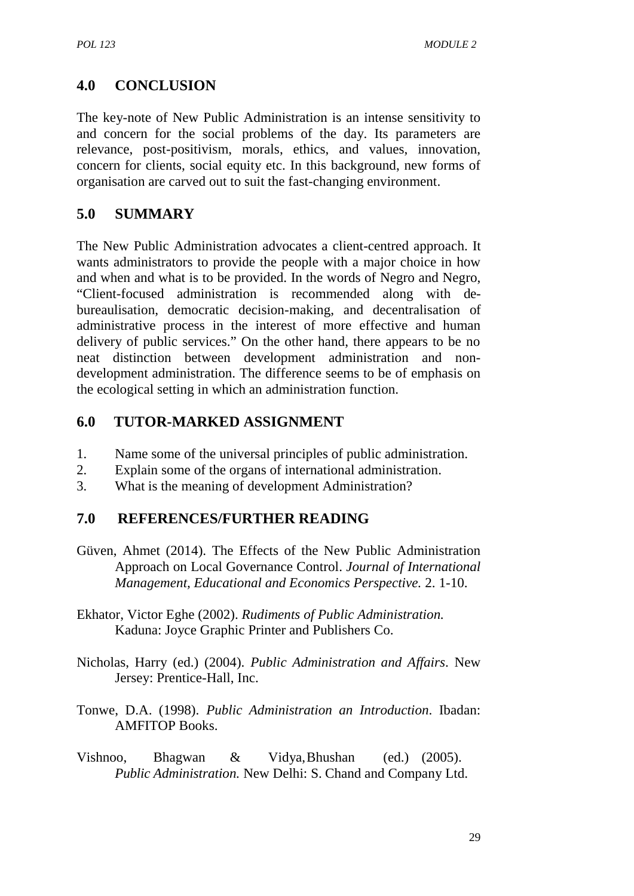# **4.0 CONCLUSION**

The key-note of New Public Administration is an intense sensitivity to and concern for the social problems of the day. Its parameters are relevance, post-positivism, morals, ethics, and values, innovation, concern for clients, social equity etc. In this background, new forms of organisation are carved out to suit the fast-changing environment.

## **5.0 SUMMARY**

The New Public Administration advocates a client-centred approach. It wants administrators to provide the people with a major choice in how and when and what is to be provided. In the words of Negro and Negro, "Client-focused administration is recommended along with de bureaulisation, democratic decision-making, and decentralisation of administrative process in the interest of more effective and human delivery of public services." On the other hand, there appears to be no neat distinction between development administration and non development administration. The difference seems to be of emphasis on the ecological setting in which an administration function.

## **6.0 TUTOR-MARKED ASSIGNMENT**

- 1. Name some of the universal principles of public administration.
- 2. Explain some of the organs of international administration.
- 3. What is the meaning of development Administration?

## **7.0 REFERENCES/FURTHER READING**

- Güven, Ahmet (2014). The Effects of the New Public Administration Approach on Local Governance Control. *Journal of International Management, Educational and Economics Perspective.* 2. 1-10.
- Ekhator, Victor Eghe (2002). *Rudiments of Public Administration.* Kaduna: Joyce Graphic Printer and Publishers Co.
- Nicholas, Harry (ed.) (2004). *Public Administration and Affairs*. New Jersey: Prentice-Hall, Inc.
- Tonwe, D.A. (1998). *Public Administration an Introduction*. Ibadan: AMFITOP Books.
- Vishnoo, Bhagwan & Vidya,Bhushan (ed.) (2005). *Public Administration.* New Delhi: S. Chand and Company Ltd.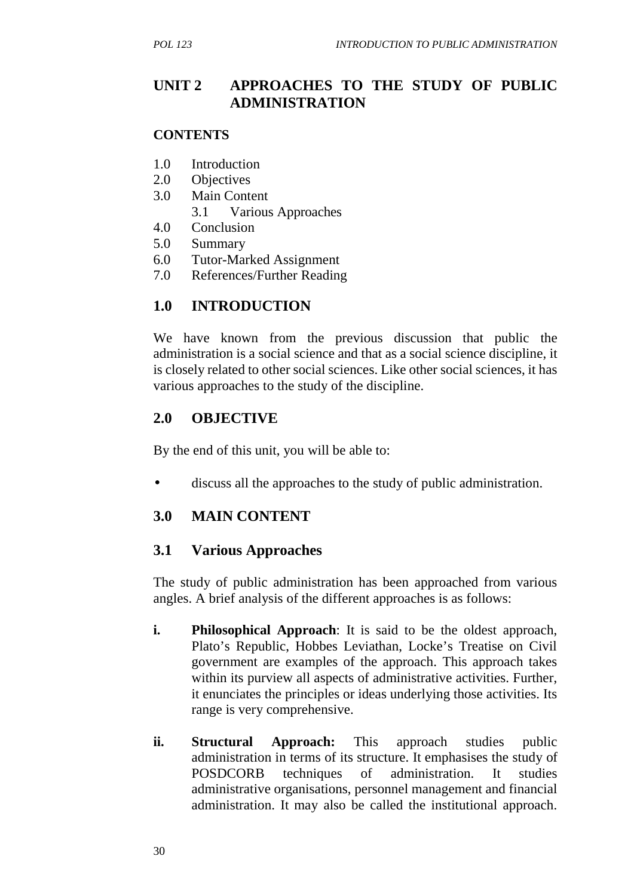## **UNIT 2 APPROACHES TO THE STUDY OF PUBLIC ADMINISTRATION**

#### **CONTENTS**

- 1.0 Introduction
- 2.0 Objectives
- 3.0 Main Content
	- 3.1 Various Approaches
- 4.0 Conclusion
- 5.0 Summary
- 6.0 Tutor-Marked Assignment
- 7.0 References/Further Reading

## **1.0 INTRODUCTION**

We have known from the previous discussion that public the administration is a social science and that as a social science discipline, it is closely related to other social sciences. Like other social sciences, it has various approaches to the study of the discipline.

## **2.0 OBJECTIVE**

By the end of this unit, you will be able to:

discuss all the approaches to the study of public administration.

## **3.0 MAIN CONTENT**

#### **3.1 Various Approaches**

The study of public administration has been approached from various angles. A brief analysis of the different approaches is as follows:

- **i. Philosophical Approach**: It is said to be the oldest approach, Plato's Republic, Hobbes Leviathan, Locke's Treatise on Civil government are examples of the approach. This approach takes within its purview all aspects of administrative activities. Further, it enunciates the principles or ideas underlying those activities. Its range is very comprehensive.
- **ii. Structural Approach:** This approach studies public administration in terms of its structure. It emphasises the study of POSDCORB techniques of administration. It studies administrative organisations, personnel management and financial administration. It may also be called the institutional approach.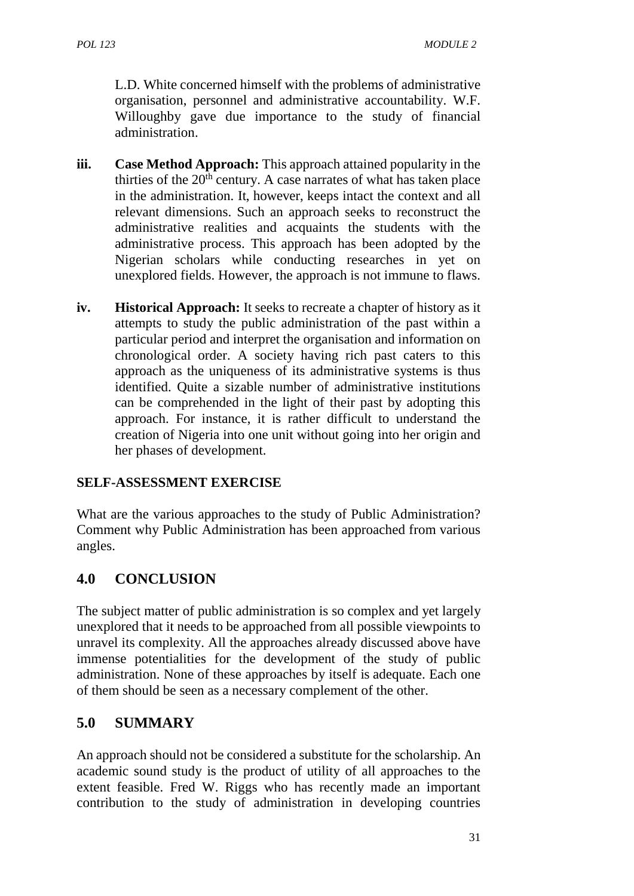L.D. White concerned himself with the problems of administrative organisation, personnel and administrative accountability. W.F. Willoughby gave due importance to the study of financial administration.

- **iii. Case Method Approach:** This approach attained popularity in the thirties of the  $20<sup>th</sup>$  century. A case narrates of what has taken place in the administration. It, however, keeps intact the context and all relevant dimensions. Such an approach seeks to reconstruct the administrative realities and acquaints the students with the administrative process. This approach has been adopted by the Nigerian scholars while conducting researches in yet on unexplored fields. However, the approach is not immune to flaws.
- **iv. Historical Approach:** It seeks to recreate a chapter of history as it attempts to study the public administration of the past within a particular period and interpret the organisation and information on chronological order. A society having rich past caters to this approach as the uniqueness of its administrative systems is thus identified. Quite a sizable number of administrative institutions can be comprehended in the light of their past by adopting this approach. For instance, it is rather difficult to understand the creation of Nigeria into one unit without going into her origin and her phases of development.

## **SELF-ASSESSMENT EXERCISE**

What are the various approaches to the study of Public Administration? Comment why Public Administration has been approached from various angles.

# **4.0 CONCLUSION**

The subject matter of public administration is so complex and yet largely unexplored that it needs to be approached from all possible viewpoints to unravel its complexity. All the approaches already discussed above have immense potentialities for the development of the study of public administration. None of these approaches by itself is adequate. Each one of them should be seen as a necessary complement of the other.

## **5.0 SUMMARY**

An approach should not be considered a substitute for the scholarship. An academic sound study is the product of utility of all approaches to the extent feasible. Fred W. Riggs who has recently made an important contribution to the study of administration in developing countries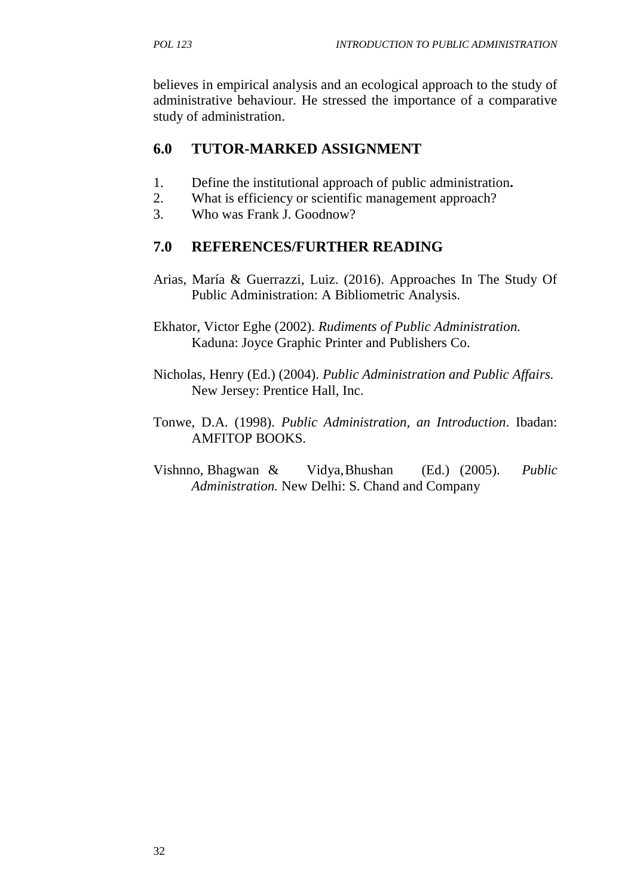believes in empirical analysis and an ecological approach to the study of administrative behaviour. He stressed the importance of a comparative study of administration.

# **6.0 TUTOR-MARKED ASSIGNMENT**

- 1. Define the institutional approach of public administration**.**
- 2. What is efficiency or scientific management approach?
- 3. Who was Frank J. Goodnow?

# **7.0 REFERENCES/FURTHER READING**

Arias, María & Guerrazzi, Luiz. (2016). Approaches In The Study Of Public Administration: A Bibliometric Analysis.

Ekhator, Victor Eghe (2002). *Rudiments of Public Administration.* Kaduna: Joyce Graphic Printer and Publishers Co.

- Nicholas, Henry (Ed.) (2004). *Public Administration and Public Affairs.* New Jersey: Prentice Hall, Inc.
- Tonwe, D.A. (1998). *Public Administration, an Introduction*. Ibadan: AMFITOP BOOKS.
- Vishnno, Bhagwan & Vidya,Bhushan (Ed.) (2005). *Public Administration.* New Delhi: S. Chand and Company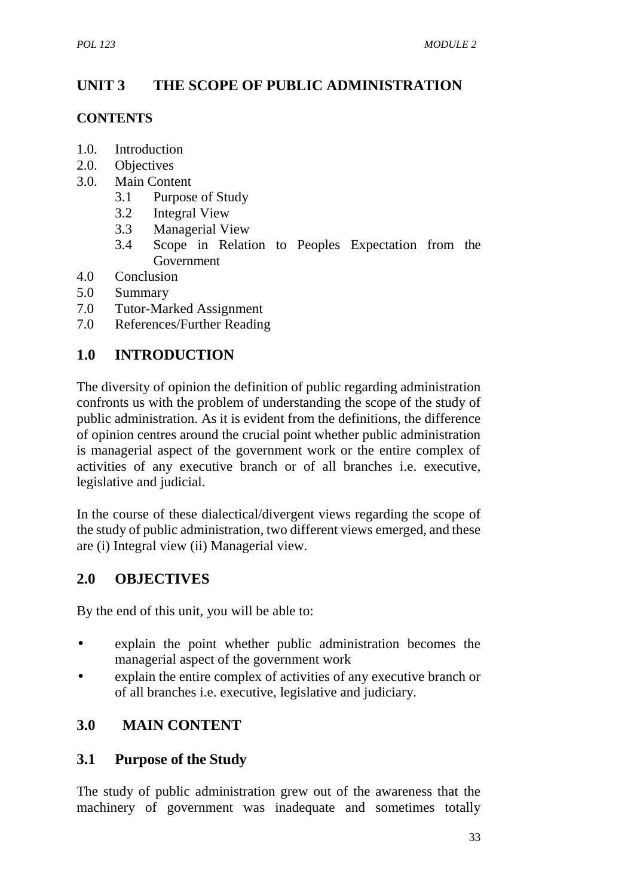# **UNIT 3 THE SCOPE OF PUBLIC ADMINISTRATION**

#### **CONTENTS**

- 1.0. Introduction
- 2.0. Objectives
- 3.0. Main Content
	- 3.1 Purpose of Study
	- 3.2 Integral View
	- 3.3 Managerial View
	- 3.4 Scope in Relation to Peoples Expectation from the **Government**
- 4.0 Conclusion
- 5.0 Summary
- 7.0 Tutor-Marked Assignment
- 7.0 References/Further Reading

# **1.0 INTRODUCTION**

The diversity of opinion the definition of public regarding administration confronts us with the problem of understanding the scope of the study of public administration. As it is evident from the definitions, the difference of opinion centres around the crucial point whether public administration is managerial aspect of the government work or the entire complex of activities of any executive branch or of all branches i.e. executive, legislative and judicial.

In the course of these dialectical/divergent views regarding the scope of the study of public administration, two different views emerged, and these are (i) Integral view (ii) Managerial view.

## **2.0 OBJECTIVES**

By the end of this unit, you will be able to:

- explain the point whether public administration becomes the managerial aspect of the government work
- explain the entire complex of activities of any executive branch or of all branches i.e. executive, legislative and judiciary.

# **3.0 MAIN CONTENT**

## **3.1 Purpose of the Study**

The study of public administration grew out of the awareness that the machinery of government was inadequate and sometimes totally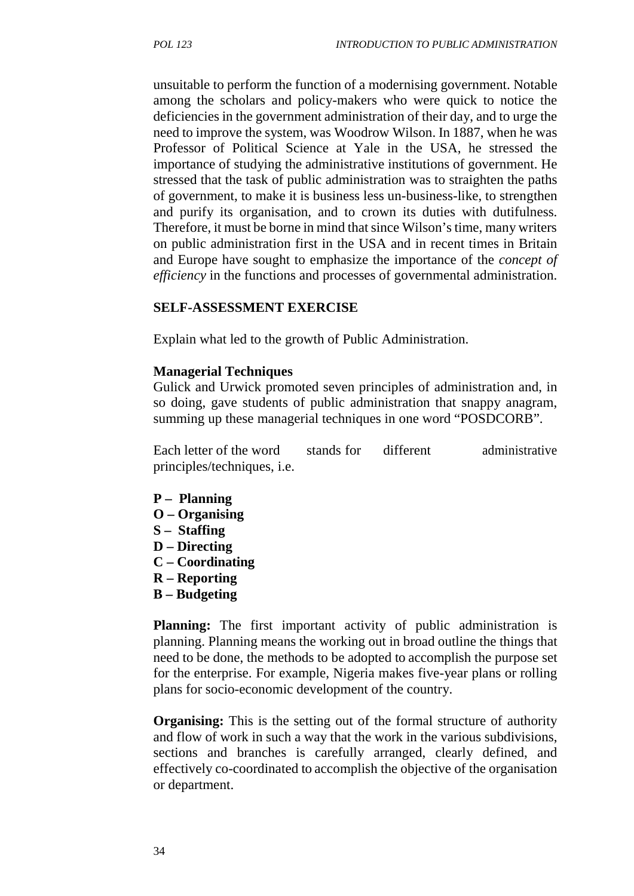unsuitable to perform the function of a modernising government. Notable among the scholars and policy-makers who were quick to notice the deficiencies in the government administration of their day, and to urge the need to improve the system, was Woodrow Wilson. In 1887, when he was Professor of Political Science at Yale in the USA, he stressed the importance of studying the administrative institutions of government. He stressed that the task of public administration was to straighten the paths of government, to make it is business less un-business-like, to strengthen and purify its organisation, and to crown its duties with dutifulness. Therefore, it must be borne in mind that since Wilson's time, many writers on public administration first in the USA and in recent times in Britain and Europe have sought to emphasize the importance of the *concept of efficiency* in the functions and processes of governmental administration.

#### **SELF-ASSESSMENT EXERCISE**

Explain what led to the growth of Public Administration.

#### **Managerial Techniques**

Gulick and Urwick promoted seven principles of administration and, in so doing, gave students of public administration that snappy anagram, summing up these managerial techniques in one word "POSDCORB".

Each letter of the word stands for different administrative principles/techniques, i.e.

- **P – Planning**
- **O – Organising**
- **S – Staffing**
- **D – Directing**
- **C – Coordinating**
- **R – Reporting**
- **B – Budgeting**

**Planning:** The first important activity of public administration is planning. Planning means the working out in broad outline the things that need to be done, the methods to be adopted to accomplish the purpose set for the enterprise. For example, Nigeria makes five-year plans or rolling plans for socio-economic development of the country.

**Organising:** This is the setting out of the formal structure of authority and flow of work in such a way that the work in the various subdivisions, sections and branches is carefully arranged, clearly defined, and effectively co-coordinated to accomplish the objective of the organisation or department.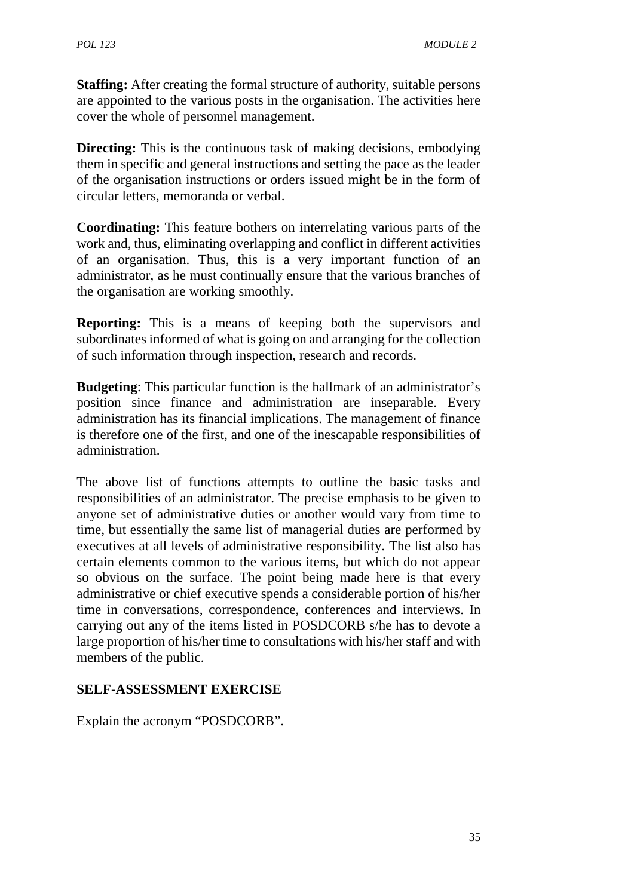**Staffing:** After creating the formal structure of authority, suitable persons are appointed to the various posts in the organisation. The activities here cover the whole of personnel management.

**Directing:** This is the continuous task of making decisions, embodying them in specific and general instructions and setting the pace as the leader of the organisation instructions or orders issued might be in the form of circular letters, memoranda or verbal.

**Coordinating:** This feature bothers on interrelating various parts of the work and, thus, eliminating overlapping and conflict in different activities of an organisation. Thus, this is a very important function of an administrator, as he must continually ensure that the various branches of the organisation are working smoothly.

**Reporting:** This is a means of keeping both the supervisors and subordinates informed of what is going on and arranging for the collection of such information through inspection, research and records.

**Budgeting**: This particular function is the hallmark of an administrator's position since finance and administration are inseparable. Every administration has its financial implications. The management of finance is therefore one of the first, and one of the inescapable responsibilities of administration.

The above list of functions attempts to outline the basic tasks and responsibilities of an administrator. The precise emphasis to be given to anyone set of administrative duties or another would vary from time to time, but essentially the same list of managerial duties are performed by executives at all levels of administrative responsibility. The list also has certain elements common to the various items, but which do not appear so obvious on the surface. The point being made here is that every administrative or chief executive spends a considerable portion of his/her time in conversations, correspondence, conferences and interviews. In carrying out any of the items listed in POSDCORB s/he has to devote a large proportion of his/her time to consultations with his/her staff and with members of the public.

#### **SELF-ASSESSMENT EXERCISE**

Explain the acronym "POSDCORB".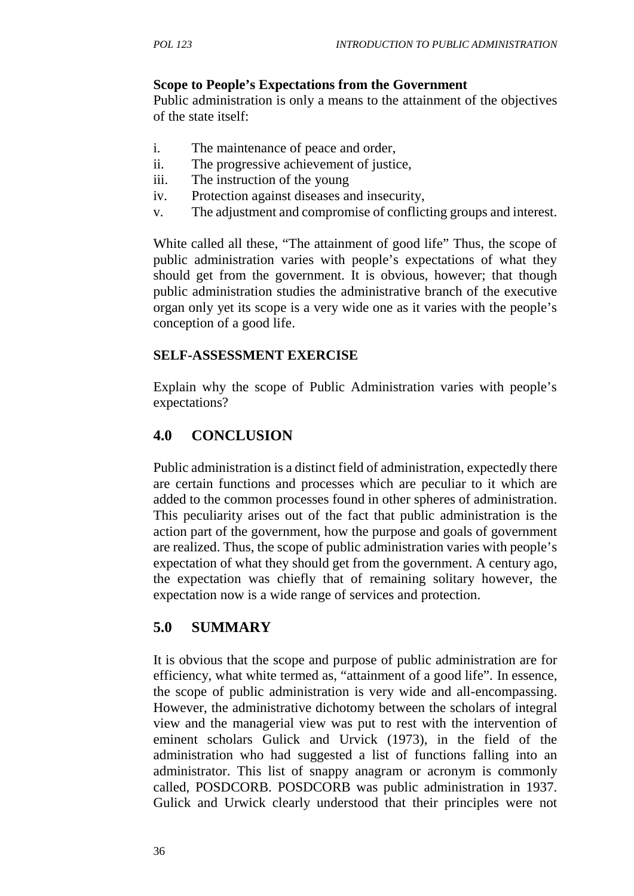#### **Scope to People's Expectations from the Government**

Public administration is only a means to the attainment of the objectives of the state itself:

- i. The maintenance of peace and order,
- ii. The progressive achievement of justice,
- iii. The instruction of the young
- iv. Protection against diseases and insecurity,
- v. The adjustment and compromise of conflicting groups and interest.

White called all these, "The attainment of good life" Thus, the scope of public administration varies with people's expectations of what they should get from the government. It is obvious, however; that though public administration studies the administrative branch of the executive organ only yet its scope is a very wide one as it varies with the people's conception of a good life.

## **SELF-ASSESSMENT EXERCISE**

Explain why the scope of Public Administration varies with people's expectations?

# **4.0 CONCLUSION**

Public administration is a distinct field of administration, expectedly there are certain functions and processes which are peculiar to it which are added to the common processes found in other spheres of administration. This peculiarity arises out of the fact that public administration is the action part of the government, how the purpose and goals of government are realized. Thus, the scope of public administration varies with people's expectation of what they should get from the government. A century ago, the expectation was chiefly that of remaining solitary however, the expectation now is a wide range of services and protection.

# **5.0 SUMMARY**

It is obvious that the scope and purpose of public administration are for efficiency, what white termed as, "attainment of a good life". In essence, the scope of public administration is very wide and all-encompassing. However, the administrative dichotomy between the scholars of integral view and the managerial view was put to rest with the intervention of eminent scholars Gulick and Urvick (1973), in the field of the administration who had suggested a list of functions falling into an administrator. This list of snappy anagram or acronym is commonly called, POSDCORB. POSDCORB was public administration in 1937. Gulick and Urwick clearly understood that their principles were not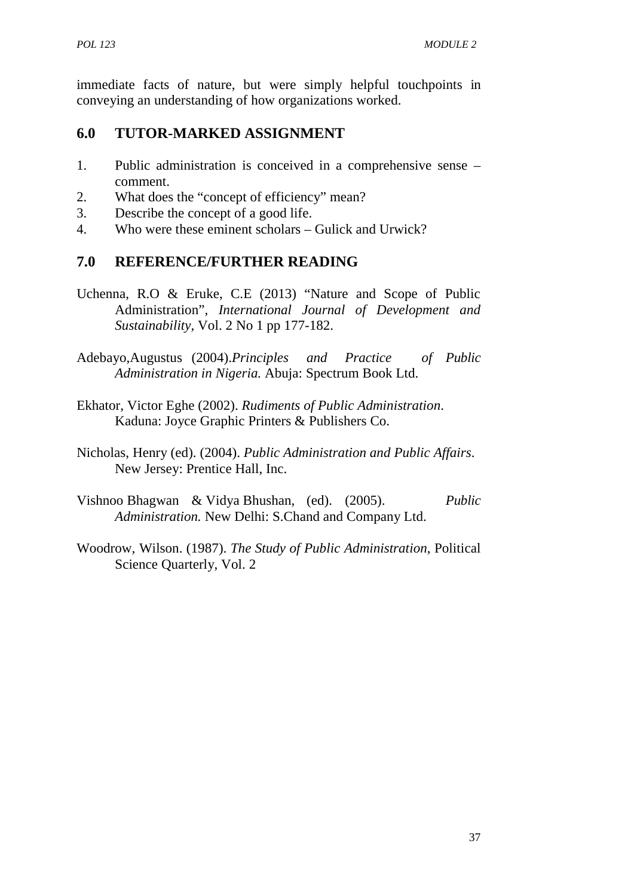immediate facts of nature, but were simply helpful touchpoints in conveying an understanding of how organizations worked.

## **6.0 TUTOR-MARKED ASSIGNMENT**

- 1. Public administration is conceived in a comprehensive sense comment.
- 2. What does the "concept of efficiency" mean?
- 3. Describe the concept of a good life.
- 4. Who were these eminent scholars Gulick and Urwick?

## **7.0 REFERENCE/FURTHER READING**

- Uchenna, R.O & Eruke, C.E (2013) "Nature and Scope of Public Administration", *International Journal of Development and Sustainability,* Vol. 2 No 1 pp 177-182.
- Adebayo,Augustus (2004).*Principles and Practice of Public Administration in Nigeria.* Abuja: Spectrum Book Ltd.
- Ekhator, Victor Eghe (2002). *Rudiments of Public Administration*. Kaduna: Joyce Graphic Printers & Publishers Co.
- Nicholas, Henry (ed). (2004). *Public Administration and Public Affairs*. New Jersey: Prentice Hall, Inc.
- Vishnoo Bhagwan & Vidya Bhushan, (ed). (2005). *Public Administration.* New Delhi: S.Chand and Company Ltd.
- Woodrow, Wilson. (1987). *The Study of Public Administration*, Political Science Quarterly, Vol. 2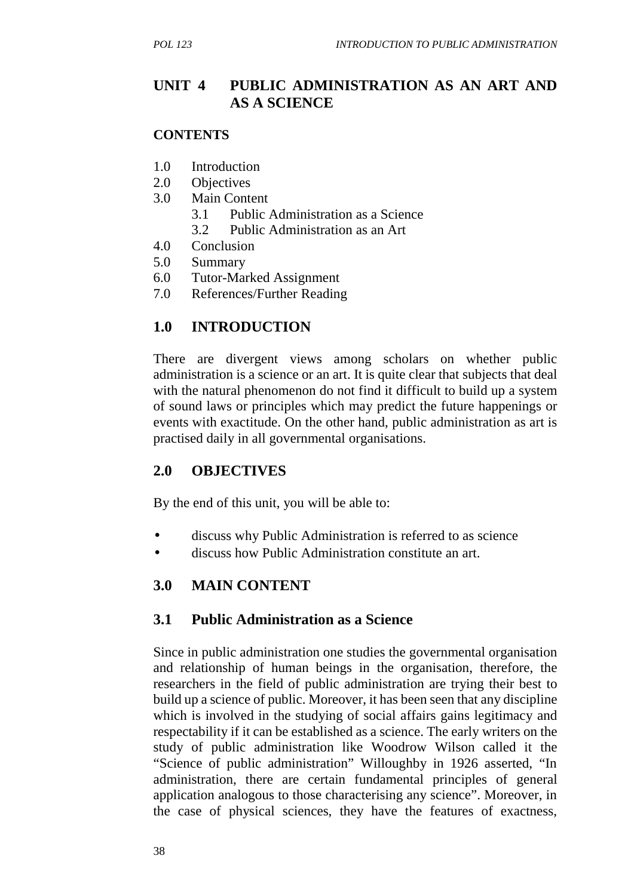## **UNIT 4 PUBLIC ADMINISTRATION AS AN ART AND AS A SCIENCE**

#### **CONTENTS**

- 1.0 Introduction
- 2.0 Objectives
- 3.0 Main Content
	- 3.1 Public Administration as a Science
	- 3.2 Public Administration as an Art
- 4.0 Conclusion
- 5.0 Summary
- 6.0 Tutor-Marked Assignment
- 7.0 References/Further Reading

# **1.0 INTRODUCTION**

There are divergent views among scholars on whether public administration is a science or an art. It is quite clear that subjects that deal with the natural phenomenon do not find it difficult to build up a system of sound laws or principles which may predict the future happenings or events with exactitude. On the other hand, public administration as art is practised daily in all governmental organisations.

# **2.0 OBJECTIVES**

By the end of this unit, you will be able to:

- discuss why Public Administration is referred to as science
- discuss how Public Administration constitute an art.

# **3.0 MAIN CONTENT**

## **3.1 Public Administration as a Science**

Since in public administration one studies the governmental organisation and relationship of human beings in the organisation, therefore, the researchers in the field of public administration are trying their best to build up a science of public. Moreover, it has been seen that any discipline which is involved in the studying of social affairs gains legitimacy and respectability if it can be established as a science. The early writers on the study of public administration like Woodrow Wilson called it the "Science of public administration" Willoughby in 1926 asserted, "In administration, there are certain fundamental principles of general application analogous to those characterising any science". Moreover, in the case of physical sciences, they have the features of exactness,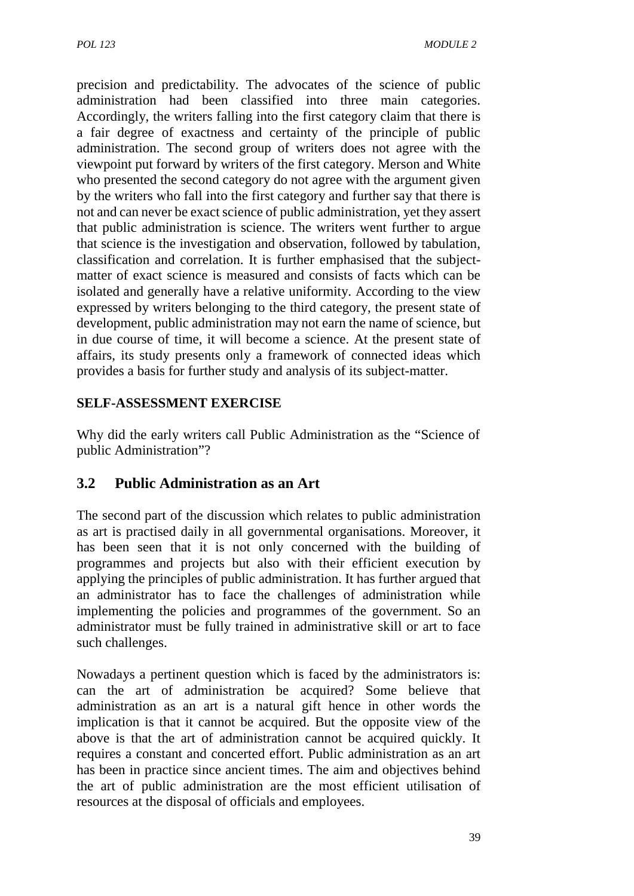precision and predictability. The advocates of the science of public administration had been classified into three main categories. Accordingly, the writers falling into the first category claim that there is a fair degree of exactness and certainty of the principle of public administration. The second group of writers does not agree with the viewpoint put forward by writers of the first category. Merson and White who presented the second category do not agree with the argument given by the writers who fall into the first category and further say that there is not and can never be exact science of public administration, yet they assert that public administration is science. The writers went further to argue that science is the investigation and observation, followed by tabulation, classification and correlation. It is further emphasised that the subject matter of exact science is measured and consists of facts which can be isolated and generally have a relative uniformity. According to the view expressed by writers belonging to the third category, the present state of development, public administration may not earn the name of science, but in due course of time, it will become a science. At the present state of affairs, its study presents only a framework of connected ideas which provides a basis for further study and analysis of its subject-matter.

#### **SELF-ASSESSMENT EXERCISE**

Why did the early writers call Public Administration as the "Science of public Administration"?

## **3.2 Public Administration as an Art**

The second part of the discussion which relates to public administration as art is practised daily in all governmental organisations. Moreover, it has been seen that it is not only concerned with the building of programmes and projects but also with their efficient execution by applying the principles of public administration. It has further argued that an administrator has to face the challenges of administration while implementing the policies and programmes of the government. So an administrator must be fully trained in administrative skill or art to face such challenges.

Nowadays a pertinent question which is faced by the administrators is: can the art of administration be acquired? Some believe that administration as an art is a natural gift hence in other words the implication is that it cannot be acquired. But the opposite view of the above is that the art of administration cannot be acquired quickly. It requires a constant and concerted effort. Public administration as an art has been in practice since ancient times. The aim and objectives behind the art of public administration are the most efficient utilisation of resources at the disposal of officials and employees.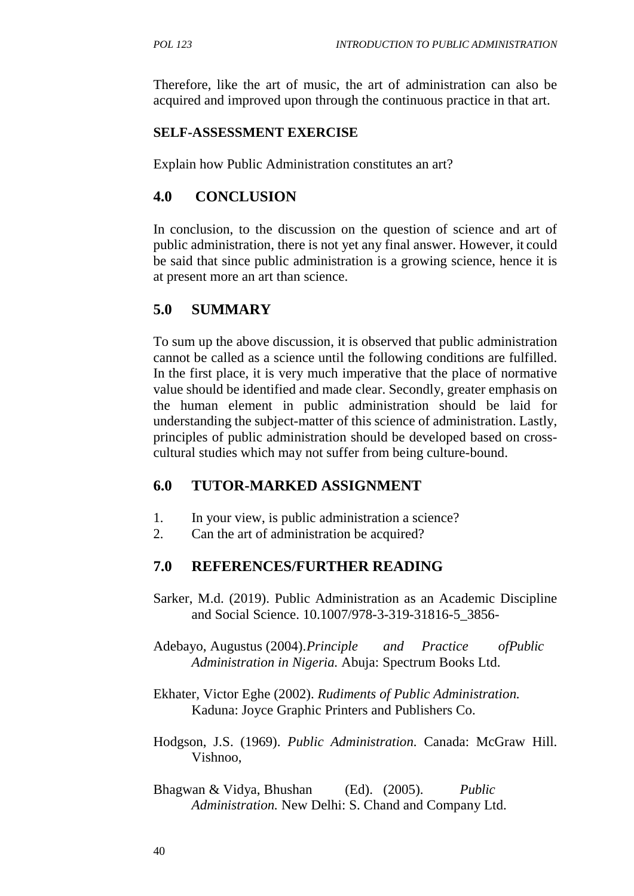Therefore, like the art of music, the art of administration can also be acquired and improved upon through the continuous practice in that art.

#### **SELF-ASSESSMENT EXERCISE**

Explain how Public Administration constitutes an art?

## **4.0 CONCLUSION**

In conclusion, to the discussion on the question of science and art of public administration, there is not yet any final answer. However, it could be said that since public administration is a growing science, hence it is at present more an art than science.

## **5.0 SUMMARY**

To sum up the above discussion, it is observed that public administration cannot be called as a science until the following conditions are fulfilled. In the first place, it is very much imperative that the place of normative value should be identified and made clear. Secondly, greater emphasis on the human element in public administration should be laid for understanding the subject-matter of this science of administration. Lastly, principles of public administration should be developed based on cross cultural studies which may not suffer from being culture-bound.

## **6.0 TUTOR-MARKED ASSIGNMENT**

- 1. In your view, is public administration a science?
- 2. Can the art of administration be acquired?

## **7.0 REFERENCES/FURTHER READING**

- Sarker, M.d. (2019). Public Administration as an Academic Discipline and Social Science. 10.1007/978-3-319-31816-5\_3856-
- Adebayo, Augustus (2004).*Principle and Practice ofPublic Administration in Nigeria.* Abuja: Spectrum Books Ltd.
- Ekhater, Victor Eghe (2002). *Rudiments of Public Administration.* Kaduna: Joyce Graphic Printers and Publishers Co.
- Hodgson, J.S. (1969). *Public Administration.* Canada: McGraw Hill. Vishnoo,
- Bhagwan & Vidya, Bhushan (Ed). (2005). *Public Administration.* New Delhi: S. Chand and Company Ltd.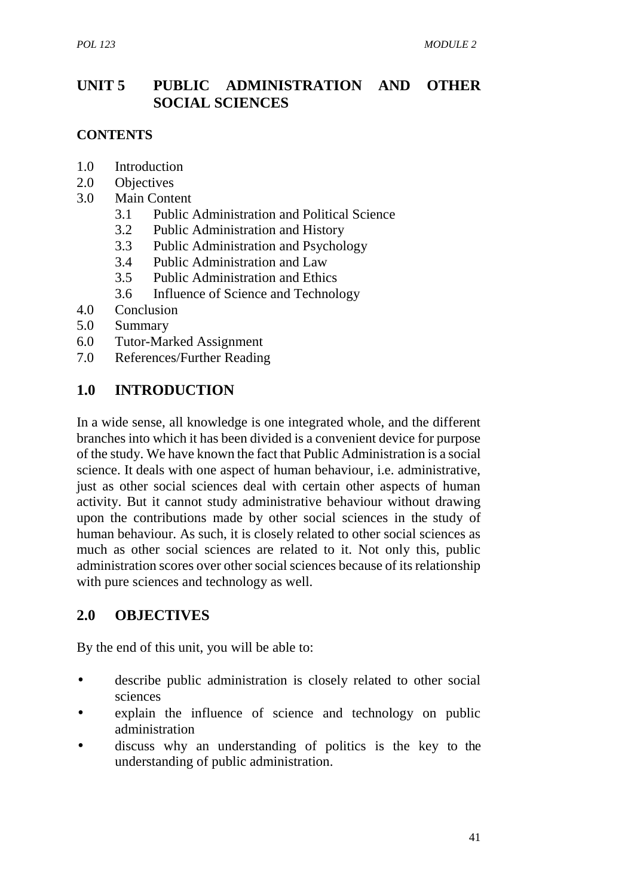## **UNIT 5 PUBLIC ADMINISTRATION AND OTHER SOCIAL SCIENCES**

#### **CONTENTS**

- 1.0 Introduction
- 2.0 Objectives
- 3.0 Main Content
	- 3.1 Public Administration and Political Science
	- 3.2 Public Administration and History
	- 3.3 Public Administration and Psychology
	- 3.4 Public Administration and Law
	- 3.5 Public Administration and Ethics
	- 3.6 Influence of Science and Technology
- 4.0 Conclusion
- 5.0 Summary
- 6.0 Tutor-Marked Assignment
- 7.0 References/Further Reading

#### **1.0 INTRODUCTION**

In a wide sense, all knowledge is one integrated whole, and the different branches into which it has been divided is a convenient device for purpose of the study. We have known the fact that Public Administration is a social science. It deals with one aspect of human behaviour, i.e. administrative, just as other social sciences deal with certain other aspects of human activity. But it cannot study administrative behaviour without drawing upon the contributions made by other social sciences in the study of human behaviour. As such, it is closely related to other social sciences as much as other social sciences are related to it. Not only this, public administration scores over other social sciences because of its relationship with pure sciences and technology as well.

#### **2.0 OBJECTIVES**

By the end of this unit, you will be able to:

- describe public administration is closely related to other social sciences
- explain the influence of science and technology on public administration
- discuss why an understanding of politics is the key to the understanding of public administration.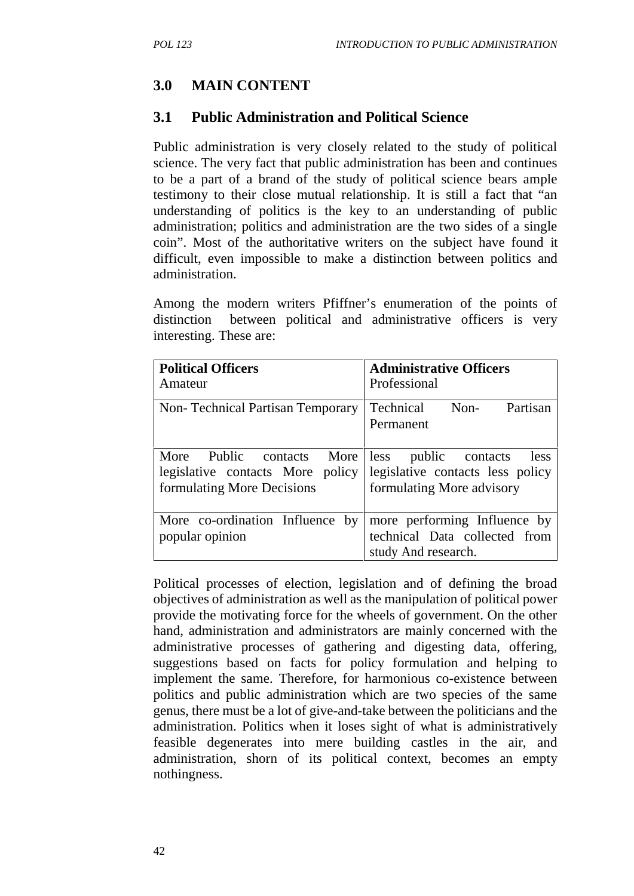# **3.0 MAIN CONTENT**

## **3.1 Public Administration and Political Science**

Public administration is very closely related to the study of political science. The very fact that public administration has been and continues to be a part of a brand of the study of political science bears ample testimony to their close mutual relationship. It is still a fact that "an understanding of politics is the key to an understanding of public administration; politics and administration are the two sides of a single coin". Most of the authoritative writers on the subject have found it difficult, even impossible to make a distinction between politics and administration.

Among the modern writers Pfiffner's enumeration of the points of distinction between political and administrative officers is very interesting. These are:

| <b>Political Officers</b>                                         | <b>Administrative Officers</b>                                                       |
|-------------------------------------------------------------------|--------------------------------------------------------------------------------------|
| Amateur                                                           | Professional                                                                         |
| <b>Non-Technical Partisan Temporary</b>                           | Technical Non-<br>Partisan<br>Permanent                                              |
| More Public contacts More less                                    | public contacts                                                                      |
| legislative contacts More policy legislative contacts less policy | less                                                                                 |
| formulating More Decisions                                        | formulating More advisory                                                            |
| More co-ordination Influence by<br>popular opinion                | more performing Influence by<br>technical Data collected from<br>study And research. |

Political processes of election, legislation and of defining the broad objectives of administration as well as the manipulation of political power provide the motivating force for the wheels of government. On the other hand, administration and administrators are mainly concerned with the administrative processes of gathering and digesting data, offering, suggestions based on facts for policy formulation and helping to implement the same. Therefore, for harmonious co-existence between politics and public administration which are two species of the same genus, there must be a lot of give-and-take between the politicians and the administration. Politics when it loses sight of what is administratively feasible degenerates into mere building castles in the air, and administration, shorn of its political context, becomes an empty nothingness.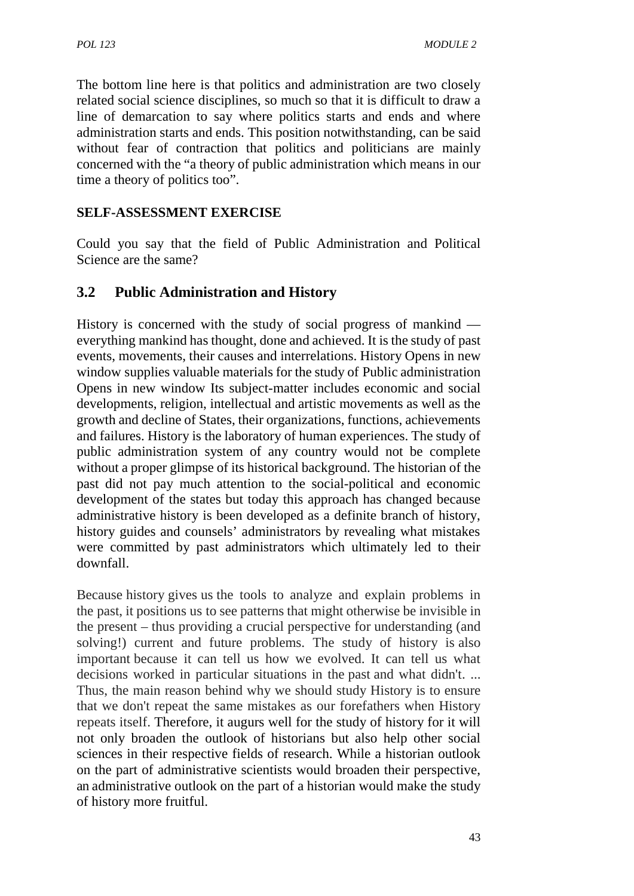The bottom line here is that politics and administration are two closely related social science disciplines, so much so that it is difficult to draw a line of demarcation to say where politics starts and ends and where administration starts and ends. This position notwithstanding, can be said without fear of contraction that politics and politicians are mainly concerned with the "a theory of public administration which means in our time a theory of politics too".

#### **SELF-ASSESSMENT EXERCISE**

Could you say that the field of Public Administration and Political Science are the same?

## **3.2 Public Administration and History**

History is concerned with the study of social progress of mankind everything mankind has thought, done and achieved. It is the study of past events, movements, their causes and interrelations. History Opens in new window supplies valuable materials for the study of Public administration Opens in new window Its subject-matter includes economic and social developments, religion, intellectual and artistic movements as well as the growth and decline of States, their organizations, functions, achievements and failures. History is the laboratory of human experiences. The study of public administration system of any country would not be complete without a proper glimpse of its historical background. The historian of the past did not pay much attention to the social-political and economic development of the states but today this approach has changed because administrative history is been developed as a definite branch of history, history guides and counsels' administrators by revealing what mistakes were committed by past administrators which ultimately led to their downfall.

Because history gives us the tools to analyze and explain problems in the past, it positions us to see patterns that might otherwise be invisible in the present – thus providing a crucial perspective for understanding (and solving!) current and future problems. The study of history is also important because it can tell us how we evolved. It can tell us what decisions worked in particular situations in the past and what didn't. ... Thus, the main reason behind why we should study History is to ensure that we don't repeat the same mistakes as our forefathers when History repeats itself. Therefore, it augurs well for the study of history for it will not only broaden the outlook of historians but also help other social sciences in their respective fields of research. While a historian outlook on the part of administrative scientists would broaden their perspective, an administrative outlook on the part of a historian would make the study of history more fruitful.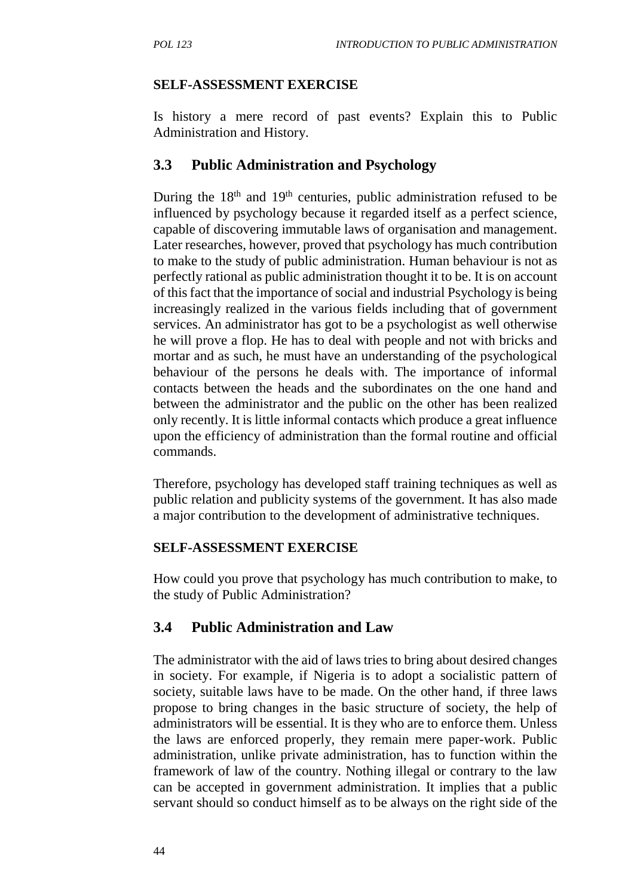### **SELF-ASSESSMENT EXERCISE**

Is history a mere record of past events? Explain this to Public Administration and History.

## **3.3 Public Administration and Psychology**

During the  $18<sup>th</sup>$  and  $19<sup>th</sup>$  centuries, public administration refused to be influenced by psychology because it regarded itself as a perfect science, capable of discovering immutable laws of organisation and management. Later researches, however, proved that psychology has much contribution to make to the study of public administration. Human behaviour is not as perfectly rational as public administration thought it to be. It is on account of this fact that the importance of social and industrial Psychology is being increasingly realized in the various fields including that of government services. An administrator has got to be a psychologist as well otherwise he will prove a flop. He has to deal with people and not with bricks and mortar and as such, he must have an understanding of the psychological behaviour of the persons he deals with. The importance of informal contacts between the heads and the subordinates on the one hand and between the administrator and the public on the other has been realized only recently. It is little informal contacts which produce a great influence upon the efficiency of administration than the formal routine and official commands.

Therefore, psychology has developed staff training techniques as well as public relation and publicity systems of the government. It has also made a major contribution to the development of administrative techniques.

#### **SELF-ASSESSMENT EXERCISE**

How could you prove that psychology has much contribution to make, to the study of Public Administration?

# **3.4 Public Administration and Law**

The administrator with the aid of laws tries to bring about desired changes in society. For example, if Nigeria is to adopt a socialistic pattern of society, suitable laws have to be made. On the other hand, if three laws propose to bring changes in the basic structure of society, the help of administrators will be essential. It is they who are to enforce them. Unless the laws are enforced properly, they remain mere paper-work. Public administration, unlike private administration, has to function within the framework of law of the country. Nothing illegal or contrary to the law can be accepted in government administration. It implies that a public servant should so conduct himself as to be always on the right side of the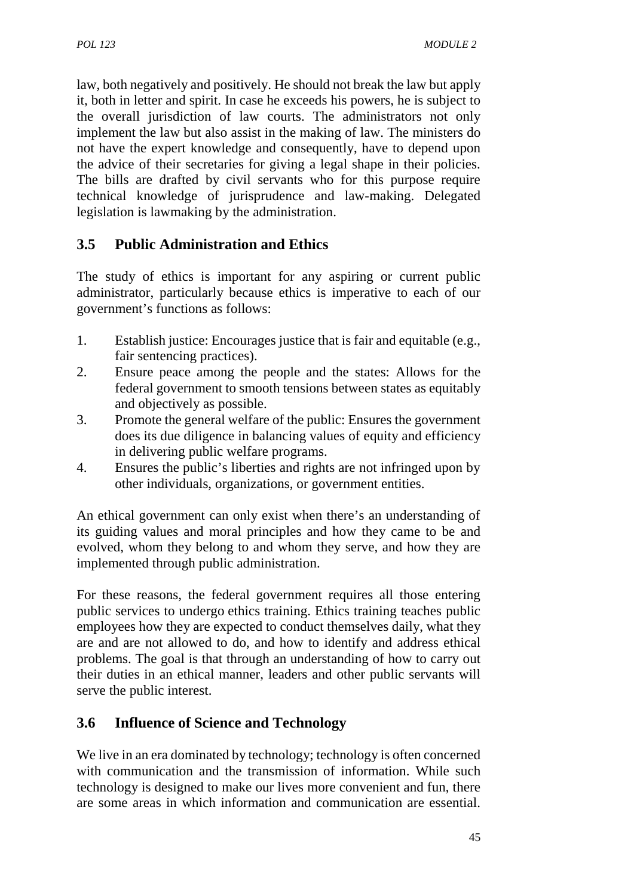law, both negatively and positively. He should not break the law but apply it, both in letter and spirit. In case he exceeds his powers, he is subject to the overall jurisdiction of law courts. The administrators not only implement the law but also assist in the making of law. The ministers do not have the expert knowledge and consequently, have to depend upon the advice of their secretaries for giving a legal shape in their policies. The bills are drafted by civil servants who for this purpose require technical knowledge of jurisprudence and law-making. Delegated legislation is lawmaking by the administration.

# **3.5 Public Administration and Ethics**

The study of ethics is important for any aspiring or current public administrator, particularly because ethics is imperative to each of our government's functions as follows:

- 1. Establish justice: Encourages justice that is fair and equitable (e.g., fair sentencing practices).
- 2. Ensure peace among the people and the states: Allows for the federal government to smooth tensions between states as equitably and objectively as possible.
- 3. Promote the general welfare of the public: Ensures the government does its due diligence in balancing values of equity and efficiency in delivering public welfare programs.
- 4. Ensures the public's liberties and rights are not infringed upon by other individuals, organizations, or government entities.

An ethical government can only exist when there's an understanding of its guiding values and moral principles and how they came to be and evolved, whom they belong to and whom they serve, and how they are implemented through public administration.

For these reasons, the federal government requires all those entering public services to undergo ethics training. Ethics training teaches public employees how they are expected to conduct themselves daily, what they are and are not allowed to do, and how to identify and address ethical problems. The goal is that through an understanding of how to carry out their duties in an ethical manner, leaders and other public servants will serve the public interest.

# **3.6 Influence of Science and Technology**

We live in an era dominated by technology; technology is often concerned with communication and the transmission of information. While such technology is designed to make our lives more convenient and fun, there are some areas in which information and communication are essential.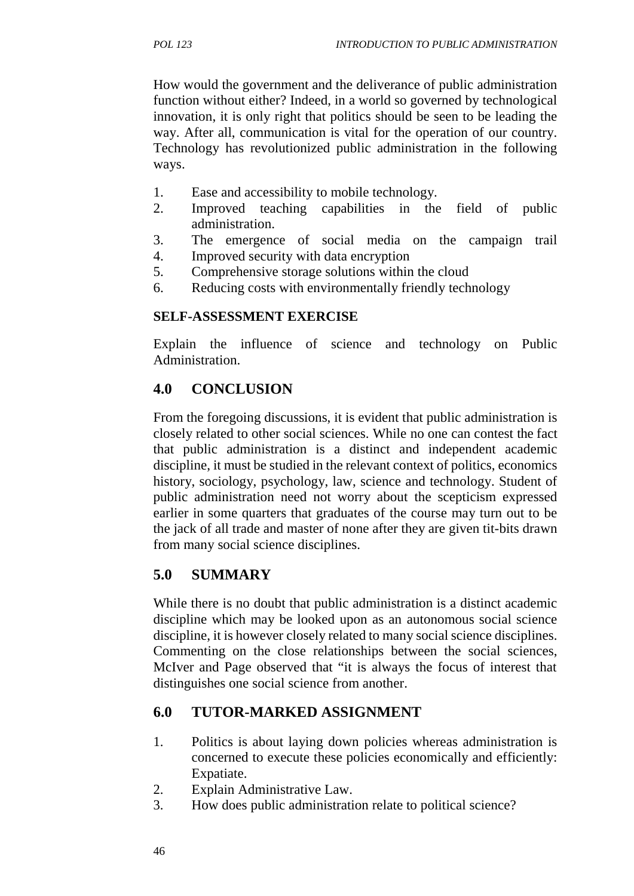How would the government and the deliverance of public administration function without either? Indeed, in a world so governed by technological innovation, it is only right that politics should be seen to be leading the way. After all, communication is vital for the operation of our country. Technology has revolutionized public administration in the following ways.

- 1. Ease and accessibility to mobile technology.
- 2. Improved teaching capabilities in the field of public administration.
- 3. The emergence of social media on the campaign trail
- 4. Improved security with data encryption
- 5. Comprehensive storage solutions within the cloud
- 6. Reducing costs with environmentally friendly technology

## **SELF-ASSESSMENT EXERCISE**

Explain the influence of science and technology on Public Administration.

# **4.0 CONCLUSION**

From the foregoing discussions, it is evident that public administration is closely related to other social sciences. While no one can contest the fact that public administration is a distinct and independent academic discipline, it must be studied in the relevant context of politics, economics history, sociology, psychology, law, science and technology. Student of public administration need not worry about the scepticism expressed earlier in some quarters that graduates of the course may turn out to be the jack of all trade and master of none after they are given tit-bits drawn from many social science disciplines.

# **5.0 SUMMARY**

While there is no doubt that public administration is a distinct academic discipline which may be looked upon as an autonomous social science discipline, it is however closely related to many social science disciplines. Commenting on the close relationships between the social sciences, McIver and Page observed that "it is always the focus of interest that distinguishes one social science from another.

# **6.0 TUTOR-MARKED ASSIGNMENT**

- 1. Politics is about laying down policies whereas administration is concerned to execute these policies economically and efficiently: Expatiate.
- 2. Explain Administrative Law.
- 3. How does public administration relate to political science?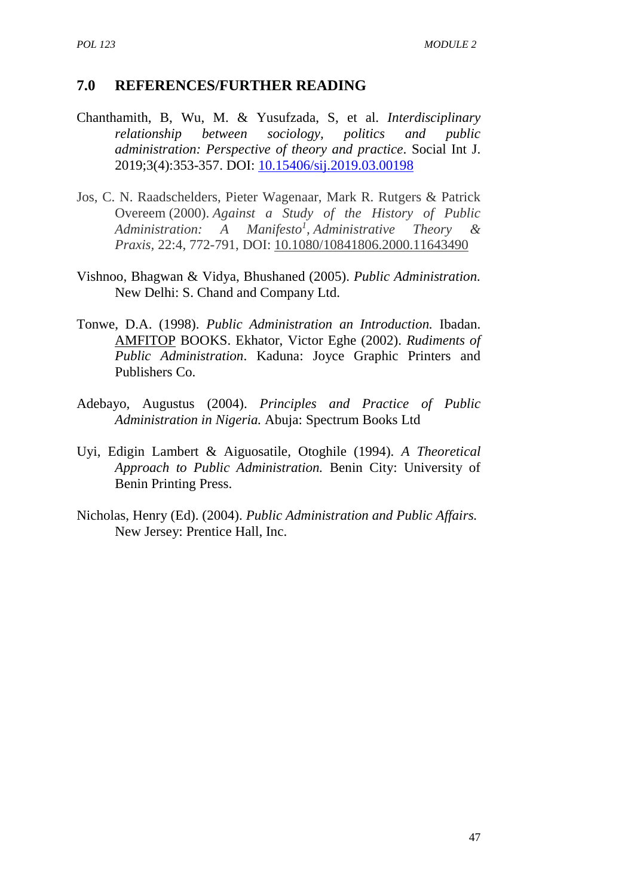#### **7.0 REFERENCES/FURTHER READING**

- Chanthamith, B, Wu, M. & Yusufzada, S, et al. *Interdisciplinary relationship between sociology, politics and public administration: Perspective of theory and practice*. Social Int J. 2019;3(4):353-357. DOI: 10.15406/sij.2019.03.00198
- Jos, C. N. Raadschelders, Pieter Wagenaar, Mark R. Rutgers & Patrick Overeem (2000). *Against a Study of the History of Public Administration: A Manifesto<sup>1</sup> , Administrative Theory & Praxis,* 22:4, 772-791, DOI: 10.1080/10841806.2000.11643490
- Vishnoo, Bhagwan & Vidya, Bhushaned (2005). *Public Administration.* New Delhi: S. Chand and Company Ltd.
- Tonwe, D.A. (1998). *Public Administration an Introduction.* Ibadan. AMFITOP BOOKS. Ekhator, Victor Eghe (2002). *Rudiments of Public Administration*. Kaduna: Joyce Graphic Printers and Publishers Co.
- Adebayo, Augustus (2004). *Principles and Practice of Public Administration in Nigeria.* Abuja: Spectrum Books Ltd
- Uyi, Edigin Lambert & Aiguosatile, Otoghile (1994). *A Theoretical Approach to Public Administration.* Benin City: University of Benin Printing Press.
- Nicholas, Henry (Ed). (2004). *Public Administration and Public Affairs.* New Jersey: Prentice Hall, Inc.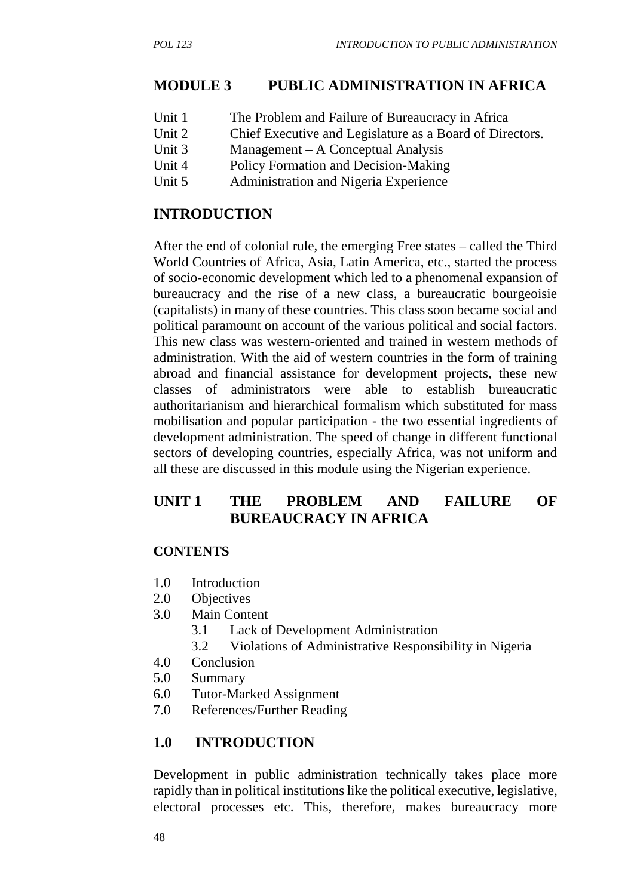# **MODULE 3 PUBLIC ADMINISTRATION IN AFRICA**

- Unit 1 The Problem and Failure of Bureaucracy in Africa
- Unit 2 Chief Executive and Legislature as a Board of Directors.
- Unit 3 Management A Conceptual Analysis
- Unit 4 Policy Formation and Decision-Making
- Unit 5 Administration and Nigeria Experience

## **INTRODUCTION**

After the end of colonial rule, the emerging Free states – called the Third World Countries of Africa, Asia, Latin America, etc., started the process of socio-economic development which led to a phenomenal expansion of bureaucracy and the rise of a new class, a bureaucratic bourgeoisie (capitalists) in many of these countries. This class soon became social and political paramount on account of the various political and social factors. This new class was western-oriented and trained in western methods of administration. With the aid of western countries in the form of training abroad and financial assistance for development projects, these new classes of administrators were able to establish bureaucratic authoritarianism and hierarchical formalism which substituted for mass mobilisation and popular participation - the two essential ingredients of development administration. The speed of change in different functional sectors of developing countries, especially Africa, was not uniform and all these are discussed in this module using the Nigerian experience.

# **UNIT 1 THE PROBLEM AND FAILURE OF BUREAUCRACY IN AFRICA**

## **CONTENTS**

- 1.0 Introduction
- 2.0 Objectives
- 3.0 Main Content
	- 3.1 Lack of Development Administration
	- 3.2 Violations of Administrative Responsibility in Nigeria
- 4.0 Conclusion
- 5.0 Summary
- 6.0 Tutor-Marked Assignment
- 7.0 References/Further Reading

# **1.0 INTRODUCTION**

Development in public administration technically takes place more rapidly than in political institutions like the political executive, legislative, electoral processes etc. This, therefore, makes bureaucracy more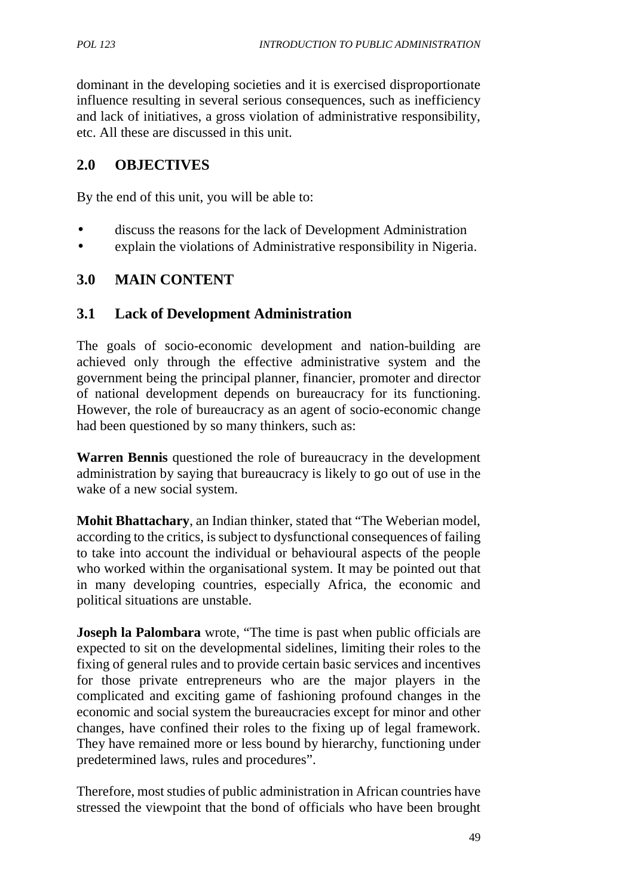dominant in the developing societies and it is exercised disproportionate influence resulting in several serious consequences, such as inefficiency and lack of initiatives, a gross violation of administrative responsibility, etc. All these are discussed in this unit.

## **2.0 OBJECTIVES**

By the end of this unit, you will be able to:

- discuss the reasons for the lack of Development Administration
- explain the violations of Administrative responsibility in Nigeria.

## **3.0 MAIN CONTENT**

## **3.1 Lack of Development Administration**

The goals of socio-economic development and nation-building are achieved only through the effective administrative system and the government being the principal planner, financier, promoter and director of national development depends on bureaucracy for its functioning. However, the role of bureaucracy as an agent of socio-economic change had been questioned by so many thinkers, such as:

**Warren Bennis** questioned the role of bureaucracy in the development administration by saying that bureaucracy is likely to go out of use in the wake of a new social system.

**Mohit Bhattachary**, an Indian thinker, stated that "The Weberian model, according to the critics, is subject to dysfunctional consequences of failing to take into account the individual or behavioural aspects of the people who worked within the organisational system. It may be pointed out that in many developing countries, especially Africa, the economic and political situations are unstable.

**Joseph la Palombara** wrote, "The time is past when public officials are expected to sit on the developmental sidelines, limiting their roles to the fixing of general rules and to provide certain basic services and incentives for those private entrepreneurs who are the major players in the complicated and exciting game of fashioning profound changes in the economic and social system the bureaucracies except for minor and other changes, have confined their roles to the fixing up of legal framework. They have remained more or less bound by hierarchy, functioning under predetermined laws, rules and procedures".

Therefore, most studies of public administration in African countries have stressed the viewpoint that the bond of officials who have been brought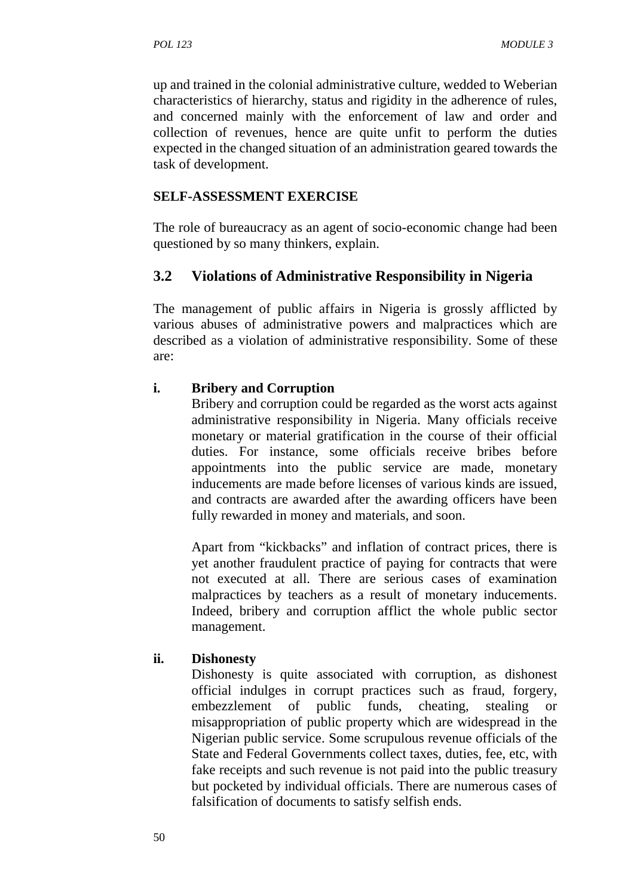up and trained in the colonial administrative culture, wedded to Weberian characteristics of hierarchy, status and rigidity in the adherence of rules, and concerned mainly with the enforcement of law and order and collection of revenues, hence are quite unfit to perform the duties expected in the changed situation of an administration geared towards the task of development.

#### **SELF-ASSESSMENT EXERCISE**

The role of bureaucracy as an agent of socio-economic change had been questioned by so many thinkers, explain.

#### **3.2 Violations of Administrative Responsibility in Nigeria**

The management of public affairs in Nigeria is grossly afflicted by various abuses of administrative powers and malpractices which are described as a violation of administrative responsibility. Some of these are:

#### **i. Bribery and Corruption**

Bribery and corruption could be regarded as the worst acts against administrative responsibility in Nigeria. Many officials receive monetary or material gratification in the course of their official duties. For instance, some officials receive bribes before appointments into the public service are made, monetary inducements are made before licenses of various kinds are issued, and contracts are awarded after the awarding officers have been fully rewarded in money and materials, and soon.

Apart from "kickbacks" and inflation of contract prices, there is yet another fraudulent practice of paying for contracts that were not executed at all. There are serious cases of examination malpractices by teachers as a result of monetary inducements. Indeed, bribery and corruption afflict the whole public sector management.

#### **ii. Dishonesty**

Dishonesty is quite associated with corruption, as dishonest official indulges in corrupt practices such as fraud, forgery, embezzlement of public funds, cheating, stealing or misappropriation of public property which are widespread in the Nigerian public service. Some scrupulous revenue officials of the State and Federal Governments collect taxes, duties, fee, etc, with fake receipts and such revenue is not paid into the public treasury but pocketed by individual officials. There are numerous cases of falsification of documents to satisfy selfish ends.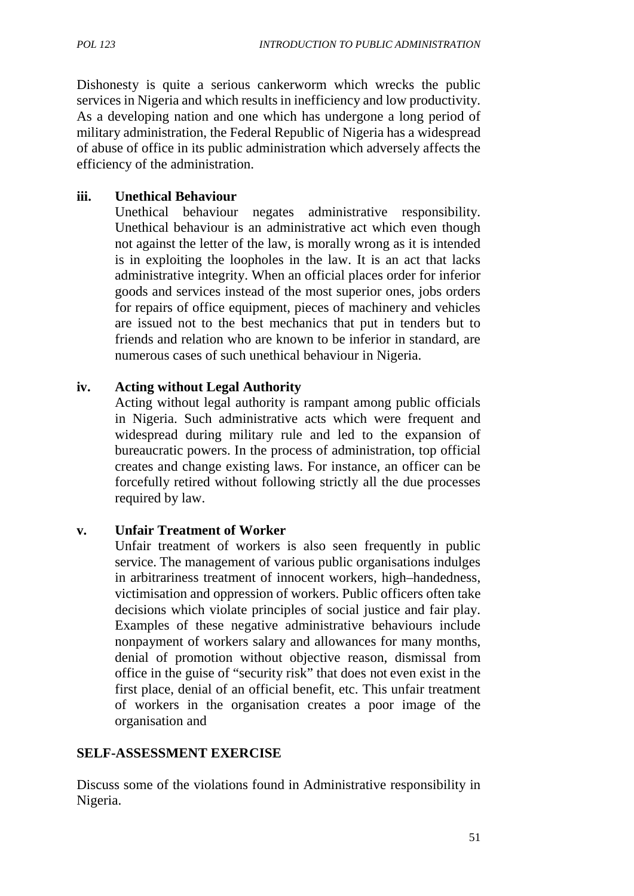Dishonesty is quite a serious cankerworm which wrecks the public services in Nigeria and which results in inefficiency and low productivity. As a developing nation and one which has undergone a long period of military administration, the Federal Republic of Nigeria has a widespread of abuse of office in its public administration which adversely affects the efficiency of the administration.

#### **iii. Unethical Behaviour**

Unethical behaviour negates administrative responsibility. Unethical behaviour is an administrative act which even though not against the letter of the law, is morally wrong as it is intended is in exploiting the loopholes in the law. It is an act that lacks administrative integrity. When an official places order for inferior goods and services instead of the most superior ones, jobs orders for repairs of office equipment, pieces of machinery and vehicles are issued not to the best mechanics that put in tenders but to friends and relation who are known to be inferior in standard, are numerous cases of such unethical behaviour in Nigeria.

#### **iv. Acting without Legal Authority**

Acting without legal authority is rampant among public officials in Nigeria. Such administrative acts which were frequent and widespread during military rule and led to the expansion of bureaucratic powers. In the process of administration, top official creates and change existing laws. For instance, an officer can be forcefully retired without following strictly all the due processes required by law.

#### **v. Unfair Treatment of Worker**

Unfair treatment of workers is also seen frequently in public service. The management of various public organisations indulges in arbitrariness treatment of innocent workers, high–handedness, victimisation and oppression of workers. Public officers often take decisions which violate principles of social justice and fair play. Examples of these negative administrative behaviours include nonpayment of workers salary and allowances for many months, denial of promotion without objective reason, dismissal from office in the guise of "security risk" that does not even exist in the first place, denial of an official benefit, etc. This unfair treatment of workers in the organisation creates a poor image of the organisation and

#### **SELF-ASSESSMENT EXERCISE**

Discuss some of the violations found in Administrative responsibility in Nigeria.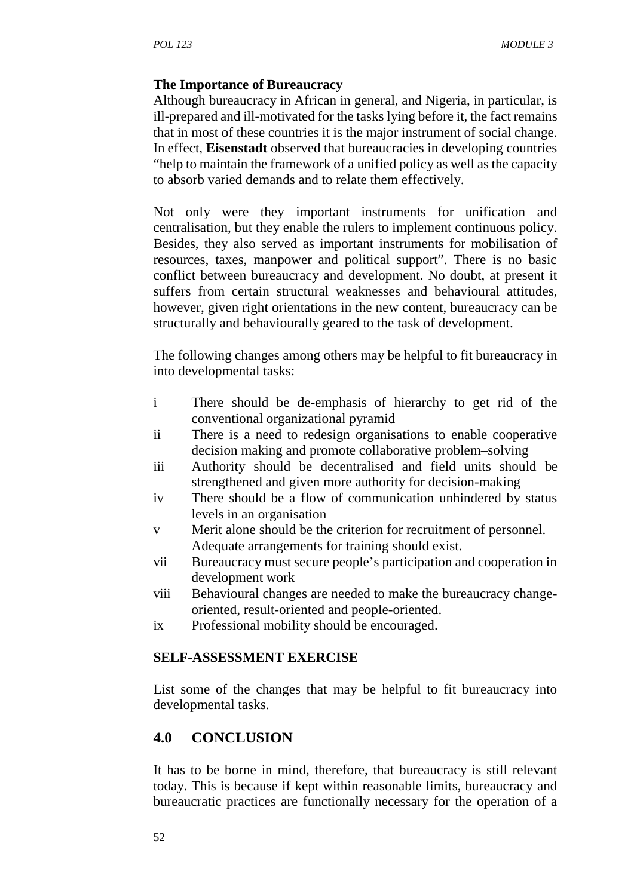#### **The Importance of Bureaucracy**

Although bureaucracy in African in general, and Nigeria, in particular, is ill-prepared and ill-motivated for the tasks lying before it, the fact remains that in most of these countries it is the major instrument of social change. In effect, **Eisenstadt** observed that bureaucracies in developing countries "help to maintain the framework of a unified policy as well as the capacity to absorb varied demands and to relate them effectively.

Not only were they important instruments for unification and centralisation, but they enable the rulers to implement continuous policy. Besides, they also served as important instruments for mobilisation of resources, taxes, manpower and political support". There is no basic conflict between bureaucracy and development. No doubt, at present it suffers from certain structural weaknesses and behavioural attitudes, however, given right orientations in the new content, bureaucracy can be structurally and behaviourally geared to the task of development.

The following changes among others may be helpful to fit bureaucracy in into developmental tasks:

- i There should be de-emphasis of hierarchy to get rid of the conventional organizational pyramid
- ii There is a need to redesign organisations to enable cooperative decision making and promote collaborative problem–solving
- iii Authority should be decentralised and field units should be strengthened and given more authority for decision-making
- iv There should be a flow of communication unhindered by status levels in an organisation
- v Merit alone should be the criterion for recruitment of personnel. Adequate arrangements for training should exist.
- vii Bureaucracy must secure people's participation and cooperation in development work
- viii Behavioural changes are needed to make the bureaucracy change oriented, result-oriented and people-oriented.
- ix Professional mobility should be encouraged.

#### **SELF-ASSESSMENT EXERCISE**

List some of the changes that may be helpful to fit bureaucracy into developmental tasks.

## **4.0 CONCLUSION**

It has to be borne in mind, therefore, that bureaucracy is still relevant today. This is because if kept within reasonable limits, bureaucracy and bureaucratic practices are functionally necessary for the operation of a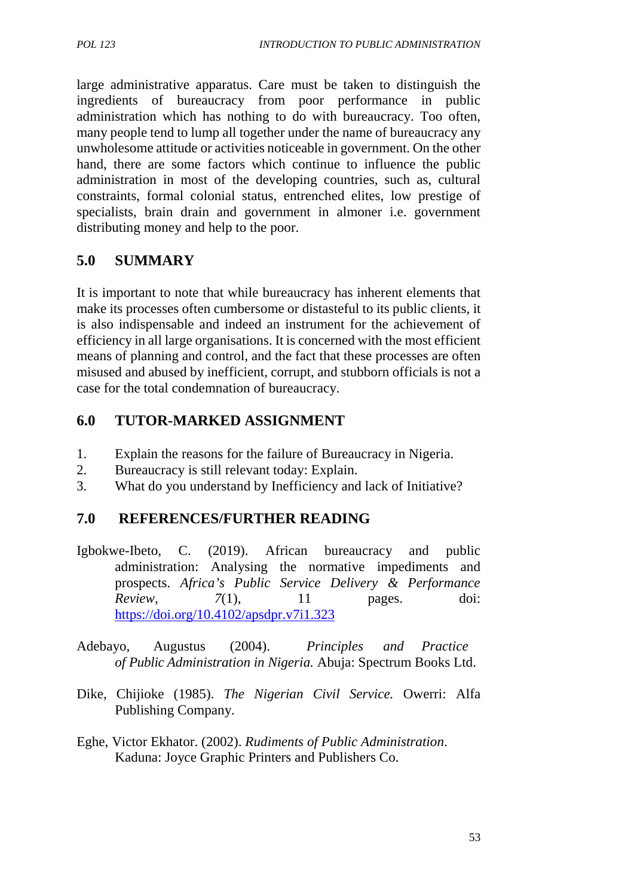large administrative apparatus. Care must be taken to distinguish the ingredients of bureaucracy from poor performance in public administration which has nothing to do with bureaucracy. Too often, many people tend to lump all together under the name of bureaucracy any unwholesome attitude or activities noticeable in government. On the other hand, there are some factors which continue to influence the public administration in most of the developing countries, such as, cultural constraints, formal colonial status, entrenched elites, low prestige of specialists, brain drain and government in almoner i.e. government distributing money and help to the poor.

# **5.0 SUMMARY**

It is important to note that while bureaucracy has inherent elements that make its processes often cumbersome or distasteful to its public clients, it is also indispensable and indeed an instrument for the achievement of efficiency in all large organisations. It is concerned with the most efficient means of planning and control, and the fact that these processes are often misused and abused by inefficient, corrupt, and stubborn officials is not a case for the total condemnation of bureaucracy.

## **6.0 TUTOR-MARKED ASSIGNMENT**

- 1. Explain the reasons for the failure of Bureaucracy in Nigeria.
- 2. Bureaucracy is still relevant today: Explain.
- 3. What do you understand by Inefficiency and lack of Initiative?

## **7.0 REFERENCES/FURTHER READING**

- Igbokwe-Ibeto, C. (2019). African bureaucracy and public administration: Analysing the normative impediments and prospects. *Africa's Public Service Delivery & Performance Review, 7*(1), 11 pages. doi: https://doi.org/10.4102/apsdpr.v7i1.323
- Adebayo, Augustus (2004). *Principles and Practice of Public Administration in Nigeria.* Abuja: Spectrum Books Ltd.
- Dike, Chijioke (1985). *The Nigerian Civil Service.* Owerri: Alfa Publishing Company.
- Eghe, Victor Ekhator. (2002). *Rudiments of Public Administration*. Kaduna: Joyce Graphic Printers and Publishers Co.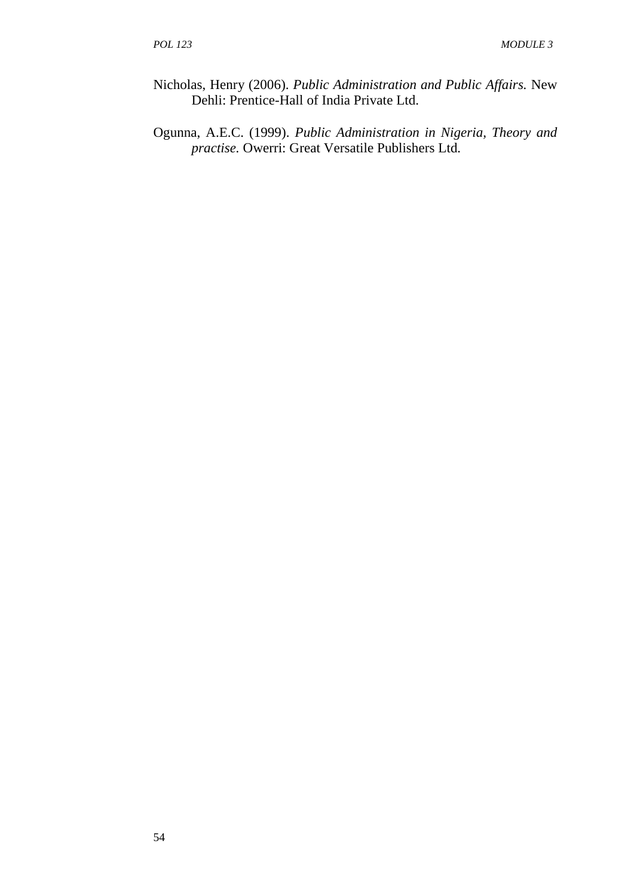- Nicholas, Henry (2006). *Public Administration and Public Affairs.* New Dehli: Prentice-Hall of India Private Ltd.
- Ogunna, A.E.C. (1999). *Public Administration in Nigeria, Theory and practise.* Owerri: Great Versatile Publishers Ltd*.*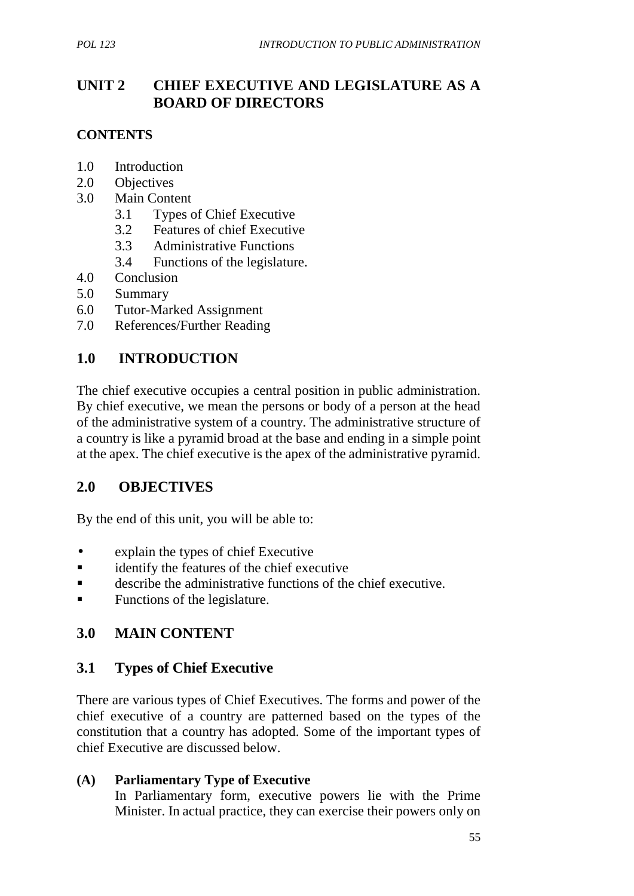# **UNIT 2 CHIEF EXECUTIVE AND LEGISLATURE AS A BOARD OF DIRECTORS**

## **CONTENTS**

- 1.0 Introduction
- 2.0 Objectives
- 3.0 Main Content
	- 3.1 Types of Chief Executive
	- 3.2 Features of chief Executive
	- 3.3 Administrative Functions
	- 3.4 Functions of the legislature.
- 4.0 Conclusion
- 5.0 Summary
- 6.0 Tutor-Marked Assignment
- 7.0 References/Further Reading

## **1.0 INTRODUCTION**

The chief executive occupies a central position in public administration. By chief executive, we mean the persons or body of a person at the head of the administrative system of a country. The administrative structure of a country is like a pyramid broad at the base and ending in a simple point at the apex. The chief executive is the apex of the administrative pyramid.

## **2.0 OBJECTIVES**

By the end of this unit, you will be able to:

- explain the types of chief Executive
- **Exercise identify the features of the chief executive**
- describe the administrative functions of the chief executive.
- Functions of the legislature.

## **3.0 MAIN CONTENT**

## **3.1 Types of Chief Executive**

There are various types of Chief Executives. The forms and power of the chief executive of a country are patterned based on the types of the constitution that a country has adopted. Some of the important types of chief Executive are discussed below.

#### **(A) Parliamentary Type of Executive**

In Parliamentary form, executive powers lie with the Prime Minister. In actual practice, they can exercise their powers only on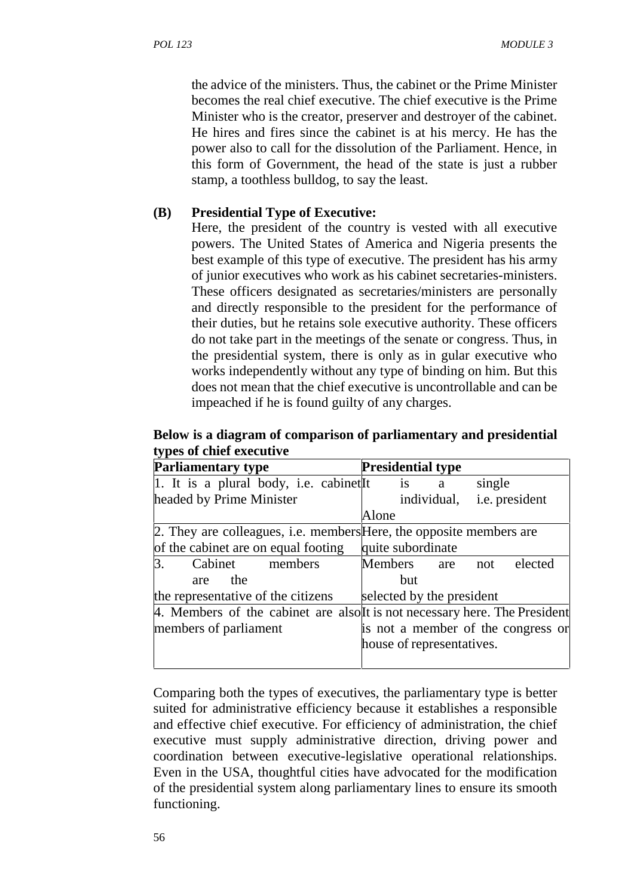the advice of the ministers. Thus, the cabinet or the Prime Minister becomes the real chief executive. The chief executive is the Prime Minister who is the creator, preserver and destroyer of the cabinet. He hires and fires since the cabinet is at his mercy. He has the power also to call for the dissolution of the Parliament. Hence, in this form of Government, the head of the state is just a rubber stamp, a toothless bulldog, to say the least.

#### **(B) Presidential Type of Executive:**

Here, the president of the country is vested with all executive powers. The United States of America and Nigeria presents the best example of this type of executive. The president has his army of junior executives who work as his cabinet secretaries-ministers. These officers designated as secretaries/ministers are personally and directly responsible to the president for the performance of their duties, but he retains sole executive authority. These officers do not take part in the meetings of the senate or congress. Thus, in the presidential system, there is only as in gular executive who works independently without any type of binding on him. But this does not mean that the chief executive is uncontrollable and can be impeached if he is found guilty of any charges.

**Below is a diagram of comparison of parliamentary and presidential types of chief executive**

| <b>Parliamentary type</b>                                                  | <b>Presidential type</b>                                                   |
|----------------------------------------------------------------------------|----------------------------------------------------------------------------|
| 1. It is a plural body, i.e. cabinet It                                    | is<br>single<br>a                                                          |
| headed by Prime Minister                                                   | <i>i.e.</i> president<br>individual,                                       |
|                                                                            | Alone                                                                      |
| 2. They are colleagues, <i>i.e.</i> members Here, the opposite members are |                                                                            |
| of the cabinet are on equal footing                                        | quite subordinate                                                          |
| $\mathbf{3}$ .<br>Cabinet<br>members                                       | Members are<br>elected<br>not                                              |
| the<br>are                                                                 | but                                                                        |
| the representative of the citizens                                         | selected by the president                                                  |
|                                                                            | 4. Members of the cabinet are also It is not necessary here. The President |
| members of parliament                                                      | is not a member of the congress or                                         |
|                                                                            | house of representatives.                                                  |
|                                                                            |                                                                            |

Comparing both the types of executives, the parliamentary type is better suited for administrative efficiency because it establishes a responsible and effective chief executive. For efficiency of administration, the chief executive must supply administrative direction, driving power and coordination between executive-legislative operational relationships. Even in the USA, thoughtful cities have advocated for the modification of the presidential system along parliamentary lines to ensure its smooth functioning.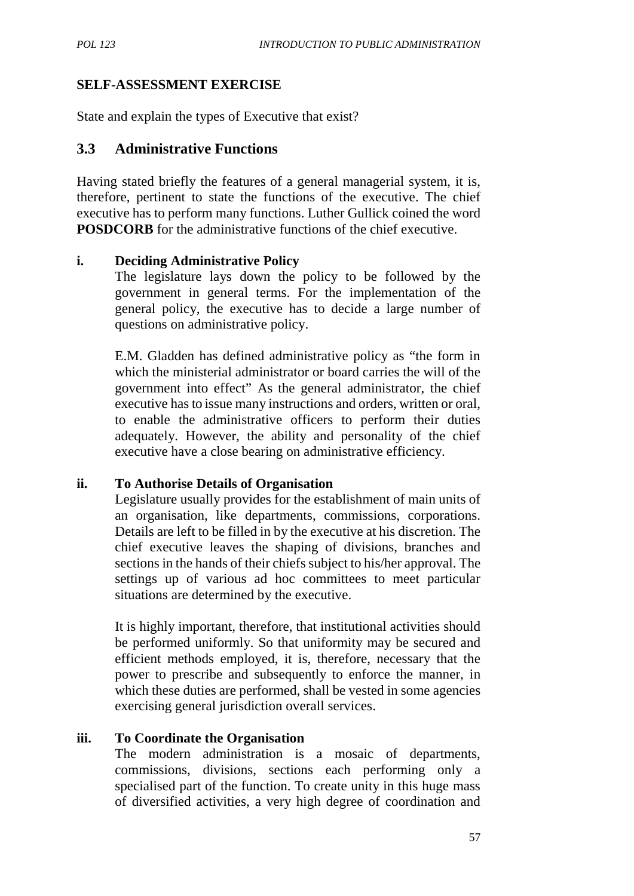#### **SELF-ASSESSMENT EXERCISE**

State and explain the types of Executive that exist?

#### **3.3 Administrative Functions**

Having stated briefly the features of a general managerial system, it is, therefore, pertinent to state the functions of the executive. The chief executive has to perform many functions. Luther Gullick coined the word **POSDCORB** for the administrative functions of the chief executive.

#### **i. Deciding Administrative Policy**

The legislature lays down the policy to be followed by the government in general terms. For the implementation of the general policy, the executive has to decide a large number of questions on administrative policy.

E.M. Gladden has defined administrative policy as "the form in which the ministerial administrator or board carries the will of the government into effect" As the general administrator, the chief executive has to issue many instructions and orders, written or oral, to enable the administrative officers to perform their duties adequately. However, the ability and personality of the chief executive have a close bearing on administrative efficiency.

#### **ii. To Authorise Details of Organisation**

Legislature usually provides for the establishment of main units of an organisation, like departments, commissions, corporations. Details are left to be filled in by the executive at his discretion. The chief executive leaves the shaping of divisions, branches and sections in the hands of their chiefs subject to his/her approval. The settings up of various ad hoc committees to meet particular situations are determined by the executive.

It is highly important, therefore, that institutional activities should be performed uniformly. So that uniformity may be secured and efficient methods employed, it is, therefore, necessary that the power to prescribe and subsequently to enforce the manner, in which these duties are performed, shall be vested in some agencies exercising general jurisdiction overall services.

## **iii. To Coordinate the Organisation**

The modern administration is a mosaic of departments, commissions, divisions, sections each performing only a specialised part of the function. To create unity in this huge mass of diversified activities, a very high degree of coordination and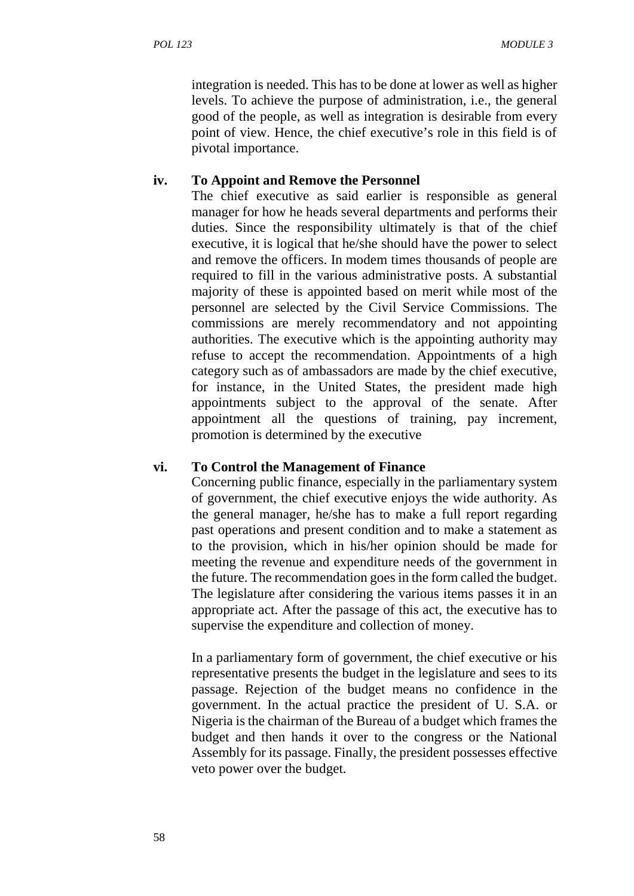integration is needed. This has to be done at lower as well as higher levels. To achieve the purpose of administration, i.e., the general good of the people, as well as integration is desirable from every point of view. Hence, the chief executive's role in this field is of pivotal importance.

#### **iv. To Appoint and Remove the Personnel**

The chief executive as said earlier is responsible as general manager for how he heads several departments and performs their duties. Since the responsibility ultimately is that of the chief executive, it is logical that he/she should have the power to select and remove the officers. In modem times thousands of people are required to fill in the various administrative posts. A substantial majority of these is appointed based on merit while most of the personnel are selected by the Civil Service Commissions. The commissions are merely recommendatory and not appointing authorities. The executive which is the appointing authority may refuse to accept the recommendation. Appointments of a high category such as of ambassadors are made by the chief executive, for instance, in the United States, the president made high appointments subject to the approval of the senate. After appointment all the questions of training, pay increment, promotion is determined by the executive

#### **vi. To Control the Management of Finance**

Concerning public finance, especially in the parliamentary system of government, the chief executive enjoys the wide authority. As the general manager, he/she has to make a full report regarding past operations and present condition and to make a statement as to the provision, which in his/her opinion should be made for meeting the revenue and expenditure needs of the government in the future. The recommendation goes in the form called the budget. The legislature after considering the various items passes it in an appropriate act. After the passage of this act, the executive has to supervise the expenditure and collection of money.

In a parliamentary form of government, the chief executive or his representative presents the budget in the legislature and sees to its passage. Rejection of the budget means no confidence in the government. In the actual practice the president of U. S.A. or Nigeria is the chairman of the Bureau of a budget which frames the budget and then hands it over to the congress or the National Assembly for its passage. Finally, the president possesses effective veto power over the budget.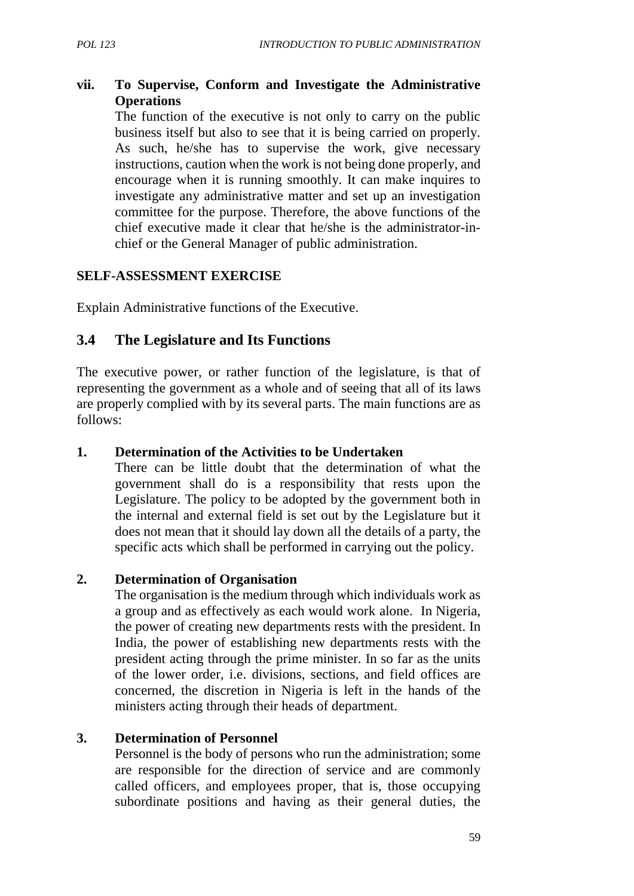## **vii. To Supervise, Conform and Investigate the Administrative Operations**

The function of the executive is not only to carry on the public business itself but also to see that it is being carried on properly. As such, he/she has to supervise the work, give necessary instructions, caution when the work is not being done properly, and encourage when it is running smoothly. It can make inquires to investigate any administrative matter and set up an investigation committee for the purpose. Therefore, the above functions of the chief executive made it clear that he/she is the administrator-in chief or the General Manager of public administration.

#### **SELF-ASSESSMENT EXERCISE**

Explain Administrative functions of the Executive.

## **3.4 The Legislature and Its Functions**

The executive power, or rather function of the legislature, is that of representing the government as a whole and of seeing that all of its laws are properly complied with by its several parts. The main functions are as follows:

#### **1. Determination of the Activities to be Undertaken**

There can be little doubt that the determination of what the government shall do is a responsibility that rests upon the Legislature. The policy to be adopted by the government both in the internal and external field is set out by the Legislature but it does not mean that it should lay down all the details of a party, the specific acts which shall be performed in carrying out the policy.

#### **2. Determination of Organisation**

The organisation is the medium through which individuals work as a group and as effectively as each would work alone. In Nigeria, the power of creating new departments rests with the president. In India, the power of establishing new departments rests with the president acting through the prime minister. In so far as the units of the lower order, i.e. divisions, sections, and field offices are concerned, the discretion in Nigeria is left in the hands of the ministers acting through their heads of department.

## **3. Determination of Personnel**

Personnel is the body of persons who run the administration; some are responsible for the direction of service and are commonly called officers, and employees proper, that is, those occupying subordinate positions and having as their general duties, the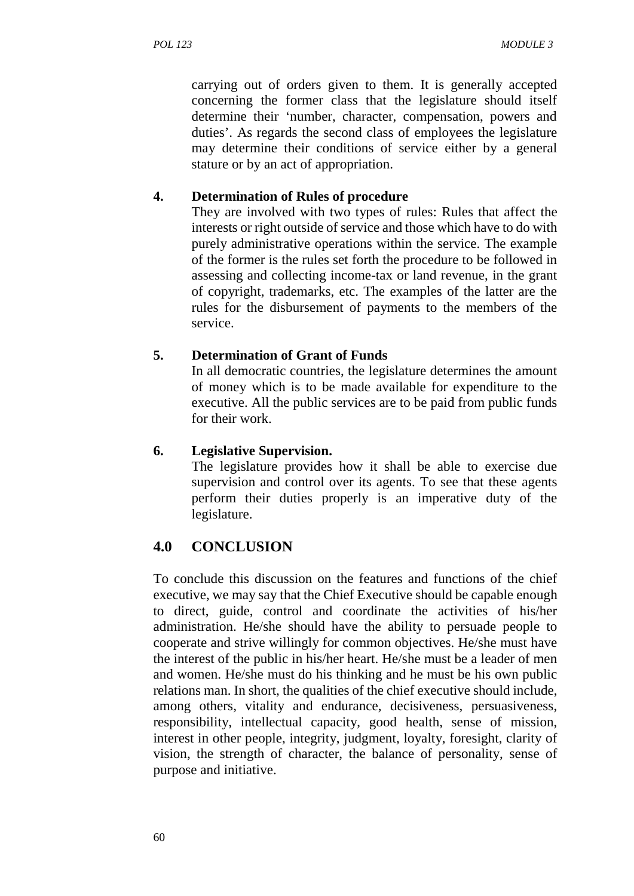carrying out of orders given to them. It is generally accepted concerning the former class that the legislature should itself determine their 'number, character, compensation, powers and duties'. As regards the second class of employees the legislature may determine their conditions of service either by a general stature or by an act of appropriation.

## **4. Determination of Rules of procedure**

They are involved with two types of rules: Rules that affect the interests or right outside of service and those which have to do with purely administrative operations within the service. The example of the former is the rules set forth the procedure to be followed in assessing and collecting income-tax or land revenue, in the grant of copyright, trademarks, etc. The examples of the latter are the rules for the disbursement of payments to the members of the service.

## **5. Determination of Grant of Funds**

In all democratic countries, the legislature determines the amount of money which is to be made available for expenditure to the executive. All the public services are to be paid from public funds for their work.

## **6. Legislative Supervision.**

The legislature provides how it shall be able to exercise due supervision and control over its agents. To see that these agents perform their duties properly is an imperative duty of the legislature.

# **4.0 CONCLUSION**

To conclude this discussion on the features and functions of the chief executive, we may say that the Chief Executive should be capable enough to direct, guide, control and coordinate the activities of his/her administration. He/she should have the ability to persuade people to cooperate and strive willingly for common objectives. He/she must have the interest of the public in his/her heart. He/she must be a leader of men and women. He/she must do his thinking and he must be his own public relations man. In short, the qualities of the chief executive should include, among others, vitality and endurance, decisiveness, persuasiveness, responsibility, intellectual capacity, good health, sense of mission, interest in other people, integrity, judgment, loyalty, foresight, clarity of vision, the strength of character, the balance of personality, sense of purpose and initiative.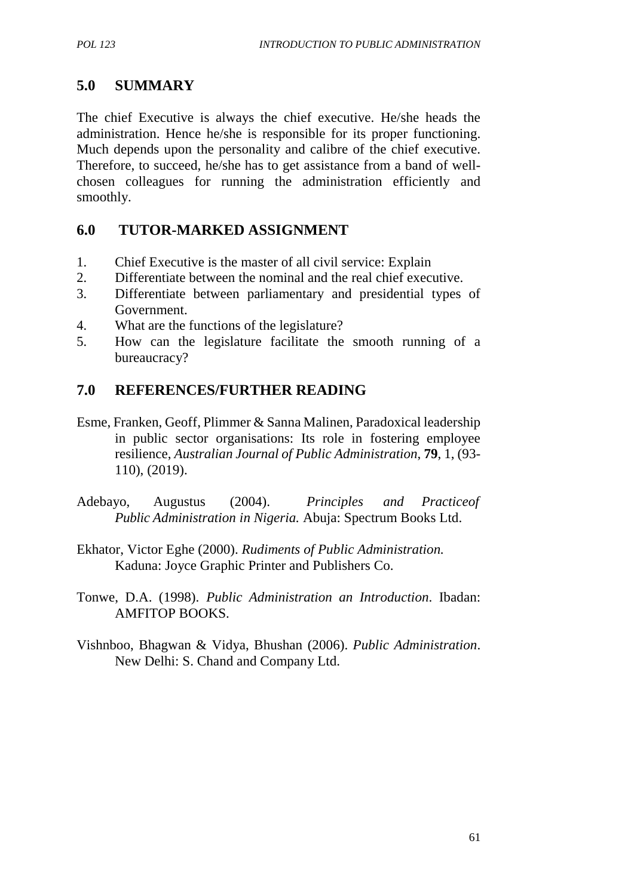# **5.0 SUMMARY**

The chief Executive is always the chief executive. He/she heads the administration. Hence he/she is responsible for its proper functioning. Much depends upon the personality and calibre of the chief executive. Therefore, to succeed, he/she has to get assistance from a band of well chosen colleagues for running the administration efficiently and smoothly.

## **6.0 TUTOR-MARKED ASSIGNMENT**

- 1. Chief Executive is the master of all civil service: Explain
- 2. Differentiate between the nominal and the real chief executive.
- 3. Differentiate between parliamentary and presidential types of Government.
- 4. What are the functions of the legislature?
- 5. How can the legislature facilitate the smooth running of a bureaucracy?

# **7.0 REFERENCES/FURTHER READING**

- Esme, Franken, Geoff, Plimmer & Sanna Malinen, Paradoxical leadership in public sector organisations: Its role in fostering employee resilience, *Australian Journal of Public Administration*, **79**, 1, (93- 110), (2019).
- Adebayo, Augustus (2004). *Principles and Practiceof Public Administration in Nigeria.* Abuja: Spectrum Books Ltd.
- Ekhator, Victor Eghe (2000). *Rudiments of Public Administration.* Kaduna: Joyce Graphic Printer and Publishers Co.
- Tonwe, D.A. (1998). *Public Administration an Introduction*. Ibadan: AMFITOP BOOKS.
- Vishnboo, Bhagwan & Vidya, Bhushan (2006). *Public Administration*. New Delhi: S. Chand and Company Ltd.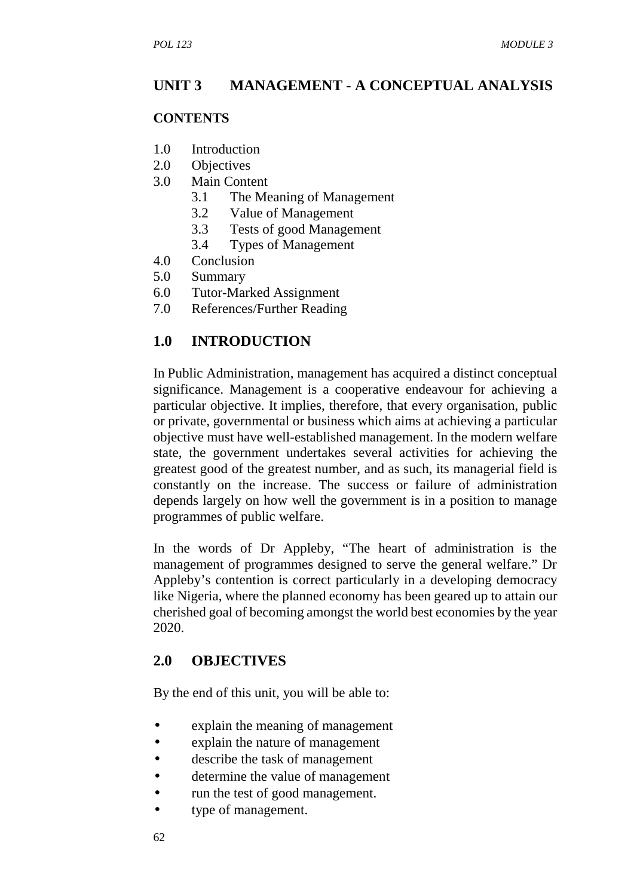## **UNIT 3 MANAGEMENT - A CONCEPTUAL ANALYSIS**

#### **CONTENTS**

- 1.0 Introduction
- 2.0 Objectives
- 3.0 Main Content
	- 3.1 The Meaning of Management
	- 3.2 Value of Management
	- 3.3 Tests of good Management
	- 3.4 Types of Management
- 4.0 Conclusion
- 5.0 Summary
- 6.0 Tutor-Marked Assignment
- 7.0 References/Further Reading

## **1.0 INTRODUCTION**

In Public Administration, management has acquired a distinct conceptual significance. Management is a cooperative endeavour for achieving a particular objective. It implies, therefore, that every organisation, public or private, governmental or business which aims at achieving a particular objective must have well-established management. In the modern welfare state, the government undertakes several activities for achieving the greatest good of the greatest number, and as such, its managerial field is constantly on the increase. The success or failure of administration depends largely on how well the government is in a position to manage programmes of public welfare.

In the words of Dr Appleby, "The heart of administration is the management of programmes designed to serve the general welfare." Dr Appleby's contention is correct particularly in a developing democracy like Nigeria, where the planned economy has been geared up to attain our cherished goal of becoming amongst the world best economies by the year 2020.

## **2.0 OBJECTIVES**

By the end of this unit, you will be able to:

- explain the meaning of management
- explain the nature of management
- describe the task of management
- determine the value of management
- run the test of good management.
- type of management.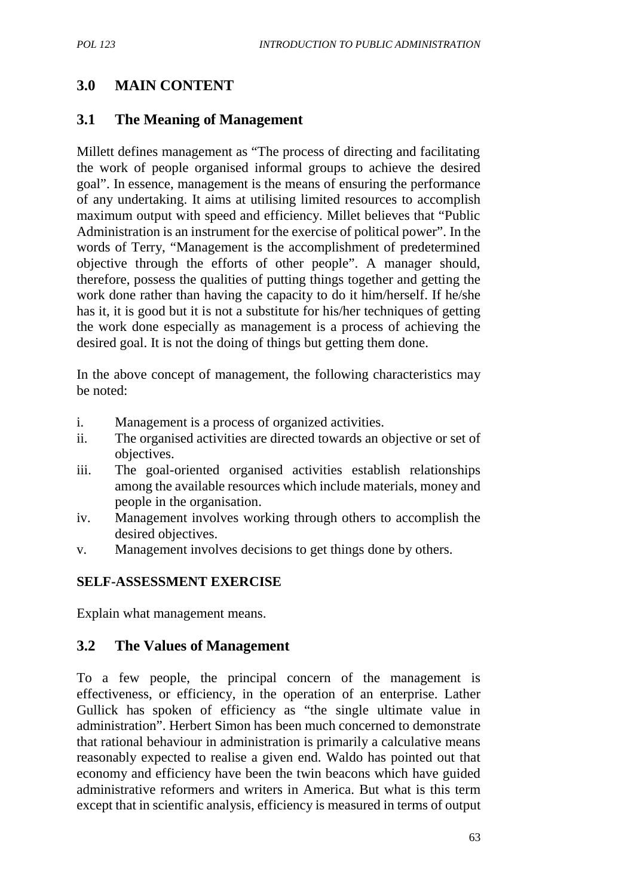# **3.0 MAIN CONTENT**

## **3.1 The Meaning of Management**

Millett defines management as "The process of directing and facilitating the work of people organised informal groups to achieve the desired goal". In essence, management is the means of ensuring the performance of any undertaking. It aims at utilising limited resources to accomplish maximum output with speed and efficiency. Millet believes that "Public Administration is an instrument for the exercise of political power". In the words of Terry, "Management is the accomplishment of predetermined objective through the efforts of other people". A manager should, therefore, possess the qualities of putting things together and getting the work done rather than having the capacity to do it him/herself. If he/she has it, it is good but it is not a substitute for his/her techniques of getting the work done especially as management is a process of achieving the desired goal. It is not the doing of things but getting them done.

In the above concept of management, the following characteristics may be noted:

- i. Management is a process of organized activities.
- ii. The organised activities are directed towards an objective or set of objectives.
- iii. The goal-oriented organised activities establish relationships among the available resources which include materials, money and people in the organisation.
- iv. Management involves working through others to accomplish the desired objectives.
- v. Management involves decisions to get things done by others.

## **SELF-ASSESSMENT EXERCISE**

Explain what management means.

## **3.2 The Values of Management**

To a few people, the principal concern of the management is effectiveness, or efficiency, in the operation of an enterprise. Lather Gullick has spoken of efficiency as "the single ultimate value in administration". Herbert Simon has been much concerned to demonstrate that rational behaviour in administration is primarily a calculative means reasonably expected to realise a given end. Waldo has pointed out that economy and efficiency have been the twin beacons which have guided administrative reformers and writers in America. But what is this term except that in scientific analysis, efficiency is measured in terms of output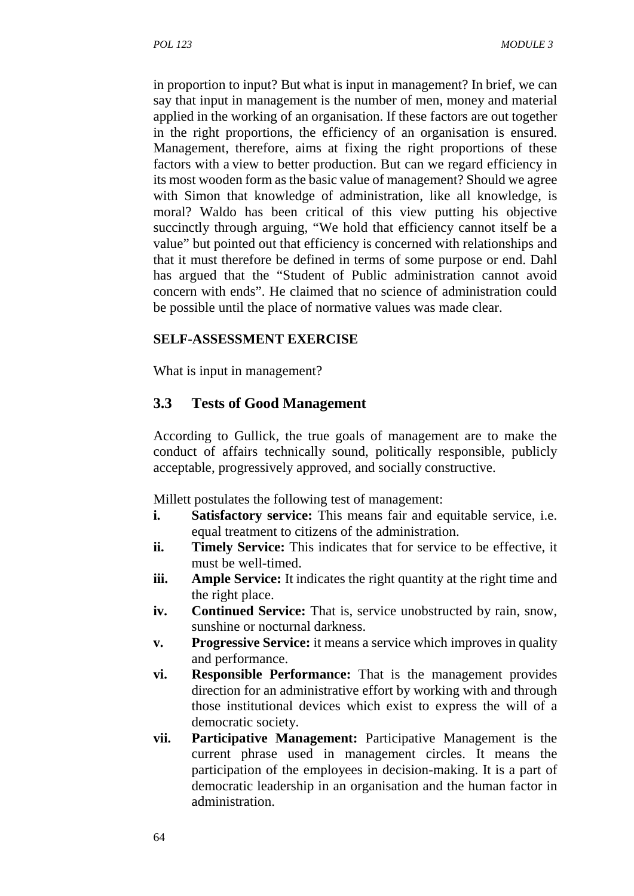in proportion to input? But what is input in management? In brief, we can say that input in management is the number of men, money and material applied in the working of an organisation. If these factors are out together in the right proportions, the efficiency of an organisation is ensured. Management, therefore, aims at fixing the right proportions of these factors with a view to better production. But can we regard efficiency in its most wooden form as the basic value of management? Should we agree with Simon that knowledge of administration, like all knowledge, is moral? Waldo has been critical of this view putting his objective succinctly through arguing, "We hold that efficiency cannot itself be a value" but pointed out that efficiency is concerned with relationships and that it must therefore be defined in terms of some purpose or end. Dahl has argued that the "Student of Public administration cannot avoid concern with ends". He claimed that no science of administration could be possible until the place of normative values was made clear.

#### **SELF-ASSESSMENT EXERCISE**

What is input in management?

## **3.3 Tests of Good Management**

According to Gullick, the true goals of management are to make the conduct of affairs technically sound, politically responsible, publicly acceptable, progressively approved, and socially constructive.

Millett postulates the following test of management:

- **i. Satisfactory service:** This means fair and equitable service, i.e. equal treatment to citizens of the administration.
- **ii. Timely Service:** This indicates that for service to be effective, it must be well-timed.
- **iii. Ample Service:** It indicates the right quantity at the right time and the right place.
- iv. **Continued Service:** That is, service unobstructed by rain, snow, sunshine or nocturnal darkness.
- **v. Progressive Service:** it means a service which improves in quality and performance.
- **vi. Responsible Performance:** That is the management provides direction for an administrative effort by working with and through those institutional devices which exist to express the will of a democratic society.
- **vii. Participative Management:** Participative Management is the current phrase used in management circles. It means the participation of the employees in decision-making. It is a part of democratic leadership in an organisation and the human factor in administration.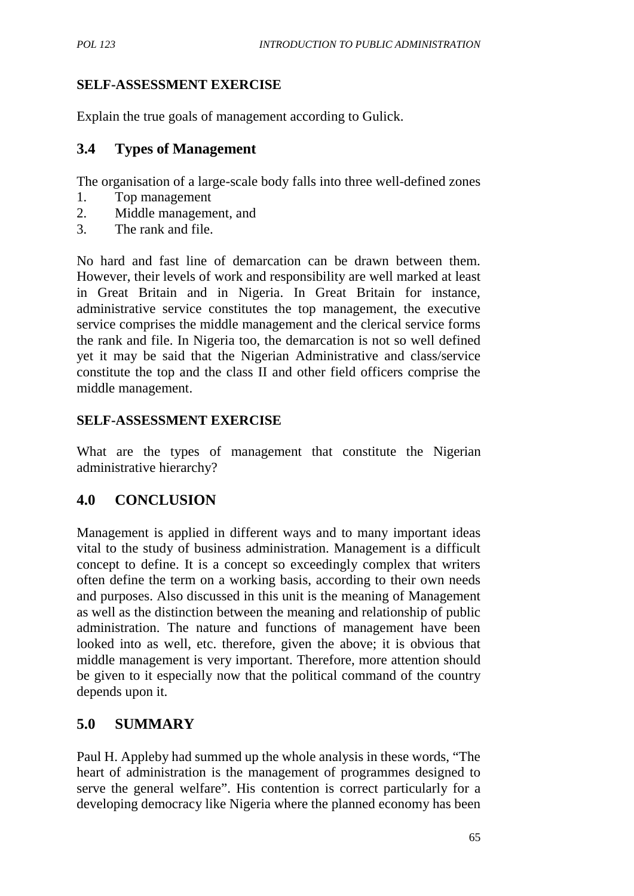## **SELF-ASSESSMENT EXERCISE**

Explain the true goals of management according to Gulick.

## **3.4 Types of Management**

The organisation of a large-scale body falls into three well-defined zones

- 1. Top management
- 2. Middle management, and
- 3. The rank and file.

No hard and fast line of demarcation can be drawn between them. However, their levels of work and responsibility are well marked at least in Great Britain and in Nigeria. In Great Britain for instance, administrative service constitutes the top management, the executive service comprises the middle management and the clerical service forms the rank and file. In Nigeria too, the demarcation is not so well defined yet it may be said that the Nigerian Administrative and class/service constitute the top and the class II and other field officers comprise the middle management.

# **SELF-ASSESSMENT EXERCISE**

What are the types of management that constitute the Nigerian administrative hierarchy?

# **4.0 CONCLUSION**

Management is applied in different ways and to many important ideas vital to the study of business administration. Management is a difficult concept to define. It is a concept so exceedingly complex that writers often define the term on a working basis, according to their own needs and purposes. Also discussed in this unit is the meaning of Management as well as the distinction between the meaning and relationship of public administration. The nature and functions of management have been looked into as well, etc. therefore, given the above; it is obvious that middle management is very important. Therefore, more attention should be given to it especially now that the political command of the country depends upon it.

# **5.0 SUMMARY**

Paul H. Appleby had summed up the whole analysis in these words, "The heart of administration is the management of programmes designed to serve the general welfare". His contention is correct particularly for a developing democracy like Nigeria where the planned economy has been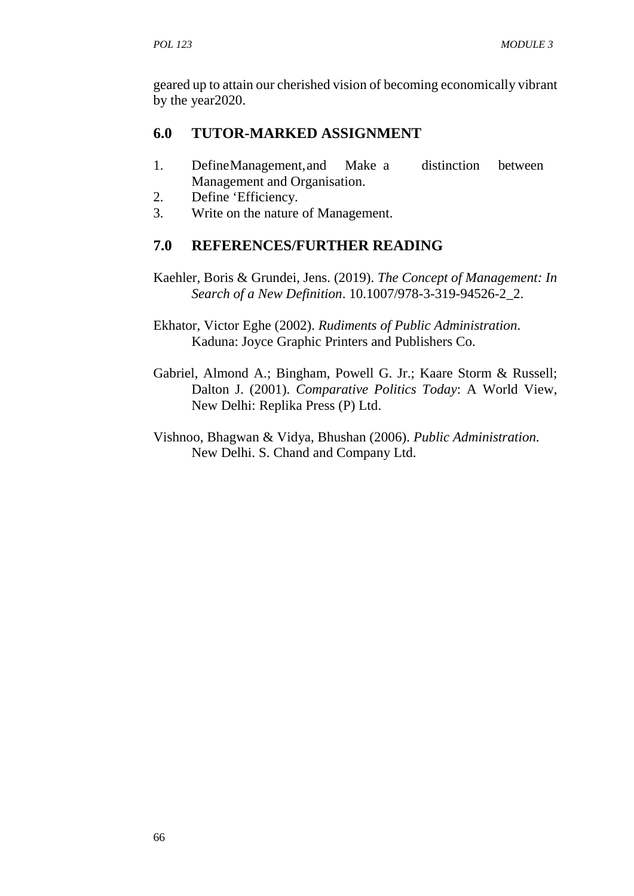geared up to attain our cherished vision of becoming economically vibrant by the year2020.

# **6.0 TUTOR-MARKED ASSIGNMENT**

- 1. DefineManagement,and Make a distinction between Management and Organisation.
- 2. Define 'Efficiency.
- 3. Write on the nature of Management.

# **7.0 REFERENCES/FURTHER READING**

- Kaehler, Boris & Grundei, Jens. (2019). *The Concept of Management: In Search of a New Definition*. 10.1007/978-3-319-94526-2\_2.
- Ekhator, Victor Eghe (2002). *Rudiments of Public Administration*. Kaduna: Joyce Graphic Printers and Publishers Co.
- Gabriel, Almond A.; Bingham, Powell G. Jr.; Kaare Storm & Russell; Dalton J. (2001). *Comparative Politics Today*: A World View, New Delhi: Replika Press (P) Ltd.
- Vishnoo, Bhagwan & Vidya, Bhushan (2006). *Public Administration.* New Delhi. S. Chand and Company Ltd.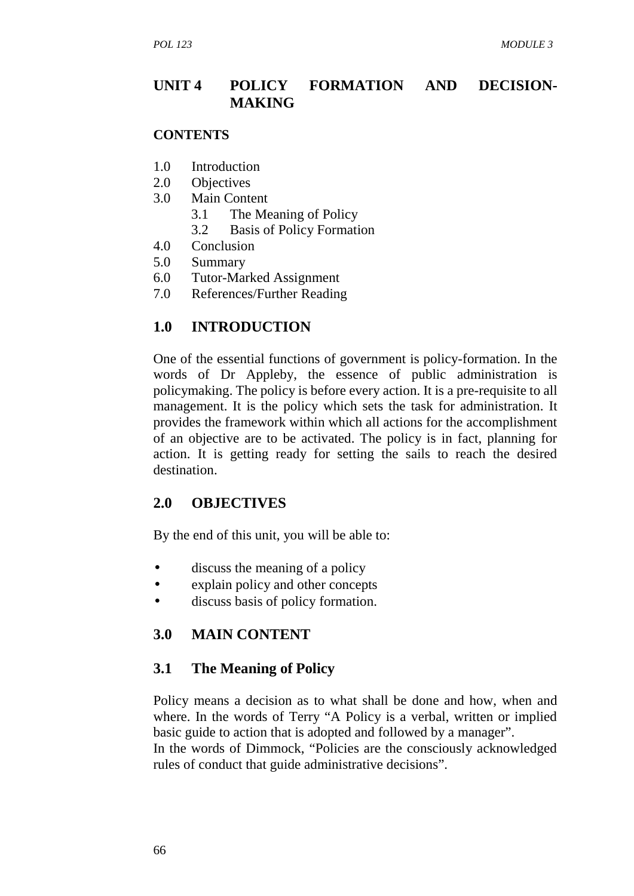## **UNIT 4 POLICY FORMATION AND DECISION- MAKING**

#### **CONTENTS**

- 1.0 Introduction
- 2.0 Objectives
- 3.0 Main Content
	- 3.1 The Meaning of Policy
	- 3.2 Basis of Policy Formation
- 4.0 Conclusion
- 5.0 Summary
- 6.0 Tutor-Marked Assignment
- 7.0 References/Further Reading

## **1.0 INTRODUCTION**

One of the essential functions of government is policy-formation. In the words of Dr Appleby, the essence of public administration is policymaking. The policy is before every action. It is a pre-requisite to all management. It is the policy which sets the task for administration. It provides the framework within which all actions for the accomplishment of an objective are to be activated. The policy is in fact, planning for action. It is getting ready for setting the sails to reach the desired destination.

## **2.0 OBJECTIVES**

By the end of this unit, you will be able to:

- discuss the meaning of a policy
- explain policy and other concepts
- discuss basis of policy formation.

## **3.0 MAIN CONTENT**

## **3.1 The Meaning of Policy**

Policy means a decision as to what shall be done and how, when and where. In the words of Terry "A Policy is a verbal, written or implied basic guide to action that is adopted and followed by a manager".

In the words of Dimmock, "Policies are the consciously acknowledged rules of conduct that guide administrative decisions".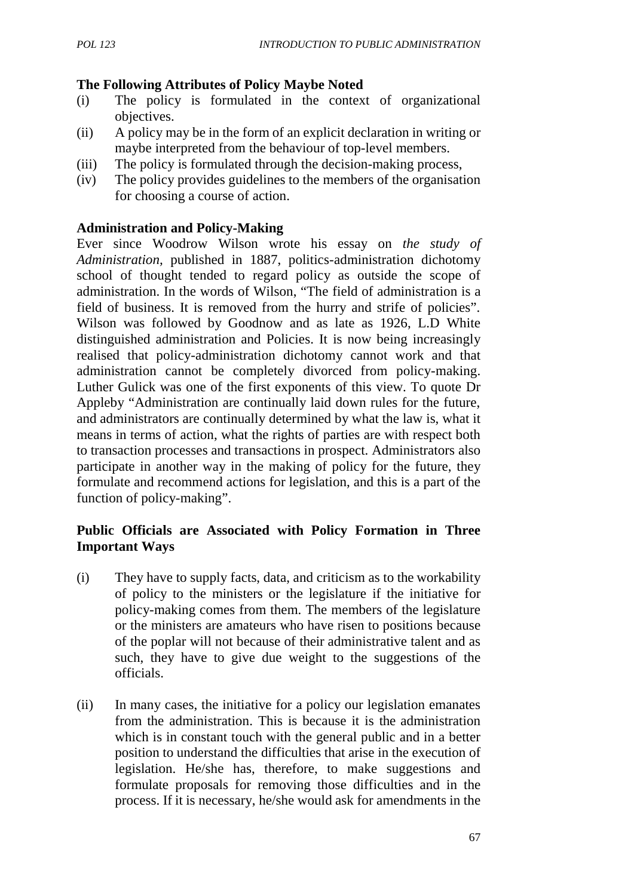#### **The Following Attributes of Policy Maybe Noted**

- (i) The policy is formulated in the context of organizational objectives.
- (ii) A policy may be in the form of an explicit declaration in writing or maybe interpreted from the behaviour of top-level members.
- (iii) The policy is formulated through the decision-making process,
- (iv) The policy provides guidelines to the members of the organisation for choosing a course of action.

## **Administration and Policy-Making**

Ever since Woodrow Wilson wrote his essay on *the study of Administration,* published in 1887, politics-administration dichotomy school of thought tended to regard policy as outside the scope of administration. In the words of Wilson, "The field of administration is a field of business. It is removed from the hurry and strife of policies". Wilson was followed by Goodnow and as late as 1926, L.D White distinguished administration and Policies. It is now being increasingly realised that policy-administration dichotomy cannot work and that administration cannot be completely divorced from policy-making. Luther Gulick was one of the first exponents of this view. To quote Dr Appleby "Administration are continually laid down rules for the future, and administrators are continually determined by what the law is, what it means in terms of action, what the rights of parties are with respect both to transaction processes and transactions in prospect. Administrators also participate in another way in the making of policy for the future, they formulate and recommend actions for legislation, and this is a part of the function of policy-making".

## **Public Officials are Associated with Policy Formation in Three Important Ways**

- (i) They have to supply facts, data, and criticism as to the workability of policy to the ministers or the legislature if the initiative for policy-making comes from them. The members of the legislature or the ministers are amateurs who have risen to positions because of the poplar will not because of their administrative talent and as such, they have to give due weight to the suggestions of the officials.
- (ii) In many cases, the initiative for a policy our legislation emanates from the administration. This is because it is the administration which is in constant touch with the general public and in a better position to understand the difficulties that arise in the execution of legislation. He/she has, therefore, to make suggestions and formulate proposals for removing those difficulties and in the process. If it is necessary, he/she would ask for amendments in the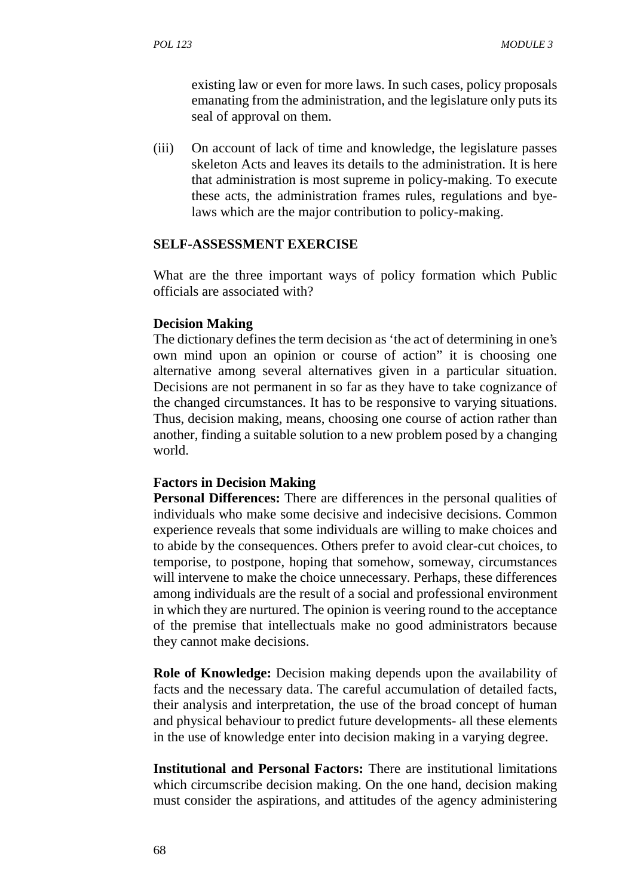existing law or even for more laws. In such cases, policy proposals emanating from the administration, and the legislature only puts its seal of approval on them.

(iii) On account of lack of time and knowledge, the legislature passes skeleton Acts and leaves its details to the administration. It is here that administration is most supreme in policy-making. To execute these acts, the administration frames rules, regulations and byelaws which are the major contribution to policy-making.

#### **SELF-ASSESSMENT EXERCISE**

What are the three important ways of policy formation which Public officials are associated with?

#### **Decision Making**

The dictionary defines the term decision as 'the act of determining in one's own mind upon an opinion or course of action" it is choosing one alternative among several alternatives given in a particular situation. Decisions are not permanent in so far as they have to take cognizance of the changed circumstances. It has to be responsive to varying situations. Thus, decision making, means, choosing one course of action rather than another, finding a suitable solution to a new problem posed by a changing world.

#### **Factors in Decision Making**

**Personal Differences:** There are differences in the personal qualities of individuals who make some decisive and indecisive decisions. Common experience reveals that some individuals are willing to make choices and to abide by the consequences. Others prefer to avoid clear-cut choices, to temporise, to postpone, hoping that somehow, someway, circumstances will intervene to make the choice unnecessary. Perhaps, these differences among individuals are the result of a social and professional environment in which they are nurtured. The opinion is veering round to the acceptance of the premise that intellectuals make no good administrators because they cannot make decisions.

**Role of Knowledge:** Decision making depends upon the availability of facts and the necessary data. The careful accumulation of detailed facts, their analysis and interpretation, the use of the broad concept of human and physical behaviour to predict future developments- all these elements in the use of knowledge enter into decision making in a varying degree.

**Institutional and Personal Factors:** There are institutional limitations which circumscribe decision making. On the one hand, decision making must consider the aspirations, and attitudes of the agency administering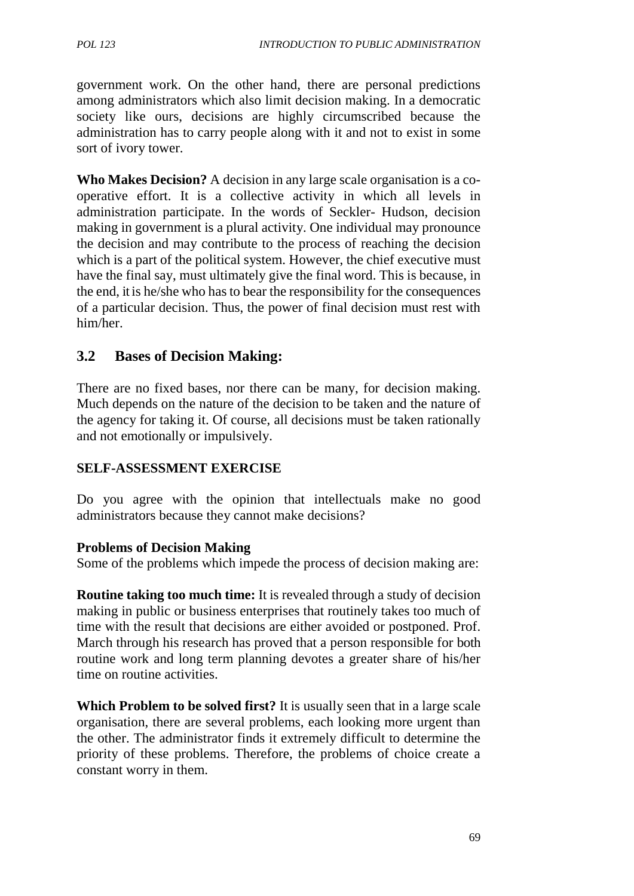government work. On the other hand, there are personal predictions among administrators which also limit decision making. In a democratic society like ours, decisions are highly circumscribed because the administration has to carry people along with it and not to exist in some sort of ivory tower.

**Who Makes Decision?** A decision in any large scale organisation is a co operative effort. It is a collective activity in which all levels in administration participate. In the words of Seckler- Hudson, decision making in government is a plural activity. One individual may pronounce the decision and may contribute to the process of reaching the decision which is a part of the political system. However, the chief executive must have the final say, must ultimately give the final word. This is because, in the end, it is he/she who has to bear the responsibility for the consequences of a particular decision. Thus, the power of final decision must rest with him/her.

## **3.2 Bases of Decision Making:**

There are no fixed bases, nor there can be many, for decision making. Much depends on the nature of the decision to be taken and the nature of the agency for taking it. Of course, all decisions must be taken rationally and not emotionally or impulsively.

## **SELF-ASSESSMENT EXERCISE**

Do you agree with the opinion that intellectuals make no good administrators because they cannot make decisions?

#### **Problems of Decision Making**

Some of the problems which impede the process of decision making are:

**Routine taking too much time:** It is revealed through a study of decision making in public or business enterprises that routinely takes too much of time with the result that decisions are either avoided or postponed. Prof. March through his research has proved that a person responsible for both routine work and long term planning devotes a greater share of his/her time on routine activities.

**Which Problem to be solved first?** It is usually seen that in a large scale organisation, there are several problems, each looking more urgent than the other. The administrator finds it extremely difficult to determine the priority of these problems. Therefore, the problems of choice create a constant worry in them.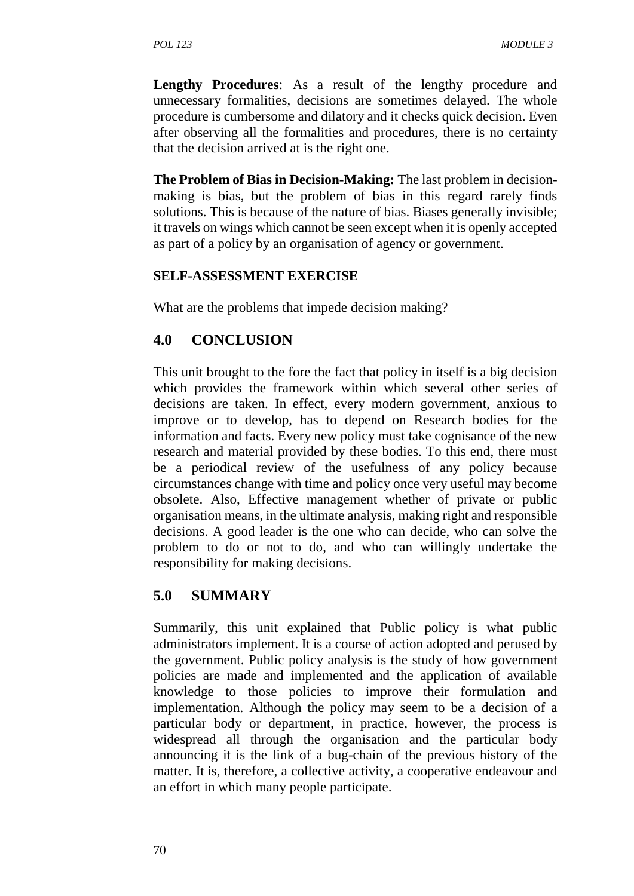**Lengthy Procedures**: As a result of the lengthy procedure and unnecessary formalities, decisions are sometimes delayed. The whole procedure is cumbersome and dilatory and it checks quick decision. Even after observing all the formalities and procedures, there is no certainty that the decision arrived at is the right one.

**The Problem of Bias in Decision-Making:** The last problem in decision making is bias, but the problem of bias in this regard rarely finds solutions. This is because of the nature of bias. Biases generally invisible; it travels on wings which cannot be seen except when it is openly accepted as part of a policy by an organisation of agency or government.

#### **SELF-ASSESSMENT EXERCISE**

What are the problems that impede decision making?

## **4.0 CONCLUSION**

This unit brought to the fore the fact that policy in itself is a big decision which provides the framework within which several other series of decisions are taken. In effect, every modern government, anxious to improve or to develop, has to depend on Research bodies for the information and facts. Every new policy must take cognisance of the new research and material provided by these bodies. To this end, there must be a periodical review of the usefulness of any policy because circumstances change with time and policy once very useful may become obsolete. Also, Effective management whether of private or public organisation means, in the ultimate analysis, making right and responsible decisions. A good leader is the one who can decide, who can solve the problem to do or not to do, and who can willingly undertake the responsibility for making decisions.

## **5.0 SUMMARY**

Summarily, this unit explained that Public policy is what public administrators implement. It is a course of action adopted and perused by the government. Public policy analysis is the study of how government policies are made and implemented and the application of available knowledge to those policies to improve their formulation and implementation. Although the policy may seem to be a decision of a particular body or department, in practice, however, the process is widespread all through the organisation and the particular body announcing it is the link of a bug-chain of the previous history of the matter. It is, therefore, a collective activity, a cooperative endeavour and an effort in which many people participate.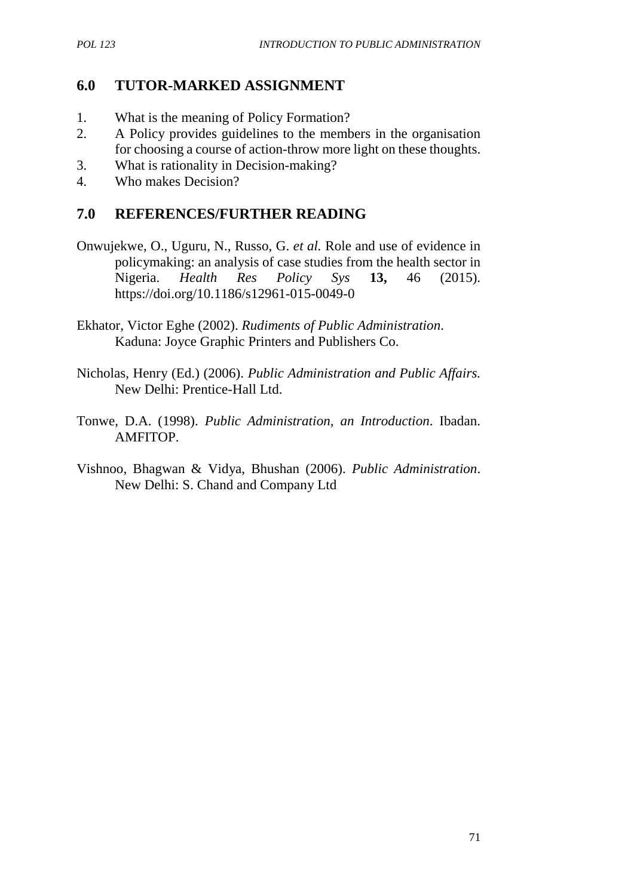## **6.0 TUTOR-MARKED ASSIGNMENT**

- 1. What is the meaning of Policy Formation?
- 2. A Policy provides guidelines to the members in the organisation for choosing a course of action-throw more light on these thoughts.
- 3. What is rationality in Decision-making?
- 4. Who makes Decision?

## **7.0 REFERENCES/FURTHER READING**

- Onwujekwe, O., Uguru, N., Russo, G. *et al.* Role and use of evidence in policymaking: an analysis of case studies from the health sector in Nigeria. *Health Res Policy Sys* **13,** 46 (2015). https://doi.org/10.1186/s12961-015-0049-0
- Ekhator, Victor Eghe (2002). *Rudiments of Public Administration*. Kaduna: Joyce Graphic Printers and Publishers Co.
- Nicholas, Henry (Ed.) (2006). *Public Administration and Public Affairs.* New Delhi: Prentice-Hall Ltd.
- Tonwe, D.A. (1998). *Public Administration, an Introduction*. Ibadan. AMFITOP.
- Vishnoo, Bhagwan & Vidya, Bhushan (2006). *Public Administration*. New Delhi: S. Chand and Company Ltd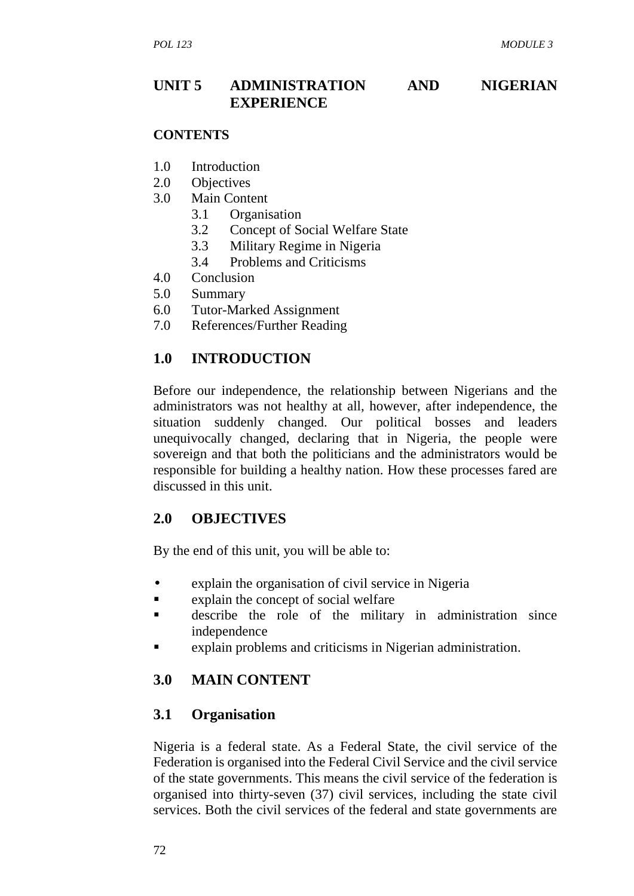# **UNIT 5 ADMINISTRATION AND NIGERIAN EXPERIENCE**

#### **CONTENTS**

- 1.0 Introduction
- 2.0 Objectives
- 3.0 Main Content
	- 3.1 Organisation
	- 3.2 Concept of Social Welfare State
	- 3.3 Military Regime in Nigeria
	- 3.4 Problems and Criticisms
- 4.0 Conclusion
- 5.0 Summary
- 6.0 Tutor-Marked Assignment
- 7.0 References/Further Reading

# **1.0 INTRODUCTION**

Before our independence, the relationship between Nigerians and the administrators was not healthy at all, however, after independence, the situation suddenly changed. Our political bosses and leaders unequivocally changed, declaring that in Nigeria, the people were sovereign and that both the politicians and the administrators would be responsible for building a healthy nation. How these processes fared are discussed in this unit.

## **2.0 OBJECTIVES**

By the end of this unit, you will be able to:

- explain the organisation of civil service in Nigeria
- **Explain the concept of social welfare**
- describe the role of the military in administration since independence
- explain problems and criticisms in Nigerian administration.

# **3.0 MAIN CONTENT**

## **3.1 Organisation**

Nigeria is a federal state. As a Federal State, the civil service of the Federation is organised into the Federal Civil Service and the civil service of the state governments. This means the civil service of the federation is organised into thirty-seven (37) civil services, including the state civil services. Both the civil services of the federal and state governments are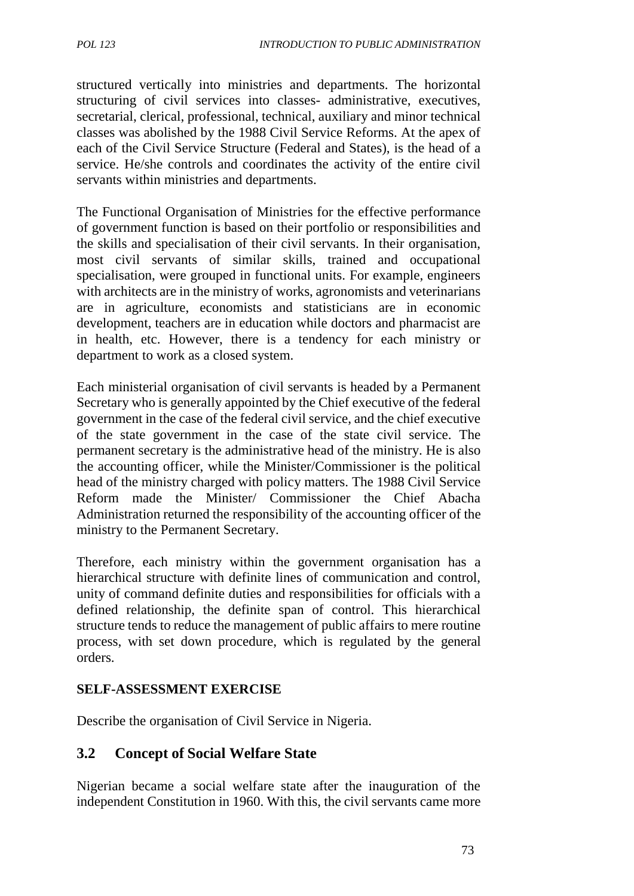structured vertically into ministries and departments. The horizontal structuring of civil services into classes- administrative, executives, secretarial, clerical, professional, technical, auxiliary and minor technical classes was abolished by the 1988 Civil Service Reforms. At the apex of each of the Civil Service Structure (Federal and States), is the head of a service. He/she controls and coordinates the activity of the entire civil servants within ministries and departments.

The Functional Organisation of Ministries for the effective performance of government function is based on their portfolio or responsibilities and the skills and specialisation of their civil servants. In their organisation, most civil servants of similar skills, trained and occupational specialisation, were grouped in functional units. For example, engineers with architects are in the ministry of works, agronomists and veterinarians are in agriculture, economists and statisticians are in economic development, teachers are in education while doctors and pharmacist are in health, etc. However, there is a tendency for each ministry or department to work as a closed system.

Each ministerial organisation of civil servants is headed by a Permanent Secretary who is generally appointed by the Chief executive of the federal government in the case of the federal civil service, and the chief executive of the state government in the case of the state civil service. The permanent secretary is the administrative head of the ministry. He is also the accounting officer, while the Minister/Commissioner is the political head of the ministry charged with policy matters. The 1988 Civil Service Reform made the Minister/ Commissioner the Chief Abacha Administration returned the responsibility of the accounting officer of the ministry to the Permanent Secretary.

Therefore, each ministry within the government organisation has a hierarchical structure with definite lines of communication and control, unity of command definite duties and responsibilities for officials with a defined relationship, the definite span of control. This hierarchical structure tends to reduce the management of public affairs to mere routine process, with set down procedure, which is regulated by the general orders.

## **SELF-ASSESSMENT EXERCISE**

Describe the organisation of Civil Service in Nigeria.

## **3.2 Concept of Social Welfare State**

Nigerian became a social welfare state after the inauguration of the independent Constitution in 1960. With this, the civil servants came more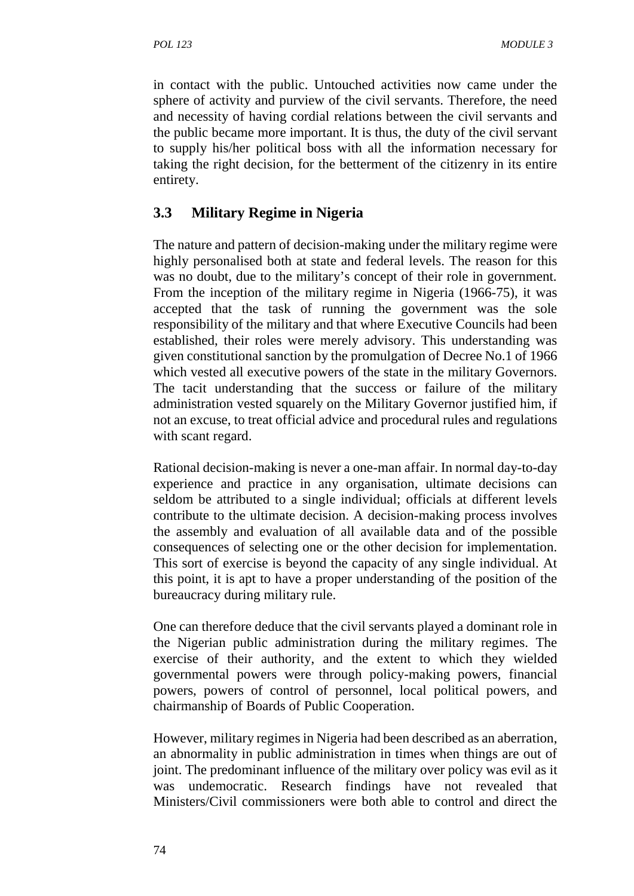in contact with the public. Untouched activities now came under the sphere of activity and purview of the civil servants. Therefore, the need and necessity of having cordial relations between the civil servants and the public became more important. It is thus, the duty of the civil servant to supply his/her political boss with all the information necessary for taking the right decision, for the betterment of the citizenry in its entire entirety.

# **3.3 Military Regime in Nigeria**

The nature and pattern of decision-making under the military regime were highly personalised both at state and federal levels. The reason for this was no doubt, due to the military's concept of their role in government. From the inception of the military regime in Nigeria (1966-75), it was accepted that the task of running the government was the sole responsibility of the military and that where Executive Councils had been established, their roles were merely advisory. This understanding was given constitutional sanction by the promulgation of Decree No.1 of 1966 which vested all executive powers of the state in the military Governors. The tacit understanding that the success or failure of the military administration vested squarely on the Military Governor justified him, if not an excuse, to treat official advice and procedural rules and regulations with scant regard.

Rational decision-making is never a one-man affair. In normal day-to-day experience and practice in any organisation, ultimate decisions can seldom be attributed to a single individual; officials at different levels contribute to the ultimate decision. A decision-making process involves the assembly and evaluation of all available data and of the possible consequences of selecting one or the other decision for implementation. This sort of exercise is beyond the capacity of any single individual. At this point, it is apt to have a proper understanding of the position of the bureaucracy during military rule.

One can therefore deduce that the civil servants played a dominant role in the Nigerian public administration during the military regimes. The exercise of their authority, and the extent to which they wielded governmental powers were through policy-making powers, financial powers, powers of control of personnel, local political powers, and chairmanship of Boards of Public Cooperation.

However, military regimes in Nigeria had been described as an aberration, an abnormality in public administration in times when things are out of joint. The predominant influence of the military over policy was evil as it was undemocratic. Research findings have not revealed that Ministers/Civil commissioners were both able to control and direct the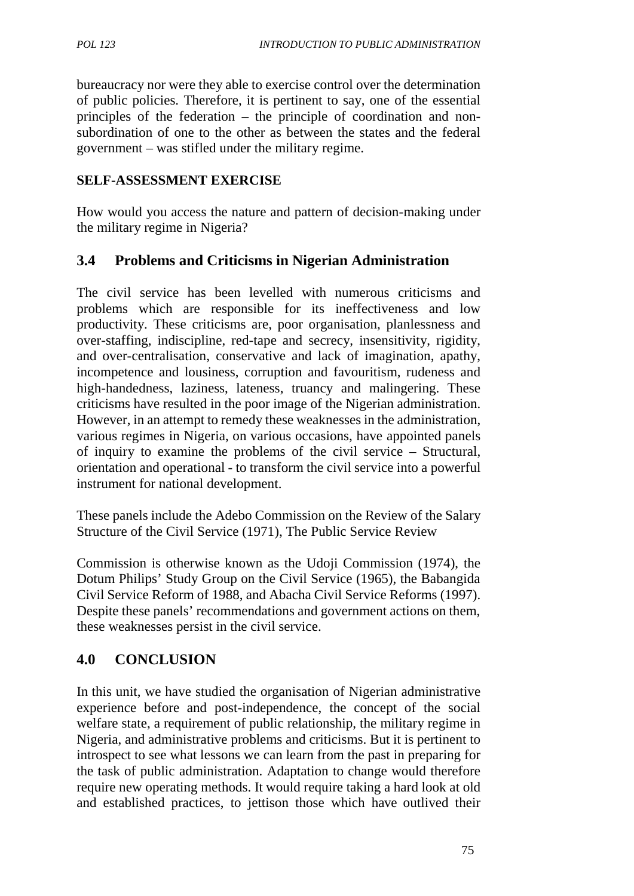bureaucracy nor were they able to exercise control over the determination of public policies. Therefore, it is pertinent to say, one of the essential principles of the federation – the principle of coordination and non subordination of one to the other as between the states and the federal government – was stifled under the military regime.

#### **SELF-ASSESSMENT EXERCISE**

How would you access the nature and pattern of decision-making under the military regime in Nigeria?

## **3.4 Problems and Criticisms in Nigerian Administration**

The civil service has been levelled with numerous criticisms and problems which are responsible for its ineffectiveness and low productivity. These criticisms are, poor organisation, planlessness and over-staffing, indiscipline, red-tape and secrecy, insensitivity, rigidity, and over-centralisation, conservative and lack of imagination, apathy, incompetence and lousiness, corruption and favouritism, rudeness and high-handedness, laziness, lateness, truancy and malingering. These criticisms have resulted in the poor image of the Nigerian administration. However, in an attempt to remedy these weaknesses in the administration, various regimes in Nigeria, on various occasions, have appointed panels of inquiry to examine the problems of the civil service – Structural, orientation and operational - to transform the civil service into a powerful instrument for national development.

These panels include the Adebo Commission on the Review of the Salary Structure of the Civil Service (1971), The Public Service Review

Commission is otherwise known as the Udoji Commission (1974), the Dotum Philips' Study Group on the Civil Service (1965), the Babangida Civil Service Reform of 1988, and Abacha Civil Service Reforms (1997). Despite these panels' recommendations and government actions on them, these weaknesses persist in the civil service.

## **4.0 CONCLUSION**

In this unit, we have studied the organisation of Nigerian administrative experience before and post-independence, the concept of the social welfare state, a requirement of public relationship, the military regime in Nigeria, and administrative problems and criticisms. But it is pertinent to introspect to see what lessons we can learn from the past in preparing for the task of public administration. Adaptation to change would therefore require new operating methods. It would require taking a hard look at old and established practices, to jettison those which have outlived their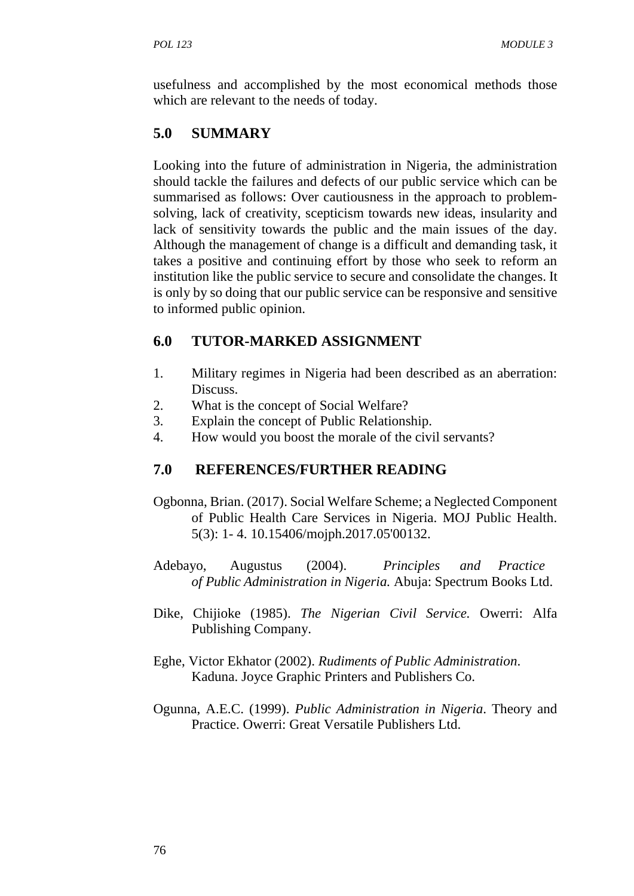usefulness and accomplished by the most economical methods those which are relevant to the needs of today.

# **5.0 SUMMARY**

Looking into the future of administration in Nigeria, the administration should tackle the failures and defects of our public service which can be summarised as follows: Over cautiousness in the approach to problem solving, lack of creativity, scepticism towards new ideas, insularity and lack of sensitivity towards the public and the main issues of the day. Although the management of change is a difficult and demanding task, it takes a positive and continuing effort by those who seek to reform an institution like the public service to secure and consolidate the changes. It is only by so doing that our public service can be responsive and sensitive to informed public opinion.

# **6.0 TUTOR-MARKED ASSIGNMENT**

- 1. Military regimes in Nigeria had been described as an aberration: Discuss.
- 2. What is the concept of Social Welfare?
- 3. Explain the concept of Public Relationship.
- 4. How would you boost the morale of the civil servants?

# **7.0 REFERENCES/FURTHER READING**

- Ogbonna, Brian. (2017). Social Welfare Scheme; a Neglected Component of Public Health Care Services in Nigeria. MOJ Public Health. 5(3): 1- 4. 10.15406/mojph.2017.05'00132.
- Adebayo, Augustus (2004). *Principles and Practice of Public Administration in Nigeria.* Abuja: Spectrum Books Ltd.
- Dike, Chijioke (1985). *The Nigerian Civil Service.* Owerri: Alfa Publishing Company.
- Eghe, Victor Ekhator (2002). *Rudiments of Public Administration*. Kaduna. Joyce Graphic Printers and Publishers Co.
- Ogunna, A.E.C. (1999). *Public Administration in Nigeria*. Theory and Practice. Owerri: Great Versatile Publishers Ltd.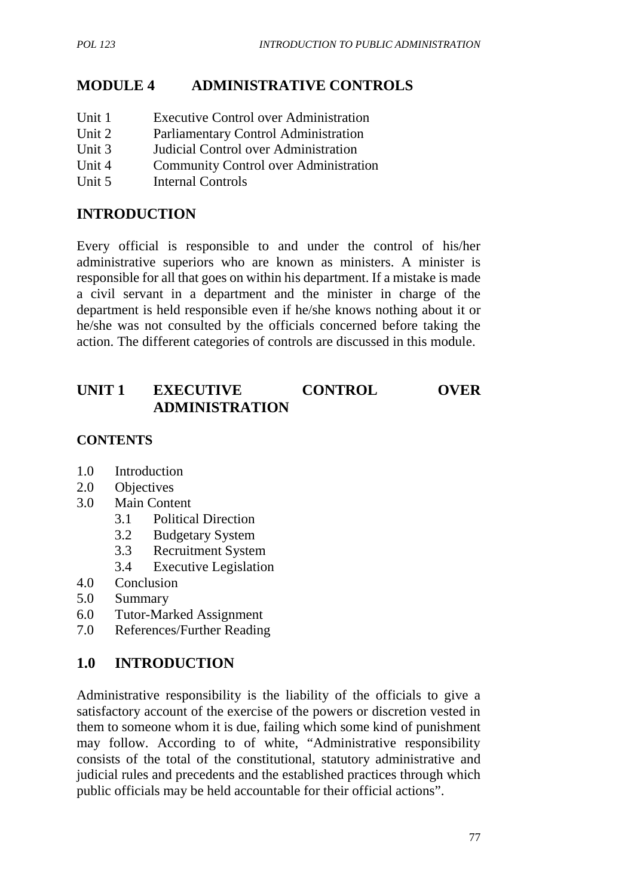# **MODULE 4 ADMINISTRATIVE CONTROLS**

- Unit 1 Executive Control over Administration
- Unit 2 Parliamentary Control Administration
- Unit 3 Judicial Control over Administration
- Unit 4 Community Control over Administration
- Unit 5 Internal Controls

## **INTRODUCTION**

Every official is responsible to and under the control of his/her administrative superiors who are known as ministers. A minister is responsible for all that goes on within his department. If a mistake is made a civil servant in a department and the minister in charge of the department is held responsible even if he/she knows nothing about it or he/she was not consulted by the officials concerned before taking the action. The different categories of controls are discussed in this module.

# **UNIT 1 EXECUTIVE CONTROL OVER ADMINISTRATION**

## **CONTENTS**

- 1.0 Introduction
- 2.0 Objectives
- 3.0 Main Content
	- 3.1 Political Direction
	- 3.2 Budgetary System
	- 3.3 Recruitment System
	- 3.4 Executive Legislation
- 4.0 Conclusion
- 5.0 Summary
- 6.0 Tutor-Marked Assignment
- 7.0 References/Further Reading

## **1.0 INTRODUCTION**

Administrative responsibility is the liability of the officials to give a satisfactory account of the exercise of the powers or discretion vested in them to someone whom it is due, failing which some kind of punishment may follow. According to of white, "Administrative responsibility consists of the total of the constitutional, statutory administrative and judicial rules and precedents and the established practices through which public officials may be held accountable for their official actions".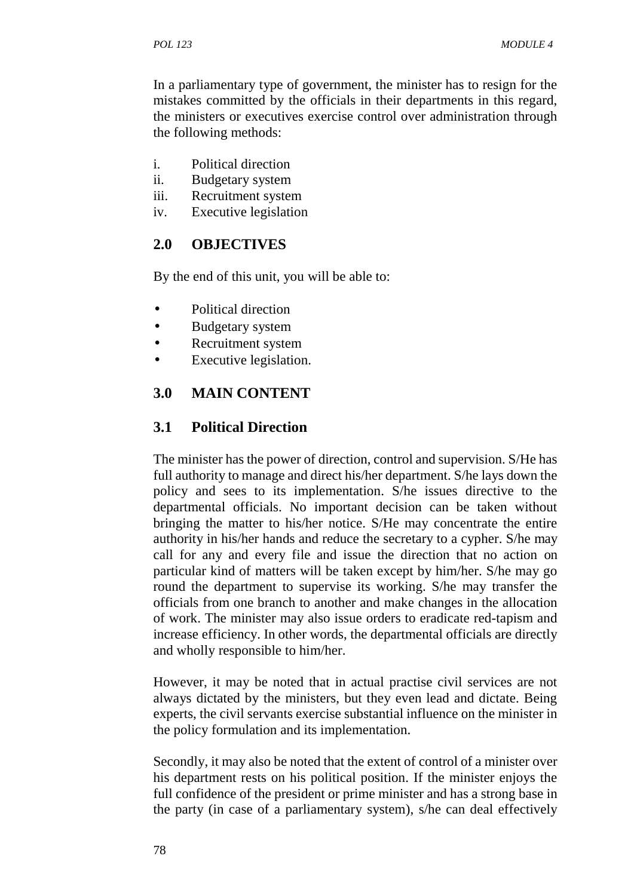In a parliamentary type of government, the minister has to resign for the mistakes committed by the officials in their departments in this regard, the ministers or executives exercise control over administration through the following methods:

- i. Political direction
- ii. Budgetary system
- iii. Recruitment system
- iv. Executive legislation

# **2.0 OBJECTIVES**

By the end of this unit, you will be able to:

- Political direction
- Budgetary system
- Recruitment system
- Executive legislation.

# **3.0 MAIN CONTENT**

## **3.1 Political Direction**

The minister has the power of direction, control and supervision. S/He has full authority to manage and direct his/her department. S/he lays down the policy and sees to its implementation. S/he issues directive to the departmental officials. No important decision can be taken without bringing the matter to his/her notice. S/He may concentrate the entire authority in his/her hands and reduce the secretary to a cypher. S/he may call for any and every file and issue the direction that no action on particular kind of matters will be taken except by him/her. S/he may go round the department to supervise its working. S/he may transfer the officials from one branch to another and make changes in the allocation of work. The minister may also issue orders to eradicate red-tapism and increase efficiency. In other words, the departmental officials are directly and wholly responsible to him/her.

However, it may be noted that in actual practise civil services are not always dictated by the ministers, but they even lead and dictate. Being experts, the civil servants exercise substantial influence on the minister in the policy formulation and its implementation.

Secondly, it may also be noted that the extent of control of a minister over his department rests on his political position. If the minister enjoys the full confidence of the president or prime minister and has a strong base in the party (in case of a parliamentary system), s/he can deal effectively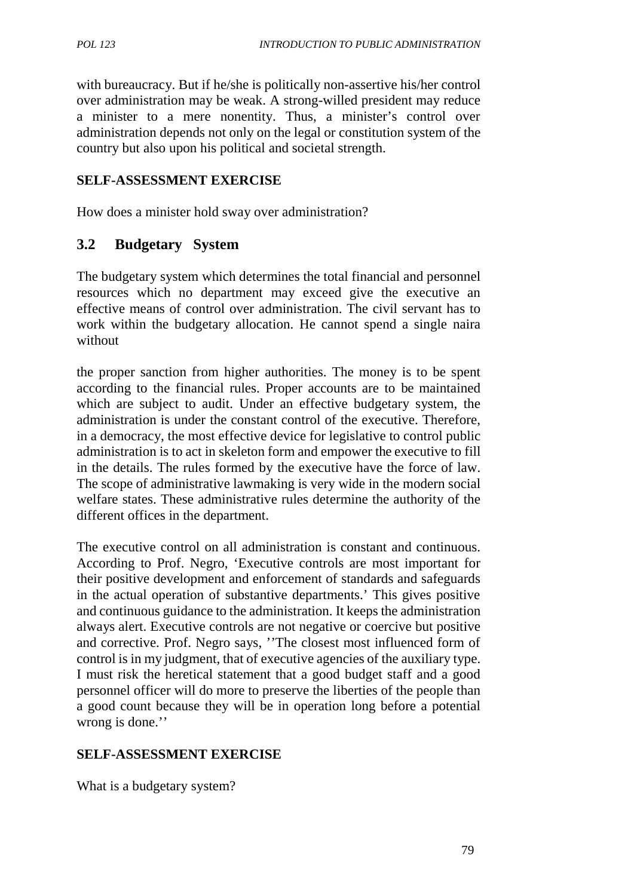with bureaucracy. But if he/she is politically non-assertive his/her control over administration may be weak. A strong-willed president may reduce a minister to a mere nonentity. Thus, a minister's control over administration depends not only on the legal or constitution system of the country but also upon his political and societal strength.

#### **SELF-ASSESSMENT EXERCISE**

How does a minister hold sway over administration?

## **3.2 Budgetary System**

The budgetary system which determines the total financial and personnel resources which no department may exceed give the executive an effective means of control over administration. The civil servant has to work within the budgetary allocation. He cannot spend a single naira without

the proper sanction from higher authorities. The money is to be spent according to the financial rules. Proper accounts are to be maintained which are subject to audit. Under an effective budgetary system, the administration is under the constant control of the executive. Therefore, in a democracy, the most effective device for legislative to control public administration is to act in skeleton form and empower the executive to fill in the details. The rules formed by the executive have the force of law. The scope of administrative lawmaking is very wide in the modern social welfare states. These administrative rules determine the authority of the different offices in the department.

The executive control on all administration is constant and continuous. According to Prof. Negro, 'Executive controls are most important for their positive development and enforcement of standards and safeguards in the actual operation of substantive departments.' This gives positive and continuous guidance to the administration. It keeps the administration always alert. Executive controls are not negative or coercive but positive and corrective. Prof. Negro says, ''The closest most influenced form of control is in my judgment, that of executive agencies of the auxiliary type. I must risk the heretical statement that a good budget staff and a good personnel officer will do more to preserve the liberties of the people than a good count because they will be in operation long before a potential wrong is done.''

#### **SELF-ASSESSMENT EXERCISE**

What is a budgetary system?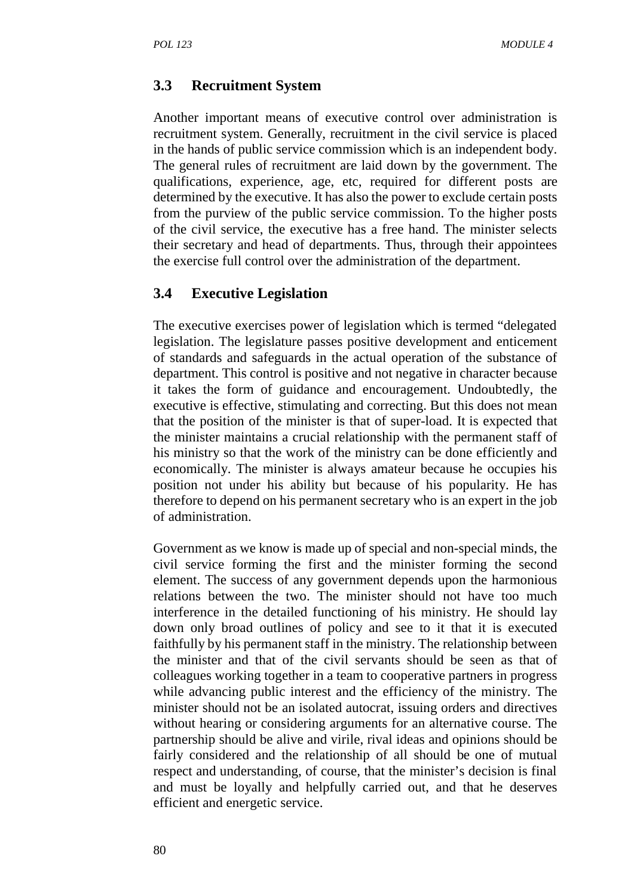## **3.3 Recruitment System**

Another important means of executive control over administration is recruitment system. Generally, recruitment in the civil service is placed in the hands of public service commission which is an independent body. The general rules of recruitment are laid down by the government. The qualifications, experience, age, etc, required for different posts are determined by the executive. It has also the power to exclude certain posts from the purview of the public service commission. To the higher posts of the civil service, the executive has a free hand. The minister selects their secretary and head of departments. Thus, through their appointees the exercise full control over the administration of the department.

## **3.4 Executive Legislation**

The executive exercises power of legislation which is termed "delegated legislation. The legislature passes positive development and enticement of standards and safeguards in the actual operation of the substance of department. This control is positive and not negative in character because it takes the form of guidance and encouragement. Undoubtedly, the executive is effective, stimulating and correcting. But this does not mean that the position of the minister is that of super-load. It is expected that the minister maintains a crucial relationship with the permanent staff of his ministry so that the work of the ministry can be done efficiently and economically. The minister is always amateur because he occupies his position not under his ability but because of his popularity. He has therefore to depend on his permanent secretary who is an expert in the job of administration.

Government as we know is made up of special and non-special minds, the civil service forming the first and the minister forming the second element. The success of any government depends upon the harmonious relations between the two. The minister should not have too much interference in the detailed functioning of his ministry. He should lay down only broad outlines of policy and see to it that it is executed faithfully by his permanent staff in the ministry. The relationship between the minister and that of the civil servants should be seen as that of colleagues working together in a team to cooperative partners in progress while advancing public interest and the efficiency of the ministry. The minister should not be an isolated autocrat, issuing orders and directives without hearing or considering arguments for an alternative course. The partnership should be alive and virile, rival ideas and opinions should be fairly considered and the relationship of all should be one of mutual respect and understanding, of course, that the minister's decision is final and must be loyally and helpfully carried out, and that he deserves efficient and energetic service.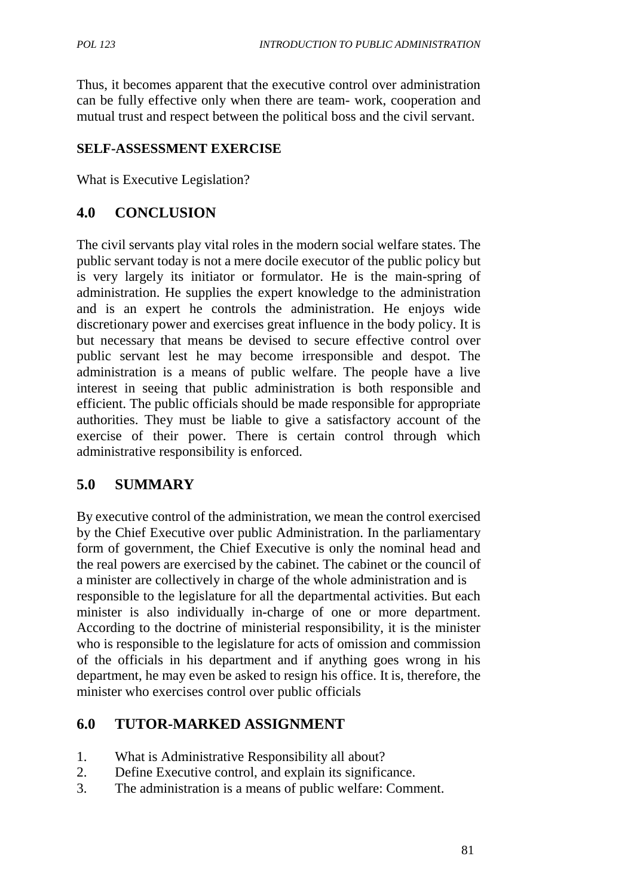Thus, it becomes apparent that the executive control over administration can be fully effective only when there are team- work, cooperation and mutual trust and respect between the political boss and the civil servant.

## **SELF-ASSESSMENT EXERCISE**

What is Executive Legislation?

## **4.0 CONCLUSION**

The civil servants play vital roles in the modern social welfare states. The public servant today is not a mere docile executor of the public policy but is very largely its initiator or formulator. He is the main-spring of administration. He supplies the expert knowledge to the administration and is an expert he controls the administration. He enjoys wide discretionary power and exercises great influence in the body policy. It is but necessary that means be devised to secure effective control over public servant lest he may become irresponsible and despot. The administration is a means of public welfare. The people have a live interest in seeing that public administration is both responsible and efficient. The public officials should be made responsible for appropriate authorities. They must be liable to give a satisfactory account of the exercise of their power. There is certain control through which administrative responsibility is enforced.

# **5.0 SUMMARY**

By executive control of the administration, we mean the control exercised by the Chief Executive over public Administration. In the parliamentary form of government, the Chief Executive is only the nominal head and the real powers are exercised by the cabinet. The cabinet or the council of a minister are collectively in charge of the whole administration and is responsible to the legislature for all the departmental activities. But each minister is also individually in-charge of one or more department. According to the doctrine of ministerial responsibility, it is the minister who is responsible to the legislature for acts of omission and commission of the officials in his department and if anything goes wrong in his department, he may even be asked to resign his office. It is, therefore, the minister who exercises control over public officials

## **6.0 TUTOR-MARKED ASSIGNMENT**

- 1. What is Administrative Responsibility all about?
- 2. Define Executive control, and explain its significance.
- 3. The administration is a means of public welfare: Comment.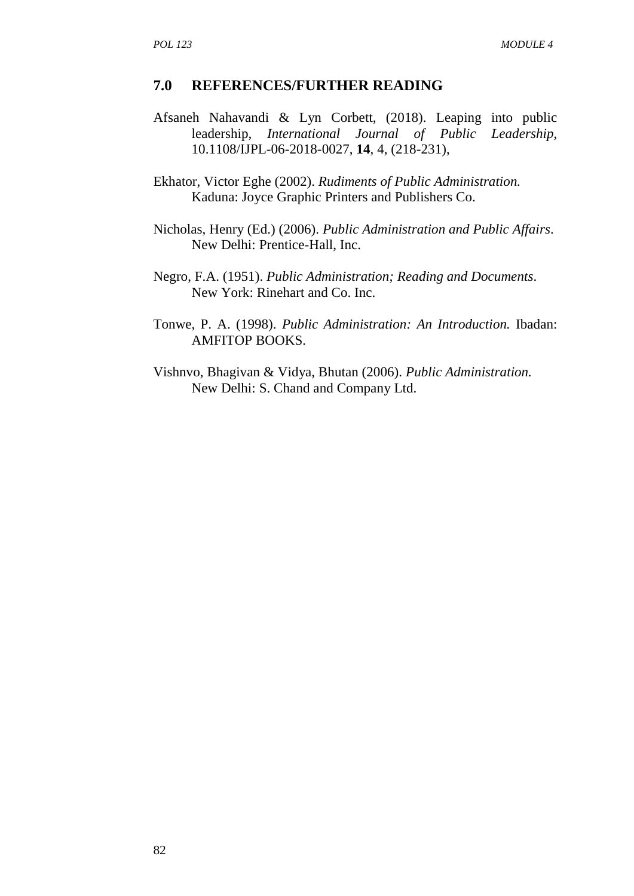#### **7.0 REFERENCES/FURTHER READING**

- Afsaneh Nahavandi & Lyn Corbett, (2018). Leaping into public leadership, *International Journal of Public Leadership*, 10.1108/IJPL-06-2018-0027, **14**, 4, (218-231),
- Ekhator, Victor Eghe (2002). *Rudiments of Public Administration.* Kaduna: Joyce Graphic Printers and Publishers Co.
- Nicholas, Henry (Ed.) (2006). *Public Administration and Public Affairs*. New Delhi: Prentice-Hall, Inc.
- Negro, F.A. (1951). *Public Administration; Reading and Documents*. New York: Rinehart and Co. Inc.
- Tonwe, P. A. (1998). *Public Administration: An Introduction.* Ibadan: AMFITOP BOOKS.
- Vishnvo, Bhagivan & Vidya, Bhutan (2006). *Public Administration.* New Delhi: S. Chand and Company Ltd.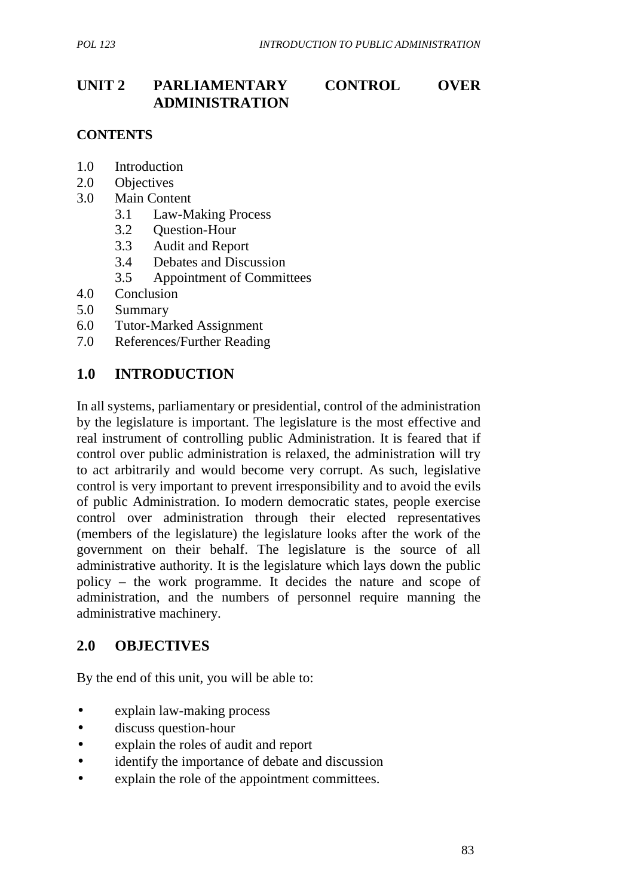# **UNIT 2 PARLIAMENTARY CONTROL OVER ADMINISTRATION**

## **CONTENTS**

- 1.0 Introduction
- 2.0 Objectives
- 3.0 Main Content
	- 3.1 Law-Making Process
	- 3.2 Question-Hour
	- 3.3 Audit and Report
	- 3.4 Debates and Discussion
	- 3.5 Appointment of Committees
- 4.0 Conclusion
- 5.0 Summary
- 6.0 Tutor-Marked Assignment
- 7.0 References/Further Reading

## **1.0 INTRODUCTION**

In all systems, parliamentary or presidential, control of the administration by the legislature is important. The legislature is the most effective and real instrument of controlling public Administration. It is feared that if control over public administration is relaxed, the administration will try to act arbitrarily and would become very corrupt. As such, legislative control is very important to prevent irresponsibility and to avoid the evils of public Administration. Io modern democratic states, people exercise control over administration through their elected representatives (members of the legislature) the legislature looks after the work of the government on their behalf. The legislature is the source of all administrative authority. It is the legislature which lays down the public policy – the work programme. It decides the nature and scope of administration, and the numbers of personnel require manning the administrative machinery.

## **2.0 OBJECTIVES**

By the end of this unit, you will be able to:

- explain law-making process
- discuss question-hour
- explain the roles of audit and report
- identify the importance of debate and discussion
- explain the role of the appointment committees.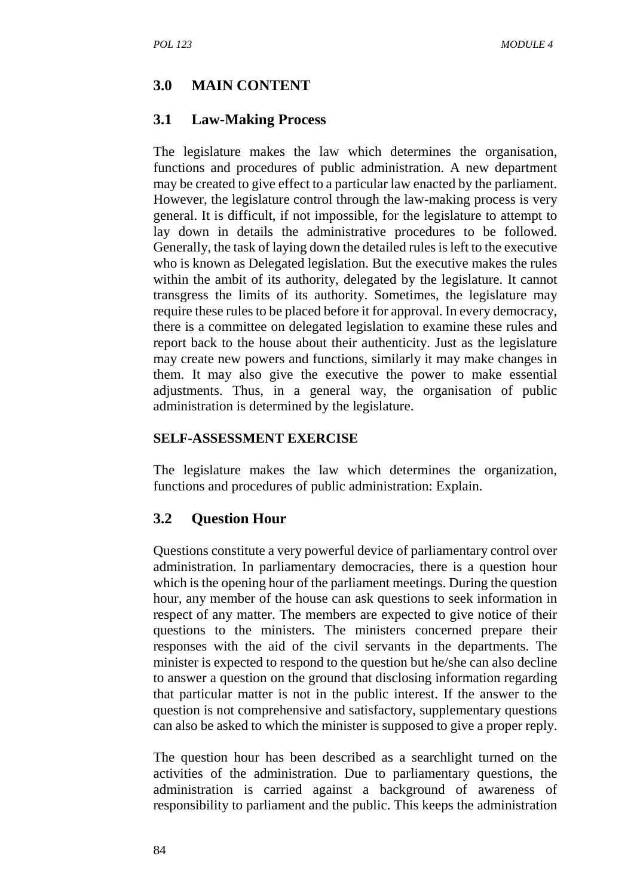## **3.0 MAIN CONTENT**

#### **3.1 Law-Making Process**

The legislature makes the law which determines the organisation, functions and procedures of public administration. A new department may be created to give effect to a particular law enacted by the parliament. However, the legislature control through the law-making process is very general. It is difficult, if not impossible, for the legislature to attempt to lay down in details the administrative procedures to be followed. Generally, the task of laying down the detailed rules is left to the executive who is known as Delegated legislation. But the executive makes the rules within the ambit of its authority, delegated by the legislature. It cannot transgress the limits of its authority. Sometimes, the legislature may require these rules to be placed before it for approval. In every democracy, there is a committee on delegated legislation to examine these rules and report back to the house about their authenticity. Just as the legislature may create new powers and functions, similarly it may make changes in them. It may also give the executive the power to make essential adjustments. Thus, in a general way, the organisation of public administration is determined by the legislature.

#### **SELF-ASSESSMENT EXERCISE**

The legislature makes the law which determines the organization, functions and procedures of public administration: Explain.

## **3.2 Question Hour**

Questions constitute a very powerful device of parliamentary control over administration. In parliamentary democracies, there is a question hour which is the opening hour of the parliament meetings. During the question hour, any member of the house can ask questions to seek information in respect of any matter. The members are expected to give notice of their questions to the ministers. The ministers concerned prepare their responses with the aid of the civil servants in the departments. The minister is expected to respond to the question but he/she can also decline to answer a question on the ground that disclosing information regarding that particular matter is not in the public interest. If the answer to the question is not comprehensive and satisfactory, supplementary questions can also be asked to which the minister is supposed to give a proper reply.

The question hour has been described as a searchlight turned on the activities of the administration. Due to parliamentary questions, the administration is carried against a background of awareness of responsibility to parliament and the public. This keeps the administration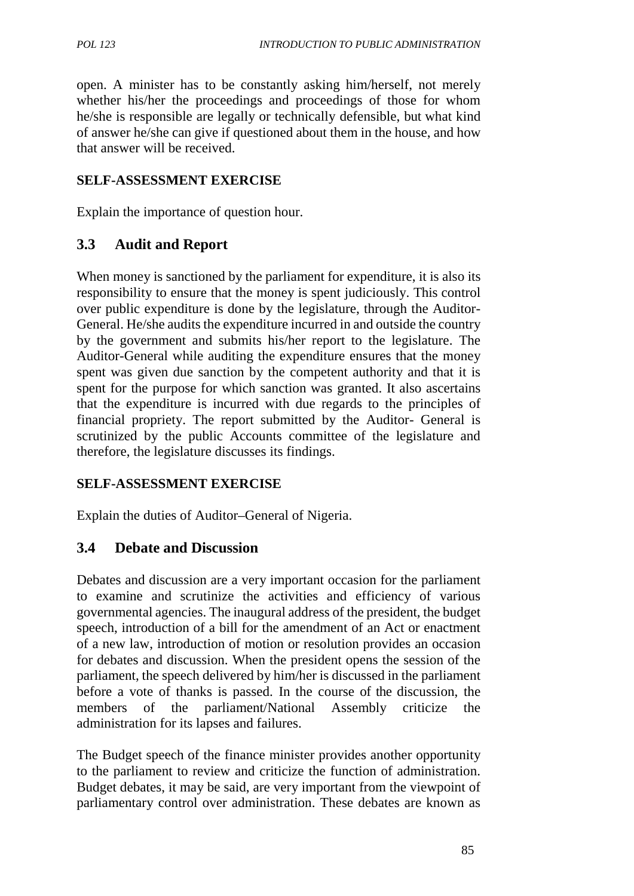open. A minister has to be constantly asking him/herself, not merely whether his/her the proceedings and proceedings of those for whom he/she is responsible are legally or technically defensible, but what kind of answer he/she can give if questioned about them in the house, and how that answer will be received.

## **SELF-ASSESSMENT EXERCISE**

Explain the importance of question hour.

## **3.3 Audit and Report**

When money is sanctioned by the parliament for expenditure, it is also its responsibility to ensure that the money is spent judiciously. This control over public expenditure is done by the legislature, through the Auditor- General. He/she audits the expenditure incurred in and outside the country by the government and submits his/her report to the legislature. The Auditor-General while auditing the expenditure ensures that the money spent was given due sanction by the competent authority and that it is spent for the purpose for which sanction was granted. It also ascertains that the expenditure is incurred with due regards to the principles of financial propriety. The report submitted by the Auditor- General is scrutinized by the public Accounts committee of the legislature and therefore, the legislature discusses its findings.

## **SELF-ASSESSMENT EXERCISE**

Explain the duties of Auditor–General of Nigeria.

## **3.4 Debate and Discussion**

Debates and discussion are a very important occasion for the parliament to examine and scrutinize the activities and efficiency of various governmental agencies. The inaugural address of the president, the budget speech, introduction of a bill for the amendment of an Act or enactment of a new law, introduction of motion or resolution provides an occasion for debates and discussion. When the president opens the session of the parliament, the speech delivered by him/her is discussed in the parliament before a vote of thanks is passed. In the course of the discussion, the members of the parliament/National Assembly criticize the administration for its lapses and failures.

The Budget speech of the finance minister provides another opportunity to the parliament to review and criticize the function of administration. Budget debates, it may be said, are very important from the viewpoint of parliamentary control over administration. These debates are known as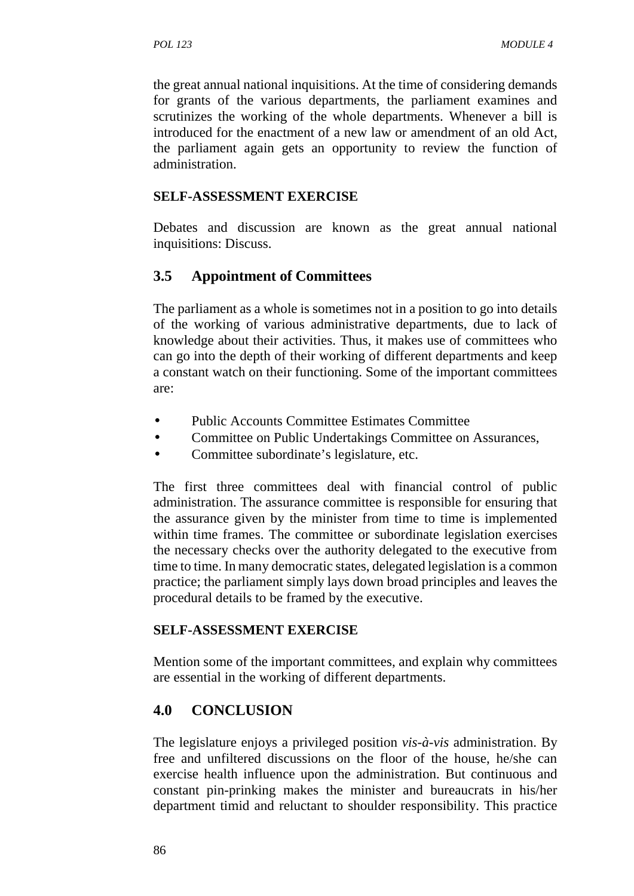the great annual national inquisitions. At the time of considering demands for grants of the various departments, the parliament examines and scrutinizes the working of the whole departments. Whenever a bill is introduced for the enactment of a new law or amendment of an old Act, the parliament again gets an opportunity to review the function of administration.

## **SELF-ASSESSMENT EXERCISE**

Debates and discussion are known as the great annual national inquisitions: Discuss.

# **3.5 Appointment of Committees**

The parliament as a whole is sometimes not in a position to go into details of the working of various administrative departments, due to lack of knowledge about their activities. Thus, it makes use of committees who can go into the depth of their working of different departments and keep a constant watch on their functioning. Some of the important committees are:

- Public Accounts Committee Estimates Committee
- Committee on Public Undertakings Committee on Assurances,
- Committee subordinate's legislature, etc.

The first three committees deal with financial control of public administration. The assurance committee is responsible for ensuring that the assurance given by the minister from time to time is implemented within time frames. The committee or subordinate legislation exercises the necessary checks over the authority delegated to the executive from time to time. In many democratic states, delegated legislation is a common practice; the parliament simply lays down broad principles and leaves the procedural details to be framed by the executive.

## **SELF-ASSESSMENT EXERCISE**

Mention some of the important committees, and explain why committees are essential in the working of different departments.

# **4.0 CONCLUSION**

The legislature enjoys a privileged position *vis-à-vis* administration. By free and unfiltered discussions on the floor of the house, he/she can exercise health influence upon the administration. But continuous and constant pin-prinking makes the minister and bureaucrats in his/her department timid and reluctant to shoulder responsibility. This practice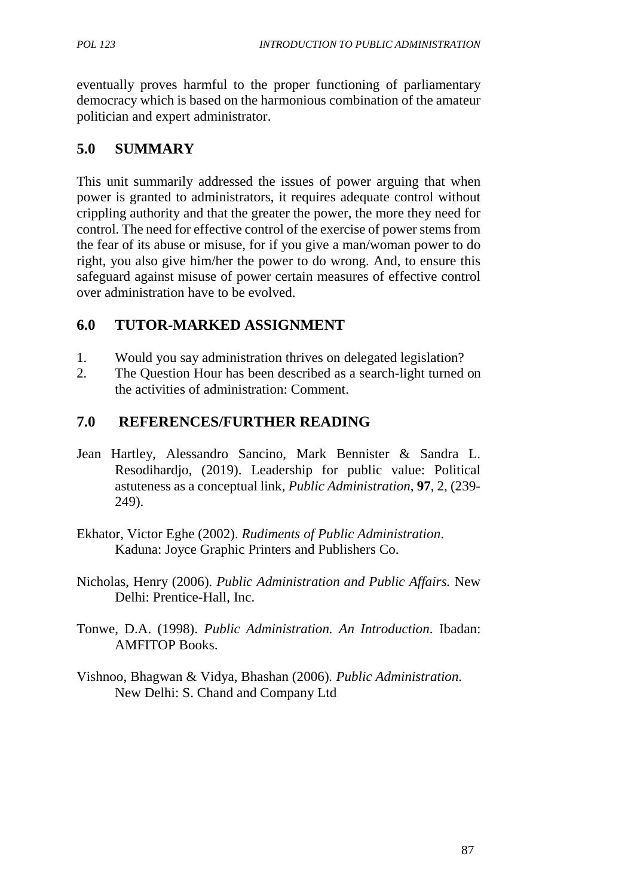eventually proves harmful to the proper functioning of parliamentary democracy which is based on the harmonious combination of the amateur politician and expert administrator.

# **5.0 SUMMARY**

This unit summarily addressed the issues of power arguing that when power is granted to administrators, it requires adequate control without crippling authority and that the greater the power, the more they need for control. The need for effective control of the exercise of power stems from the fear of its abuse or misuse, for if you give a man/woman power to do right, you also give him/her the power to do wrong. And, to ensure this safeguard against misuse of power certain measures of effective control over administration have to be evolved.

# **6.0 TUTOR-MARKED ASSIGNMENT**

- 1. Would you say administration thrives on delegated legislation?
- 2. The Question Hour has been described as a search-light turned on the activities of administration: Comment.

# **7.0 REFERENCES/FURTHER READING**

- Jean Hartley, Alessandro Sancino, Mark Bennister & Sandra L. Resodihardjo, (2019). Leadership for public value: Political astuteness as a conceptual link, *Public Administration*, **97**, 2, (239- 249).
- Ekhator, Victor Eghe (2002). *Rudiments of Public Administration*. Kaduna: Joyce Graphic Printers and Publishers Co.
- Nicholas, Henry (2006). *Public Administration and Public Affairs.* New Delhi: Prentice-Hall, Inc.
- Tonwe, D.A. (1998). *Public Administration. An Introduction*. Ibadan: AMFITOP Books.
- Vishnoo, Bhagwan & Vidya, Bhashan (2006)*. Public Administration.* New Delhi: S. Chand and Company Ltd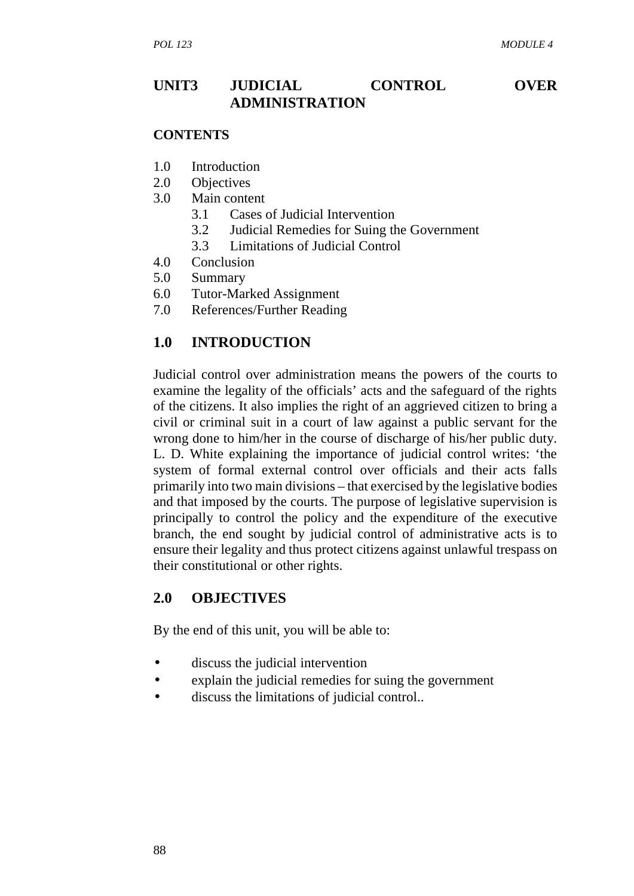## **UNIT3 JUDICIAL CONTROL OVER ADMINISTRATION**

#### **CONTENTS**

- 1.0 Introduction
- 2.0 Objectives
- 3.0 Main content
	- 3.1 Cases of Judicial Intervention
	- 3.2 Judicial Remedies for Suing the Government
	- 3.3 Limitations of Judicial Control
- 4.0 Conclusion
- 5.0 Summary
- 6.0 Tutor-Marked Assignment
- 7.0 References/Further Reading

## **1.0 INTRODUCTION**

Judicial control over administration means the powers of the courts to examine the legality of the officials' acts and the safeguard of the rights of the citizens. It also implies the right of an aggrieved citizen to bring a civil or criminal suit in a court of law against a public servant for the wrong done to him/her in the course of discharge of his/her public duty. L. D. White explaining the importance of judicial control writes: 'the system of formal external control over officials and their acts falls primarily into two main divisions – that exercised by the legislative bodies and that imposed by the courts. The purpose of legislative supervision is principally to control the policy and the expenditure of the executive branch, the end sought by judicial control of administrative acts is to ensure their legality and thus protect citizens against unlawful trespass on their constitutional or other rights.

## **2.0 OBJECTIVES**

By the end of this unit, you will be able to:

- discuss the judicial intervention
- explain the judicial remedies for suing the government
- discuss the limitations of judicial control..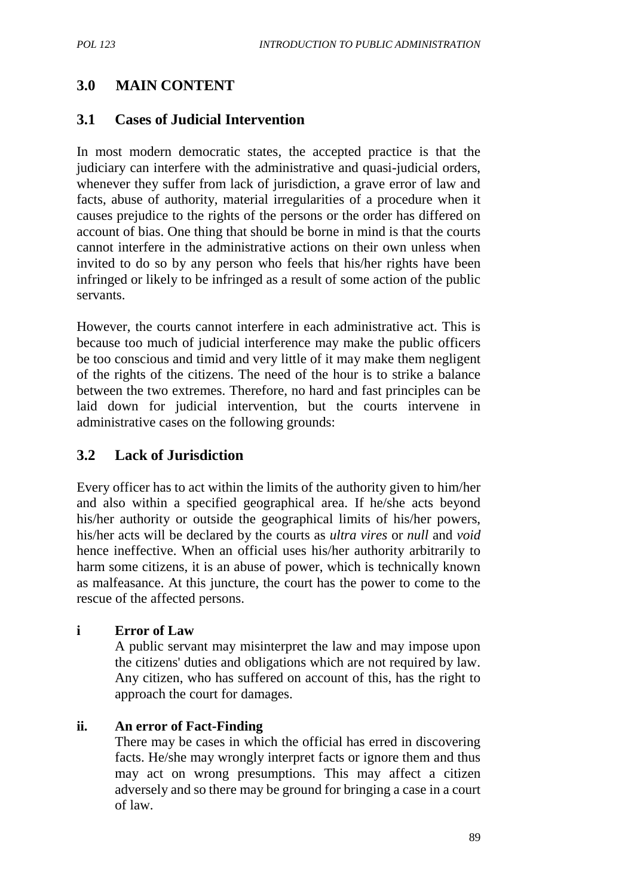# **3.0 MAIN CONTENT**

## **3.1 Cases of Judicial Intervention**

In most modern democratic states, the accepted practice is that the judiciary can interfere with the administrative and quasi-judicial orders, whenever they suffer from lack of jurisdiction, a grave error of law and facts, abuse of authority, material irregularities of a procedure when it causes prejudice to the rights of the persons or the order has differed on account of bias. One thing that should be borne in mind is that the courts cannot interfere in the administrative actions on their own unless when invited to do so by any person who feels that his/her rights have been infringed or likely to be infringed as a result of some action of the public servants.

However, the courts cannot interfere in each administrative act. This is because too much of judicial interference may make the public officers be too conscious and timid and very little of it may make them negligent of the rights of the citizens. The need of the hour is to strike a balance between the two extremes. Therefore, no hard and fast principles can be laid down for judicial intervention, but the courts intervene in administrative cases on the following grounds:

## **3.2 Lack of Jurisdiction**

Every officer has to act within the limits of the authority given to him/her and also within a specified geographical area. If he/she acts beyond his/her authority or outside the geographical limits of his/her powers, his/her acts will be declared by the courts as *ultra vires* or *null* and *void* hence ineffective. When an official uses his/her authority arbitrarily to harm some citizens, it is an abuse of power, which is technically known as malfeasance. At this juncture, the court has the power to come to the rescue of the affected persons.

#### **i Error of Law**

A public servant may misinterpret the law and may impose upon the citizens' duties and obligations which are not required by law. Any citizen, who has suffered on account of this, has the right to approach the court for damages.

## **ii. An error of Fact-Finding**

There may be cases in which the official has erred in discovering facts. He/she may wrongly interpret facts or ignore them and thus may act on wrong presumptions. This may affect a citizen adversely and so there may be ground for bringing a case in a court of law.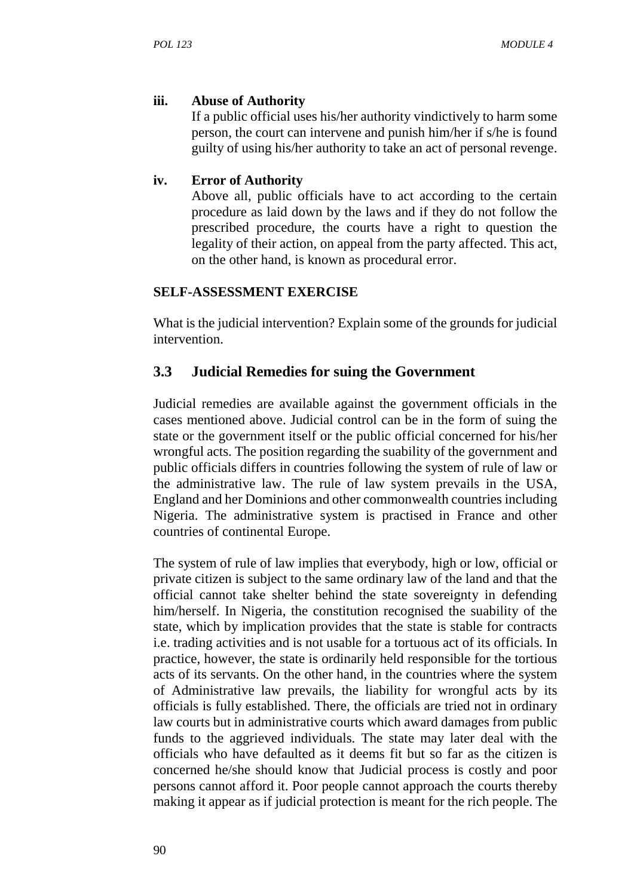## **iii. Abuse of Authority**

If a public official uses his/her authority vindictively to harm some person, the court can intervene and punish him/her if s/he is found guilty of using his/her authority to take an act of personal revenge.

## **iv. Error of Authority**

Above all, public officials have to act according to the certain procedure as laid down by the laws and if they do not follow the prescribed procedure, the courts have a right to question the legality of their action, on appeal from the party affected. This act, on the other hand, is known as procedural error.

## **SELF-ASSESSMENT EXERCISE**

What is the judicial intervention? Explain some of the grounds for judicial intervention.

## **3.3 Judicial Remedies for suing the Government**

Judicial remedies are available against the government officials in the cases mentioned above. Judicial control can be in the form of suing the state or the government itself or the public official concerned for his/her wrongful acts. The position regarding the suability of the government and public officials differs in countries following the system of rule of law or the administrative law. The rule of law system prevails in the USA, England and her Dominions and other commonwealth countries including Nigeria. The administrative system is practised in France and other countries of continental Europe.

The system of rule of law implies that everybody, high or low, official or private citizen is subject to the same ordinary law of the land and that the official cannot take shelter behind the state sovereignty in defending him/herself. In Nigeria, the constitution recognised the suability of the state, which by implication provides that the state is stable for contracts i.e. trading activities and is not usable for a tortuous act of its officials. In practice, however, the state is ordinarily held responsible for the tortious acts of its servants. On the other hand, in the countries where the system of Administrative law prevails, the liability for wrongful acts by its officials is fully established. There, the officials are tried not in ordinary law courts but in administrative courts which award damages from public funds to the aggrieved individuals. The state may later deal with the officials who have defaulted as it deems fit but so far as the citizen is concerned he/she should know that Judicial process is costly and poor persons cannot afford it. Poor people cannot approach the courts thereby making it appear as if judicial protection is meant for the rich people. The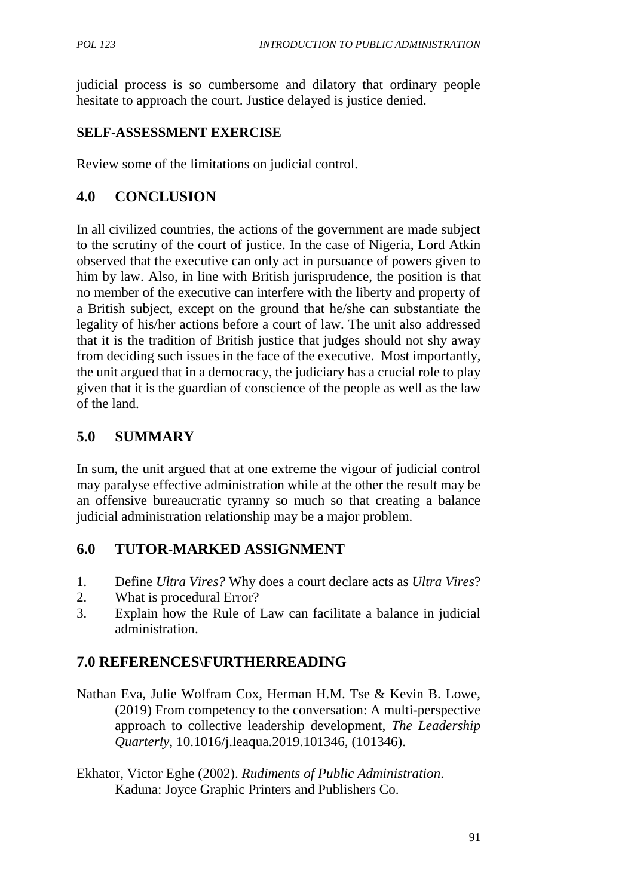judicial process is so cumbersome and dilatory that ordinary people hesitate to approach the court. Justice delayed is justice denied.

## **SELF-ASSESSMENT EXERCISE**

Review some of the limitations on judicial control.

# **4.0 CONCLUSION**

In all civilized countries, the actions of the government are made subject to the scrutiny of the court of justice. In the case of Nigeria, Lord Atkin observed that the executive can only act in pursuance of powers given to him by law. Also, in line with British jurisprudence, the position is that no member of the executive can interfere with the liberty and property of a British subject, except on the ground that he/she can substantiate the legality of his/her actions before a court of law. The unit also addressed that it is the tradition of British justice that judges should not shy away from deciding such issues in the face of the executive. Most importantly, the unit argued that in a democracy, the judiciary has a crucial role to play given that it is the guardian of conscience of the people as well as the law of the land.

# **5.0 SUMMARY**

In sum, the unit argued that at one extreme the vigour of judicial control may paralyse effective administration while at the other the result may be an offensive bureaucratic tyranny so much so that creating a balance judicial administration relationship may be a major problem.

## **6.0 TUTOR-MARKED ASSIGNMENT**

- 1. Define *Ultra Vires?* Why does a court declare acts as *Ultra Vires*?
- 2. What is procedural Error?
- 3. Explain how the Rule of Law can facilitate a balance in judicial administration.

# **7.0 REFERENCES\FURTHERREADING**

- Nathan Eva, Julie Wolfram Cox, Herman H.M. Tse & Kevin B. Lowe, (2019) From competency to the conversation: A multi-perspective approach to collective leadership development, *The Leadership Quarterly*, 10.1016/j.leaqua.2019.101346, (101346).
- Ekhator, Victor Eghe (2002). *Rudiments of Public Administration*. Kaduna: Joyce Graphic Printers and Publishers Co.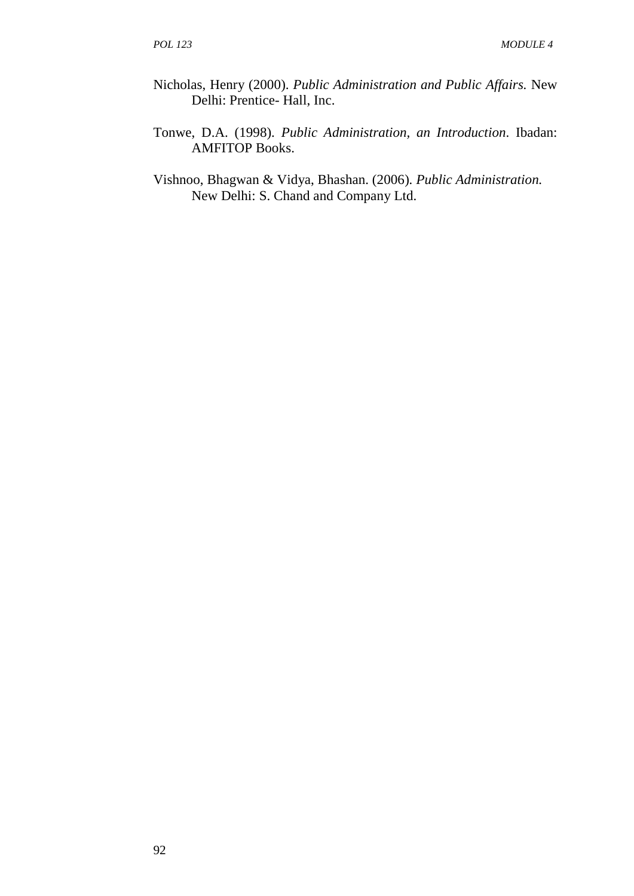- Nicholas, Henry (2000). *Public Administration and Public Affairs.* New Delhi: Prentice- Hall, Inc.
- Tonwe, D.A. (1998). *Public Administration, an Introduction*. Ibadan: AMFITOP Books.
- Vishnoo, Bhagwan & Vidya, Bhashan. (2006)*. Public Administration.* New Delhi: S. Chand and Company Ltd.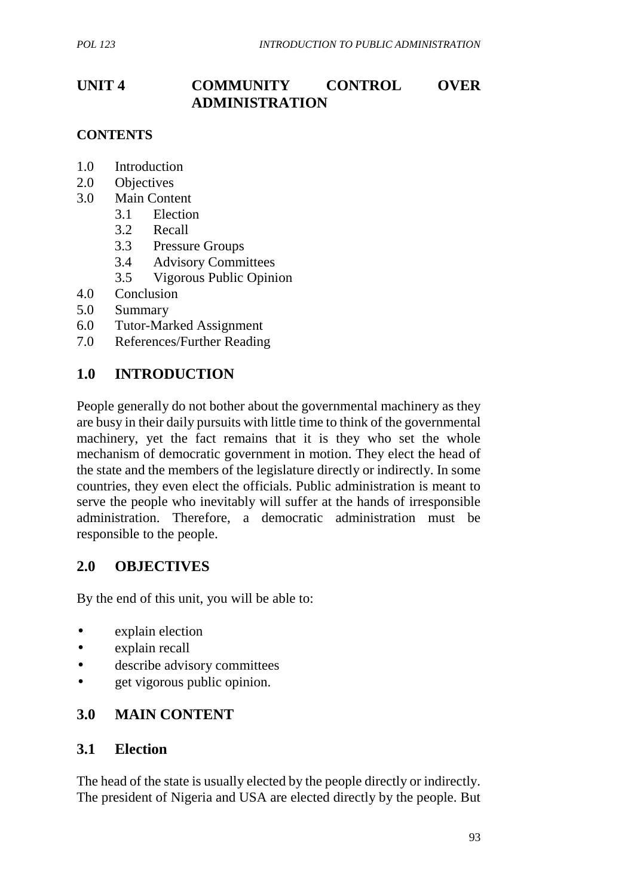## **UNIT 4 COMMUNITY CONTROL OVER ADMINISTRATION**

### **CONTENTS**

- 1.0 Introduction
- 2.0 Objectives
- 3.0 Main Content
	- 3.1 Election
	- 3.2 Recall
	- 3.3 Pressure Groups
	- 3.4 Advisory Committees
	- 3.5 Vigorous Public Opinion
- 4.0 Conclusion
- 5.0 Summary
- 6.0 Tutor-Marked Assignment
- 7.0 References/Further Reading

## **1.0 INTRODUCTION**

People generally do not bother about the governmental machinery as they are busy in their daily pursuits with little time to think of the governmental machinery, yet the fact remains that it is they who set the whole mechanism of democratic government in motion. They elect the head of the state and the members of the legislature directly or indirectly. In some countries, they even elect the officials. Public administration is meant to serve the people who inevitably will suffer at the hands of irresponsible administration. Therefore, a democratic administration must be responsible to the people.

## **2.0 OBJECTIVES**

By the end of this unit, you will be able to:

- explain election
- explain recall
- describe advisory committees
- get vigorous public opinion.

## **3.0 MAIN CONTENT**

### **3.1 Election**

The head of the state is usually elected by the people directly or indirectly. The president of Nigeria and USA are elected directly by the people. But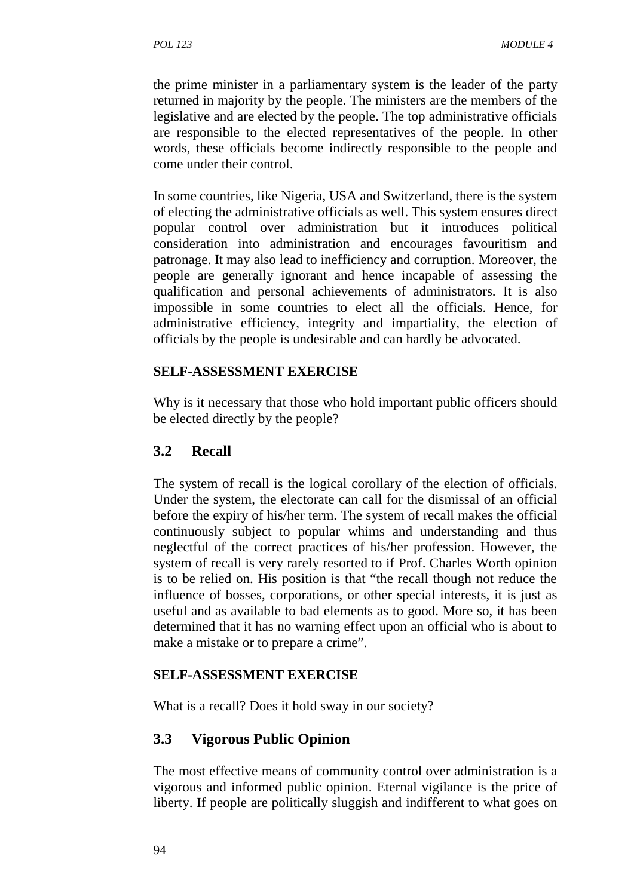the prime minister in a parliamentary system is the leader of the party returned in majority by the people. The ministers are the members of the legislative and are elected by the people. The top administrative officials are responsible to the elected representatives of the people. In other words, these officials become indirectly responsible to the people and come under their control.

In some countries, like Nigeria, USA and Switzerland, there is the system of electing the administrative officials as well. This system ensures direct popular control over administration but it introduces political consideration into administration and encourages favouritism and patronage. It may also lead to inefficiency and corruption. Moreover, the people are generally ignorant and hence incapable of assessing the qualification and personal achievements of administrators. It is also impossible in some countries to elect all the officials. Hence, for administrative efficiency, integrity and impartiality, the election of officials by the people is undesirable and can hardly be advocated.

#### **SELF-ASSESSMENT EXERCISE**

Why is it necessary that those who hold important public officers should be elected directly by the people?

#### **3.2 Recall**

The system of recall is the logical corollary of the election of officials. Under the system, the electorate can call for the dismissal of an official before the expiry of his/her term. The system of recall makes the official continuously subject to popular whims and understanding and thus neglectful of the correct practices of his/her profession. However, the system of recall is very rarely resorted to if Prof. Charles Worth opinion is to be relied on. His position is that "the recall though not reduce the influence of bosses, corporations, or other special interests, it is just as useful and as available to bad elements as to good. More so, it has been determined that it has no warning effect upon an official who is about to make a mistake or to prepare a crime".

#### **SELF-ASSESSMENT EXERCISE**

What is a recall? Does it hold sway in our society?

### **3.3 Vigorous Public Opinion**

The most effective means of community control over administration is a vigorous and informed public opinion. Eternal vigilance is the price of liberty. If people are politically sluggish and indifferent to what goes on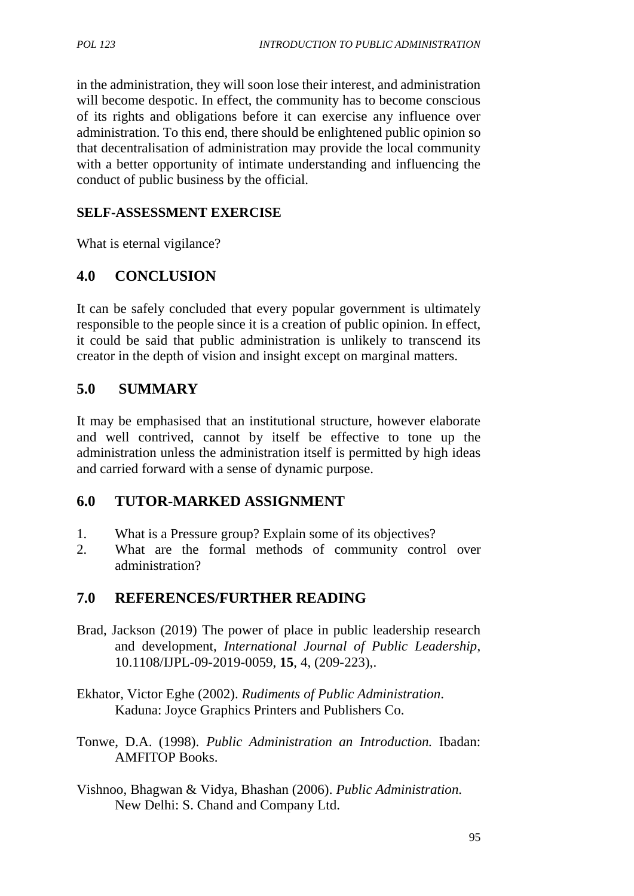in the administration, they will soon lose their interest, and administration will become despotic. In effect, the community has to become conscious of its rights and obligations before it can exercise any influence over administration. To this end, there should be enlightened public opinion so that decentralisation of administration may provide the local community with a better opportunity of intimate understanding and influencing the conduct of public business by the official.

#### **SELF-ASSESSMENT EXERCISE**

What is eternal vigilance?

## **4.0 CONCLUSION**

It can be safely concluded that every popular government is ultimately responsible to the people since it is a creation of public opinion. In effect, it could be said that public administration is unlikely to transcend its creator in the depth of vision and insight except on marginal matters.

### **5.0 SUMMARY**

It may be emphasised that an institutional structure, however elaborate and well contrived, cannot by itself be effective to tone up the administration unless the administration itself is permitted by high ideas and carried forward with a sense of dynamic purpose.

### **6.0 TUTOR-MARKED ASSIGNMENT**

- 1. What is a Pressure group? Explain some of its objectives?
- 2. What are the formal methods of community control over administration?

### **7.0 REFERENCES/FURTHER READING**

- Brad, Jackson (2019) The power of place in public leadership research and development, *International Journal of Public Leadership*, 10.1108/IJPL-09-2019-0059, **15**, 4, (209-223),.
- Ekhator, Victor Eghe (2002). *Rudiments of Public Administration*. Kaduna: Joyce Graphics Printers and Publishers Co.
- Tonwe, D.A. (1998). *Public Administration an Introduction.* Ibadan: AMFITOP Books.
- Vishnoo, Bhagwan & Vidya, Bhashan (2006). *Public Administration.* New Delhi: S. Chand and Company Ltd.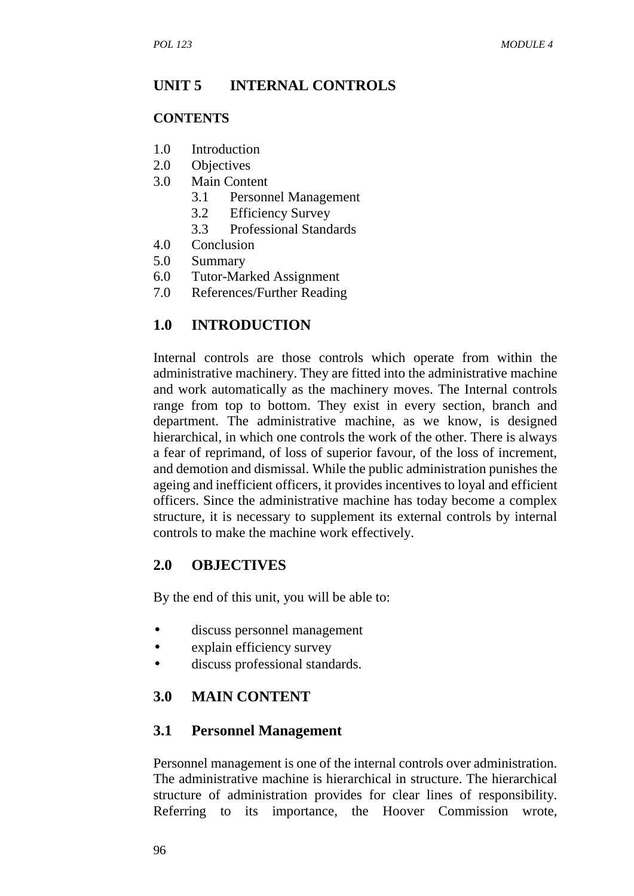## **UNIT 5 INTERNAL CONTROLS**

#### **CONTENTS**

- 1.0 Introduction
- 2.0 Objectives
- 3.0 Main Content
	- 3.1 Personnel Management
	- 3.2 Efficiency Survey
	- 3.3 Professional Standards
- 4.0 Conclusion
- 5.0 Summary
- 6.0 Tutor-Marked Assignment
- 7.0 References/Further Reading

### **1.0 INTRODUCTION**

Internal controls are those controls which operate from within the administrative machinery. They are fitted into the administrative machine and work automatically as the machinery moves. The Internal controls range from top to bottom. They exist in every section, branch and department. The administrative machine, as we know, is designed hierarchical, in which one controls the work of the other. There is always a fear of reprimand, of loss of superior favour, of the loss of increment, and demotion and dismissal. While the public administration punishes the ageing and inefficient officers, it provides incentives to loyal and efficient officers. Since the administrative machine has today become a complex structure, it is necessary to supplement its external controls by internal controls to make the machine work effectively.

#### **2.0 OBJECTIVES**

By the end of this unit, you will be able to:

- discuss personnel management
- explain efficiency survey
- discuss professional standards.

### **3.0 MAIN CONTENT**

#### **3.1 Personnel Management**

Personnel management is one of the internal controls over administration. The administrative machine is hierarchical in structure. The hierarchical structure of administration provides for clear lines of responsibility. Referring to its importance, the Hoover Commission wrote,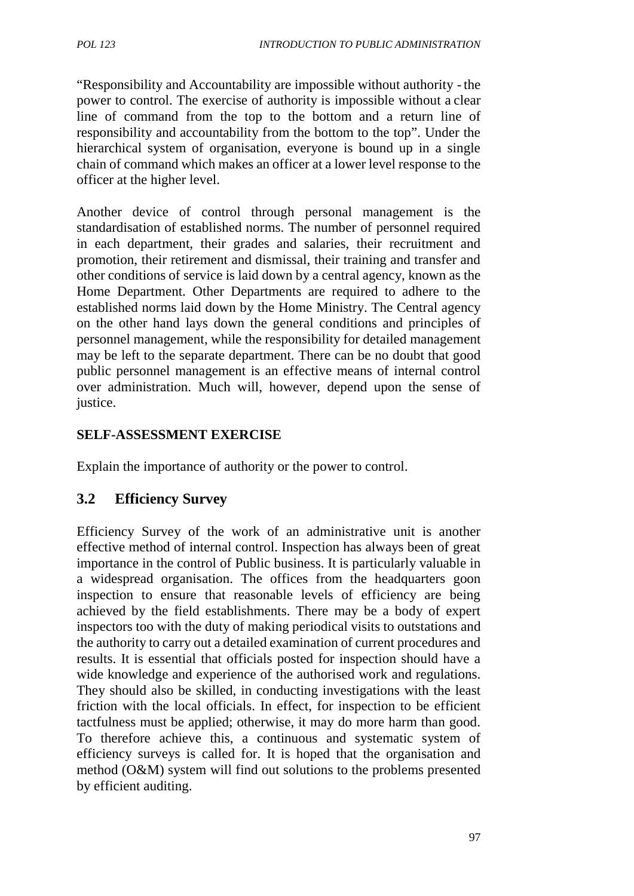"Responsibility and Accountability are impossible without authority -the power to control. The exercise of authority is impossible without a clear line of command from the top to the bottom and a return line of responsibility and accountability from the bottom to the top". Under the hierarchical system of organisation, everyone is bound up in a single chain of command which makes an officer at a lower level response to the officer at the higher level.

Another device of control through personal management is the standardisation of established norms. The number of personnel required in each department, their grades and salaries, their recruitment and promotion, their retirement and dismissal, their training and transfer and other conditions of service is laid down by a central agency, known as the Home Department. Other Departments are required to adhere to the established norms laid down by the Home Ministry. The Central agency on the other hand lays down the general conditions and principles of personnel management, while the responsibility for detailed management may be left to the separate department. There can be no doubt that good public personnel management is an effective means of internal control over administration. Much will, however, depend upon the sense of justice.

#### **SELF-ASSESSMENT EXERCISE**

Explain the importance of authority or the power to control.

### **3.2 Efficiency Survey**

Efficiency Survey of the work of an administrative unit is another effective method of internal control. Inspection has always been of great importance in the control of Public business. It is particularly valuable in a widespread organisation. The offices from the headquarters goon inspection to ensure that reasonable levels of efficiency are being achieved by the field establishments. There may be a body of expert inspectors too with the duty of making periodical visits to outstations and the authority to carry out a detailed examination of current procedures and results. It is essential that officials posted for inspection should have a wide knowledge and experience of the authorised work and regulations. They should also be skilled, in conducting investigations with the least friction with the local officials. In effect, for inspection to be efficient tactfulness must be applied; otherwise, it may do more harm than good. To therefore achieve this, a continuous and systematic system of efficiency surveys is called for. It is hoped that the organisation and method (O&M) system will find out solutions to the problems presented by efficient auditing.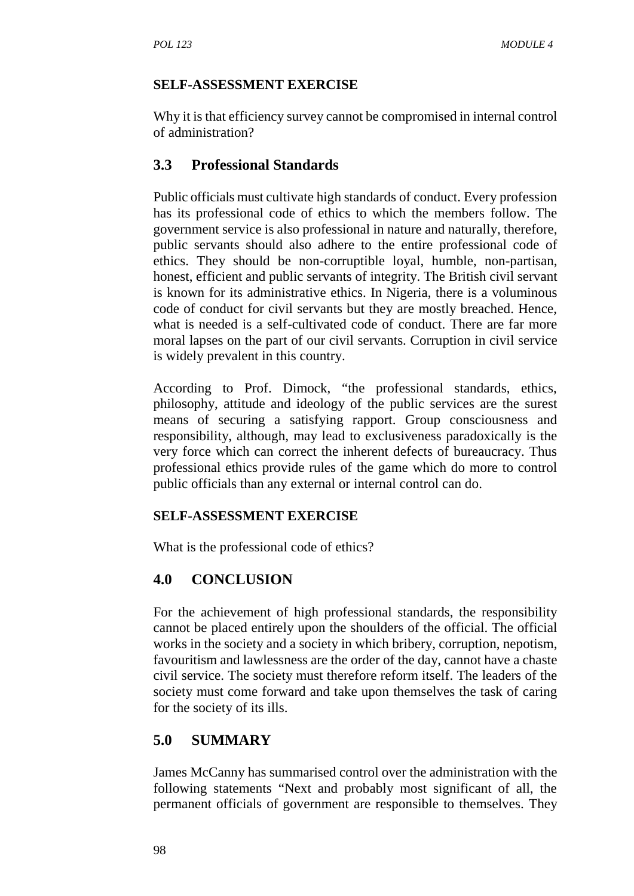#### **SELF-ASSESSMENT EXERCISE**

Why it is that efficiency survey cannot be compromised in internal control of administration?

## **3.3 Professional Standards**

Public officials must cultivate high standards of conduct. Every profession has its professional code of ethics to which the members follow. The government service is also professional in nature and naturally, therefore, public servants should also adhere to the entire professional code of ethics. They should be non-corruptible loyal, humble, non-partisan, honest, efficient and public servants of integrity. The British civil servant is known for its administrative ethics. In Nigeria, there is a voluminous code of conduct for civil servants but they are mostly breached. Hence, what is needed is a self-cultivated code of conduct. There are far more moral lapses on the part of our civil servants. Corruption in civil service is widely prevalent in this country.

According to Prof. Dimock, "the professional standards, ethics, philosophy, attitude and ideology of the public services are the surest means of securing a satisfying rapport. Group consciousness and responsibility, although, may lead to exclusiveness paradoxically is the very force which can correct the inherent defects of bureaucracy. Thus professional ethics provide rules of the game which do more to control public officials than any external or internal control can do.

#### **SELF-ASSESSMENT EXERCISE**

What is the professional code of ethics?

## **4.0 CONCLUSION**

For the achievement of high professional standards, the responsibility cannot be placed entirely upon the shoulders of the official. The official works in the society and a society in which bribery, corruption, nepotism, favouritism and lawlessness are the order of the day, cannot have a chaste civil service. The society must therefore reform itself. The leaders of the society must come forward and take upon themselves the task of caring for the society of its ills.

## **5.0 SUMMARY**

James McCanny has summarised control over the administration with the following statements "Next and probably most significant of all, the permanent officials of government are responsible to themselves. They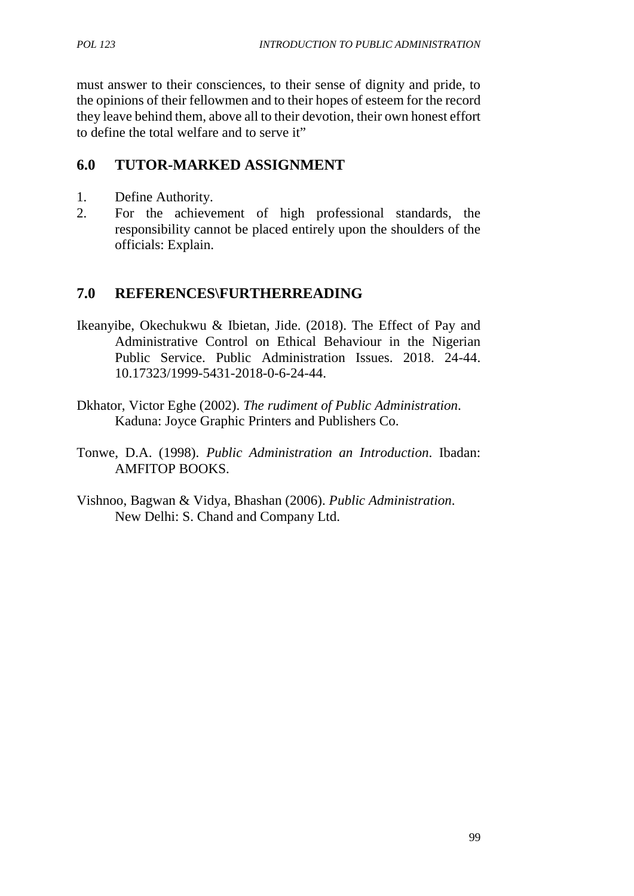must answer to their consciences, to their sense of dignity and pride, to the opinions of their fellowmen and to their hopes of esteem for the record they leave behind them, above all to their devotion, their own honest effort to define the total welfare and to serve it"

## **6.0 TUTOR-MARKED ASSIGNMENT**

- 1. Define Authority.
- 2. For the achievement of high professional standards, the responsibility cannot be placed entirely upon the shoulders of the officials: Explain.

## **7.0 REFERENCES\FURTHERREADING**

- Ikeanyibe, Okechukwu & Ibietan, Jide. (2018). The Effect of Pay and Administrative Control on Ethical Behaviour in the Nigerian Public Service. Public Administration Issues. 2018. 24-44. 10.17323/1999-5431-2018-0-6-24-44.
- Dkhator, Victor Eghe (2002). *The rudiment of Public Administration*. Kaduna: Joyce Graphic Printers and Publishers Co.
- Tonwe, D.A. (1998). *Public Administration an Introduction*. Ibadan: AMFITOP BOOKS.
- Vishnoo, Bagwan & Vidya, Bhashan (2006). *Public Administration*. New Delhi: S. Chand and Company Ltd.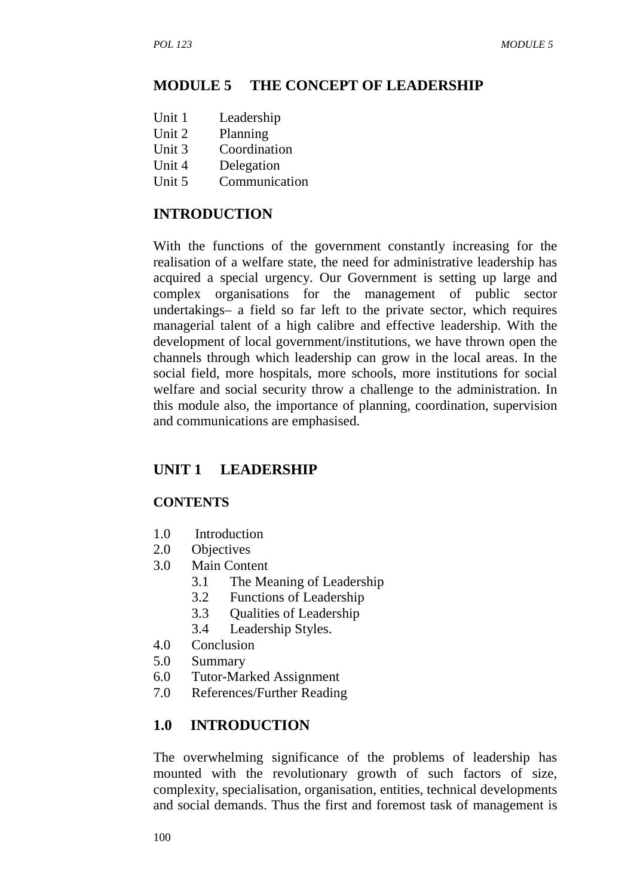#### **MODULE 5 THE CONCEPT OF LEADERSHIP**

- Unit 1 Leadership
- Unit 2 Planning
- Unit 3 Coordination
- Unit 4 Delegation
- Unit 5 Communication

## **INTRODUCTION**

With the functions of the government constantly increasing for the realisation of a welfare state, the need for administrative leadership has acquired a special urgency. Our Government is setting up large and complex organisations for the management of public sector undertakings– a field so far left to the private sector, which requires managerial talent of a high calibre and effective leadership. With the development of local government/institutions, we have thrown open the channels through which leadership can grow in the local areas. In the social field, more hospitals, more schools, more institutions for social welfare and social security throw a challenge to the administration. In this module also, the importance of planning, coordination, supervision and communications are emphasised.

## **UNIT 1 LEADERSHIP**

### **CONTENTS**

- 1.0 Introduction
- 2.0 Objectives
- 3.0 Main Content
	- 3.1 The Meaning of Leadership
	- 3.2 Functions of Leadership
	- 3.3 Qualities of Leadership
	- 3.4 Leadership Styles.
- 4.0 Conclusion
- 5.0 Summary
- 6.0 Tutor-Marked Assignment
- 7.0 References/Further Reading

### **1.0 INTRODUCTION**

The overwhelming significance of the problems of leadership has mounted with the revolutionary growth of such factors of size, complexity, specialisation, organisation, entities, technical developments and social demands. Thus the first and foremost task of management is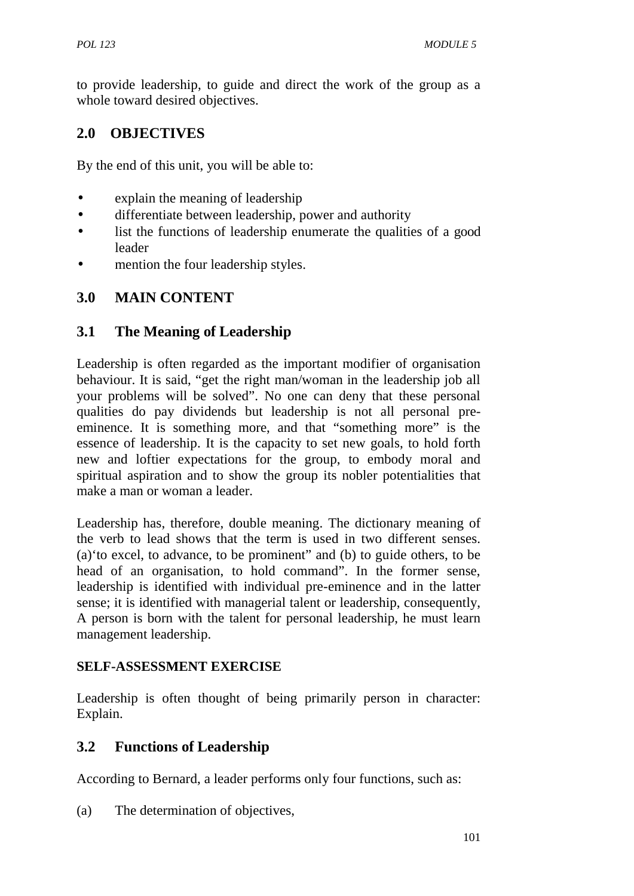to provide leadership, to guide and direct the work of the group as a whole toward desired objectives.

## **2.0 OBJECTIVES**

By the end of this unit, you will be able to:

- explain the meaning of leadership
- differentiate between leadership, power and authority
- list the functions of leadership enumerate the qualities of a good leader
- mention the four leadership styles.

## **3.0 MAIN CONTENT**

### **3.1 The Meaning of Leadership**

Leadership is often regarded as the important modifier of organisation behaviour. It is said, "get the right man/woman in the leadership job all your problems will be solved". No one can deny that these personal qualities do pay dividends but leadership is not all personal pre eminence. It is something more, and that "something more" is the essence of leadership. It is the capacity to set new goals, to hold forth new and loftier expectations for the group, to embody moral and spiritual aspiration and to show the group its nobler potentialities that make a man or woman a leader.

Leadership has, therefore, double meaning. The dictionary meaning of the verb to lead shows that the term is used in two different senses. (a)'to excel, to advance, to be prominent" and (b) to guide others, to be head of an organisation, to hold command". In the former sense, leadership is identified with individual pre-eminence and in the latter sense; it is identified with managerial talent or leadership, consequently, A person is born with the talent for personal leadership, he must learn management leadership.

#### **SELF-ASSESSMENT EXERCISE**

Leadership is often thought of being primarily person in character: Explain.

### **3.2 Functions of Leadership**

According to Bernard, a leader performs only four functions, such as:

(a) The determination of objectives,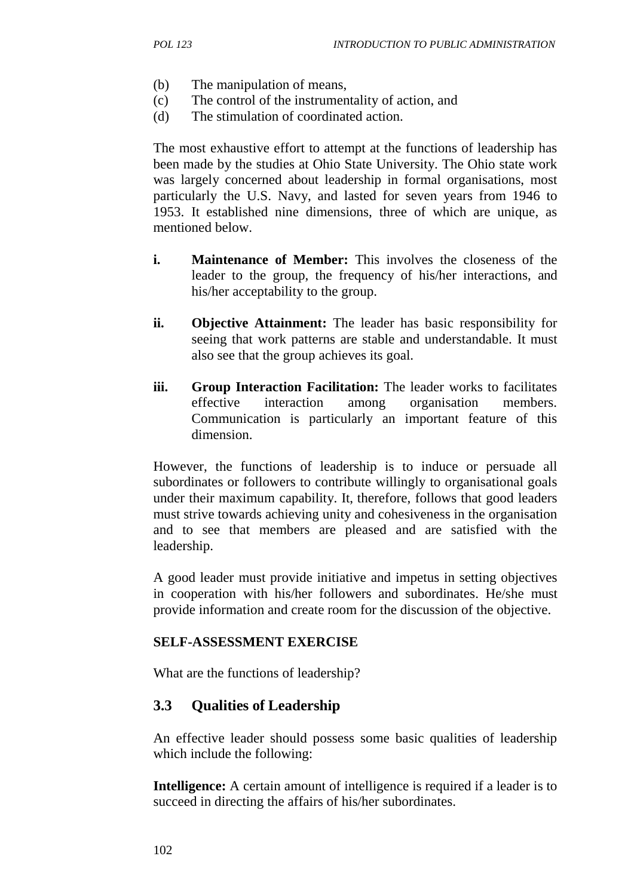- (b) The manipulation of means,
- (c) The control of the instrumentality of action, and
- (d) The stimulation of coordinated action.

The most exhaustive effort to attempt at the functions of leadership has been made by the studies at Ohio State University. The Ohio state work was largely concerned about leadership in formal organisations, most particularly the U.S. Navy, and lasted for seven years from 1946 to 1953. It established nine dimensions, three of which are unique, as mentioned below.

- **i. Maintenance of Member:** This involves the closeness of the leader to the group, the frequency of his/her interactions, and his/her acceptability to the group.
- **ii. Objective Attainment:** The leader has basic responsibility for seeing that work patterns are stable and understandable. It must also see that the group achieves its goal.
- **iii. Group Interaction Facilitation:** The leader works to facilitates effective interaction among organisation members. Communication is particularly an important feature of this dimension.

However, the functions of leadership is to induce or persuade all subordinates or followers to contribute willingly to organisational goals under their maximum capability. It, therefore, follows that good leaders must strive towards achieving unity and cohesiveness in the organisation and to see that members are pleased and are satisfied with the leadership.

A good leader must provide initiative and impetus in setting objectives in cooperation with his/her followers and subordinates. He/she must provide information and create room for the discussion of the objective.

#### **SELF-ASSESSMENT EXERCISE**

What are the functions of leadership?

### **3.3 Qualities of Leadership**

An effective leader should possess some basic qualities of leadership which include the following:

**Intelligence:** A certain amount of intelligence is required if a leader is to succeed in directing the affairs of his/her subordinates.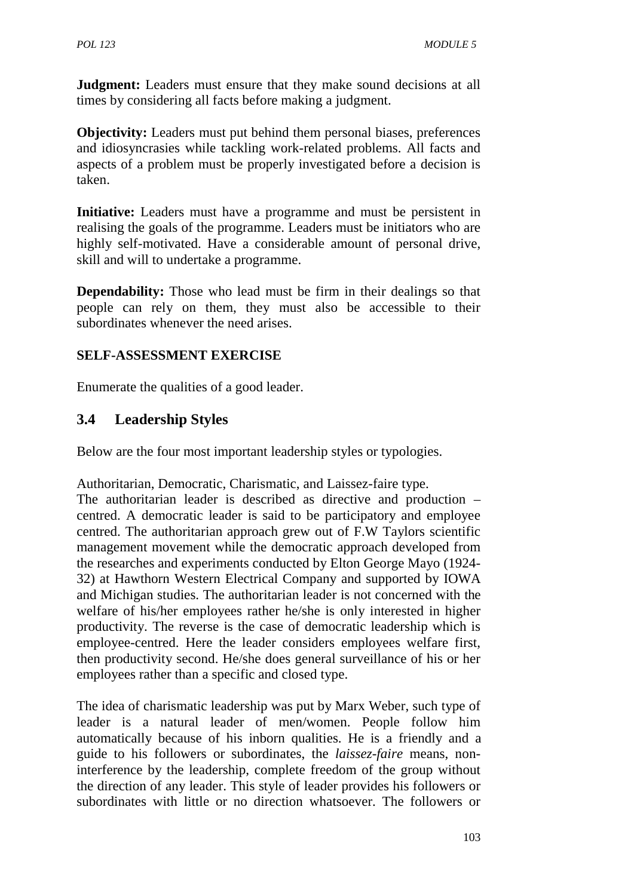**Judgment:** Leaders must ensure that they make sound decisions at all times by considering all facts before making a judgment.

**Objectivity:** Leaders must put behind them personal biases, preferences and idiosyncrasies while tackling work-related problems. All facts and aspects of a problem must be properly investigated before a decision is taken.

**Initiative:** Leaders must have a programme and must be persistent in realising the goals of the programme. Leaders must be initiators who are highly self-motivated. Have a considerable amount of personal drive, skill and will to undertake a programme.

**Dependability:** Those who lead must be firm in their dealings so that people can rely on them, they must also be accessible to their subordinates whenever the need arises.

### **SELF-ASSESSMENT EXERCISE**

Enumerate the qualities of a good leader.

## **3.4 Leadership Styles**

Below are the four most important leadership styles or typologies.

Authoritarian, Democratic, Charismatic, and Laissez-faire type.

The authoritarian leader is described as directive and production – centred. A democratic leader is said to be participatory and employee centred. The authoritarian approach grew out of F.W Taylors scientific management movement while the democratic approach developed from the researches and experiments conducted by Elton George Mayo (1924- 32) at Hawthorn Western Electrical Company and supported by IOWA and Michigan studies. The authoritarian leader is not concerned with the welfare of his/her employees rather he/she is only interested in higher productivity. The reverse is the case of democratic leadership which is employee-centred. Here the leader considers employees welfare first, then productivity second. He/she does general surveillance of his or her employees rather than a specific and closed type.

The idea of charismatic leadership was put by Marx Weber, such type of leader is a natural leader of men/women. People follow him automatically because of his inborn qualities. He is a friendly and a guide to his followers or subordinates, the *laissez-faire* means, noninterference by the leadership, complete freedom of the group without the direction of any leader. This style of leader provides his followers or subordinates with little or no direction whatsoever. The followers or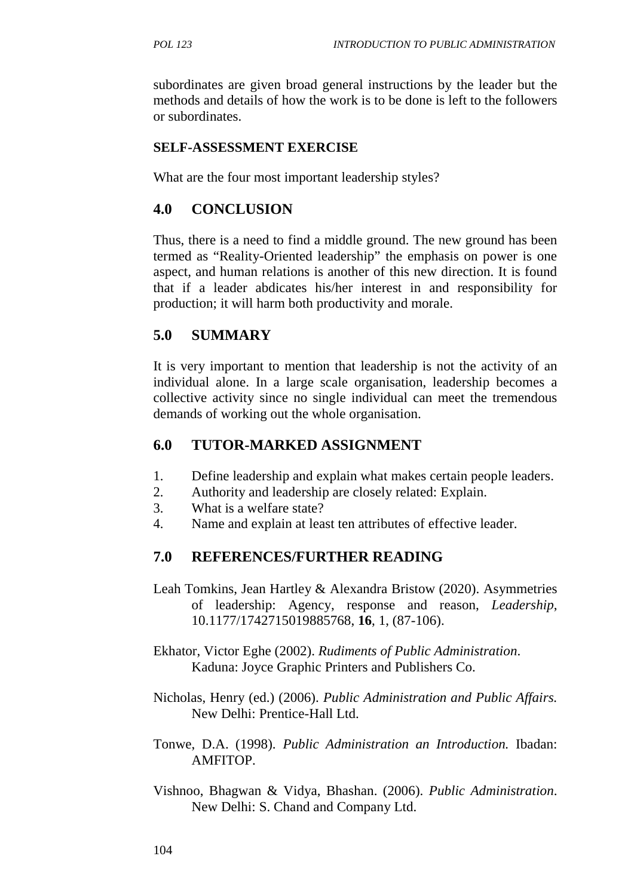subordinates are given broad general instructions by the leader but the methods and details of how the work is to be done is left to the followers or subordinates.

#### **SELF-ASSESSMENT EXERCISE**

What are the four most important leadership styles?

#### **4.0 CONCLUSION**

Thus, there is a need to find a middle ground. The new ground has been termed as "Reality-Oriented leadership" the emphasis on power is one aspect, and human relations is another of this new direction. It is found that if a leader abdicates his/her interest in and responsibility for production; it will harm both productivity and morale.

### **5.0 SUMMARY**

It is very important to mention that leadership is not the activity of an individual alone. In a large scale organisation, leadership becomes a collective activity since no single individual can meet the tremendous demands of working out the whole organisation.

#### **6.0 TUTOR-MARKED ASSIGNMENT**

- 1. Define leadership and explain what makes certain people leaders.
- 2. Authority and leadership are closely related: Explain.
- 3. What is a welfare state?
- 4. Name and explain at least ten attributes of effective leader.

#### **7.0 REFERENCES/FURTHER READING**

- Leah Tomkins, Jean Hartley & Alexandra Bristow (2020). Asymmetries of leadership: Agency, response and reason, *Leadership*, 10.1177/1742715019885768, **16**, 1, (87-106).
- Ekhator, Victor Eghe (2002). *Rudiments of Public Administration*. Kaduna: Joyce Graphic Printers and Publishers Co.
- Nicholas, Henry (ed.) (2006). *Public Administration and Public Affairs.* New Delhi: Prentice-Hall Ltd.
- Tonwe, D.A. (1998). *Public Administration an Introduction.* Ibadan: **AMFITOP**
- Vishnoo, Bhagwan & Vidya, Bhashan. (2006). *Public Administration*. New Delhi: S. Chand and Company Ltd.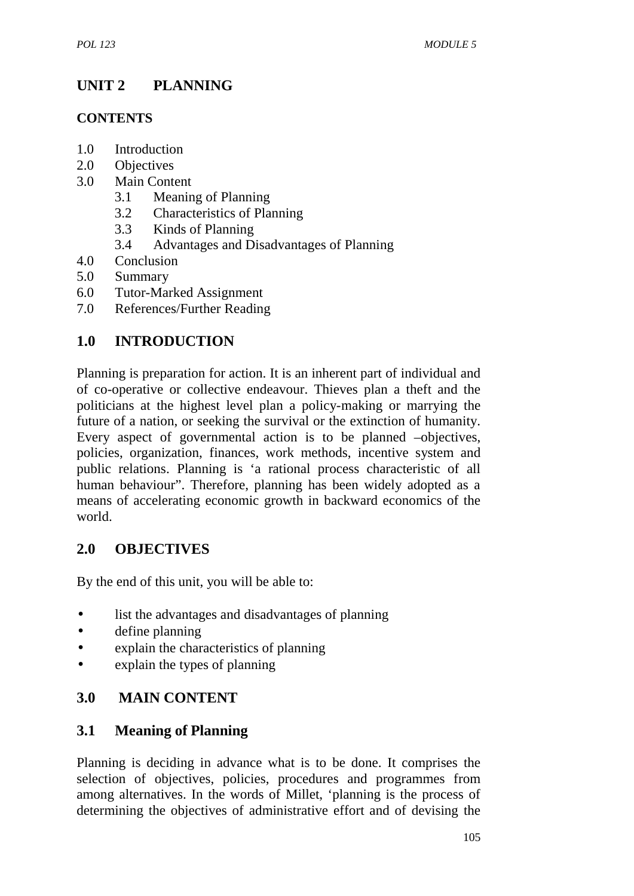# **UNIT 2 PLANNING**

### **CONTENTS**

- 1.0 Introduction
- 2.0 Objectives
- 3.0 Main Content
	- 3.1 Meaning of Planning
	- 3.2 Characteristics of Planning
	- 3.3 Kinds of Planning
	- 3.4 Advantages and Disadvantages of Planning
- 4.0 Conclusion
- 5.0 Summary
- 6.0 Tutor-Marked Assignment
- 7.0 References/Further Reading

## **1.0 INTRODUCTION**

Planning is preparation for action. It is an inherent part of individual and of co-operative or collective endeavour. Thieves plan a theft and the politicians at the highest level plan a policy-making or marrying the future of a nation, or seeking the survival or the extinction of humanity. Every aspect of governmental action is to be planned –objectives, policies, organization, finances, work methods, incentive system and public relations. Planning is 'a rational process characteristic of all human behaviour". Therefore, planning has been widely adopted as a means of accelerating economic growth in backward economics of the world.

### **2.0 OBJECTIVES**

By the end of this unit, you will be able to:

- list the advantages and disadvantages of planning
- define planning
- explain the characteristics of planning
- explain the types of planning

## **3.0 MAIN CONTENT**

### **3.1 Meaning of Planning**

Planning is deciding in advance what is to be done. It comprises the selection of objectives, policies, procedures and programmes from among alternatives. In the words of Millet, 'planning is the process of determining the objectives of administrative effort and of devising the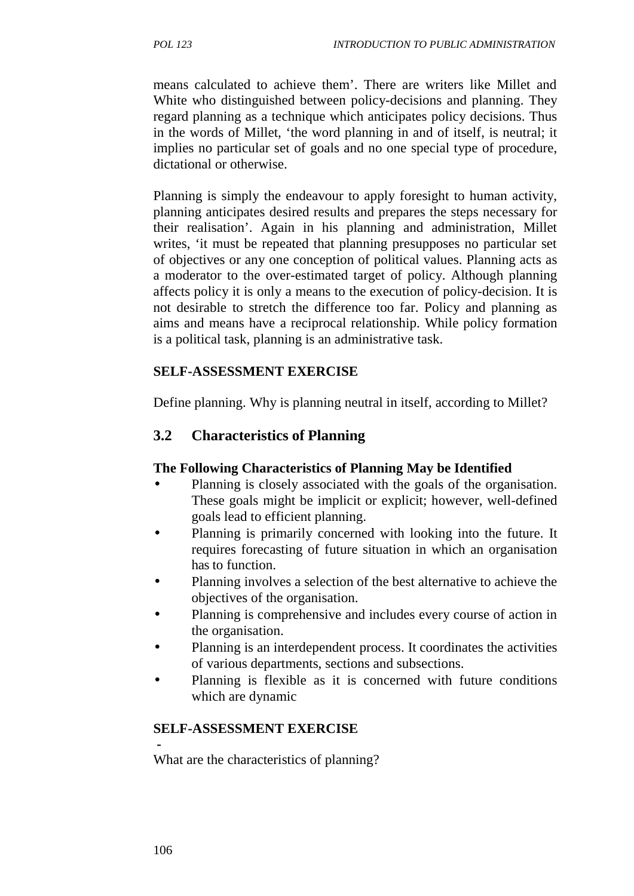means calculated to achieve them'. There are writers like Millet and White who distinguished between policy-decisions and planning. They regard planning as a technique which anticipates policy decisions. Thus in the words of Millet, 'the word planning in and of itself, is neutral; it implies no particular set of goals and no one special type of procedure, dictational or otherwise.

Planning is simply the endeavour to apply foresight to human activity. planning anticipates desired results and prepares the steps necessary for their realisation'. Again in his planning and administration, Millet writes, 'it must be repeated that planning presupposes no particular set of objectives or any one conception of political values. Planning acts as a moderator to the over-estimated target of policy. Although planning affects policy it is only a means to the execution of policy-decision. It is not desirable to stretch the difference too far. Policy and planning as aims and means have a reciprocal relationship. While policy formation is a political task, planning is an administrative task.

#### **SELF-ASSESSMENT EXERCISE**

Define planning. Why is planning neutral in itself, according to Millet?

## **3.2 Characteristics of Planning**

#### **The Following Characteristics of Planning May be Identified**

- Planning is closely associated with the goals of the organisation. These goals might be implicit or explicit; however, well-defined goals lead to efficient planning.
- Planning is primarily concerned with looking into the future. It requires forecasting of future situation in which an organisation has to function.
- Planning involves a selection of the best alternative to achieve the objectives of the organisation.
- Planning is comprehensive and includes every course of action in the organisation.
- Planning is an interdependent process. It coordinates the activities of various departments, sections and subsections.
- Planning is flexible as it is concerned with future conditions which are dynamic

#### **SELF-ASSESSMENT EXERCISE**

What are the characteristics of planning?

**-**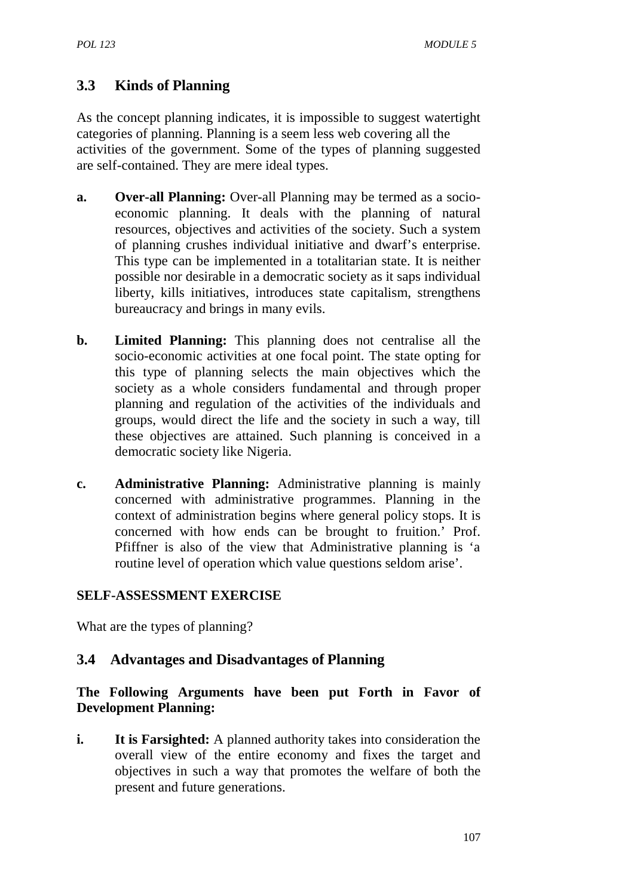## **3.3 Kinds of Planning**

As the concept planning indicates, it is impossible to suggest watertight categories of planning. Planning is a seem less web covering all the activities of the government. Some of the types of planning suggested are self-contained. They are mere ideal types.

- **a. Over-all Planning:** Over-all Planning may be termed as a socio economic planning. It deals with the planning of natural resources, objectives and activities of the society. Such a system of planning crushes individual initiative and dwarf's enterprise. This type can be implemented in a totalitarian state. It is neither possible nor desirable in a democratic society as it saps individual liberty, kills initiatives, introduces state capitalism, strengthens bureaucracy and brings in many evils.
- **b. Limited Planning:** This planning does not centralise all the socio-economic activities at one focal point. The state opting for this type of planning selects the main objectives which the society as a whole considers fundamental and through proper planning and regulation of the activities of the individuals and groups, would direct the life and the society in such a way, till these objectives are attained. Such planning is conceived in a democratic society like Nigeria.
- **c. Administrative Planning:** Administrative planning is mainly concerned with administrative programmes. Planning in the context of administration begins where general policy stops. It is concerned with how ends can be brought to fruition.' Prof. Pfiffner is also of the view that Administrative planning is 'a routine level of operation which value questions seldom arise'.

#### **SELF-ASSESSMENT EXERCISE**

What are the types of planning?

### **3.4 Advantages and Disadvantages of Planning**

#### **The Following Arguments have been put Forth in Favor of Development Planning:**

**i. It is Farsighted:** A planned authority takes into consideration the overall view of the entire economy and fixes the target and objectives in such a way that promotes the welfare of both the present and future generations.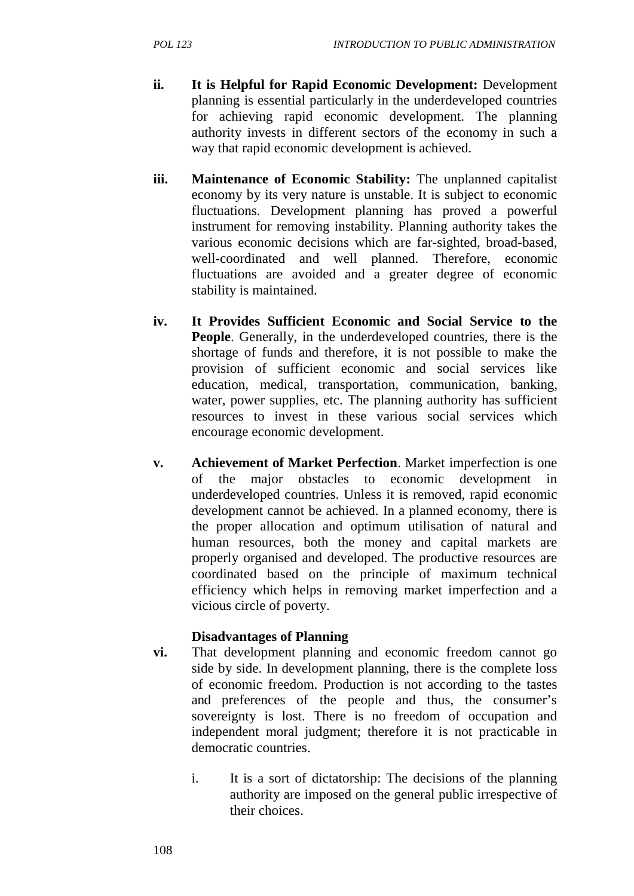- **ii. It is Helpful for Rapid Economic Development:** Development planning is essential particularly in the underdeveloped countries for achieving rapid economic development. The planning authority invests in different sectors of the economy in such a way that rapid economic development is achieved.
- **iii. Maintenance of Economic Stability:** The unplanned capitalist economy by its very nature is unstable. It is subject to economic fluctuations. Development planning has proved a powerful instrument for removing instability. Planning authority takes the various economic decisions which are far-sighted, broad-based, well-coordinated and well planned. Therefore, economic fluctuations are avoided and a greater degree of economic stability is maintained.
- **iv. It Provides Sufficient Economic and Social Service to the People**. Generally, in the underdeveloped countries, there is the shortage of funds and therefore, it is not possible to make the provision of sufficient economic and social services like education, medical, transportation, communication, banking, water, power supplies, etc. The planning authority has sufficient resources to invest in these various social services which encourage economic development.
- **v. Achievement of Market Perfection**. Market imperfection is one of the major obstacles to economic development in underdeveloped countries. Unless it is removed, rapid economic development cannot be achieved. In a planned economy, there is the proper allocation and optimum utilisation of natural and human resources, both the money and capital markets are properly organised and developed. The productive resources are coordinated based on the principle of maximum technical efficiency which helps in removing market imperfection and a vicious circle of poverty.

#### **Disadvantages of Planning**

- **vi.** That development planning and economic freedom cannot go side by side. In development planning, there is the complete loss of economic freedom. Production is not according to the tastes and preferences of the people and thus, the consumer's sovereignty is lost. There is no freedom of occupation and independent moral judgment; therefore it is not practicable in democratic countries.
	- i. It is a sort of dictatorship: The decisions of the planning authority are imposed on the general public irrespective of their choices.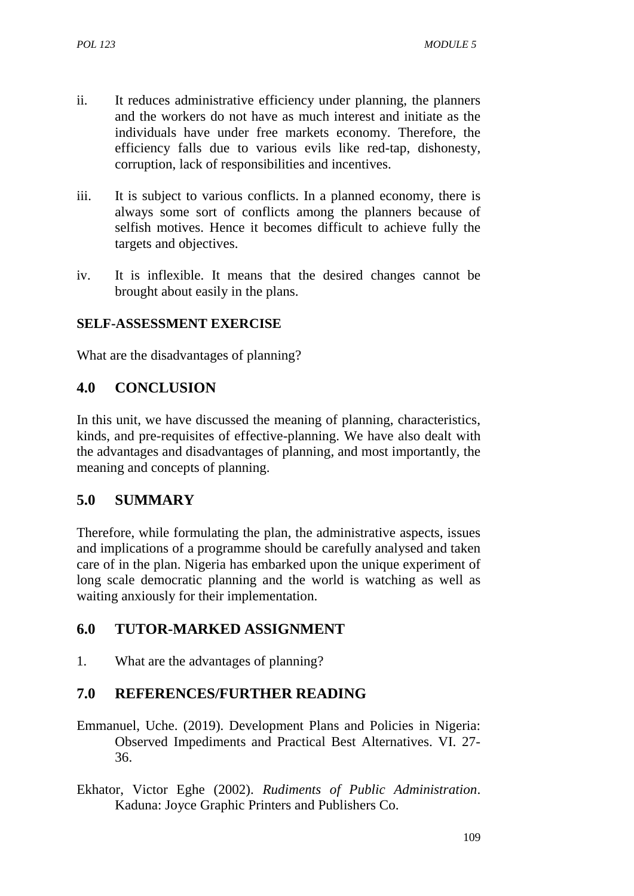- ii. It reduces administrative efficiency under planning, the planners and the workers do not have as much interest and initiate as the individuals have under free markets economy. Therefore, the efficiency falls due to various evils like red-tap, dishonesty, corruption, lack of responsibilities and incentives.
- iii. It is subject to various conflicts. In a planned economy, there is always some sort of conflicts among the planners because of selfish motives. Hence it becomes difficult to achieve fully the targets and objectives.
- iv. It is inflexible. It means that the desired changes cannot be brought about easily in the plans.

#### **SELF-ASSESSMENT EXERCISE**

What are the disadvantages of planning?

### **4.0 CONCLUSION**

In this unit, we have discussed the meaning of planning, characteristics, kinds, and pre-requisites of effective-planning. We have also dealt with the advantages and disadvantages of planning, and most importantly, the meaning and concepts of planning.

### **5.0 SUMMARY**

Therefore, while formulating the plan, the administrative aspects, issues and implications of a programme should be carefully analysed and taken care of in the plan. Nigeria has embarked upon the unique experiment of long scale democratic planning and the world is watching as well as waiting anxiously for their implementation.

### **6.0 TUTOR-MARKED ASSIGNMENT**

1. What are the advantages of planning?

### **7.0 REFERENCES/FURTHER READING**

- Emmanuel, Uche. (2019). Development Plans and Policies in Nigeria: Observed Impediments and Practical Best Alternatives. VI. 27- 36.
- Ekhator, Victor Eghe (2002). *Rudiments of Public Administration*. Kaduna: Joyce Graphic Printers and Publishers Co.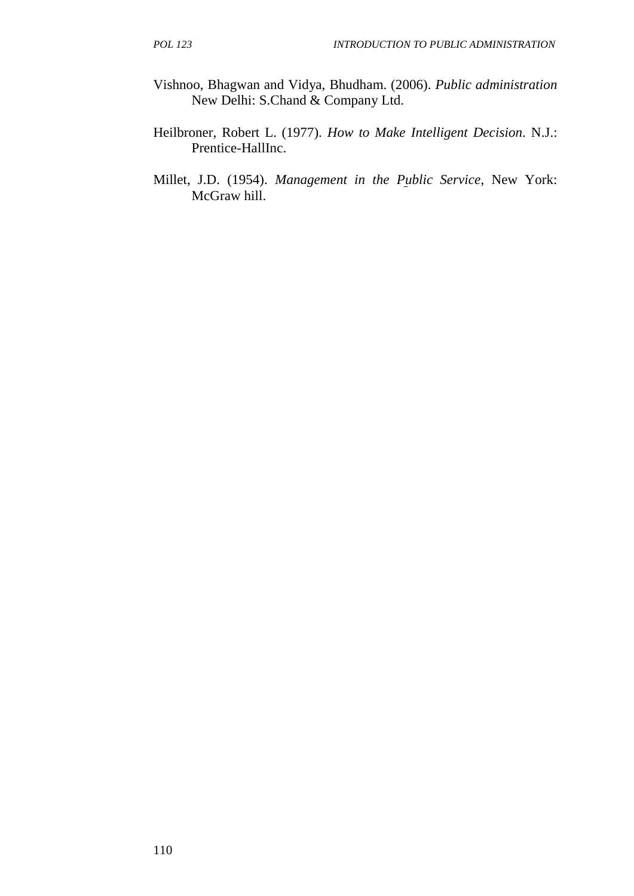- Vishnoo, Bhagwan and Vidya, Bhudham. (2006). *Public administration* New Delhi: S.Chand & Company Ltd.
- Heilbroner, Robert L. (1977). *How to Make Intelligent Decision*. N.J.: Prentice-HallInc.
- Millet, J.D. (1954). *Management in the Public Service*, New York: McGraw hill.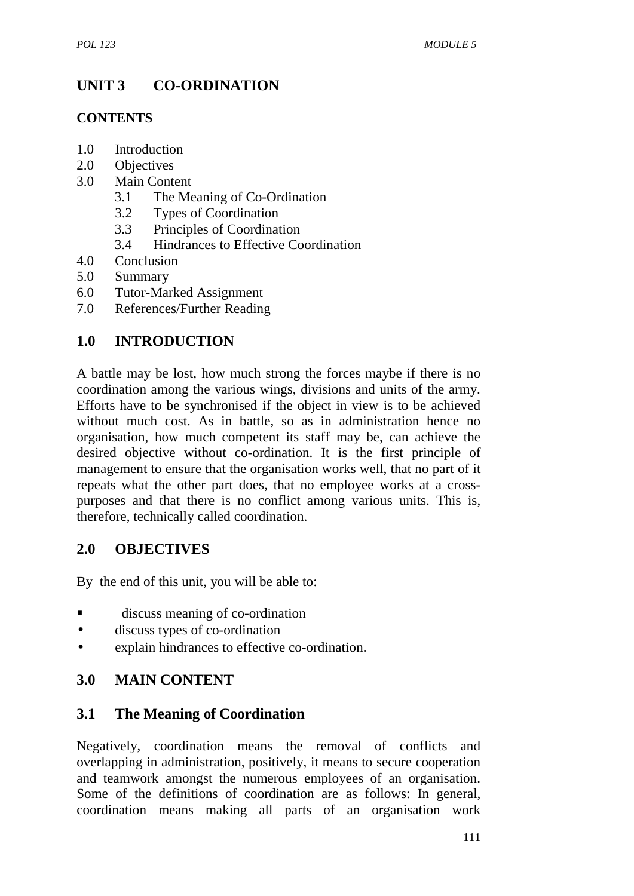# **UNIT 3 CO-ORDINATION**

#### **CONTENTS**

- 1.0 Introduction
- 2.0 Objectives
- 3.0 Main Content
	- 3.1 The Meaning of Co-Ordination
	- 3.2 Types of Coordination
	- 3.3 Principles of Coordination
	- 3.4 Hindrances to Effective Coordination
- 4.0 Conclusion
- 5.0 Summary
- 6.0 Tutor-Marked Assignment
- 7.0 References/Further Reading

## **1.0 INTRODUCTION**

A battle may be lost, how much strong the forces maybe if there is no coordination among the various wings, divisions and units of the army. Efforts have to be synchronised if the object in view is to be achieved without much cost. As in battle, so as in administration hence no organisation, how much competent its staff may be, can achieve the desired objective without co-ordination. It is the first principle of management to ensure that the organisation works well, that no part of it repeats what the other part does, that no employee works at a cross purposes and that there is no conflict among various units. This is, therefore, technically called coordination.

### **2.0 OBJECTIVES**

By the end of this unit, you will be able to:

- discuss meaning of co-ordination
- discuss types of co-ordination
- explain hindrances to effective co-ordination.

## **3.0 MAIN CONTENT**

### **3.1 The Meaning of Coordination**

Negatively, coordination means the removal of conflicts and overlapping in administration, positively, it means to secure cooperation and teamwork amongst the numerous employees of an organisation. Some of the definitions of coordination are as follows: In general, coordination means making all parts of an organisation work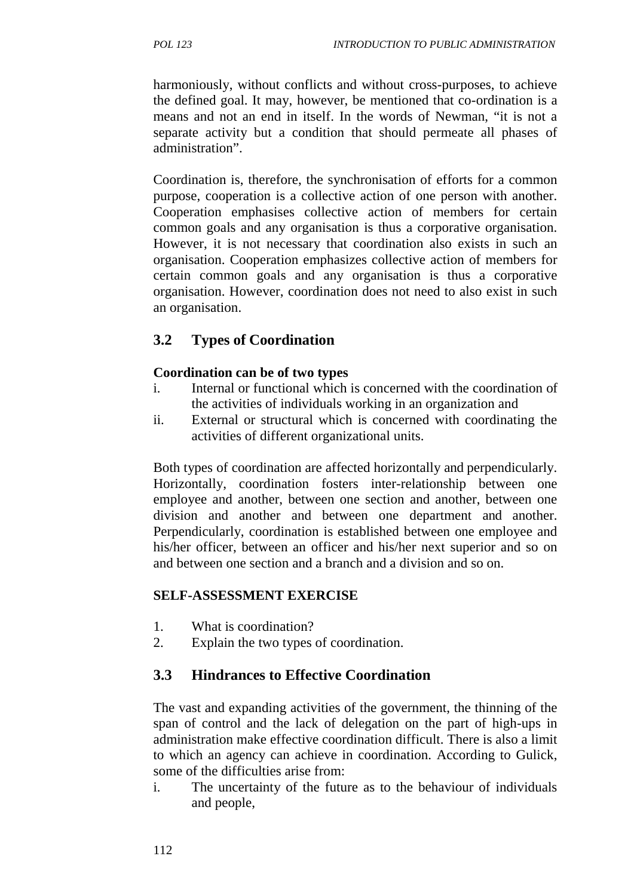harmoniously, without conflicts and without cross-purposes, to achieve the defined goal. It may, however, be mentioned that co-ordination is a means and not an end in itself. In the words of Newman, "it is not a separate activity but a condition that should permeate all phases of administration".

Coordination is, therefore, the synchronisation of efforts for a common purpose, cooperation is a collective action of one person with another. Cooperation emphasises collective action of members for certain common goals and any organisation is thus a corporative organisation. However, it is not necessary that coordination also exists in such an organisation. Cooperation emphasizes collective action of members for certain common goals and any organisation is thus a corporative organisation. However, coordination does not need to also exist in such an organisation.

# **3.2 Types of Coordination**

## **Coordination can be of two types**

- i. Internal or functional which is concerned with the coordination of the activities of individuals working in an organization and
- ii. External or structural which is concerned with coordinating the activities of different organizational units.

Both types of coordination are affected horizontally and perpendicularly. Horizontally, coordination fosters inter-relationship between one employee and another, between one section and another, between one division and another and between one department and another. Perpendicularly, coordination is established between one employee and his/her officer, between an officer and his/her next superior and so on and between one section and a branch and a division and so on.

## **SELF-ASSESSMENT EXERCISE**

- 1. What is coordination?
- 2. Explain the two types of coordination.

## **3.3 Hindrances to Effective Coordination**

The vast and expanding activities of the government, the thinning of the span of control and the lack of delegation on the part of high-ups in administration make effective coordination difficult. There is also a limit to which an agency can achieve in coordination. According to Gulick, some of the difficulties arise from:

i. The uncertainty of the future as to the behaviour of individuals and people,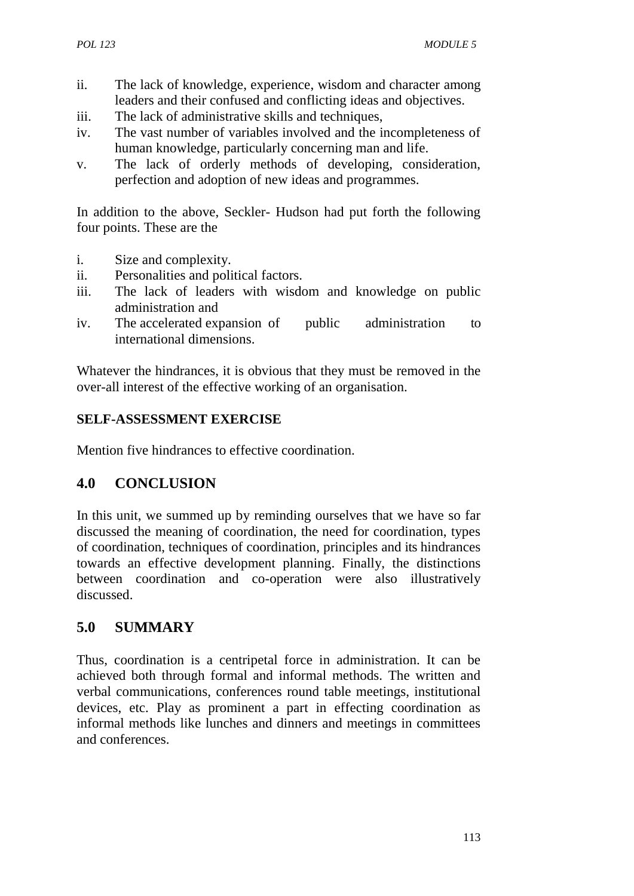- ii. The lack of knowledge, experience, wisdom and character among leaders and their confused and conflicting ideas and objectives.
- iii. The lack of administrative skills and techniques,
- iv. The vast number of variables involved and the incompleteness of human knowledge, particularly concerning man and life.
- v. The lack of orderly methods of developing, consideration, perfection and adoption of new ideas and programmes.

In addition to the above, Seckler- Hudson had put forth the following four points. These are the

- i. Size and complexity.
- ii. Personalities and political factors.
- iii. The lack of leaders with wisdom and knowledge on public administration and
- iv. The accelerated expansion of public administration to international dimensions.

Whatever the hindrances, it is obvious that they must be removed in the over-all interest of the effective working of an organisation.

### **SELF-ASSESSMENT EXERCISE**

Mention five hindrances to effective coordination.

### **4.0 CONCLUSION**

In this unit, we summed up by reminding ourselves that we have so far discussed the meaning of coordination, the need for coordination, types of coordination, techniques of coordination, principles and its hindrances towards an effective development planning. Finally, the distinctions between coordination and co-operation were also illustratively discussed.

### **5.0 SUMMARY**

Thus, coordination is a centripetal force in administration. It can be achieved both through formal and informal methods. The written and verbal communications, conferences round table meetings, institutional devices, etc. Play as prominent a part in effecting coordination as informal methods like lunches and dinners and meetings in committees and conferences.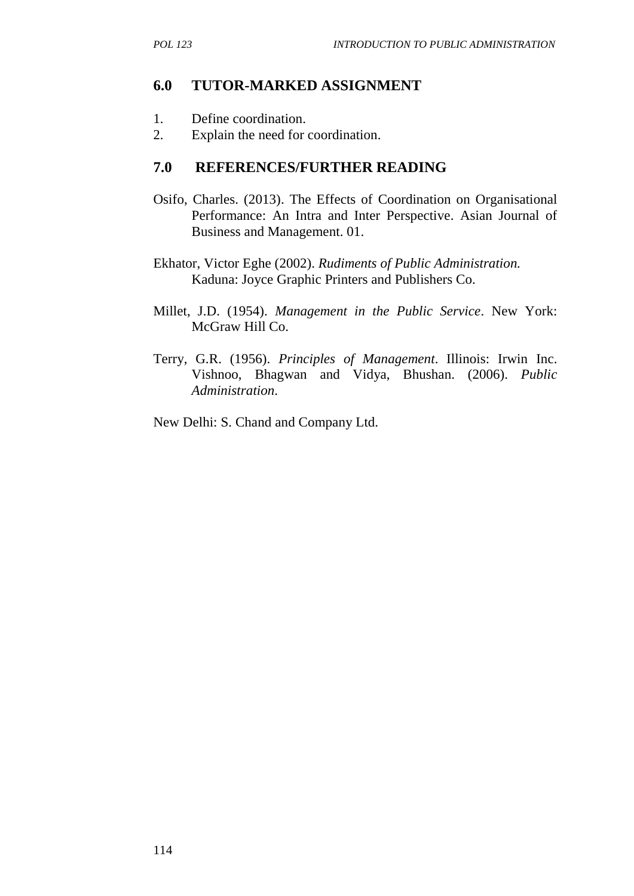### **6.0 TUTOR-MARKED ASSIGNMENT**

- 1. Define coordination.
- 2. Explain the need for coordination.

#### **7.0 REFERENCES/FURTHER READING**

- Osifo, Charles. (2013). The Effects of Coordination on Organisational Performance: An Intra and Inter Perspective. Asian Journal of Business and Management. 01.
- Ekhator, Victor Eghe (2002). *Rudiments of Public Administration.* Kaduna: Joyce Graphic Printers and Publishers Co.
- Millet, J.D. (1954). *Management in the Public Service*. New York: McGraw Hill Co.
- Terry, G.R. (1956). *Principles of Management*. Illinois: Irwin Inc. Vishnoo, Bhagwan and Vidya, Bhushan. (2006). *Public Administration*.

New Delhi: S. Chand and Company Ltd.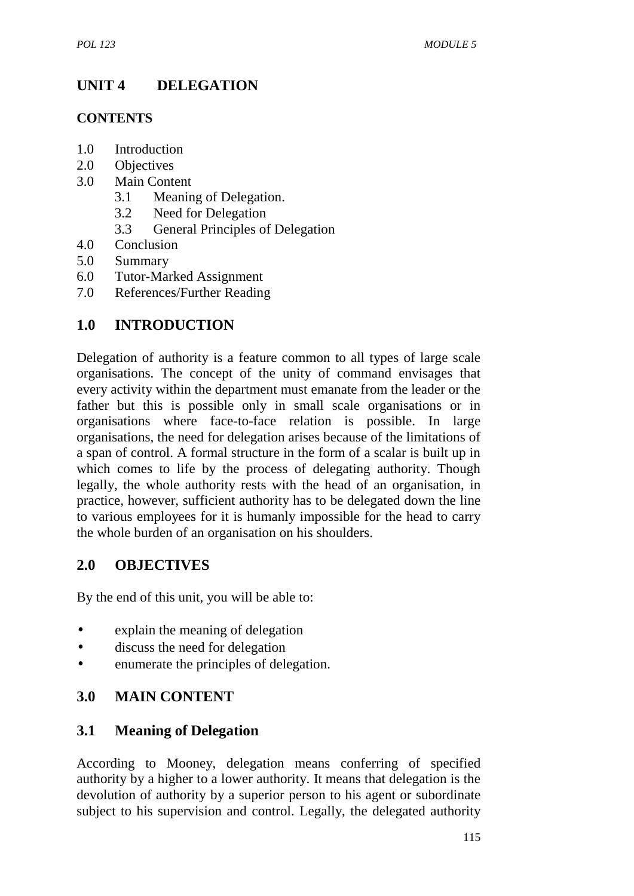# **UNIT 4 DELEGATION**

#### **CONTENTS**

- 1.0 Introduction
- 2.0 Objectives
- 3.0 Main Content
	- 3.1 Meaning of Delegation.
	- 3.2 Need for Delegation
	- 3.3 General Principles of Delegation
- 4.0 Conclusion
- 5.0 Summary
- 6.0 Tutor-Marked Assignment
- 7.0 References/Further Reading

## **1.0 INTRODUCTION**

Delegation of authority is a feature common to all types of large scale organisations. The concept of the unity of command envisages that every activity within the department must emanate from the leader or the father but this is possible only in small scale organisations or in organisations where face-to-face relation is possible. In large organisations, the need for delegation arises because of the limitations of a span of control. A formal structure in the form of a scalar is built up in which comes to life by the process of delegating authority. Though legally, the whole authority rests with the head of an organisation, in practice, however, sufficient authority has to be delegated down the line to various employees for it is humanly impossible for the head to carry the whole burden of an organisation on his shoulders.

## **2.0 OBJECTIVES**

By the end of this unit, you will be able to:

- explain the meaning of delegation
- discuss the need for delegation
- enumerate the principles of delegation.

## **3.0 MAIN CONTENT**

### **3.1 Meaning of Delegation**

According to Mooney, delegation means conferring of specified authority by a higher to a lower authority. It means that delegation is the devolution of authority by a superior person to his agent or subordinate subject to his supervision and control. Legally, the delegated authority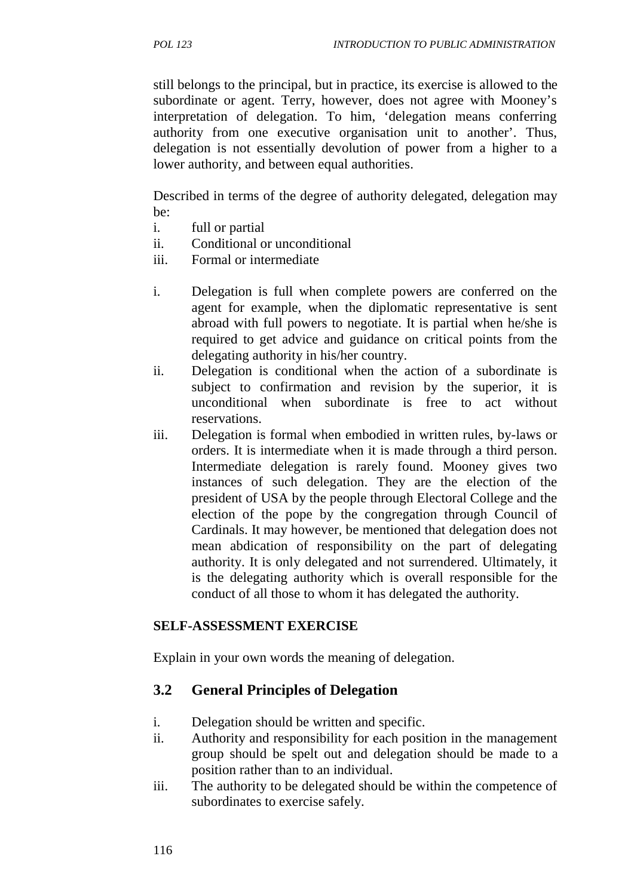still belongs to the principal, but in practice, its exercise is allowed to the subordinate or agent. Terry, however, does not agree with Mooney's interpretation of delegation. To him, 'delegation means conferring authority from one executive organisation unit to another'. Thus, delegation is not essentially devolution of power from a higher to a lower authority, and between equal authorities.

Described in terms of the degree of authority delegated, delegation may be:

- i. full or partial
- ii. Conditional or unconditional
- iii. Formal or intermediate
- i. Delegation is full when complete powers are conferred on the agent for example, when the diplomatic representative is sent abroad with full powers to negotiate. It is partial when he/she is required to get advice and guidance on critical points from the delegating authority in his/her country.
- ii. Delegation is conditional when the action of a subordinate is subject to confirmation and revision by the superior, it is unconditional when subordinate is free to act without reservations.
- iii. Delegation is formal when embodied in written rules, by-laws or orders. It is intermediate when it is made through a third person. Intermediate delegation is rarely found. Mooney gives two instances of such delegation. They are the election of the president of USA by the people through Electoral College and the election of the pope by the congregation through Council of Cardinals. It may however, be mentioned that delegation does not mean abdication of responsibility on the part of delegating authority. It is only delegated and not surrendered. Ultimately, it is the delegating authority which is overall responsible for the conduct of all those to whom it has delegated the authority.

#### **SELF-ASSESSMENT EXERCISE**

Explain in your own words the meaning of delegation.

#### **3.2 General Principles of Delegation**

- i. Delegation should be written and specific.
- ii. Authority and responsibility for each position in the management group should be spelt out and delegation should be made to a position rather than to an individual.
- iii. The authority to be delegated should be within the competence of subordinates to exercise safely.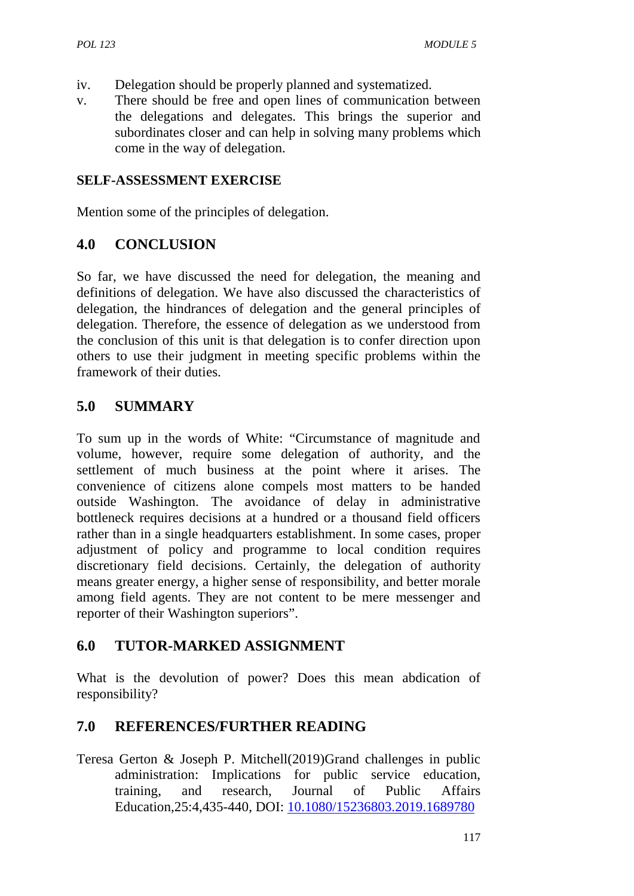- iv. Delegation should be properly planned and systematized.
- v. There should be free and open lines of communication between the delegations and delegates. This brings the superior and subordinates closer and can help in solving many problems which come in the way of delegation.

#### **SELF-ASSESSMENT EXERCISE**

Mention some of the principles of delegation.

### **4.0 CONCLUSION**

So far, we have discussed the need for delegation, the meaning and definitions of delegation. We have also discussed the characteristics of delegation, the hindrances of delegation and the general principles of delegation. Therefore, the essence of delegation as we understood from the conclusion of this unit is that delegation is to confer direction upon others to use their judgment in meeting specific problems within the framework of their duties.

## **5.0 SUMMARY**

To sum up in the words of White: "Circumstance of magnitude and volume, however, require some delegation of authority, and the settlement of much business at the point where it arises. The convenience of citizens alone compels most matters to be handed outside Washington. The avoidance of delay in administrative bottleneck requires decisions at a hundred or a thousand field officers rather than in a single headquarters establishment. In some cases, proper adjustment of policy and programme to local condition requires discretionary field decisions. Certainly, the delegation of authority means greater energy, a higher sense of responsibility, and better morale among field agents. They are not content to be mere messenger and reporter of their Washington superiors".

### **6.0 TUTOR-MARKED ASSIGNMENT**

What is the devolution of power? Does this mean abdication of responsibility?

## **7.0 REFERENCES/FURTHER READING**

Teresa Gerton & Joseph P. Mitchell(2019)Grand challenges in public administration: Implications for public service education, training, and research, Journal of Public Affairs Education,25:4,435-440, DOI: 10.1080/15236803.2019.1689780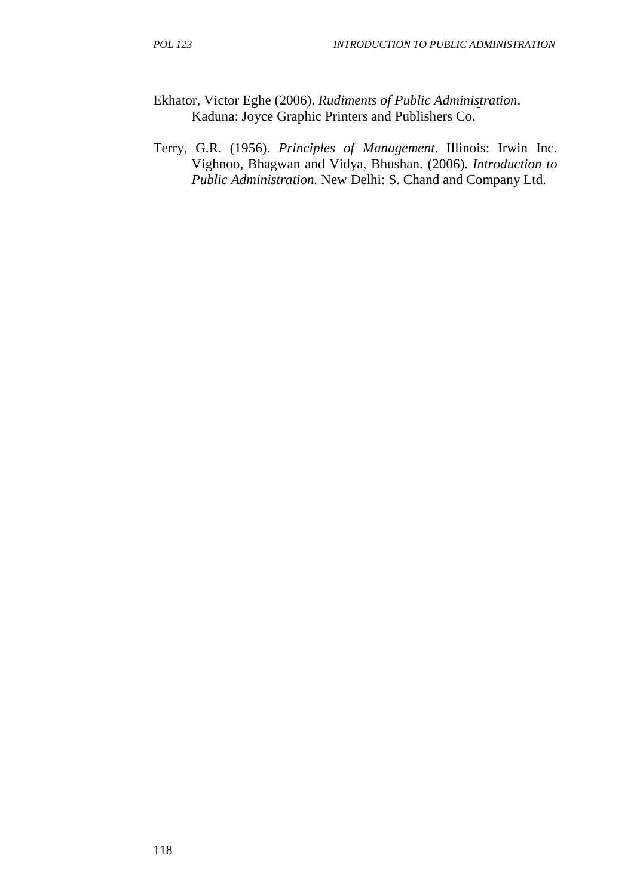- Ekhator, Victor Eghe (2006). *Rudiments of Public Administration*. Kaduna: Joyce Graphic Printers and Publishers Co.
- Terry, G.R. (1956). *Principles of Management*. Illinois: Irwin Inc. Vighnoo, Bhagwan and Vidya, Bhushan. (2006). *Introduction to Public Administration.* New Delhi: S. Chand and Company Ltd.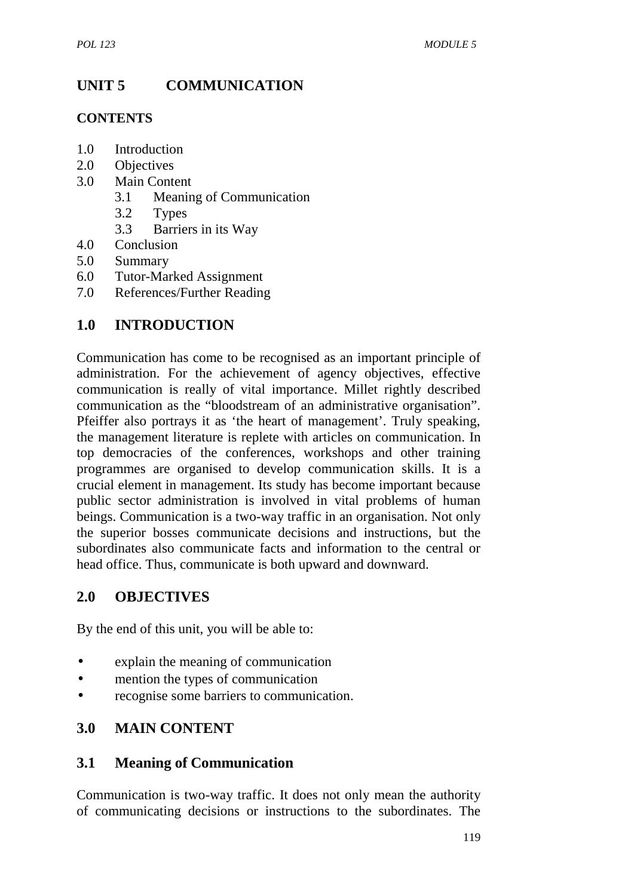# **UNIT 5 COMMUNICATION**

#### **CONTENTS**

- 1.0 Introduction
- 2.0 Objectives
- 3.0 Main Content
	- 3.1 Meaning of Communication
	- 3.2 Types
	- 3.3 Barriers in its Way
- 4.0 Conclusion
- 5.0 Summary
- 6.0 Tutor-Marked Assignment
- 7.0 References/Further Reading

## **1.0 INTRODUCTION**

Communication has come to be recognised as an important principle of administration. For the achievement of agency objectives, effective communication is really of vital importance. Millet rightly described communication as the "bloodstream of an administrative organisation". Pfeiffer also portrays it as 'the heart of management'. Truly speaking, the management literature is replete with articles on communication. In top democracies of the conferences, workshops and other training programmes are organised to develop communication skills. It is a crucial element in management. Its study has become important because public sector administration is involved in vital problems of human beings. Communication is a two-way traffic in an organisation. Not only the superior bosses communicate decisions and instructions, but the subordinates also communicate facts and information to the central or head office. Thus, communicate is both upward and downward.

## **2.0 OBJECTIVES**

By the end of this unit, you will be able to:

- explain the meaning of communication
- mention the types of communication
- recognise some barriers to communication.

## **3.0 MAIN CONTENT**

### **3.1 Meaning of Communication**

Communication is two-way traffic. It does not only mean the authority of communicating decisions or instructions to the subordinates. The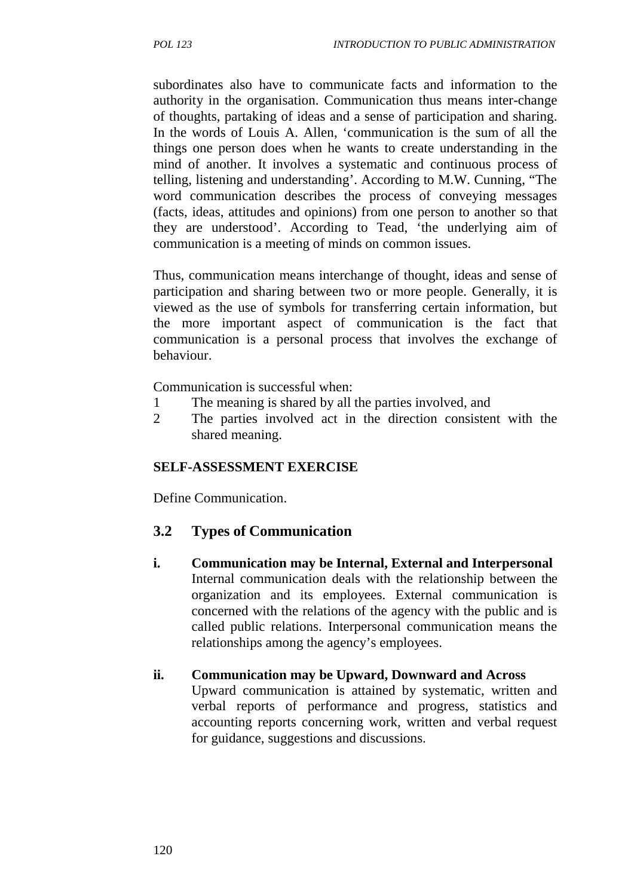subordinates also have to communicate facts and information to the authority in the organisation. Communication thus means inter-change of thoughts, partaking of ideas and a sense of participation and sharing. In the words of Louis A. Allen, 'communication is the sum of all the things one person does when he wants to create understanding in the mind of another. It involves a systematic and continuous process of telling, listening and understanding'. According to M.W. Cunning, "The word communication describes the process of conveying messages (facts, ideas, attitudes and opinions) from one person to another so that they are understood'. According to Tead, 'the underlying aim of communication is a meeting of minds on common issues.

Thus, communication means interchange of thought, ideas and sense of participation and sharing between two or more people. Generally, it is viewed as the use of symbols for transferring certain information, but the more important aspect of communication is the fact that communication is a personal process that involves the exchange of behaviour.

Communication is successful when:

- 1 The meaning is shared by all the parties involved, and
- 2 The parties involved act in the direction consistent with the shared meaning.

### **SELF-ASSESSMENT EXERCISE**

Define Communication.

## **3.2 Types of Communication**

**i. Communication may be Internal, External and Interpersonal** Internal communication deals with the relationship between the organization and its employees. External communication is concerned with the relations of the agency with the public and is called public relations. Interpersonal communication means the relationships among the agency's employees.

### **ii. Communication may be Upward, Downward and Across**

Upward communication is attained by systematic, written and verbal reports of performance and progress, statistics and accounting reports concerning work, written and verbal request for guidance, suggestions and discussions.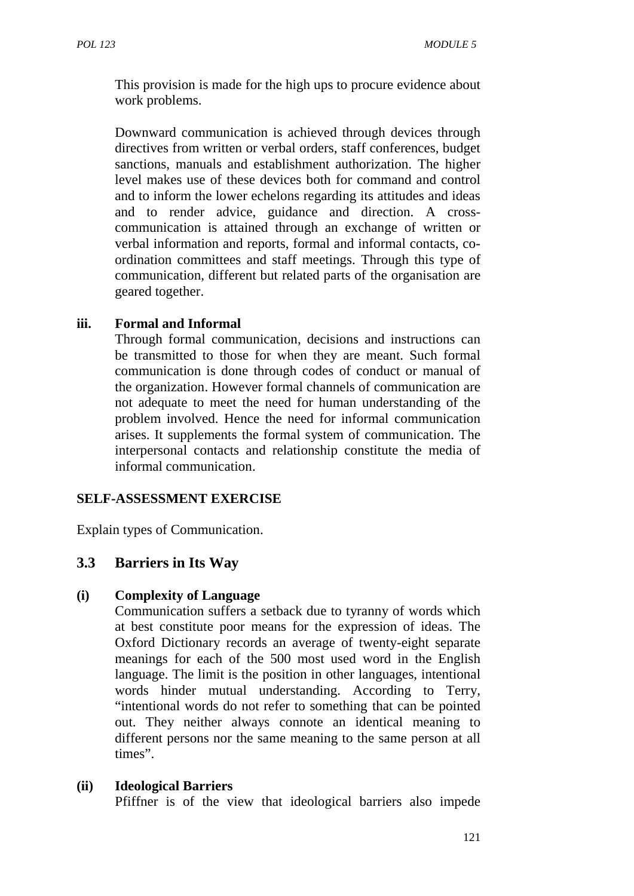This provision is made for the high ups to procure evidence about work problems.

Downward communication is achieved through devices through directives from written or verbal orders, staff conferences, budget sanctions, manuals and establishment authorization. The higher level makes use of these devices both for command and control and to inform the lower echelons regarding its attitudes and ideas and to render advice, guidance and direction. A cross communication is attained through an exchange of written or verbal information and reports, formal and informal contacts, co ordination committees and staff meetings. Through this type of communication, different but related parts of the organisation are geared together.

#### **iii. Formal and Informal**

Through formal communication, decisions and instructions can be transmitted to those for when they are meant. Such formal communication is done through codes of conduct or manual of the organization. However formal channels of communication are not adequate to meet the need for human understanding of the problem involved. Hence the need for informal communication arises. It supplements the formal system of communication. The interpersonal contacts and relationship constitute the media of informal communication.

#### **SELF-ASSESSMENT EXERCISE**

Explain types of Communication.

### **3.3 Barriers in Its Way**

#### **(i) Complexity of Language**

Communication suffers a setback due to tyranny of words which at best constitute poor means for the expression of ideas. The Oxford Dictionary records an average of twenty-eight separate meanings for each of the 500 most used word in the English language. The limit is the position in other languages, intentional words hinder mutual understanding. According to Terry, "intentional words do not refer to something that can be pointed out. They neither always connote an identical meaning to different persons nor the same meaning to the same person at all times".

#### **(ii) Ideological Barriers**

Pfiffner is of the view that ideological barriers also impede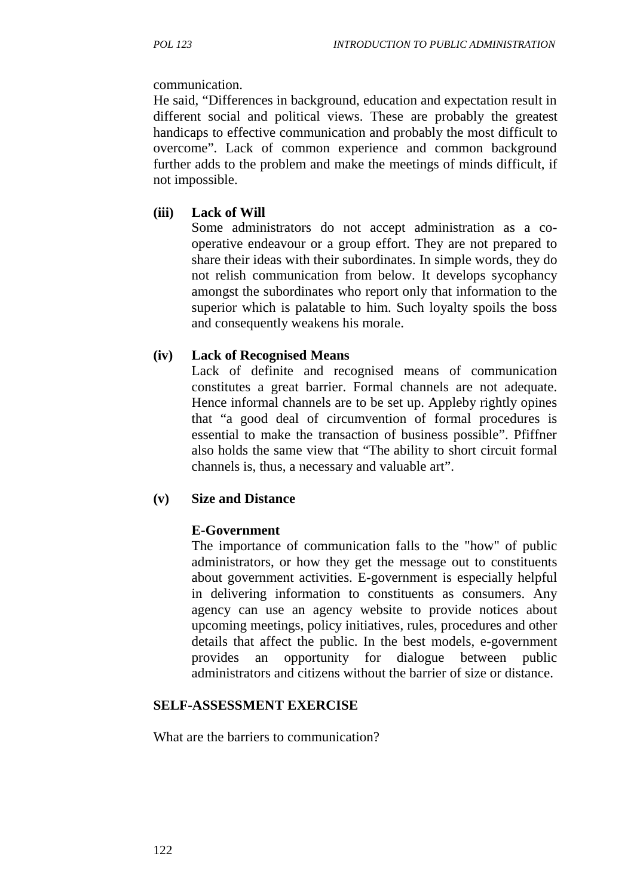#### communication.

He said, "Differences in background, education and expectation result in different social and political views. These are probably the greatest handicaps to effective communication and probably the most difficult to overcome". Lack of common experience and common background further adds to the problem and make the meetings of minds difficult, if not impossible.

#### **(iii) Lack of Will**

Some administrators do not accept administration as a co operative endeavour or a group effort. They are not prepared to share their ideas with their subordinates. In simple words, they do not relish communication from below. It develops sycophancy amongst the subordinates who report only that information to the superior which is palatable to him. Such loyalty spoils the boss and consequently weakens his morale.

#### **(iv) Lack of Recognised Means**

Lack of definite and recognised means of communication constitutes a great barrier. Formal channels are not adequate. Hence informal channels are to be set up. Appleby rightly opines that "a good deal of circumvention of formal procedures is essential to make the transaction of business possible". Pfiffner also holds the same view that "The ability to short circuit formal channels is, thus, a necessary and valuable art".

#### **(v) Size and Distance**

#### **E-Government**

The importance of communication falls to the "how" of public administrators, or how they get the message out to constituents about government activities. E-government is especially helpful in delivering information to constituents as consumers. Any agency can use an agency website to provide notices about upcoming meetings, policy initiatives, rules, procedures and other details that affect the public. In the best models, e-government provides an opportunity for dialogue between public administrators and citizens without the barrier of size or distance.

#### **SELF-ASSESSMENT EXERCISE**

What are the barriers to communication?